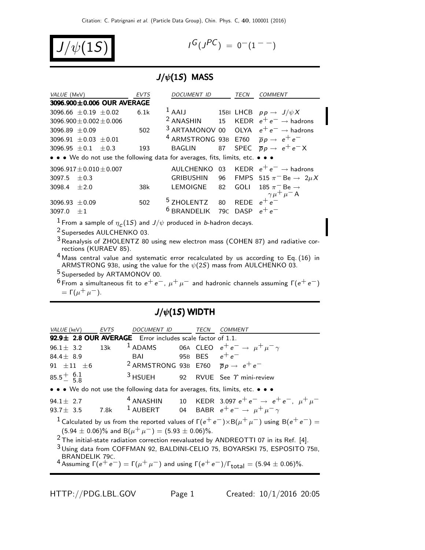

$$
I^G(J^{PC}) = 0^-(1^{--})
$$

#### $J/\psi(1S)$  MASS

| VALUE (MeV)        |                                                                               | <b>EVTS</b> | DOCUMENT ID                                                        |    | <b>TECN</b>      | COMMENT                                                     |
|--------------------|-------------------------------------------------------------------------------|-------------|--------------------------------------------------------------------|----|------------------|-------------------------------------------------------------|
|                    | 3096.900±0.006 OUR AVERAGE                                                    |             |                                                                    |    |                  |                                                             |
|                    | 3096.66 $\pm$ 0.19 $\pm$ 0.02                                                 | 6.1k        | <sup>1</sup> AAIJ 15BI LHCB $p p \rightarrow J/\psi X$             |    |                  |                                                             |
|                    | $3096.900 \pm 0.002 \pm 0.006$                                                |             |                                                                    |    |                  | <sup>2</sup> ANASHIN 15 KEDR $e^+e^- \rightarrow$ hadrons   |
| 3096.89 $\pm$ 0.09 |                                                                               | 502         |                                                                    |    |                  | <sup>3</sup> ARTAMONOV 00 OLYA $e^+e^- \rightarrow$ hadrons |
|                    | 3096.91 $\pm$ 0.03 $\pm$ 0.01                                                 |             | <sup>4</sup> ARMSTRONG 93B E760 $\overline{p}p \rightarrow e^+e^-$ |    |                  |                                                             |
|                    | 3096.95 $\pm$ 0.1 $\pm$ 0.3                                                   | 193         |                                                                    |    |                  | BAGLIN 87 SPEC $\overline{p}p \rightarrow e^+e^-X$          |
|                    | • • • We do not use the following data for averages, fits, limits, etc. • • • |             |                                                                    |    |                  |                                                             |
|                    | $3096.917 \pm 0.010 \pm 0.007$                                                |             |                                                                    |    |                  | AULCHENKO 03 KEDR $e^+e^- \rightarrow$ hadrons              |
| 3097.5 $\pm$ 0.3   |                                                                               |             | GRIBUSHIN                                                          |    |                  | 96 FMPS 515 $\pi^-$ Be $\rightarrow 2\mu X$                 |
| 3098.4 $\pm 2.0$   |                                                                               | 38k         | LEMOIGNE                                                           | 82 |                  | GOLI 185 $\pi$ <sup>-</sup> Be $\rightarrow$                |
|                    |                                                                               |             |                                                                    |    |                  | $\gamma \mu^+ \mu^-$ A                                      |
| 3096.93 $\pm$ 0.09 |                                                                               | 502         | $5$ ZHOLENTZ                                                       |    | 80 REDE $e^+e^-$ |                                                             |
| 3097.0             | $+1$                                                                          |             | $6$ BRANDELIK 79C DASP $e^+e^-$                                    |    |                  |                                                             |

 $\frac{1}{2}$  From a sample of  $\eta_c(1S)$  and  $J/\psi$  produced in *b*-hadron decays.

<sup>2</sup> Supersedes AULCHENKO 03.

 $3$  Reanalysis of ZHOLENTZ 80 using new electron mass (COHEN 87) and radiative corrections (KURAEV 85).

4 Mass central value and systematic error recalculated by us according to Eq. (16) in ARMSTRONG 93B, using the value for the  $\psi(2S)$  mass from AULCHENKO 03.

5 Superseded by ARTAMONOV 00.

<sup>6</sup> From a simultaneous fit to  $e^+e^-$ ,  $\mu^+\mu^-$  and hadronic channels assuming  $\Gamma(e^+e^-)$ =  $\Gamma(\mu^+ \mu^-)$ .

#### $J/\psi(1S)$  WIDTH

| VALUE (keV)                      | EVTS | DOCUMENT ID TECN                                                   |  | COMMENT                                                                                                                                                                                                                                                                                                                                                                                                                                     |
|----------------------------------|------|--------------------------------------------------------------------|--|---------------------------------------------------------------------------------------------------------------------------------------------------------------------------------------------------------------------------------------------------------------------------------------------------------------------------------------------------------------------------------------------------------------------------------------------|
|                                  |      | 92.9± 2.8 OUR AVERAGE Error includes scale factor of 1.1.          |  |                                                                                                                                                                                                                                                                                                                                                                                                                                             |
| 96.1 $\pm$ 3.2                   | 13k  |                                                                    |  | <sup>1</sup> ADAMS 06A CLEO $e^+e^- \rightarrow \mu^+\mu^-\gamma$                                                                                                                                                                                                                                                                                                                                                                           |
| 84.4 $\pm$ 8.9                   |      | BAI 95B BES $e^+e^-$                                               |  |                                                                                                                                                                                                                                                                                                                                                                                                                                             |
| $91 \pm 11 \pm 6$                |      | <sup>2</sup> ARMSTRONG 93B E760 $\overline{p}p \rightarrow e^+e^-$ |  |                                                                                                                                                                                                                                                                                                                                                                                                                                             |
| $85.5^{+}_{-}$ $\frac{6.1}{5.8}$ |      | $3$ HSUEH                                                          |  | 92 RVUE See $\gamma$ mini-review                                                                                                                                                                                                                                                                                                                                                                                                            |
|                                  |      |                                                                    |  | • • • We do not use the following data for averages, fits, limits, etc. • • •                                                                                                                                                                                                                                                                                                                                                               |
| 94.1 $\pm$ 2.7                   |      |                                                                    |  | <sup>4</sup> ANASHIN 10 KEDR 3.097 $e^+e^- \rightarrow e^+e^-$ , $\mu^+\mu^-$<br>93.7± 3.5 7.8k <sup>1</sup> AUBERT 04 BABR $e^+e^- \rightarrow \mu^+\mu^-\gamma$                                                                                                                                                                                                                                                                           |
| BRANDELIK 79C.                   |      | $(5.94 \pm 0.06)\%$ and B $(\mu^+ \mu^-) = (5.93 \pm 0.06)\%$ .    |  | <sup>1</sup> Calculated by us from the reported values of $\Gamma(e^+e^-)\times B(\mu^+\mu^-)$ using $B(e^+e^-)=$<br>$2$ The initial-state radiation correction reevaluated by ANDREOTTI 07 in its Ref. [4].<br><sup>3</sup> Using data from COFFMAN 92, BALDINI-CELIO 75, BOYARSKI 75, ESPOSITO 75B,<br><sup>4</sup> Assuming $\Gamma(e^+e^-) = \Gamma(\mu^+\mu^-)$ and using $\Gamma(e^+e^-)/\Gamma_{\text{total}} = (5.94 \pm 0.06)\%$ . |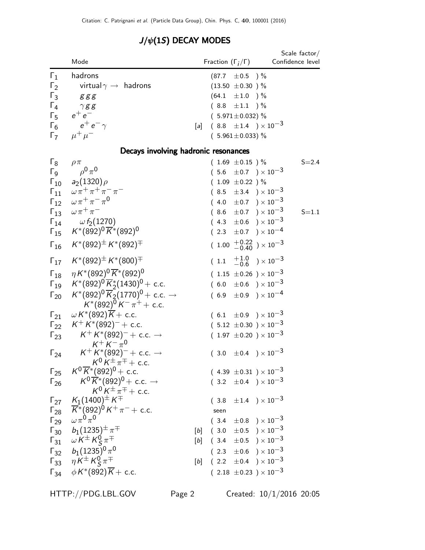|                                |                                                                                                |     |                                           |                                                                    |  | Scale factor/    |
|--------------------------------|------------------------------------------------------------------------------------------------|-----|-------------------------------------------|--------------------------------------------------------------------|--|------------------|
|                                | Mode                                                                                           |     | Fraction $(\Gamma_i/\Gamma)$              |                                                                    |  | Confidence level |
| $\Gamma_1$                     | hadrons                                                                                        |     |                                           | $(87.7 \pm 0.5)$ %                                                 |  |                  |
| $\Gamma_2$                     | virtual $\gamma \rightarrow$ hadrons                                                           |     |                                           | $(13.50 \pm 0.30)$ %                                               |  |                  |
| $\Gamma_3$                     | ggg                                                                                            |     |                                           | $(64.1 \pm 1.0)$ %                                                 |  |                  |
| $\Gamma_4$                     | $\gamma$ gg                                                                                    |     |                                           | $(8.8 \pm 1.1)$ %                                                  |  |                  |
| $\Gamma_5$                     | $e^+e^-$                                                                                       |     |                                           | $(5.971 \pm 0.032)$ %                                              |  |                  |
| $\Gamma_6$                     | $e^+\,e^-\,\gamma$                                                                             | [a] |                                           | $(8.8 \pm 1.4) \times 10^{-3}$                                     |  |                  |
| $\Gamma_7$                     | $\mu^+ \mu^-$                                                                                  |     |                                           | $(5.961 \pm 0.033)$ %                                              |  |                  |
|                                | Decays involving hadronic resonances                                                           |     |                                           |                                                                    |  |                  |
| $\Gamma_8$                     | $\rho \pi$                                                                                     |     |                                           | $(1.69 \pm 0.15)$ %                                                |  | $S = 2.4$        |
| $\Gamma_{\mathsf{Q}}$          | $\rho^0 \pi^0$                                                                                 |     |                                           | $(5.6 \pm 0.7) \times 10^{-3}$                                     |  |                  |
|                                | $\Gamma_{10}$ $a_2(1320)\rho$                                                                  |     |                                           | $(1.09 \pm 0.22)$ %                                                |  |                  |
| $\Gamma_{11}$                  | $\omega \pi^+ \pi^+ \pi^- \pi^-$                                                               |     |                                           | $(8.5 \pm 3.4) \times 10^{-3}$                                     |  |                  |
| $\Gamma_{12}$                  | $\omega\,\pi^+\,\pi^-\,\pi^0$                                                                  |     |                                           | $(4.0 \pm 0.7) \times 10^{-3}$                                     |  |                  |
|                                | $\Gamma_{13}$ $\omega \pi^+ \pi^-$                                                             |     |                                           | $(8.6 \pm 0.7) \times 10^{-3}$                                     |  | $S = 1.1$        |
|                                | $\Gamma_{14}$ $\omega f_2(1270)$                                                               |     |                                           | $(4.3 \pm 0.6) \times 10^{-3}$                                     |  |                  |
|                                | $\Gamma_{15}$ $K^*(892)^0 \overline{K}^*(892)^0$                                               |     |                                           | $(2.3 \pm 0.7) \times 10^{-4}$                                     |  |                  |
| $\Gamma_{16}$                  | $K^*(892)^\pm K^*(892)^\mp$                                                                    |     |                                           | $(1.00 + 0.22 / 0.40) \times 10^{-3}$                              |  |                  |
|                                | $\Gamma_{17}$ $K^*(892)^\pm K^*(800)^\mp$                                                      |     |                                           | $(1.1 \t +1.0 \t -0.6) \times 10^{-3}$                             |  |                  |
| $\Gamma_{18}$                  | $\eta K^{*}(892)^{0} \overline{K}^{*}(892)^{0}$                                                |     |                                           | $(1.15 \pm 0.26) \times 10^{-3}$                                   |  |                  |
| $\Gamma_{19}$                  | $K^*(892)^0\overline{K}_2^*(1430)^0$ + c.c.                                                    |     |                                           | $(6.0 \pm 0.6) \times 10^{-3}$                                     |  |                  |
| $\Gamma_{20}$                  | $K^*(892)^0 \overline{K}_2(1770)^0$ + c.c. $\rightarrow$                                       |     |                                           | $(6.9 \pm 0.9) \times 10^{-4}$                                     |  |                  |
|                                | $K^*(892)^0 K^- \pi^+ +$ c.c.                                                                  |     |                                           |                                                                    |  |                  |
| $\Gamma_{21}$<br>$\Gamma_{22}$ | $\omega K^{*}(892)K +$ c.c.<br>$K^+ K^*(892)^-$ + c.c.                                         |     |                                           | $(6.1 \pm 0.9) \times 10^{-3}$<br>$(5.12 \pm 0.30) \times 10^{-3}$ |  |                  |
|                                | $K^+ K^*(892)^-$ + c.c. $\rightarrow$                                                          |     |                                           | $(1.97 \pm 0.20) \times 10^{-3}$                                   |  |                  |
| $\Gamma_{23}$                  | $K^+ K^- \pi^0$                                                                                |     |                                           |                                                                    |  |                  |
| $\Gamma_{24}$                  | $\mathcal{K}^+ \, \mathcal{K}^*(892)^- +$ c.c. $\rightarrow$<br>$K^0 K^{\pm} \pi^{\mp}$ + c.c. |     |                                           | $(3.0 \pm 0.4) \times 10^{-3}$                                     |  |                  |
|                                | $\Gamma_{25}$ $K^0 \overline{K}$ * (892) <sup>0</sup> + c.c.                                   |     |                                           | $(4.39 \pm 0.31) \times 10^{-3}$                                   |  |                  |
| $\Gamma_{26}$                  | $\mathcal{K}^0 \overline{\mathcal{K}}{}^*(892)^0+$ c.c. $\rightarrow$                          |     |                                           | $(3.2 \pm 0.4) \times 10^{-3}$                                     |  |                  |
|                                | $K^0 K^{\pm} \pi^{\mp} + \text{c.c.}$<br>$\Gamma_{27}$ $K_1 (1400)^{\pm} K^{\mp}$              |     |                                           |                                                                    |  |                  |
|                                |                                                                                                |     |                                           | $(3.8 \pm 1.4) \times 10^{-3}$                                     |  |                  |
|                                | $\Gamma_{28}$ $\overline{K}$ * (892) <sup>0</sup> K <sup>+</sup> $\pi$ <sup>-</sup> + c.c.     |     | seen                                      |                                                                    |  |                  |
| $\Gamma_{29}$                  | $\omega \pi^0 \pi^0$                                                                           |     |                                           | $(3.4 \pm 0.8) \times 10^{-3}$                                     |  |                  |
|                                | $\Gamma_{30}$ $b_1(1235)^{\pm} \pi^{\mp}$                                                      |     | $[b]$ (3.0 $\pm 0.5$ ) × 10 <sup>-3</sup> |                                                                    |  |                  |
|                                | $\Gamma_{31}$ $\omega K^{\pm} K^0_S \pi^{\mp}$                                                 |     | [b] $(3.4 \pm 0.5) \times 10^{-3}$        |                                                                    |  |                  |
|                                | $\Gamma_{32}$ $b_1(1235)^0 \pi^0$                                                              |     |                                           | $(2.3 \pm 0.6) \times 10^{-3}$                                     |  |                  |
|                                | $\Gamma_{33}$ $\eta K^{\pm} K^0_S \pi^{\mp}$                                                   |     | $[b]$ (2.2 $\pm$ 0.4 ) × 10 <sup>-3</sup> |                                                                    |  |                  |
|                                | $\Gamma_{34}$ $\phi K^*(892)\overline{K}$ + c.c.                                               |     |                                           | $(2.18 \pm 0.23) \times 10^{-3}$                                   |  |                  |

# $J/\psi(1S)$  DECAY MODES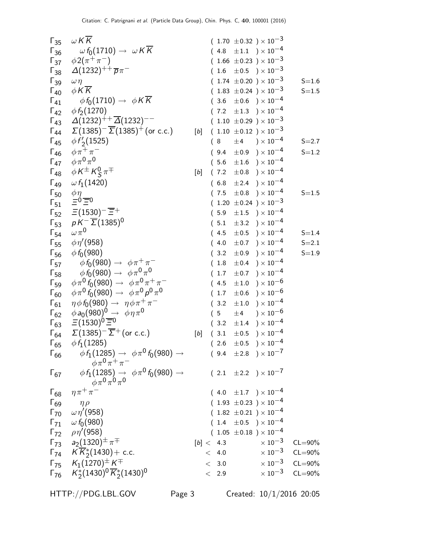| 5 | 6                                                     | $\omega f_0(1710) \rightarrow \omega K \overline{K}$ | (1.70 ±0.32) × 10 <sup>-3</sup> |                                 |
|---|-------------------------------------------------------|------------------------------------------------------|---------------------------------|---------------------------------|
| 5 | $\omega f_0(1710) \rightarrow \omega K \overline{K}$  | (1.6 ±0.23) × 10 <sup>-3</sup>                       |                                 |                                 |
| 5 | $\omega (f_0(1710) \rightarrow \omega K \overline{K}$ | (1.6 ±0.5) × 10 <sup>-3</sup>                        |                                 |                                 |
| 5 | $\omega$                                              | (1.74 ±0.20) × 10 <sup>-3</sup>                      |                                 |                                 |
| 5 | $\omega$                                              | (1.74 ±0.20) × 10 <sup>-3</sup>                      |                                 |                                 |
| 5 | $\omega$                                              | (1.74 ±0.20) × 10 <sup>-3</sup>                      |                                 |                                 |
| 5 | $\omega$                                              | (1.74 ±0.20) × 10 <sup>-3</sup>                      |                                 |                                 |
| 5 | $\omega$                                              | (1.74 ±0.20) × 10 <sup>-3</sup>                      |                                 |                                 |
| 5 | $\omega$                                              | (1.74 ±0.20) × 10 <sup>-3</sup>                      |                                 |                                 |
| 5 | $\omega$                                              | (1.74 ±0.20) × 10 <sup>-4</sup>                      |                                 |                                 |
| 6 | $\omega$                                              | (1.74 ±0.20) × 10 <sup>-4</sup>                      |                                 |                                 |
| 7 | $\omega$                                              | (1.835)- $\overline{\Sigma}$ (1385)+(0 r c.c.)       | [b]                             | (1.10 ±0.12) × 10 <sup>-4</sup> |
| 7 | $\omega$                                              | (1.420)                                              | (1.420)                         |                                 |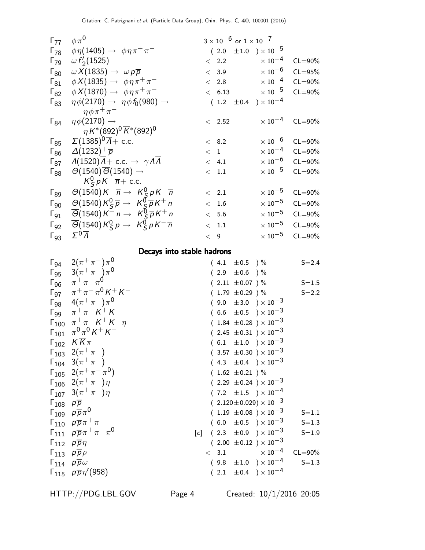| $\Gamma_{77}$                              | $\phi \pi^0$                                                                     | $3\times10^{-6}$ or $1\times10^{-7}$                             |                                          |
|--------------------------------------------|----------------------------------------------------------------------------------|------------------------------------------------------------------|------------------------------------------|
| $\Gamma_{78}$                              | $\phi \eta(1405) \rightarrow \phi \eta \pi^+ \pi^-$                              | (2.0)                                                            | $\pm 1.0$ ) $\times 10^{-5}$             |
| $\Gamma_{79}$                              | $\omega f'_2(1525)$                                                              | < 2.2                                                            | $\times$ 10 <sup>-4</sup><br>$CL = 90\%$ |
| $\Gamma_{80}$                              | $\omega X(1835) \rightarrow \omega p \overline{p}$                               | < 3.9                                                            | $\times$ 10 <sup>-6</sup><br>$CL = 95%$  |
| $\Gamma_{81}$                              | $\phi X(1835) \rightarrow \phi \eta \pi^+ \pi^-$                                 | < 2.8                                                            | $\times$ 10 <sup>-4</sup><br>$CL = 90\%$ |
| $\Gamma_{82}$                              | $\phi X(1870) \rightarrow \phi \eta \pi^+ \pi^-$                                 | < 6.13                                                           | $\times$ $10^{-5}$<br>$CL = 90\%$        |
| $\Gamma_{83}$                              | $\eta \phi(2170) \rightarrow \eta \phi f_0(980) \rightarrow$                     | (1.2)                                                            | $\pm$ 0.4 ) $\times$ 10 <sup>-4</sup>    |
|                                            | $\eta \phi \pi^+ \pi^-$                                                          |                                                                  |                                          |
| $\Gamma_{84}$                              | $\eta \phi(2170) \rightarrow$                                                    | $< 2.52$                                                         | $\times$ 10 <sup>-4</sup><br>$CL = 90\%$ |
|                                            | $\eta K^{*}(892)^{0} \overline{K}^{*}(892)^{0}$                                  |                                                                  |                                          |
| $\Gamma_{85}$                              | $\Sigma(1385)^{0}\overline{A}$ + c.c.                                            | < 8.2                                                            | $\times$ 10 $^{-6}$<br>$CL = 90\%$       |
| $\Gamma_{86}$                              | $\Delta(1232)^{+}$ $\overline{p}$                                                | < 1                                                              | $\times$ 10 $^{-4}$<br>$CL = 90\%$       |
| $\Gamma_{87}$                              | $\sqrt{(1520)}\overline{A} + \text{c.c.} \rightarrow \gamma A \overline{A}$      | < 4.1                                                            | $\times$ 10 $^{-6}$<br>$CL = 90\%$       |
| $\Gamma_{88}$                              | $\Theta(1540)\overline{\Theta}(1540)\rightarrow$                                 | < 1.1                                                            | $\times$ 10 $^{-5}$<br>$CL = 90\%$       |
|                                            | $K_S^0 p K^- \overline{n}$ + c.c.                                                |                                                                  |                                          |
| $\Gamma_{89}$                              | $\Theta(1540) K^- \overline{n} \rightarrow K_S^0 p K^- \overline{n}$             | $\langle$ 2.1                                                    | $\times$ 10 $^{-5}$<br>$CL = 90\%$       |
| $\Gamma_{90}$                              | $\Theta(1540)K_S^0\overline{p} \rightarrow K_S^0\overline{p}K^+n$                | < 1.6                                                            | $\times$ 10 $^{-5}$<br>$CL = 90\%$       |
| $\Gamma_{91}$                              | $\overline{\Theta}$ (1540) $K^+ n \rightarrow K_S^0 \overline{p} K^+ n$          | $< 5.6$                                                          | $\times$ 10 $^{-5}$<br>$CL = 90\%$       |
| $\Gamma_{92}$                              | $\overline{\Theta}$ (1540) $K_S^0 p \rightarrow K_S^0 p K^- \overline{n}$        | $<\phantom{1}1.1$                                                | $\times$ 10 $^{-5}$<br>$CL = 90\%$       |
| $\Gamma_{93}$                              | $\Sigma^0 \overline{\Lambda}$                                                    | < 9                                                              | $\times$ 10 $^{-5}$<br>$CL = 90\%$       |
|                                            |                                                                                  |                                                                  |                                          |
|                                            | Decays into stable hadrons                                                       |                                                                  |                                          |
| $\Gamma_{94}$                              | $2(\pi^+\pi^-)\pi^0$                                                             | (4.1)<br>$\pm 0.5$ ) %                                           | $S = 2.4$                                |
| $\Gamma$ 95                                | $3(\pi^{+}\pi^{-})\pi^{0}$                                                       | 2.9 $\pm 0.6$ ) %<br>(                                           |                                          |
| $\mathsf{\Gamma}_{96}$                     | $\pi^{+}\pi^{-}\pi^{0}$                                                          | $(2.11 \pm 0.07)$ %                                              | $S = 1.5$                                |
| $\Gamma_{97}$                              | $\pi^+ \pi^- \pi^0 K^+ K^-$                                                      | $(1.79 \pm 0.29)$ %                                              | $S = 2.2$                                |
| $\mathsf{\Gamma}_{98}$                     | $4(\pi^{+}\pi^{-})\pi^{0}$                                                       | $(9.0 \pm 3.0) \times 10^{-3}$                                   |                                          |
| $\Gamma_{99}$                              | $\pi^{+}\pi^{-} K^{+} K^{-}$                                                     | $(6.6 \pm 0.5) \times 10^{-3}$                                   |                                          |
| $\Gamma_{100}$                             | $\pi^{+}\pi^{-} K^{+} K^{-} \eta$                                                | $(1.84 \pm 0.28) \times 10^{-3}$                                 |                                          |
| $\Gamma_{101}$                             | $\pi^{0}\pi^{0}$ K <sup>+</sup> K <sup>-</sup>                                   | $(2.45 \pm 0.31) \times 10^{-3}$                                 |                                          |
| $\Gamma_{102}$                             | $K\overline{K}\pi$                                                               | $(6.1 \pm 1.0) \times 10^{-3}$                                   |                                          |
|                                            | $\Gamma_{103}$ $2(\pi^{+}\pi^{-})$                                               | $(3.57 \pm 0.30) \times 10^{-3}$                                 |                                          |
|                                            | $\Gamma_{104}$ 3( $\pi^{+}\pi^{-}$ )                                             | $(4.3 \pm 0.4) \times 10^{-3}$                                   |                                          |
|                                            | $\Gamma_{105}$ 2( $\pi^{+}\pi^{-}\pi^{0}$ )                                      | $(1.62 \pm 0.21)$ %                                              |                                          |
|                                            | $\Gamma_{106}$ 2( $\pi^{+}\pi^{-}$ ) $\eta$                                      | $(2.29 \pm 0.24) \times 10^{-3}$                                 |                                          |
|                                            | $\Gamma_{107}$ 3( $\pi^{+}\pi^{-}\$ ) $\eta$                                     | $(7.2 \pm 1.5) \times 10^{-4}$                                   |                                          |
| $\Gamma_{108}$ $p\overline{p}$             |                                                                                  | $(2.120 \pm 0.029) \times 10^{-3}$                               |                                          |
|                                            | $\Gamma_{109}$ $\rho \overline{p} \pi^0$                                         | $(1.19 \pm 0.08) \times 10^{-3}$                                 | $S = 1.1$                                |
|                                            | $\Gamma_{110}$ $p\overline{p}\pi^{+}\pi^{-}$                                     | $(6.0 \pm 0.5) \times 10^{-3}$                                   | $S = 1.3$                                |
|                                            | $\Gamma_{111}$ $p\overline{p}\pi^{+}\pi^{-}\pi^{0}$                              | $[c]$ (2.3 $\pm 0.9$ ) $\times 10^{-3}$                          | $S = 1.9$                                |
| $\Gamma_{112}$ $p\overline{p}\eta$         |                                                                                  | $(2.00 \pm 0.12) \times 10^{-3}$                                 |                                          |
| $\Gamma_{113}$ $\rho \overline{\rho} \rho$ |                                                                                  | < 3.1                                                            | $\times$ 10 $^{-4}$<br>$CL = 90\%$       |
|                                            |                                                                                  |                                                                  |                                          |
|                                            | $\Gamma_{114}$ $p\overline{p}\omega$<br>$\Gamma_{115}$ $p\overline{p}\eta'(958)$ | $(9.8 \pm 1.0) \times 10^{-4}$<br>$(2.1 \pm 0.4) \times 10^{-4}$ | $S = 1.3$                                |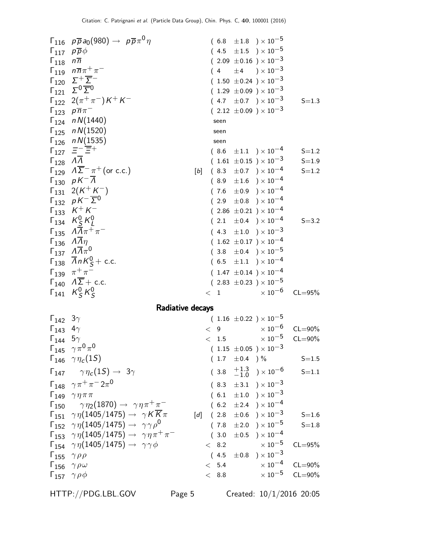$\Gamma_{116}$   $p\overline{p}a_0(980) \rightarrow p\overline{p}\pi^0\eta$  $(6.8 \pm 1.8) \times 10^{-5}$  $\Gamma_{117}$   $p\overline{p}\phi$  (4.5  $\pm 1.5$  ) × 10<sup>-5</sup>  $\begin{array}{cc} \n\Gamma_{118} & n \overline{n} & \n\Gamma_{119} & n \overline{n} \pi^+ \pi^- & \n\end{array}$ (2.09 ±0.16 ) × 10<sup>-3</sup><br>
(4 ±4 ) × 10<sup>-3</sup>  $\Gamma_{119}$   $n\overline{n}\pi^{+}\pi$  $(4 \pm 4) \times 10^{-3}$  $\Gamma_{120}$   $\Sigma^+$   $\overline{\Sigma}$  $(1.50 \pm 0.24) \times 10^{-3}$  $\Gamma_{121}$   $\Sigma^0 \overline{\Sigma}{}^0$  $(1.29 \pm 0.09) \times 10^{-3}$  $\Gamma_{122}$  2(π<sup>+</sup>π<sup>-</sup>)K<sup>+</sup>K  $(4.7 \pm 0.7) \times 10^{-3}$  S=1.3  $Γ<sub>123</sub> p<sub>ππ</sub>$  $(2.12 \pm 0.09) \times 10^{-3}$  $\Gamma_{124}$  n N(1440) seen  $\Gamma_{125}$  n N(1520) seen  $Γ<sub>126</sub>$  n N(1535) seen  $\Gamma_{127}$  =  $\equiv$  $(8.6 \pm 1.1) \times 10^{-4}$  S=1.2  $\sqrt{128}$   $\sqrt{A}$  ( 1.61  $\pm$  0.15 ) × 10<sup>-3</sup> S=1.9  $\Gamma_{129}$   $\Lambda \overline{\Sigma}$ <sup>-</sup>π  $[b]$  ( 8.3  $\pm$  0.7 ) × 10<sup>-4</sup> S=1.2  $\Gamma_{130}$   $pK^- A$  (8.9  $\pm 1.6$  ) × 10<sup>-4</sup>  $Γ_{131}$  2(K<sup>+</sup>K  $(7.6 \pm 0.9) \times 10^{-4}$  $\Gamma_{132}$   $pK^{-}\overline{\Sigma}^0$  $(2.9 \pm 0.8) \times 10^{-4}$  $\Gamma_{133}$  K<sup>+</sup> K  $(2.86 \pm 0.21) \times 10^{-4}$  $\mathsf{\Gamma}_{134}$   $\mathsf{\kappa}_{\mathsf{S}}^0$  $\frac{0}{\mathcal{S}}K^0_L$ L  $(2.1 \pm 0.4) \times 10^{-4}$  S=3.2  $\Gamma_{135}$   $\Lambda \overline{\Lambda} \pi^+ \pi^ (4.3 \pm 1.0) \times 10^{-3}$  $\Gamma_{136}$   $\Lambda \overline{\Lambda} \eta$  ( 1.62 ± 0.17 ) × 10<sup>-4</sup>  $\Gamma_{137}$   $\Lambda \overline{\Lambda} \pi^0$  $(3.8 \pm 0.4) \times 10^{-5}$  $\overline{\Lambda}$  nK<sup>0</sup><sub>S</sub> + c.c.  $(6.5 \pm 1.1) \times 10^{-4}$  $Γ_{139}$   $π + π$  $\Gamma_{139}$   $\pi^{+}\pi^{-}$  ( 1.47 ± 0.14 ) × 10<sup>-4</sup><br>  $\Gamma_{140}$   $\Lambda \overline{\Sigma}$  + c.c. ( 2.83 ± 0.23 ) × 10<sup>-5</sup>  $(2.83 \pm 0.23) \times 10^{-5}$  $Γ_{141}$   $K_S^0$  $^0_S$ K $^0_S$ S  $<$  1  $\times 10^{-6}$  CL=95% Radiative decays Γ<sup>142</sup> 3γ ( 1.<sup>16</sup> <sup>±</sup>0.22 ) <sup>×</sup> <sup>10</sup>−<sup>5</sup>  $\begin{array}{l} < \, \, 9 \qquad \qquad \times 10^{-6} \quad \text{CL=90\%} \ \leq \, \, 1.5 \qquad \qquad \times 10^{-5} \quad \text{CL=90\%} \end{array}$  $\Gamma_{144}$  5 $\gamma$   $\times 10^{-5}$  CL=90%  $Γ_{145}$   $γπ<sup>0</sup>π<sup>0</sup>$  $(1.15 \pm 0.05) \times 10^{-3}$  $\Gamma_{146}$   $\gamma \eta_c(15)$  $(1.7 \pm 0.4)$  % S=1.5  $\Gamma_{147}$   $\gamma \eta_c(1S) \rightarrow 3\gamma$  (3.8)  $+1.3$  $-1.0$  $)\times 10^{-6}$  S=1.1  $Γ<sub>148</sub>$   $γπ<sup>+</sup> π<sup>-</sup> 2π<sup>0</sup>$  $(8.3 \pm 3.1) \times 10^{-3}$  $\Gamma_{149}$   $\gamma \eta \pi \pi$  ( 6.1  $\pm 1.0$  ) × 10<sup>-3</sup>  $\Gamma_{150}$   $\gamma \eta_2(1870) \rightarrow \gamma \eta \pi^+ \pi^ (6.2 \pm 2.4) \times 10^{-4}$  $\Gamma_{151}$   $\gamma \eta (1405/1475) \rightarrow \gamma K \overline{K} \pi$  [d] ( 2.8  $\pm 0.6$  ) × 10<sup>-3</sup> S=1.6  $\Gamma_{152}$   $\gamma \eta (1405/1475) \rightarrow \gamma \gamma \rho^0$  $(7.8 \pm 2.0) \times 10^{-5}$  S=1.8  $\Gamma_{153}$   $\gamma \eta (1405/1475) \rightarrow \gamma \eta \pi^{+} \pi^{-}$  $(3.0 \pm 0.5) \times 10^{-4}$  $\Gamma_{154}$   $\gamma \eta (1405/1475) \rightarrow \gamma \gamma \phi$  < 8.2  $\times 10^{-5}$  CL=95%  $\Gamma_{155}$   $\gamma \rho \rho$  (4.5  $\pm$ 0.8 ) × 10<sup>-3</sup>  $\begin{array}{ccccccc}\n\Gamma_{156} & \gamma \rho \omega & & & & & & & \times 5.4 & & \times 10^{-4} & \text{CL} = 90\% \\
\Gamma_{157} & \gamma \rho \phi & & & & & & \times 8.8 & & \times 10^{-5} & \text{CL} = 90\% \\
\end{array}$  $\Gamma_{157}$   $\gamma \rho \phi$   $\gamma$   $\approx 8.8$   $\times 10^{-5}$  CL=90%

HTTP://PDG.LBL.GOV Page 5 Created: 10/1/2016 20:05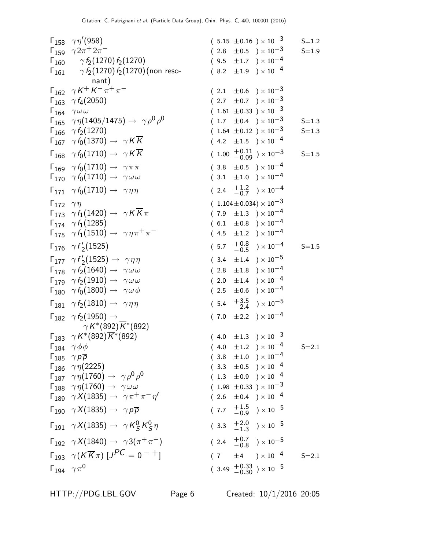|                                        | $\Gamma_{158}$ $\gamma\eta'(958)$                                         |       |                  | $(5.15 \pm 0.16) \times 10^{-3}$                                    | $S = 1.2$ |
|----------------------------------------|---------------------------------------------------------------------------|-------|------------------|---------------------------------------------------------------------|-----------|
|                                        | $\Gamma_{159}$ $\gamma 2\pi^+ 2\pi^-$                                     | (2.8) |                  | $\pm 0.5$ ) $\times\,10^{-3}$                                       | $S = 1.9$ |
| $\Gamma_{160}$                         | $\gamma f_2(1270) f_2(1270)$                                              | (9.5) |                  | $\pm 1.7$ ) $\times$ $10^{-4}$                                      |           |
| $1_{161}$                              | $\gamma$ $f_{2}(1270)$ $f_{2}(1270)$ (non reso-                           |       |                  | $(8.2 \pm 1.9) \times 10^{-4}$                                      |           |
|                                        | nant)                                                                     |       |                  |                                                                     |           |
|                                        | $\Gamma_{162}$ $\gamma K^+ K^- \pi^+ \pi^-$                               | (2.1) |                  | $\pm 0.6$ ) $\times\,10^{-3}$                                       |           |
|                                        | $\Gamma_{163}$ $\gamma f_4(2050)$                                         |       |                  | $(2.7 \pm 0.7) \times 10^{-3}$                                      |           |
|                                        | $\Gamma_{164}$ $\gamma \omega \omega$                                     |       |                  | $(1.61 \pm 0.33) \times 10^{-3}$                                    |           |
|                                        | $\Gamma_{165}$ $\gamma \eta (1405/1475) \rightarrow \gamma \rho^0 \rho^0$ |       |                  | $(1.7 \pm 0.4) \times 10^{-3}$                                      | $S = 1.3$ |
| $\Gamma_{166}$                         | $\gamma f_2(1270)$                                                        |       |                  | $(1.64 \pm 0.12) \times 10^{-3}$                                    | $S = 1.3$ |
|                                        | $\Gamma_{167}$ $\gamma f_0(1370) \rightarrow \gamma K \overline{K}$       | (4.2) |                  | $\pm 1.5$ ) $\times 10^{-4}$                                        |           |
|                                        | $\Gamma_{168}$ $\gamma f_0(1710) \rightarrow \gamma K \overline{K}$       |       |                  | $(1.00 \begin{array}{l} +0.11 \\ -0.09 \end{array}) \times 10^{-3}$ | $S = 1.5$ |
|                                        | $\Gamma_{169}$ $\gamma f_0(1710) \rightarrow \gamma \pi \pi$              |       |                  | $(3.8 \pm 0.5) \times 10^{-4}$                                      |           |
|                                        | $\Gamma_{170}$ $\gamma f_0(1710) \rightarrow \gamma \omega \omega$        |       |                  | $(3.1 \pm 1.0) \times 10^{-4}$                                      |           |
|                                        | $\Gamma_{171}$ $\gamma f_0(1710) \rightarrow \gamma \eta \eta$            |       |                  | $(2.4 \tfrac{+1.2}{-0.7}) \times 10^{-4}$                           |           |
| $\Gamma_{172}$ $\gamma \eta$           |                                                                           |       |                  | $(1.104\!\pm\!0.034)\times 10^{-3}$                                 |           |
|                                        | $\Gamma_{173}$ $\gamma f_1(1420) \rightarrow \gamma K \overline{K} \pi$   | (7.9) |                  | $\pm 1.3$ ) $\times\,10^{-4}$                                       |           |
|                                        | $\Gamma_{174}$ $\gamma f_1(1285)$                                         | (6.1) | $\pm 0.8$        | $)\times10^{-4}$                                                    |           |
|                                        | $\Gamma_{175}$ $\gamma f_1(1510) \to \gamma \eta \pi^+ \pi^-$             | (4.5) |                  | $\pm 1.2$ ) $\times 10^{-4}$                                        |           |
|                                        | $\Gamma_{176}$ $\gamma f'_2(1525)$                                        | (5.7) | $^{+0.8}_{-0.5}$ | ) $\times$ 10 $^{-4}$                                               | $S = 1.5$ |
|                                        | $\Gamma_{177}$ $\gamma f_2(1525) \rightarrow \gamma \eta \eta$            | (3.4) |                  | $\pm 1.4$ ) $\times\,10^{-5}$                                       |           |
|                                        | $\Gamma_{178}$ $\gamma f_2(1640) \rightarrow \gamma \omega \omega$        | (2.8) | $\pm\,1.8$       | $)\times10^{-4}$                                                    |           |
|                                        | $\Gamma_{179}$ $\gamma f_2(1910) \rightarrow \gamma \omega \omega$        | (2.0) | ±1.4             | $)\times10^{-4}$                                                    |           |
|                                        | $\Gamma_{180}$ $\gamma f_0(1800) \rightarrow \gamma \omega \phi$          | (2.5) | $\pm 0.6$        | ) $\times$ 10 $^{-4}$                                               |           |
|                                        | $\Gamma_{181}$ $\gamma f_2(1810) \rightarrow \gamma \eta \eta$            | (5.4) | $+3.5$<br>-2.4   | ) $\times$ $10^{-5}$                                                |           |
|                                        | $\Gamma_{182}$ $\gamma f_2(1950) \rightarrow$                             | (7.0) | $\pm 2.2$        | ) $\times$ 10 $^{-4}$                                               |           |
|                                        | $\gamma K^*(892)\overline{K}^*(892)$                                      |       |                  |                                                                     |           |
|                                        | $\Gamma_{183}$ $\gamma K^*(892)\overline{K}^*(892)$                       |       |                  | $(4.0 \pm 1.3) \times 10^{-3}$                                      |           |
|                                        | $\Gamma_{184}$ $\gamma \phi \phi$                                         |       |                  | $(4.0 \pm 1.2) \times 10^{-4}$                                      | $S = 2.1$ |
| $\Gamma_{185}$ $\gamma p \overline{p}$ |                                                                           |       |                  | $(3.8 \pm 1.0) \times 10^{-4}$                                      |           |
|                                        | $\Gamma_{186}$ $\gamma \eta(2225)$                                        |       |                  | $(3.3 \pm 0.5) \times 10^{-4}$                                      |           |
|                                        | $\Gamma_{187}$ $\gamma \eta(1760) \rightarrow \gamma \rho^0 \rho^0$       |       |                  | $(1.3 \pm 0.9) \times 10^{-4}$                                      |           |
|                                        | $\Gamma_{188}$ $\gamma \eta(1760) \rightarrow \gamma \omega \omega$       |       |                  | $(1.98 \pm 0.33) \times 10^{-3}$                                    |           |
|                                        | $\Gamma_{189} \gamma X(1835) \rightarrow \gamma \pi^+ \pi^- \eta'$        |       |                  | $(2.6 \pm 0.4) \times 10^{-4}$                                      |           |
|                                        | $\Gamma_{190} \gamma X(1835) \rightarrow \gamma \rho \overline{\rho}$     |       |                  | $(7.7 \tfrac{+1.5}{-0.9}) \times 10^{-5}$                           |           |
|                                        | $\Gamma_{191}$ $\gamma X(1835) \rightarrow \gamma K_S^0 K_S^0 \eta$       |       |                  | $(3.3 \t +2.0 \t -1.3) \times 10^{-5}$                              |           |
|                                        | $\Gamma_{192}$ $\gamma X(1840) \rightarrow \gamma 3(\pi^{+}\pi^{-})$      |       |                  | $(2.4 + 0.7 - 0.8) \times 10^{-5}$                                  |           |
|                                        | $\Gamma_{193}$ $\gamma(K\overline{K}\pi)[J^{PC} = 0^{-+}]$                |       |                  | $(7 \pm 4) \times 10^{-4}$                                          | $S = 2.1$ |
| $\Gamma_{194}$ $\gamma \pi^0$          |                                                                           |       |                  | $(3.49 \begin{array}{l} +0.33 \\ -0.30 \end{array}) \times 10^{-5}$ |           |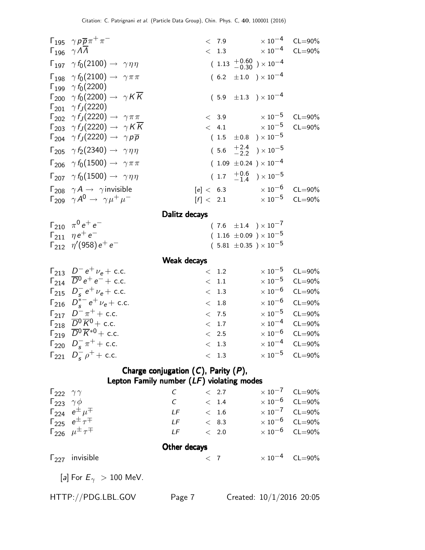| $\Gamma_{195}$ $\gamma p \overline{p} \pi^+ \pi^-$                                                       |                                           | < 7.9          |           | $\times$ 10 $^{-4}$                       | $CL = 90\%$ |
|----------------------------------------------------------------------------------------------------------|-------------------------------------------|----------------|-----------|-------------------------------------------|-------------|
| $\Gamma_{196}$ $\gamma \Lambda \overline{\Lambda}$                                                       |                                           | < 1.3          |           | $\times$ 10 $^{-4}$                       | $CL = 90\%$ |
| $\Gamma_{197}$ $\gamma f_0(2100) \rightarrow \gamma \eta \eta$                                           |                                           |                |           | $(1.13 \t +0.60 \t -0.30) \times 10^{-4}$ |             |
| $\Gamma_{198}$ $\gamma f_0(2100) \rightarrow \gamma \pi \pi$                                             |                                           |                |           | $(6.2 \pm 1.0) \times 10^{-4}$            |             |
| $\Gamma_{199}$ $\gamma f_0(2200)$<br>$\Gamma_{200}$ $\gamma f_0(2200) \rightarrow \gamma K \overline{K}$ |                                           |                |           | $(5.9 \pm 1.3) \times 10^{-4}$            |             |
| $\Gamma_{201}$ $\gamma f_J(2220)$                                                                        |                                           |                |           |                                           |             |
| $\Gamma_{202}$ $\gamma f_J(2220) \rightarrow \gamma \pi \pi$                                             |                                           | < 3.9          |           | $\times$ 10 $^{-5}$                       | $CL = 90\%$ |
| $\Gamma_{203}$ $\gamma f_J(2220) \rightarrow \gamma K \overline{K}$                                      |                                           |                |           | $< 4.1 \times 10^{-5}$                    | $CL = 90\%$ |
| $\Gamma_{204}$ $\gamma f_J(2220) \rightarrow \gamma p \overline{p}$                                      |                                           |                |           | $(1.5 \pm 0.8) \times 10^{-5}$            |             |
| $\Gamma_{205}$ $\gamma f_2(2340) \rightarrow \gamma \eta \eta$                                           |                                           | (5.6)          |           | $^{+2.4}_{-2.2}$ ) $\times 10^{-5}$       |             |
| $\Gamma_{206}$ $\gamma f_0(1500) \rightarrow \gamma \pi \pi$                                             |                                           |                |           | $(1.09 \pm 0.24) \times 10^{-4}$          |             |
| $\Gamma_{207}$ $\gamma f_0(1500) \rightarrow \gamma \eta \eta$                                           |                                           |                |           | $(1.7 \t +0.6 \t -1.4) \times 10^{-5}$    |             |
| $\Gamma_{208}$ $\gamma A \rightarrow \gamma$ invisible                                                   |                                           |                | [e]<6.3   | $\times$ 10 $^{-6}$                       | $CL = 90\%$ |
| $\Gamma_{209}$ $\gamma A^0 \rightarrow \gamma \mu^+ \mu^-$                                               |                                           |                | [f] < 2.1 | $\times$ 10 $^{-5}$                       | $CL = 90\%$ |
|                                                                                                          | Dalitz decays                             |                |           |                                           |             |
| $\Gamma_{210}$ $\pi^0 e^+ e^-$                                                                           |                                           |                |           | $(7.6 \pm 1.4) \times 10^{-7}$            |             |
| $\Gamma_{211}$ $\eta e^+e^-$                                                                             |                                           |                |           | $(1.16 \pm 0.09) \times 10^{-5}$          |             |
| $\Gamma_{212}$ $\eta'(958) e^+ e^-$                                                                      |                                           |                |           | $(5.81 \pm 0.35) \times 10^{-5}$          |             |
|                                                                                                          | Weak decays                               |                |           |                                           |             |
| $\Gamma_{213}$ $D^-e^+\nu_e + c.c.$                                                                      |                                           | $< 1.2$        |           | $\times$ 10 $^{-5}$                       | $CL = 90\%$ |
| $\Gamma_{214}$ $\overline{D}^0 e^+ e^- +$ c.c.                                                           |                                           | $\rm <~1.1$    |           | $\times$ 10 $^{-5}$                       | $CL = 90\%$ |
| $\Gamma_{215}$ $D_s^- e^+ \nu_e + c.c.$                                                                  |                                           | < 1.3          |           | $\times$ 10 $^{-6}$                       | $CL = 90\%$ |
| $\Gamma_{216}$ $D_s^{*-}e^+\nu_e +$ c.c.                                                                 |                                           | < 1.8          |           | $\times$ 10 $^{-6}$                       | $CL = 90\%$ |
| $\Gamma_{217}$ $D^- \pi^+$ + c.c.                                                                        |                                           | < 7.5          |           | $\times$ 10 $^{-5}$                       | $CL = 90\%$ |
| $\Gamma_{218}$ $\overline{D}{}^0\overline{K}{}^0$ + c.c.                                                 |                                           | < 1.7          |           | $\times$ 10 <sup>-4</sup>                 | $CL = 90\%$ |
| $\Gamma_{219}$ $\overline{D}^{0}\overline{K}^{*0}$ + c.c.                                                |                                           | $\langle$ 2.5  |           | $\times$ 10 $^{-6}$                       | $CL = 90\%$ |
| $\Gamma_{220}$ $D_{\rm s}^{-} \pi^{+}$ + c.c.                                                            |                                           | $<\;$ 1.3 $\;$ |           | $\times$ 10 $^{-4}$                       | $CL = 90\%$ |
| $\Gamma_{221}$ $D_s^ \rho^+$ + c.c.                                                                      |                                           | $<\;$ 1.3 $\;$ |           | $\times$ 10 $^{-5}$                       | $CL = 90\%$ |
|                                                                                                          | Charge conjugation $(C)$ , Parity $(P)$ , |                |           |                                           |             |

# Lepton Family number (LF) violating modes

| $\Gamma_{222}$ $\gamma\gamma$ |                                     |                             | < 2.7         | $\times 10^{-7}$ CL=90% |
|-------------------------------|-------------------------------------|-----------------------------|---------------|-------------------------|
| $\Gamma_{223}$ $\gamma \phi$  |                                     | $\mathcal{C}_{\mathcal{C}}$ | < 1.4         | $\times 10^{-6}$ CL=90% |
|                               | $\sqrt{224}$ $e^{\pm} \mu^{\mp}$    | LF                          | < 1.6         | $\times 10^{-7}$ CL=90% |
|                               | $\Gamma_{225}$ $e^{\pm} \tau^{\mp}$ | IF                          | < 8.3         | $\times 10^{-6}$ CL=90% |
|                               | $\sqrt{226}$ $\mu^{\pm} \tau^{\mp}$ | IF                          | $\langle$ 2.0 | $\times 10^{-6}$ CL=90% |
|                               |                                     | Other decays                |               |                         |
|                               | $\Gamma_{227}$ invisible            |                             | $\langle 7$   | $\times 10^{-4}$ CL=90% |
|                               | [a] For $E_{\gamma} > 100$ MeV.     |                             |               |                         |

HTTP://PDG.LBL.GOV Page 7 Created: 10/1/2016 20:05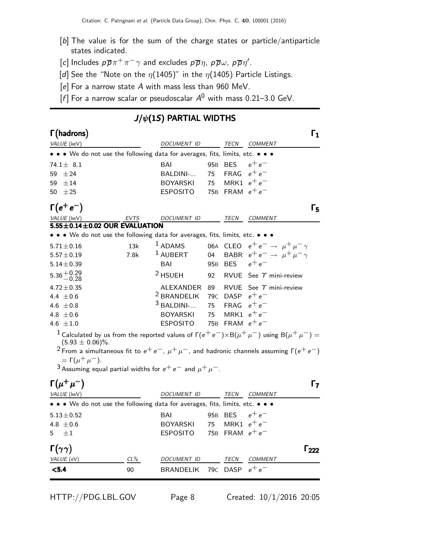- [b] The value is for the sum of the charge states or particle/antiparticle states indicated.
- [c] Includes  $p\overline{p}\pi^{+}\pi^{-}\gamma$  and excludes  $p\overline{p}\eta$ ,  $p\overline{p}\omega$ ,  $p\overline{p}\eta'$ .
- [d] See the "Note on the  $\eta(1405)$ " in the  $\eta(1405)$  Particle Listings.
- [e] For a narrow state A with mass less than 960 MeV.
- [f] For a narrow scalar or pseudoscalar  $A^0$  with mass 0.21-3.0 GeV.

#### $J/\psi(1S)$  PARTIAL WIDTHS

| VALUE (keV)<br>DOCUMENT ID<br>TECN<br><b>COMMENT</b><br>• • • We do not use the following data for averages, fits, limits, etc. • • •<br><b>BES</b><br>−م +م<br>BAI<br>95B<br>$74.1 \pm 8.1$<br><b>FRAG</b><br>$e^+e^-$<br>75<br>±24<br>BALDINI-<br>59<br>MRK1 $e^+e^-$<br>$\pm 14$<br><b>BOYARSKI</b><br>75<br>59<br>FRAM $e^+e^-$<br><b>ESPOSITO</b><br>±25<br>75 <sub>B</sub><br>50<br>$\Gamma(e^+e^-)$<br><i>VALUE</i> (keV)<br>EVTS<br>DOCUMENT ID<br>TECN<br>COMMENT<br>$5.55\pm0.14\pm0.02$ OUR EVALUATION<br>• • We do not use the following data for averages, fits, limits, etc. • • •<br>$1$ ADAMS<br>CLEO $e^+e^- \rightarrow \mu^+\mu^-\gamma$<br>06A<br>13k<br>$5.71\!\pm\!0.16$<br><sup>1</sup> AUBERT<br>BABR $e^+e^- \rightarrow \mu^+\mu^-\gamma$<br>04<br>7.8k<br>$5.57 \pm 0.19$<br><b>BES</b><br>$e^+e^-$<br>$5.14 \pm 0.39$<br>BAI<br>95 <sub>B</sub><br>$5.36 + 0.29$<br>-0.28<br><sup>2</sup> HSUEH<br>RVUE See $\gamma$ mini-review<br>92<br>RVUE See $\Upsilon$ mini-review<br>ALEXANDER 89<br>$4.72 \pm 0.35$<br><sup>2</sup> BRANDELIK<br>79C DASP $e^+e^-$<br>4.4 $\pm 0.6$<br>$3$ BALDINI-<br>75<br><b>FRAG</b><br>$e^+e^-$<br>4.6 $\pm 0.8$<br>MRK1 $e^+e^-$<br>75<br>4.8 $\pm$ 0.6<br><b>BOYARSKI</b><br>75B FRAM $e^+e^-$<br>4.6 $\pm 1.0$<br><b>ESPOSITO</b><br><sup>1</sup> Calculated by us from the reported values of $\Gamma(e^+e^-)\times B(\mu^+\mu^-)$ using $B(\mu^+\mu^-)=0$<br>$(5.93 \pm 0.06)\%$ .<br><sup>2</sup> From a simultaneous fit to $e^+e^-$ , $\mu^+\mu^-$ , and hadronic channels assuming $\Gamma(e^+e^-)$<br>$=\Gamma(\mu^+\mu^-)$ .<br><sup>3</sup> Assuming equal partial widths for $e^+e^-$ and $\mu^+\mu^-$ .<br>$\Gamma(\mu^+\mu^-)$<br>VALUE (keV)<br>DOCUMENT ID<br>TECN<br><b>COMMENT</b><br>• • We do not use the following data for averages, fits, limits, etc. • • •<br>$e^+e^-$<br><b>BES</b><br>$5.13 \pm 0.52$<br>BAI<br>95 <sub>B</sub> | $\Gamma$ (hadrons) |  |  | $\Gamma_1$   |  |
|-----------------------------------------------------------------------------------------------------------------------------------------------------------------------------------------------------------------------------------------------------------------------------------------------------------------------------------------------------------------------------------------------------------------------------------------------------------------------------------------------------------------------------------------------------------------------------------------------------------------------------------------------------------------------------------------------------------------------------------------------------------------------------------------------------------------------------------------------------------------------------------------------------------------------------------------------------------------------------------------------------------------------------------------------------------------------------------------------------------------------------------------------------------------------------------------------------------------------------------------------------------------------------------------------------------------------------------------------------------------------------------------------------------------------------------------------------------------------------------------------------------------------------------------------------------------------------------------------------------------------------------------------------------------------------------------------------------------------------------------------------------------------------------------------------------------------------------------------------------------------------------------------------------------------|--------------------|--|--|--------------|--|
|                                                                                                                                                                                                                                                                                                                                                                                                                                                                                                                                                                                                                                                                                                                                                                                                                                                                                                                                                                                                                                                                                                                                                                                                                                                                                                                                                                                                                                                                                                                                                                                                                                                                                                                                                                                                                                                                                                                       |                    |  |  |              |  |
|                                                                                                                                                                                                                                                                                                                                                                                                                                                                                                                                                                                                                                                                                                                                                                                                                                                                                                                                                                                                                                                                                                                                                                                                                                                                                                                                                                                                                                                                                                                                                                                                                                                                                                                                                                                                                                                                                                                       |                    |  |  |              |  |
|                                                                                                                                                                                                                                                                                                                                                                                                                                                                                                                                                                                                                                                                                                                                                                                                                                                                                                                                                                                                                                                                                                                                                                                                                                                                                                                                                                                                                                                                                                                                                                                                                                                                                                                                                                                                                                                                                                                       |                    |  |  |              |  |
|                                                                                                                                                                                                                                                                                                                                                                                                                                                                                                                                                                                                                                                                                                                                                                                                                                                                                                                                                                                                                                                                                                                                                                                                                                                                                                                                                                                                                                                                                                                                                                                                                                                                                                                                                                                                                                                                                                                       |                    |  |  |              |  |
|                                                                                                                                                                                                                                                                                                                                                                                                                                                                                                                                                                                                                                                                                                                                                                                                                                                                                                                                                                                                                                                                                                                                                                                                                                                                                                                                                                                                                                                                                                                                                                                                                                                                                                                                                                                                                                                                                                                       |                    |  |  |              |  |
|                                                                                                                                                                                                                                                                                                                                                                                                                                                                                                                                                                                                                                                                                                                                                                                                                                                                                                                                                                                                                                                                                                                                                                                                                                                                                                                                                                                                                                                                                                                                                                                                                                                                                                                                                                                                                                                                                                                       |                    |  |  |              |  |
|                                                                                                                                                                                                                                                                                                                                                                                                                                                                                                                                                                                                                                                                                                                                                                                                                                                                                                                                                                                                                                                                                                                                                                                                                                                                                                                                                                                                                                                                                                                                                                                                                                                                                                                                                                                                                                                                                                                       |                    |  |  | $\Gamma_{5}$ |  |
|                                                                                                                                                                                                                                                                                                                                                                                                                                                                                                                                                                                                                                                                                                                                                                                                                                                                                                                                                                                                                                                                                                                                                                                                                                                                                                                                                                                                                                                                                                                                                                                                                                                                                                                                                                                                                                                                                                                       |                    |  |  |              |  |
|                                                                                                                                                                                                                                                                                                                                                                                                                                                                                                                                                                                                                                                                                                                                                                                                                                                                                                                                                                                                                                                                                                                                                                                                                                                                                                                                                                                                                                                                                                                                                                                                                                                                                                                                                                                                                                                                                                                       |                    |  |  |              |  |
|                                                                                                                                                                                                                                                                                                                                                                                                                                                                                                                                                                                                                                                                                                                                                                                                                                                                                                                                                                                                                                                                                                                                                                                                                                                                                                                                                                                                                                                                                                                                                                                                                                                                                                                                                                                                                                                                                                                       |                    |  |  |              |  |
|                                                                                                                                                                                                                                                                                                                                                                                                                                                                                                                                                                                                                                                                                                                                                                                                                                                                                                                                                                                                                                                                                                                                                                                                                                                                                                                                                                                                                                                                                                                                                                                                                                                                                                                                                                                                                                                                                                                       |                    |  |  |              |  |
|                                                                                                                                                                                                                                                                                                                                                                                                                                                                                                                                                                                                                                                                                                                                                                                                                                                                                                                                                                                                                                                                                                                                                                                                                                                                                                                                                                                                                                                                                                                                                                                                                                                                                                                                                                                                                                                                                                                       |                    |  |  |              |  |
|                                                                                                                                                                                                                                                                                                                                                                                                                                                                                                                                                                                                                                                                                                                                                                                                                                                                                                                                                                                                                                                                                                                                                                                                                                                                                                                                                                                                                                                                                                                                                                                                                                                                                                                                                                                                                                                                                                                       |                    |  |  |              |  |
|                                                                                                                                                                                                                                                                                                                                                                                                                                                                                                                                                                                                                                                                                                                                                                                                                                                                                                                                                                                                                                                                                                                                                                                                                                                                                                                                                                                                                                                                                                                                                                                                                                                                                                                                                                                                                                                                                                                       |                    |  |  |              |  |
|                                                                                                                                                                                                                                                                                                                                                                                                                                                                                                                                                                                                                                                                                                                                                                                                                                                                                                                                                                                                                                                                                                                                                                                                                                                                                                                                                                                                                                                                                                                                                                                                                                                                                                                                                                                                                                                                                                                       |                    |  |  |              |  |
|                                                                                                                                                                                                                                                                                                                                                                                                                                                                                                                                                                                                                                                                                                                                                                                                                                                                                                                                                                                                                                                                                                                                                                                                                                                                                                                                                                                                                                                                                                                                                                                                                                                                                                                                                                                                                                                                                                                       |                    |  |  |              |  |
|                                                                                                                                                                                                                                                                                                                                                                                                                                                                                                                                                                                                                                                                                                                                                                                                                                                                                                                                                                                                                                                                                                                                                                                                                                                                                                                                                                                                                                                                                                                                                                                                                                                                                                                                                                                                                                                                                                                       |                    |  |  |              |  |
|                                                                                                                                                                                                                                                                                                                                                                                                                                                                                                                                                                                                                                                                                                                                                                                                                                                                                                                                                                                                                                                                                                                                                                                                                                                                                                                                                                                                                                                                                                                                                                                                                                                                                                                                                                                                                                                                                                                       |                    |  |  |              |  |
|                                                                                                                                                                                                                                                                                                                                                                                                                                                                                                                                                                                                                                                                                                                                                                                                                                                                                                                                                                                                                                                                                                                                                                                                                                                                                                                                                                                                                                                                                                                                                                                                                                                                                                                                                                                                                                                                                                                       |                    |  |  |              |  |
|                                                                                                                                                                                                                                                                                                                                                                                                                                                                                                                                                                                                                                                                                                                                                                                                                                                                                                                                                                                                                                                                                                                                                                                                                                                                                                                                                                                                                                                                                                                                                                                                                                                                                                                                                                                                                                                                                                                       |                    |  |  |              |  |
|                                                                                                                                                                                                                                                                                                                                                                                                                                                                                                                                                                                                                                                                                                                                                                                                                                                                                                                                                                                                                                                                                                                                                                                                                                                                                                                                                                                                                                                                                                                                                                                                                                                                                                                                                                                                                                                                                                                       |                    |  |  | $\Gamma_7$   |  |
|                                                                                                                                                                                                                                                                                                                                                                                                                                                                                                                                                                                                                                                                                                                                                                                                                                                                                                                                                                                                                                                                                                                                                                                                                                                                                                                                                                                                                                                                                                                                                                                                                                                                                                                                                                                                                                                                                                                       |                    |  |  |              |  |
|                                                                                                                                                                                                                                                                                                                                                                                                                                                                                                                                                                                                                                                                                                                                                                                                                                                                                                                                                                                                                                                                                                                                                                                                                                                                                                                                                                                                                                                                                                                                                                                                                                                                                                                                                                                                                                                                                                                       |                    |  |  |              |  |
|                                                                                                                                                                                                                                                                                                                                                                                                                                                                                                                                                                                                                                                                                                                                                                                                                                                                                                                                                                                                                                                                                                                                                                                                                                                                                                                                                                                                                                                                                                                                                                                                                                                                                                                                                                                                                                                                                                                       |                    |  |  |              |  |
| MRK1 $e^+e^-$<br>75<br>4.8 $\pm$ 0.6<br><b>BOYARSKI</b>                                                                                                                                                                                                                                                                                                                                                                                                                                                                                                                                                                                                                                                                                                                                                                                                                                                                                                                                                                                                                                                                                                                                                                                                                                                                                                                                                                                                                                                                                                                                                                                                                                                                                                                                                                                                                                                               |                    |  |  |              |  |
| 75B FRAM $e^+e^-$<br><b>ESPOSITO</b><br>$\pm 1$<br>5                                                                                                                                                                                                                                                                                                                                                                                                                                                                                                                                                                                                                                                                                                                                                                                                                                                                                                                                                                                                                                                                                                                                                                                                                                                                                                                                                                                                                                                                                                                                                                                                                                                                                                                                                                                                                                                                  |                    |  |  |              |  |
| $\Gamma(\gamma\gamma)$                                                                                                                                                                                                                                                                                                                                                                                                                                                                                                                                                                                                                                                                                                                                                                                                                                                                                                                                                                                                                                                                                                                                                                                                                                                                                                                                                                                                                                                                                                                                                                                                                                                                                                                                                                                                                                                                                                |                    |  |  | רככ ו        |  |
| VALUE (eV)<br>CL%<br>TECN<br><i>DOCUMENT ID</i><br>COMMENT                                                                                                                                                                                                                                                                                                                                                                                                                                                                                                                                                                                                                                                                                                                                                                                                                                                                                                                                                                                                                                                                                                                                                                                                                                                                                                                                                                                                                                                                                                                                                                                                                                                                                                                                                                                                                                                            |                    |  |  |              |  |
| <b>DASP</b><br>79 <sub>C</sub><br>–۾ +م<br>$<$ 5.4<br><b>BRANDELIK</b><br>90                                                                                                                                                                                                                                                                                                                                                                                                                                                                                                                                                                                                                                                                                                                                                                                                                                                                                                                                                                                                                                                                                                                                                                                                                                                                                                                                                                                                                                                                                                                                                                                                                                                                                                                                                                                                                                          |                    |  |  |              |  |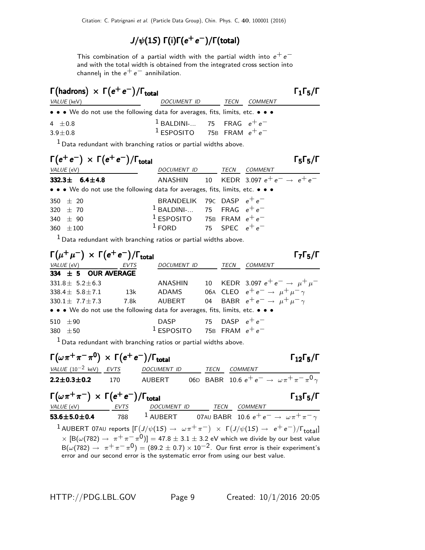#### $J/\psi(1S)$   $\Gamma(i)\Gamma(e^+e^-)/\Gamma(\text{total})$

This combination of a partial width with the partial width into  $e^+e^$ and with the total width is obtained from the integrated cross section into channel<sub>l</sub> in the  $e^+ \, e^-$  annihilation.

| $\Gamma(\text{hadrons}) \times \Gamma(e^+e^-)/\Gamma_{\text{total}}$ |                                                                               |  |      |         |  |  |  |
|----------------------------------------------------------------------|-------------------------------------------------------------------------------|--|------|---------|--|--|--|
| <i>VALUE</i> (keV)                                                   | DOCUMENT ID                                                                   |  | TECN | COMMENT |  |  |  |
|                                                                      | • • • We do not use the following data for averages, fits, limits, etc. • • • |  |      |         |  |  |  |
| 4 $\pm 0.8$                                                          | <sup>1</sup> BALDINI- 75 FRAG $e^+e^-$                                        |  |      |         |  |  |  |
| $3.9 \pm 0.8$                                                        | <sup>1</sup> ESPOSITO 75B FRAM $e^+e^-$                                       |  |      |         |  |  |  |
|                                                                      |                                                                               |  |      |         |  |  |  |

 $1$  Data redundant with branching ratios or partial widths above.

| $\Gamma(e^+e^-) \times \Gamma(e^+e^-)/\Gamma_{\text{total}}$                                             |                                                                                                                                               |      |         | $\Gamma_5\Gamma_5/\Gamma$ |
|----------------------------------------------------------------------------------------------------------|-----------------------------------------------------------------------------------------------------------------------------------------------|------|---------|---------------------------|
| VALUE (eV)                                                                                               | DOCUMENT ID                                                                                                                                   | TECN | COMMENT |                           |
| $332.3 \pm 6.4 \pm 4.8$<br>• • • We do not use the following data for averages, fits, limits, etc. • • • | ANASHIN 10 KEDR 3.097 $e^+e^- \rightarrow e^+e^-$                                                                                             |      |         |                           |
| 350 $\pm$ 20<br>320 $\pm$ 70<br>340 $\pm$ 90<br>360 $\pm 100$                                            | BRANDELIK 79C DASP $e^+e^-$<br><sup>1</sup> BALDINI- 75 FRAG $e^+e^-$<br><sup>1</sup> ESPOSITO 75B FRAM $e^+e^-$<br>$1$ FORD 75 SPEC $e^+e^-$ |      |         |                           |

 $<sup>1</sup>$  Data redundant with branching ratios or partial widths above.</sup>

| $\Gamma(\mu^+\mu^-) \times \Gamma(e^+e^-)/\Gamma_{\text{total}}$              |             |                                         |    |      | $\Gamma_7\Gamma_5/\Gamma$                      |
|-------------------------------------------------------------------------------|-------------|-----------------------------------------|----|------|------------------------------------------------|
| VALUE (eV)                                                                    | <b>EVTS</b> | DOCUMENT ID                             |    | TECN | <b>COMMENT</b>                                 |
| 334 $\pm$ 5 OUR AVERAGE                                                       |             |                                         |    |      |                                                |
| $331.8 \pm 5.2 \pm 6.3$                                                       |             | ANASHIN                                 |    |      | 10 KEDR 3.097 $e^+e^- \rightarrow \mu^+\mu^-$  |
| 338.4 $\pm$ 5.8 $\pm$ 7.1                                                     | 13k         | ADAMS                                   |    |      | 06A CLEO $e^+e^- \rightarrow \mu^+\mu^-\gamma$ |
| 330.1 $\pm$ 7.7 $\pm$ 7.3                                                     | 7.8k        | <b>AUBERT</b>                           |    |      | 04 BABR $e^+e^- \rightarrow \mu^+\mu^-\gamma$  |
| • • • We do not use the following data for averages, fits, limits, etc. • • • |             |                                         |    |      |                                                |
| 510 $\pm 90$                                                                  |             | <b>DASP</b>                             | 75 |      | DASP $e^+e^-$                                  |
| 380 $\pm 50$                                                                  |             | <sup>1</sup> ESPOSITO 75B FRAM $e^+e^-$ |    |      |                                                |
|                                                                               |             |                                         |    |      |                                                |

 $<sup>1</sup>$  Data redundant with branching ratios or partial widths above.</sup>

| $\Gamma(\omega \pi^+ \pi^- \pi^0) \times \Gamma(e^+ e^-)/\Gamma_{\text{total}}$ |       |        |  |                                                                    | $\Gamma_{12}\Gamma_{5}/\Gamma$ |
|---------------------------------------------------------------------------------|-------|--------|--|--------------------------------------------------------------------|--------------------------------|
| VALUE $(10^{-2}$ keV) EVTS DOCUMENT ID                                          |       |        |  | TECN COMMENT                                                       |                                |
| $2.2 \pm 0.3 \pm 0.2$                                                           | - 170 | AUBERT |  | 06D BABR 10.6 $e^+e^- \rightarrow \omega \pi^+ \pi^- \pi^0 \gamma$ |                                |

#### $\Gamma(\omega \pi^+ \pi^-) \times \Gamma(e^+ e^-) / \Gamma_{\text{total}}$  Γ<sub>13</sub>Γ<sub>5</sub>/Γ /Γ $_{\rm total}$ Γ<sub>13</sub>Γ5/Γ VALUE (eV) EVTS DOCUMENT ID TECN COMMENT **53.6±5.0±0.4** 788 1 AUBERT 07AU BABR 10.6  $e^+e^- \rightarrow \omega \pi^+ \pi^- \gamma$  $^1$  AUBERT 07AU reports  $[\Gamma(J/\psi(1S) \to~\omega \pi^+ \pi^-)~\times~\Gamma(J/\psi(1S) \to~e^+e^-)/\Gamma_{\rm total}]$  $\times~{\rm [B(\omega(782)\to~\pi^+\pi^-\pi^0)]} =$  47.8  $\pm~3.1\pm3.2$  eV which we divide by our best value  ${\cal B}(\omega(782)\to~\pi^+\pi^-\pi^0)=(89.2\pm 0.7)\times 10^{-2}.$  Our first error is their experiment's error and our second error is the systematic error from using our best value.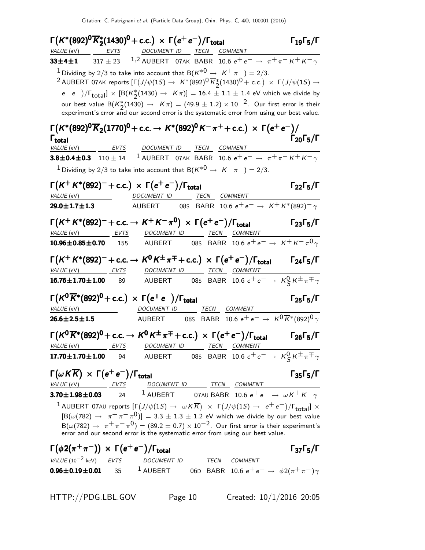| $\Gamma(K^*(892)^0\overline{K}_2^*(1430)^0$ + c.c.) × $\Gamma(e^+e^-)/\Gamma_{\rm total}$                                                                                                                                                                                                                                                         |      |                          |                                                                                                                                                                                                                                                                                                                                                                                                                                                                                     | $\Gamma_{19}\Gamma_5/\Gamma$   |
|---------------------------------------------------------------------------------------------------------------------------------------------------------------------------------------------------------------------------------------------------------------------------------------------------------------------------------------------------|------|--------------------------|-------------------------------------------------------------------------------------------------------------------------------------------------------------------------------------------------------------------------------------------------------------------------------------------------------------------------------------------------------------------------------------------------------------------------------------------------------------------------------------|--------------------------------|
| VALUE (eV) EVTS DOCUMENT ID TECN COMMENT                                                                                                                                                                                                                                                                                                          |      |                          |                                                                                                                                                                                                                                                                                                                                                                                                                                                                                     |                                |
|                                                                                                                                                                                                                                                                                                                                                   |      |                          | 33±4±1 317 $\pm$ 23 $^{1,2}$ AUBERT 07AK BABR 10.6 $e^+e^- \rightarrow \pi^+\pi^-K^+K^-\gamma$                                                                                                                                                                                                                                                                                                                                                                                      |                                |
| <sup>1</sup> Dividing by 2/3 to take into account that B( $K^{*0} \rightarrow K^{+}\pi^{-}$ ) = 2/3.                                                                                                                                                                                                                                              |      |                          | $^2$ AUBERT 07AK reports [Г $(J/\psi(1S) \to~K^*(892)^{\mbox{O}}\overline{K}_{{\cal O}}^*(1430)^{\mbox{O}}+$ c.c.) $~\times~$ Г $(J/\psi(1S) \to~$<br>$(e^+e^-)/\Gamma_{\text{total}}] \times [B(K_2^*(1430) \to K\pi)] = 16.4 \pm 1.1 \pm 1.4$ eV which we divide by<br>our best value B $(K_2^*(1430) \rightarrow K\pi) = (49.9 \pm 1.2) \times 10^{-2}$ . Our first error is their<br>experiment's error and our second error is the systematic error from using our best value. |                                |
|                                                                                                                                                                                                                                                                                                                                                   |      |                          | $\Gamma(K^*(892)^0\overline{K}_2(1770)^0$ + c.c. $\rightarrow K^*(892)^0K^-\pi^+$ + c.c.) $\times \Gamma(e^+e^-)/$                                                                                                                                                                                                                                                                                                                                                                  |                                |
| $\Gamma_{\text{total}}$                                                                                                                                                                                                                                                                                                                           |      |                          |                                                                                                                                                                                                                                                                                                                                                                                                                                                                                     | $\Gamma_{20}\Gamma_5/\Gamma$   |
| VALUE (eV) EVTS DOCUMENT ID TECN COMMENT                                                                                                                                                                                                                                                                                                          |      |                          |                                                                                                                                                                                                                                                                                                                                                                                                                                                                                     |                                |
|                                                                                                                                                                                                                                                                                                                                                   |      |                          | <b>3.8±0.4±0.3</b> 110 ± 14 <sup>1</sup> AUBERT 07AK BABR 10.6 $e^+e^- \rightarrow \pi^+\pi^-K^+K^-\gamma$                                                                                                                                                                                                                                                                                                                                                                          |                                |
| <sup>1</sup> Dividing by 2/3 to take into account that B( $K^{*0} \rightarrow K^{+}\pi^{-}$ ) = 2/3.                                                                                                                                                                                                                                              |      |                          |                                                                                                                                                                                                                                                                                                                                                                                                                                                                                     |                                |
| $\Gamma(K^+K^*(892)^- + \text{c.c.}) \times \Gamma(e^+e^-)/\Gamma_{\text{total}}$                                                                                                                                                                                                                                                                 |      |                          |                                                                                                                                                                                                                                                                                                                                                                                                                                                                                     | $\Gamma_{22}\Gamma_5/\Gamma$   |
| VALUE (eV) DOCUMENT ID TECN COMMENT                                                                                                                                                                                                                                                                                                               |      |                          |                                                                                                                                                                                                                                                                                                                                                                                                                                                                                     |                                |
|                                                                                                                                                                                                                                                                                                                                                   |      |                          | <b>29.0±1.7±1.3</b> AUBERT 08S BABR 10.6 $e^+e^- \rightarrow K^+K^*(892)^-\gamma$                                                                                                                                                                                                                                                                                                                                                                                                   |                                |
| $\Gamma(K^+K^*(892)^- + \text{c.c.} \rightarrow K^+K^-\pi^0) \times \Gamma(e^+e^-)/\Gamma_{\text{total}}$                                                                                                                                                                                                                                         |      |                          |                                                                                                                                                                                                                                                                                                                                                                                                                                                                                     | $\Gamma_{23}\Gamma_{5}/\Gamma$ |
| VALUE (eV) EVTS                                                                                                                                                                                                                                                                                                                                   |      | DOCUMENT ID TECN COMMENT |                                                                                                                                                                                                                                                                                                                                                                                                                                                                                     |                                |
| $10.96 \pm 0.85 \pm 0.70$ 155                                                                                                                                                                                                                                                                                                                     |      |                          | AUBERT 08S BABR 10.6 $e^+e^- \rightarrow K^+K^-\pi^0\gamma$                                                                                                                                                                                                                                                                                                                                                                                                                         |                                |
| $\Gamma(K^+ K^*(892)^- + \text{c.c.} \to K^0 K^{\pm} \pi^{\mp} + \text{c.c.}) \times \Gamma(e^+ e^-)/\Gamma_{\text{total}}$                                                                                                                                                                                                                       |      |                          |                                                                                                                                                                                                                                                                                                                                                                                                                                                                                     | $\Gamma_{24}\Gamma_5/\Gamma$   |
| VALUE (eV) EVTS DOCUMENT ID TECN COMMENT                                                                                                                                                                                                                                                                                                          |      |                          |                                                                                                                                                                                                                                                                                                                                                                                                                                                                                     |                                |
|                                                                                                                                                                                                                                                                                                                                                   |      |                          | <b>16.76±1.70±1.00</b> 89 AUBERT 08s BABR 10.6 $e^+e^- \to K^0_S K^{\pm} \pi^{\mp} \gamma$                                                                                                                                                                                                                                                                                                                                                                                          |                                |
| $\Gamma(K^0 \overline{K}{}^*(892)^0$ + c.c.) $\times \Gamma(e^+e^-)/\Gamma_{\rm total}$                                                                                                                                                                                                                                                           |      |                          |                                                                                                                                                                                                                                                                                                                                                                                                                                                                                     | $\Gamma_{25}\Gamma_{5}/\Gamma$ |
| VALUE (eV)                                                                                                                                                                                                                                                                                                                                        |      | DOCUMENT ID              | TECN COMMENT                                                                                                                                                                                                                                                                                                                                                                                                                                                                        |                                |
| $26.6 \pm 2.5 \pm 1.5$                                                                                                                                                                                                                                                                                                                            |      |                          | AUBERT 08s BABR 10.6 $e^+e^- \rightarrow \, \, K^0 \overline{K}{}^*(892)^0 \, \gamma$                                                                                                                                                                                                                                                                                                                                                                                               |                                |
| $\Gamma(K^0\overline{K}{}^*(892)^0$ + c.c. $\rightarrow K^0K^{\pm}\pi^{\mp}$ + c.c.) $\times \Gamma(e^+e^-)/\Gamma_{\rm total}$                                                                                                                                                                                                                   |      |                          |                                                                                                                                                                                                                                                                                                                                                                                                                                                                                     | $\Gamma_{26}\Gamma_5/\Gamma$   |
| VALUE (eV)                                                                                                                                                                                                                                                                                                                                        | EVIS |                          |                                                                                                                                                                                                                                                                                                                                                                                                                                                                                     |                                |
| $17.70 \pm 1.70 \pm 1.00$ 94                                                                                                                                                                                                                                                                                                                      |      |                          | DOCUMENT ID TECN COMMENT<br>AUBERT 085 BABR 10.6 $e^+e^- \rightarrow K^0_S K^{\pm} \pi^{\mp} \gamma$                                                                                                                                                                                                                                                                                                                                                                                |                                |
| $\Gamma(\omega K \overline{K}) \times \Gamma(e^+e^-)/\Gamma_{\text{total}}$                                                                                                                                                                                                                                                                       |      |                          |                                                                                                                                                                                                                                                                                                                                                                                                                                                                                     | $\Gamma_{35}\Gamma_{5}/\Gamma$ |
|                                                                                                                                                                                                                                                                                                                                                   |      |                          |                                                                                                                                                                                                                                                                                                                                                                                                                                                                                     |                                |
| $\frac{\text{VALU E (eV)}}{3.70 \pm 1.98 \pm 0.03} \frac{\text{EVTS}}{24} \qquad \frac{\text{DOCUMENT ID}}{1 \text{ AUBERT}} \qquad \frac{\text{TECN}}{07 \text{AU BABR}} \qquad \frac{\text{COMMENT}}{10.6 \text{ e}^+ \text{ e}^- \rightarrow \omega \text{ K}^+ \text{ K}^- \gamma}$                                                           |      |                          |                                                                                                                                                                                                                                                                                                                                                                                                                                                                                     |                                |
|                                                                                                                                                                                                                                                                                                                                                   |      |                          | $^1$ AUBERT 07AU reports $[\Gamma(J/\psi(1S) \to \ \omega \,K \overline{K}) \ \times \ \Gamma(J/\psi(1S) \to \ e^+ \,e^-)/\Gamma_{\rm total}] \ \times$                                                                                                                                                                                                                                                                                                                             |                                |
|                                                                                                                                                                                                                                                                                                                                                   |      |                          | $[{\mathsf B}(\omega(782) \to \pi^+\pi^-\pi^0)] = 3.3 \pm 1.3 \pm 1.2$ eV which we divide by our best value                                                                                                                                                                                                                                                                                                                                                                         |                                |
|                                                                                                                                                                                                                                                                                                                                                   |      |                          | $B(\omega(782) \rightarrow \pi^+\pi^-\pi^0) = (89.2 \pm 0.7) \times 10^{-2}$ . Our first error is their experiment's<br>error and our second error is the systematic error from using our best value.                                                                                                                                                                                                                                                                               |                                |
| $\Gamma(\phi 2(\pi^+\pi^-)) \times \Gamma(e^+e^-)/\Gamma_{\text{total}}$                                                                                                                                                                                                                                                                          |      |                          |                                                                                                                                                                                                                                                                                                                                                                                                                                                                                     | $\Gamma_{37}\Gamma_{5}/\Gamma$ |
|                                                                                                                                                                                                                                                                                                                                                   |      |                          |                                                                                                                                                                                                                                                                                                                                                                                                                                                                                     |                                |
| $\frac{\text{VALU E (10}^{-2} \text{ keV})}{\text{0.96} \pm \text{0.19} \pm \text{0.01}} \quad \frac{\text{EVTS}}{35} \qquad \frac{\text{DOCUMENT ID}}{1 \text{ AUBERT}} \quad \frac{\text{TECN}}{06D} \quad \frac{\text{COMMENT}}{\text{BABR}} \quad \frac{\text{COMMENT}}{10.6 \text{ e}^+ \text{ e}^-} \rightarrow \phi 2(\pi^+ \pi^-) \gamma$ |      |                          |                                                                                                                                                                                                                                                                                                                                                                                                                                                                                     |                                |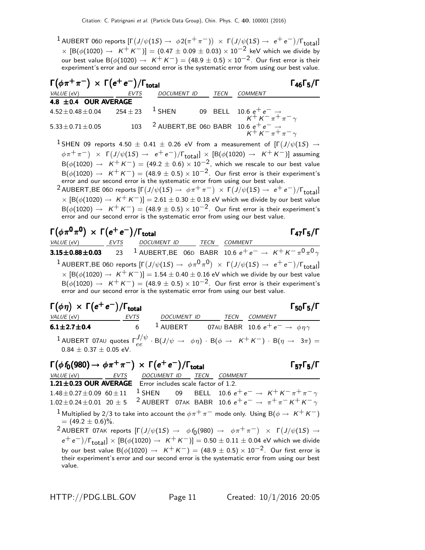$^1$  AUBERT 06D reports  $[\Gamma\big( J/\psi(1S) \to \phi 2(\pi^+\pi^-) \big) \ \times \ \Gamma\big( J/\psi(1S) \to \ e^+e^- \big)/\Gamma_{\rm total}]$  $\times$  [B( $\phi$ (1020) → K<sup>+</sup>K<sup>-</sup>)] = (0.47 ± 0.09 ± 0.03) × 10<sup>-2</sup> keV which we divide by our best value B( $\phi$ (1020)  $\rightarrow$  K<sup>+</sup>K<sup>-</sup>) = (48.9 ± 0.5) × 10<sup>-2</sup>. Our first error is their experiment's error and our second error is the systematic error from using our best value.

| $\Gamma(\phi \pi^+ \pi^-) \times \Gamma(e^+ e^-)/\Gamma_{\text{total}}$ |      |                            |  |  |                                                                                                                                                                                                                                                                                                                                                                                      |  |  |  |
|-------------------------------------------------------------------------|------|----------------------------|--|--|--------------------------------------------------------------------------------------------------------------------------------------------------------------------------------------------------------------------------------------------------------------------------------------------------------------------------------------------------------------------------------------|--|--|--|
| VALUE (eV)                                                              | EVTS | <b>DOCUMENT ID</b><br>TECN |  |  | <b>COMMENT</b>                                                                                                                                                                                                                                                                                                                                                                       |  |  |  |
| 4.8 $\pm$ 0.4 OUR AVERAGE                                               |      |                            |  |  |                                                                                                                                                                                                                                                                                                                                                                                      |  |  |  |
|                                                                         |      |                            |  |  |                                                                                                                                                                                                                                                                                                                                                                                      |  |  |  |
| $5.33 \pm 0.71 \pm 0.05$                                                |      |                            |  |  | 103 <sup>2</sup> AUBERT, BE 06D BABR 10.6 $e^+e^- \rightarrow$<br>$K^+K^-\pi^+\pi^-\gamma$                                                                                                                                                                                                                                                                                           |  |  |  |
| $l$ $c$                                                                 |      |                            |  |  | $\overline{1}$ $\overline{1}$ $\overline{1}$ $\overline{1}$ $\overline{1}$ $\overline{1}$ $\overline{1}$ $\overline{1}$ $\overline{1}$ $\overline{1}$ $\overline{1}$ $\overline{1}$ $\overline{1}$ $\overline{1}$ $\overline{1}$ $\overline{1}$ $\overline{1}$ $\overline{1}$ $\overline{1}$ $\overline{1}$ $\overline{1}$ $\overline{1}$ $\overline{1}$ $\overline{1}$ $\overline{$ |  |  |  |

 $^{\text{1}}$ SHEN 09 reports 4.50  $\pm$  0.41  $\pm$  0.26 eV from a measurement of [Γ $(J/\psi(1S)$   $\rightarrow$  $(\phi \pi^+ \pi^-)$   $\times$   $\Gamma\big( J/\psi(1S)$   $\to$   $\rm e^+ e^- \big)/\Gamma_{\rm total} \big] \times [B(\phi(1020)$   $\to$   $\rm K^+ K^-)]$  assuming  ${\sf B}(\phi(1020)\,\to\,\,\, {\sf K}^+{\sf K}^-)=(49.2\,\pm\,0.6)\times 10^{-2},$  which we rescale to our best value  $\mathsf{B}(\phi(1020)\to\;\;K^+K^-)=(48.9\pm0.5)\times10^{-2}.$  Our first error is their experiment's error and our second error is the systematic error from using our best value.

 $^2$ AUBERT,BE 06D reports  $[\Gamma(J/\psi(1S) \to \ \phi \pi^+ \pi^-) \ \times \ \Gamma(J/\psi(1S) \to \ e^+ \, e^-)/\Gamma_{\rm total}]$  $\times$   $\left[\text{B}(\phi(1020) \rightarrow K^+K^-)\right] = 2.61 \pm 0.30 \pm 0.18$  eV which we divide by our best value  $B(\phi(1020) \rightarrow K^+K^-) = (48.9 \pm 0.5) \times 10^{-2}$ . Our first error is their experiment's error and our second error is the systematic error from using our best value.

| $\Gamma(\phi \pi^0 \pi^0) \times \Gamma(e^+ e^-)/\Gamma_{\text{total}}$ |  | $\Gamma_{47}\Gamma_{5}/\Gamma$                                                                                                                                                                                                                                                                                                                                                                  |  |                |  |
|-------------------------------------------------------------------------|--|-------------------------------------------------------------------------------------------------------------------------------------------------------------------------------------------------------------------------------------------------------------------------------------------------------------------------------------------------------------------------------------------------|--|----------------|--|
| VALUE (eV) EVTS                                                         |  | DOCUMENT ID TECN                                                                                                                                                                                                                                                                                                                                                                                |  | <b>COMMENT</b> |  |
|                                                                         |  | <b>3.15±0.88±0.03</b> 23 <sup>1</sup> AUBERT,BE 06D BABR 10.6 $e^+e^- \rightarrow K^+K^-\pi^0\pi^0\gamma$                                                                                                                                                                                                                                                                                       |  |                |  |
|                                                                         |  | <sup>1</sup> AUBERT, BE 06D reports $[\Gamma(J/\psi(1S) \to \phi \pi^0 \pi^0) \times \Gamma(J/\psi(1S) \to e^+e^-)/\Gamma_{\text{total}}]$<br>$\times$ [B( $\phi$ (1020) $\rightarrow$ K <sup>+</sup> K <sup>-</sup> )] = 1.54 ± 0.40 ± 0.16 eV which we divide by our best value<br>$B(\phi(1020) \rightarrow K^+K^-) = (48.9 \pm 0.5) \times 10^{-2}$ . Our first error is their experiment's |  |                |  |
| $-1$ $-1$ $-1$ $-1$ $-1$                                                |  | error and our second error is the systematic error from using our best value.                                                                                                                                                                                                                                                                                                                   |  |                |  |

| $\Gamma(\phi \eta) \times \Gamma(e^+ e^-) / \Gamma_{\text{total}}$                                                                                                |      |                                                                          |      |         | $\Gamma_{50}\Gamma_{5}/\Gamma$ |
|-------------------------------------------------------------------------------------------------------------------------------------------------------------------|------|--------------------------------------------------------------------------|------|---------|--------------------------------|
| <i>VALUE</i> (eV)                                                                                                                                                 | EVTS | DOCUMENT ID                                                              | TECN | COMMENT |                                |
| $6.1 \pm 2.7 \pm 0.4$                                                                                                                                             |      | <sup>1</sup> AUBERT 07AU BABR 10.6 $e^+e^- \rightarrow \phi \eta \gamma$ |      |         |                                |
| <sup>1</sup> AUBERT 07AU quotes $\Gamma_{ee}^{J/\psi} \cdot B(J/\psi \to \phi \eta) \cdot B(\phi \to K^+ K^-) \cdot B(\eta \to 3\pi) =$<br>0.84 ± 0.37 ± 0.05 eV. |      |                                                                          |      |         |                                |

 $\Gamma(\phi\, f_0(980) \to \phi\, \pi^+\, \pi^-) \; \times \; \Gamma(e^+ \, e^-)/\Gamma_{\textsf{total}}$  Γ57Γ5/Γ

 $\Gamma_{57}$ Γ<sub>5</sub>/Γ

VALUE (eV) EVTS DOCUMENT ID TECN COMMENT  $1.21 \pm 0.23$  OUR AVERAGE Error includes scale factor of 1.2.  $1.48 \pm 0.27 \pm 0.09$  60  $\pm$  11  $^{-1}$  SHEN 09 BELL 10.6  $e^+e^- \rightarrow K^+K^-\pi^+\pi^-\gamma$  $1.02\pm0.24\pm0.01$  20  $\pm$  5  $^{-2}$  AUBERT 07AK BABR 10.6  $e^+ \, e^- \rightarrow~\pi^+ \, \pi^- \, K^+ \, K^- \, \gamma$ <sup>1</sup> Multiplied by 2/3 to take into account the  $\phi \pi^+ \pi^-$  mode only. Using B( $\phi \to K^+ K^-$ )  $= (49.2 \pm 0.6)\%$ .

 $^2$ AUBERT 07AK reports  $[{\Gamma\big( J/\psi(1S)~\to~\phi\,f_0(980)~\to~\phi\,\pi^+\,\pi^-}\big)~\times~\Gamma\big( J/\psi(1S)~\to~$  $(e^+e^-)/\Gamma_{\text{total}}] \times [B(\phi(1020) \to K^+K^-)] = 0.50 \pm 0.11 \pm 0.04 \text{ eV}$  which we divide by our best value B( $\phi$ (1020)  $\rightarrow$  K<sup>+</sup>K<sup>-</sup>) = (48.9 ± 0.5) × 10<sup>-2</sup>. Our first error is their experiment's error and our second error is the systematic error from using our best value.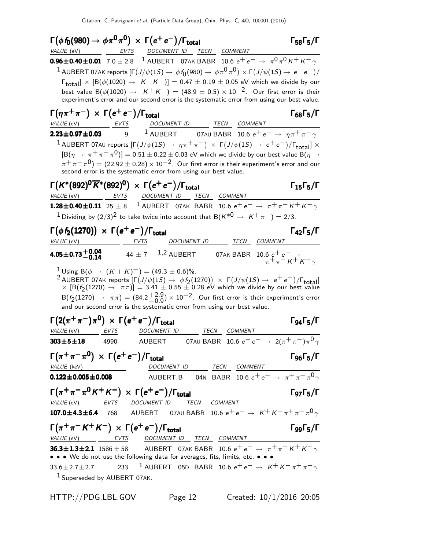| $\Gamma(\phi\, f_0(980) \to\, \phi\, \pi^{\bm 0}\pi^{\bm 0})\,\times\, \Gamma(e^+\, e^-)/\Gamma_{\rm total}$                                                                                                                                                                                                                                                                                                                                                                                                                                                  | $\Gamma_{58}\Gamma_5/\Gamma$                            |
|---------------------------------------------------------------------------------------------------------------------------------------------------------------------------------------------------------------------------------------------------------------------------------------------------------------------------------------------------------------------------------------------------------------------------------------------------------------------------------------------------------------------------------------------------------------|---------------------------------------------------------|
| VALUE (eV) ________ ______ EVTS _____ DOCUMENT_ID ______TECN ____ COMMENT                                                                                                                                                                                                                                                                                                                                                                                                                                                                                     |                                                         |
| <b>0.96±0.40±0.01</b> 7.0 ± 2.8 <sup>1</sup> AUBERT 07AK BABR 10.6 $e^+e^- \rightarrow \pi^0 \pi^0 K^+ K^- \gamma$                                                                                                                                                                                                                                                                                                                                                                                                                                            |                                                         |
| $^1$ AUBERT 07AK reports [F $(J/\psi(1S) \to \, \phi f_0(980) \to \, \phi \, \pi^0 \, \pi^0) \times$ F $(J/\psi(1S) \to \, e^+ \, e^-)/$                                                                                                                                                                                                                                                                                                                                                                                                                      |                                                         |
| $\lceil_{\text{total}}\rceil \times \lceil B(\phi(1020) \rightarrow K^+K^-)\rceil = 0.47 \pm 0.19 \pm 0.05$ eV which we divide by our                                                                                                                                                                                                                                                                                                                                                                                                                         |                                                         |
| best value B( $\phi$ (1020) $\rightarrow$ K <sup>+</sup> K <sup>-</sup> ) = (48.9 $\pm$ 0.5) × 10 <sup>-2</sup> . Our first error is their<br>experiment's error and our second error is the systematic error from using our best value.                                                                                                                                                                                                                                                                                                                      |                                                         |
|                                                                                                                                                                                                                                                                                                                                                                                                                                                                                                                                                               |                                                         |
| $\Gamma(\eta \pi^+\pi^-) \times \Gamma(e^+e^-)/\Gamma_{\rm total}$<br>$VALUE$ (eV) EVTS                                                                                                                                                                                                                                                                                                                                                                                                                                                                       | $\Gamma_{68}\Gamma_5/\Gamma$                            |
| $\frac{DOCUMENT ID}{1 \text{ AUBERT}} \frac{TECN}{07 \text{ AU} BABR} \frac{COMMENT}{10.6 e^+ e^-} \rightarrow \eta \pi^+ \pi^- \gamma$<br>$2.23 \pm 0.97 \pm 0.03$ 9                                                                                                                                                                                                                                                                                                                                                                                         |                                                         |
| $^1$ AUBERT 07AU reports $[\Gamma(J/\psi(1S) \to~\eta\pi^+\pi^-)~\times~\Gamma(J/\psi(1S) \to~e^+e^-)/\Gamma_{\rm total}] \times$                                                                                                                                                                                                                                                                                                                                                                                                                             |                                                         |
| $[\hbox{B}(\eta\to\pi^+\pi^-\pi^0)]=0.51\pm0.22\pm0.03$ eV which we divide by our best value B $(\eta\to$                                                                                                                                                                                                                                                                                                                                                                                                                                                     |                                                         |
| $\pi^+\pi^-\pi^0) = (22.92 \pm 0.28) \times 10^{-2}$ . Our first error is their experiment's error and our                                                                                                                                                                                                                                                                                                                                                                                                                                                    |                                                         |
| second error is the systematic error from using our best value.                                                                                                                                                                                                                                                                                                                                                                                                                                                                                               |                                                         |
| $\Gamma(K^*(892)^0\overline{K}{}^*(892)^0) \times \Gamma(e^+e^-)/\Gamma_{\rm total}$                                                                                                                                                                                                                                                                                                                                                                                                                                                                          | $\Gamma_{15}\Gamma_{5}/\Gamma$                          |
| $VALUE$ (eV) EVTS<br>DOCUMENT ID TECN COMMENT                                                                                                                                                                                                                                                                                                                                                                                                                                                                                                                 |                                                         |
| 1.28 $\pm$ 0.40 $\pm$ 0.11 25 $\pm$ 8 $^{-1}$ aubert 07ak babr 10.6 $e^+e^- \rightarrow \pi^+\pi^ K^+$ $K^-\gamma$                                                                                                                                                                                                                                                                                                                                                                                                                                            |                                                         |
| <sup>1</sup> Dividing by $(2/3)^2$ to take twice into account that B( $K^{*0} \rightarrow K^{+}\pi^{-}$ ) = 2/3.                                                                                                                                                                                                                                                                                                                                                                                                                                              |                                                         |
| $\Gamma(\phi f_2(1270)) \times \Gamma(e^+e^-)/\Gamma_{\text{total}}$                                                                                                                                                                                                                                                                                                                                                                                                                                                                                          | $\Gamma_{42}\Gamma_{5}/\Gamma$                          |
| DOCUMENT ID TECN COMMENT<br><i>VALUE</i> (eV)<br>EVTS                                                                                                                                                                                                                                                                                                                                                                                                                                                                                                         |                                                         |
| $4.05 \pm 0.73 + 0.04 - 0.14$<br>44 $\pm$ 7 $^{-1,2}$ AUBERT 07AK BABR $10.6 e^{+} e^{-} \rightarrow \pi^{+} \pi^{-} K^{+} K^{-} \gamma$                                                                                                                                                                                                                                                                                                                                                                                                                      |                                                         |
| <sup>1</sup> Using B( $\phi \rightarrow (K + K)^{-}$ ) = (49.3 ± 0.6)%.<br><sup>2</sup> AUBERT 07AK reports $[\Gamma(J/\psi(1S) \rightarrow \phi f_2(1270)) \times \Gamma(J/\psi(1S) \rightarrow e^+e^-)/\Gamma_{\text{total}}]$<br>× [B(f <sub>2</sub> (1270) $\rightarrow \pi \pi$ ] = 3.41 $\pm$ 0.55 $\pm$ 0.28 eV which we divide by our best value<br>$B(f_2(1270) \rightarrow \pi \pi) = (84.2^{+2.9}_{-0.9}) \times 10^{-2}$ . Our first error is their experiment's error<br>and our second error is the systematic error from using our best value. |                                                         |
| $\Gamma(2(\pi^+\pi^-)\pi^0) \times \Gamma(e^+e^-)/\Gamma_{\rm total}$                                                                                                                                                                                                                                                                                                                                                                                                                                                                                         | $\Gamma$ <sub>94</sub> Г $_5$ /Г                        |
| TECN COMMENT<br>VALUE (eV) EVTS DOCUMENT ID                                                                                                                                                                                                                                                                                                                                                                                                                                                                                                                   |                                                         |
| 07AU BABR 10.6 $e^+e^- \rightarrow 2(\pi^+\pi^-)\pi^0\gamma$<br>$303 \pm 5 \pm 18$<br>4990<br>AUBERT                                                                                                                                                                                                                                                                                                                                                                                                                                                          |                                                         |
| $\Gamma(\pi^+\pi^-\pi^0) \times \Gamma(e^+e^-)/\Gamma_{\text{total}}$                                                                                                                                                                                                                                                                                                                                                                                                                                                                                         | $\Gamma$ <sub>96</sub> $\Gamma$ <sub>5</sub> / $\Gamma$ |
| DOCUMENT ID TECN COMMENT<br>VALUE (keV)                                                                                                                                                                                                                                                                                                                                                                                                                                                                                                                       |                                                         |
| AUBERT,B 04N BABR 10.6 $e^+e^- \rightarrow \pi^+\pi^-\pi^0\gamma$<br>$0.122 \pm 0.005 \pm 0.008$                                                                                                                                                                                                                                                                                                                                                                                                                                                              |                                                         |
| $\Gamma(\pi^+\pi^-\pi^0 K^+ K^-) \times \Gamma(e^+e^-)/\Gamma_{\text{total}}$                                                                                                                                                                                                                                                                                                                                                                                                                                                                                 | $\Gamma$ 97 $\Gamma$ 5/Г                                |
| VALUE (eV) EVTS DOCUMENT ID TECN COMMENT                                                                                                                                                                                                                                                                                                                                                                                                                                                                                                                      |                                                         |
| <b>107.0±4.3±6.4</b> 768 AUBERT 07AU BABR 10.6 $e^+e^- \rightarrow K^+K^-\pi^+\pi^-\pi^0\gamma$                                                                                                                                                                                                                                                                                                                                                                                                                                                               |                                                         |
| $\Gamma(\pi^+\pi^- K^+ K^-) \times \Gamma(e^+ e^-)/\Gamma_{\text{total}}$                                                                                                                                                                                                                                                                                                                                                                                                                                                                                     | $\Gamma$ <sub>99</sub> $\Gamma_5/\Gamma$                |
| VALUE (eV)<br><u>EVTS</u> DOCUMENT ID TECN COMMENT                                                                                                                                                                                                                                                                                                                                                                                                                                                                                                            |                                                         |
| <b>36.3±1.3±2.1</b> 1586 ± 58 AUBERT 07AK BABR 10.6 $e^+e^- \rightarrow \pi^+\pi^- K^+ K^- \gamma$                                                                                                                                                                                                                                                                                                                                                                                                                                                            |                                                         |
| • • • We do not use the following data for averages, fits, limits, etc. • • •<br>$^1$ AUBERT 05D BABR 10.6 $e^+e^- \rightarrow K^+K^-\pi^+\pi^-\gamma$<br>233<br>$33.6 \pm 2.7 \pm 2.7$                                                                                                                                                                                                                                                                                                                                                                       |                                                         |
| <sup>1</sup> Superseded by AUBERT 07AK.                                                                                                                                                                                                                                                                                                                                                                                                                                                                                                                       |                                                         |
|                                                                                                                                                                                                                                                                                                                                                                                                                                                                                                                                                               |                                                         |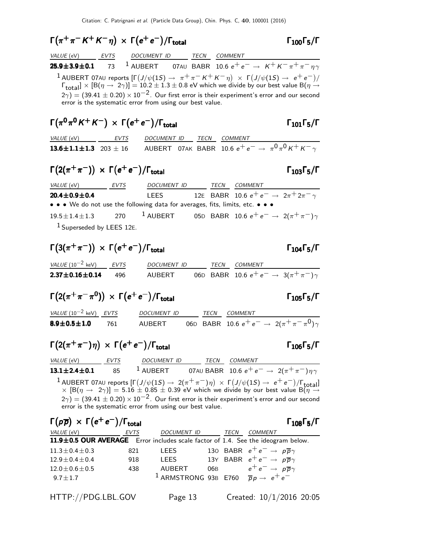$^1$  ARMSTRONG 93B E760  $\overline{p}p \rightarrow e^+e^-$ 

11.3±0.4±0.3 821 LEES 130 BABR  $e^+e^- \rightarrow p\overline{p}\gamma$ 12.9 $\pm$ 0.4 $\pm$ 0.4 918 LEES 13Y BABR  $e^+e^- \rightarrow p\overline{p}\gamma$  $12.0\pm0.6\pm0.5$  438 AUBERT 06B  $e^+\,e^-\rightarrow\,p\overline{p}\gamma$ 

 $9.7 \pm 1.7$ 

HTTP://PDG.LBL.GOV Page 13 Created: 10/1/2016 20:05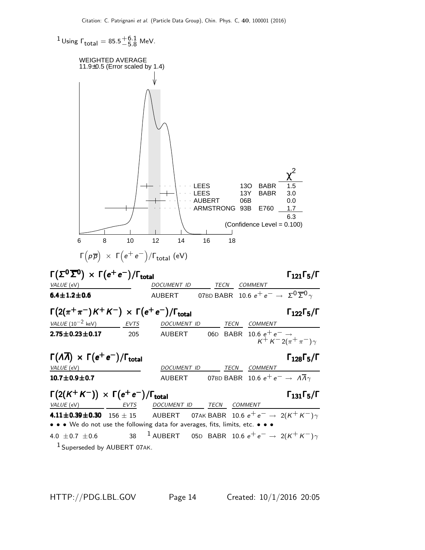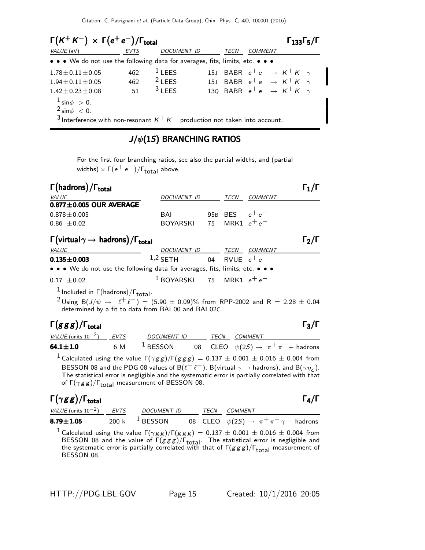| $\Gamma(K^+K^-) \times \Gamma(e^+e^-)/\Gamma_{\text{total}}$                  | $\Gamma_{133}\Gamma_{5}/\Gamma$ |           |                    |      |                                            |  |  |  |
|-------------------------------------------------------------------------------|---------------------------------|-----------|--------------------|------|--------------------------------------------|--|--|--|
| VALUE (eV)                                                                    | <b>EVTS</b>                     |           | <b>DOCUMENT ID</b> | TECN | COMMENT                                    |  |  |  |
| • • • We do not use the following data for averages, fits, limits, etc. • • • |                                 |           |                    |      |                                            |  |  |  |
| $1.78 \pm 0.11 \pm 0.05$                                                      | 462                             | $1$ LEES  |                    |      | 15J BABR $e^+e^- \rightarrow K^+K^-\gamma$ |  |  |  |
| $1.94 \pm 0.11 \pm 0.05$                                                      | 462                             | $2$ LEES  |                    |      | 15J BABR $e^+e^- \rightarrow K^+K^-\gamma$ |  |  |  |
| $1.42 \pm 0.23 \pm 0.08$                                                      | 51                              | $3$ I FFS |                    |      | 130 BABR $e^+e^- \rightarrow K^+K^-\gamma$ |  |  |  |
| $1 \sin \phi > 0$ .                                                           |                                 |           |                    |      |                                            |  |  |  |
| $2 \sin \phi < 0$ .                                                           |                                 |           |                    |      |                                            |  |  |  |
| 3 Interference with non-resonant $K^+K^-$ production not taken into account.  |                                 |           |                    |      |                                            |  |  |  |

#### $J/\psi(1S)$  BRANCHING RATIOS

For the first four branching ratios, see also the partial widths, and (partial widths)  $\times$   $\Gamma(e^+e^-)/\Gamma_{\rm total}$  above.

| $\Gamma$ (hadrons)/ $\Gamma_{\text{total}}$ |                    |                  |                | $\Gamma_1/\Gamma$ |
|---------------------------------------------|--------------------|------------------|----------------|-------------------|
| <i>VALUE</i>                                | <i>DOCUMENT ID</i> | <i>TECN</i>      | <i>COMMENT</i> |                   |
| $0.877 \pm 0.005$ OUR AVERAGE               |                    |                  |                |                   |
| $0.878 \pm 0.005$                           | BAL                | 95B BES $e^+e^-$ |                |                   |
| $0.86 \pm 0.02$                             | <b>BOYARSKI</b>    | 75 MRK1 $e^+e^-$ |                |                   |

| $\Gamma(\text{virtual}\,\gamma \rightarrow \text{hadrons})/\Gamma_{\text{total}}$                                     |                               |  |  |              |  |  |  |  |
|-----------------------------------------------------------------------------------------------------------------------|-------------------------------|--|--|--------------|--|--|--|--|
| <i>VALUE</i>                                                                                                          | DOCUMENT ID                   |  |  | TECN COMMENT |  |  |  |  |
| $0.135 \pm 0.003$                                                                                                     | $1,2$ SETH 04 RVUE $e^+e^-$   |  |  |              |  |  |  |  |
| $\bullet \bullet \bullet$ We do not use the following data for averages, fits, limits, etc. $\bullet \bullet \bullet$ |                               |  |  |              |  |  |  |  |
| $0.17\ \pm0.02$                                                                                                       | $1$ BOYARSKI 75 MRK1 $e^+e^-$ |  |  |              |  |  |  |  |
|                                                                                                                       |                               |  |  |              |  |  |  |  |

 $\frac{1}{\sqrt{1}}$  Included in  $\Gamma(\text{hadrons})/\Gamma_{\text{total}}$ .

<sup>2</sup>Using B(J/ $\psi$  →  $\ell^+ \ell^-)$  = (5.90  $\pm$  0.09)% from RPP-2002 and R = 2.28  $\pm$  0.04 determined by a fit to data from BAI 00 and BAI 02C.

# $\Gamma(ggg)/\Gamma_{\text{total}}$  Γ3/Γ

| VALUE (units $10^{-2}$ )                                                                                            | <b>EVTS</b> | <b>DOCUMENT ID</b> |  | TECN | <b>COMMENT</b>                                                                                                        |  |  |
|---------------------------------------------------------------------------------------------------------------------|-------------|--------------------|--|------|-----------------------------------------------------------------------------------------------------------------------|--|--|
| $64.1 \pm 1.0$                                                                                                      | 6 M         | $1$ BESSON         |  |      | 08 CLEO $\psi(2S) \rightarrow \pi^+ \pi^- +$ hadrons                                                                  |  |  |
|                                                                                                                     |             |                    |  |      | <sup>1</sup> Calculated using the value $\Gamma(\gamma g g)/\Gamma(g g g) = 0.137 \pm 0.001 \pm 0.016 \pm 0.004$ from |  |  |
| BESSON 08 and the PDG 08 values of B( $\ell^+ \ell^-$ ), B(virtual $\gamma \to$ hadrons), and B( $\gamma \eta_c$ ). |             |                    |  |      |                                                                                                                       |  |  |
|                                                                                                                     |             |                    |  |      | The statistical error is negligible and the systematic error is partially correlated with that                        |  |  |

of  $\Gamma(\gamma g g)/\Gamma_{\rm total}$  measurement of BESSON 08.

| $\Gamma(\gamma gg)/\Gamma_{\rm total}$ |                           |      | $\Gamma_4/\Gamma$                                                  |
|----------------------------------------|---------------------------|------|--------------------------------------------------------------------|
| VALUE (units $10^{-2}$ ) EVTS          | DOCUMENT ID               | TECN | <i>COMMENT</i>                                                     |
| $8.79 \pm 1.05$                        | 200 k <sup>1</sup> BESSON |      | 08 CLEO $\psi(2S) \rightarrow \pi^+ \pi^- \gamma + \text{hadrons}$ |
|                                        |                           |      |                                                                    |

 $^1$  Calculated using the value  $\Gamma(\gamma g \, g)/\Gamma(g \, g \, g) = 0.137\,\pm\,0.001\,\pm\,0.016\,\pm\,0.004$  from BESSON 08 and the value of  $\Gamma(ggg)/\Gamma_{\rm total}$ . The statistical error is negligible and the systematic error is partially correlated with that of  $\Gamma(g \, g \, g)/\Gamma_{\rm total}$  measurement of BESSON 08.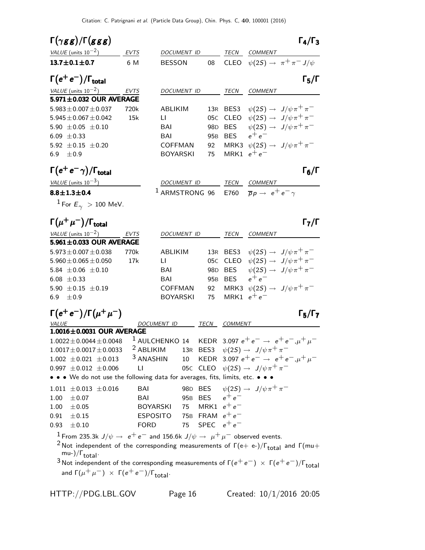|                 | $\Gamma(\gamma gg)/\Gamma(ggg)$                                                                                                                     |                      |                            |                  |                |                                                                         | $\Gamma_4/\Gamma_3$                                                          |
|-----------------|-----------------------------------------------------------------------------------------------------------------------------------------------------|----------------------|----------------------------|------------------|----------------|-------------------------------------------------------------------------|------------------------------------------------------------------------------|
|                 | VALUE (units $10^{-2}$ )                                                                                                                            | <b>EVTS</b>          |                            | DOCUMENT ID      |                | TECN COMMENT                                                            |                                                                              |
|                 | $13.7 \pm 0.1 \pm 0.7$                                                                                                                              | 6 M                  | <b>BESSON</b>              | 08               |                |                                                                         | CLEO $\psi(2S) \rightarrow \pi^+ \pi^- J/\psi$                               |
|                 | $\Gamma(e^+e^-)/\Gamma_{\rm total}$                                                                                                                 |                      |                            |                  |                |                                                                         | $\Gamma_5/\Gamma$                                                            |
|                 | VALUE (units $10^{-2}$ )                                                                                                                            | EVTS                 | DOCUMENT ID                |                  | TECN           | COMMENT                                                                 |                                                                              |
|                 | 5.971±0.032 OUR AVERAGE                                                                                                                             |                      |                            |                  |                |                                                                         |                                                                              |
|                 | $5.983 \pm 0.007 \pm 0.037$                                                                                                                         | 720k                 | ABLIKIM                    |                  |                |                                                                         | 13R BES3 $\psi(2S) \rightarrow J/\psi \pi^+ \pi^-$                           |
|                 | $5.945 \pm 0.067 \pm 0.042$                                                                                                                         | 15k                  | LI                         | 05 <sub>C</sub>  |                |                                                                         | CLEO $\psi(2S) \rightarrow J/\psi \pi^+ \pi^-$                               |
|                 | 5.90 $\pm$ 0.05 $\pm$ 0.10                                                                                                                          |                      | BAI                        | 98 <sub>D</sub>  | <b>BES</b>     |                                                                         | $\psi(2S) \rightarrow J/\psi \pi^+ \pi^-$                                    |
| 6.09 $\pm$ 0.33 |                                                                                                                                                     |                      | BAI                        | 95 <sub>B</sub>  | <b>BES</b>     | $e^+e^-$                                                                |                                                                              |
|                 | 5.92 $\pm$ 0.15 $\pm$ 0.20                                                                                                                          |                      | COFFMAN                    | 92               |                |                                                                         | MRK3 $\psi(2S) \rightarrow J/\psi \pi^+ \pi^-$                               |
| 6.9             | $\pm$ 0.9                                                                                                                                           |                      | <b>BOYARSKI</b>            | 75               |                | MRK1 $e^+e^-$                                                           |                                                                              |
|                 | $\Gamma(e^+e^-\gamma)/\Gamma_{\rm total}$                                                                                                           |                      |                            |                  |                |                                                                         | $\Gamma_6/\Gamma$                                                            |
|                 | VALUE (units $10^{-3}$ )                                                                                                                            |                      | DOCUMENT ID                |                  |                | TECN COMMENT                                                            |                                                                              |
|                 | $8.8 \pm 1.3 \pm 0.4$                                                                                                                               |                      |                            |                  |                | <sup>1</sup> ARMSTRONG 96 E760 $\overline{p}p \rightarrow e^+e^-\gamma$ |                                                                              |
|                 | <sup>1</sup> For $E_{\gamma} > 100$ MeV.                                                                                                            |                      |                            |                  |                |                                                                         |                                                                              |
|                 | $\Gamma(\mu^+\mu^-)/\Gamma_{\rm total}$                                                                                                             |                      |                            |                  |                |                                                                         | $\Gamma_7/\Gamma$                                                            |
|                 | VALUE (units $10^{-2}$ )                                                                                                                            | <b>EVTS</b>          | DOCUMENT ID                |                  | TECN           | COMMENT                                                                 |                                                                              |
|                 | 5.961±0.033 OUR AVERAGE                                                                                                                             |                      |                            |                  |                |                                                                         |                                                                              |
|                 | $5.973 \pm 0.007 \pm 0.038$                                                                                                                         | 770k                 | ABLIKIM                    |                  |                |                                                                         | 13R BES3 $\psi(2S) \rightarrow J/\psi \pi^+ \pi^-$                           |
|                 | $5.960 \pm 0.065 \pm 0.050$                                                                                                                         | 17k                  | LI.                        | 05 <sub>C</sub>  | CLEO           |                                                                         | $\psi(2S) \rightarrow J/\psi \pi^+ \pi^-$                                    |
|                 | 5.84 $\pm 0.06 \pm 0.10$                                                                                                                            |                      | BAI                        | 98 <sub>D</sub>  | <b>BES</b>     |                                                                         | $\psi(2S) \rightarrow J/\psi \pi^+ \pi^-$                                    |
| 6.08 $\pm$ 0.33 |                                                                                                                                                     |                      | BAI                        | 95 <sub>B</sub>  | <b>BES</b>     | $e^+e^-$                                                                |                                                                              |
|                 | 5.90 $\pm$ 0.15 $\pm$ 0.19                                                                                                                          |                      | COFFMAN                    | 92               | MRK3           |                                                                         | $\psi(2S) \rightarrow J/\psi \pi^+ \pi^-$                                    |
| 6.9             | ±0.9                                                                                                                                                |                      | <b>BOYARSKI</b>            | 75               | MRK1           | $e^+e^-$                                                                |                                                                              |
|                 | $\Gamma(e^+e^-)/\Gamma(\mu^+\mu^-)$                                                                                                                 |                      |                            |                  |                |                                                                         | $\Gamma_5/\Gamma_7$                                                          |
| <b>VALUE</b>    |                                                                                                                                                     |                      | <b>DOCUMENT_ID</b>         | TECN             | <b>COMMENT</b> |                                                                         |                                                                              |
|                 | 1.0016±0.0031 OUR AVERAGE                                                                                                                           |                      |                            |                  |                |                                                                         |                                                                              |
|                 | $1.0022 \pm 0.0044 \pm 0.0048$                                                                                                                      |                      |                            |                  |                |                                                                         | <sup>1</sup> AULCHENKO 14 KEDR 3.097 $e^+e^- \rightarrow e^+e^-, \mu^+\mu^-$ |
|                 | $1.0017 \pm 0.0017 \pm 0.0033$                                                                                                                      |                      |                            |                  |                | <sup>2</sup> ABLIKIM 13R BES3 $\psi(2S) \rightarrow J/\psi \pi^+ \pi^-$ |                                                                              |
|                 | $1.002 \pm 0.021 \pm 0.013$                                                                                                                         | <sup>3</sup> ANASHIN |                            |                  |                |                                                                         | 10 KEDR 3.097 $e^+e^- \rightarrow e^+e^-, \mu^+\mu^-$                        |
|                 | $0.997 \pm 0.012 \pm 0.006$                                                                                                                         | LI                   |                            |                  |                | 05C CLEO $\psi(2S) \rightarrow J/\psi \pi^+ \pi^-$                      |                                                                              |
|                 | • • • We do not use the following data for averages, fits, limits, etc. • • •                                                                       |                      |                            |                  |                |                                                                         |                                                                              |
|                 | $1.011 \pm 0.013 \pm 0.016$                                                                                                                         | BAI                  |                            |                  |                | 98D BES $\psi(2S) \rightarrow J/\psi \pi^+ \pi^-$                       |                                                                              |
|                 | $1.00 \pm 0.07$                                                                                                                                     | BAI                  | 95B BES $e^+e^-$           |                  |                |                                                                         |                                                                              |
|                 | $1.00 \pm 0.05$                                                                                                                                     |                      | BOYARSKI 75 MRK1 $e^+e^-$  |                  |                |                                                                         |                                                                              |
|                 | $0.91 \pm 0.15$                                                                                                                                     |                      | ESPOSITO 75B FRAM $e^+e^-$ |                  |                |                                                                         |                                                                              |
|                 | $0.93 \pm 0.10$                                                                                                                                     | <b>FORD</b>          |                            | 75 SPEC $e^+e^-$ |                |                                                                         |                                                                              |
|                 | <sup>1</sup> From 235.3k $J/\psi \rightarrow e^+e^-$ and 156.6k $J/\psi \rightarrow \mu^+\mu^-$ observed events.                                    |                      |                            |                  |                |                                                                         |                                                                              |
|                 | <sup>2</sup> Not independent of the corresponding measurements of $\Gamma(e + e^-)/\Gamma_{total}$ and $\Gamma(mu +$<br>$mu$ -)/ $\Gamma_{total}$ . |                      |                            |                  |                |                                                                         |                                                                              |
|                 | <sup>3</sup> Not independent of the corresponding measurements of $\Gamma(e^+e^-) \times \Gamma(e^+e^-)/\Gamma_{total}$                             |                      |                            |                  |                |                                                                         |                                                                              |

 $^3$ Not independent of the corresponding measurements of Г $(e^+ \, e^-) \, \times \,$  Г $(e^+ \, e^-)/$ Г $_{\rm total}$ and  $\Gamma(\mu^+ \mu^-)~\times~\Gamma(e^+ e^-)/\Gamma_{\rm total}$ .

HTTP://PDG.LBL.GOV Page 16 Created: 10/1/2016 20:05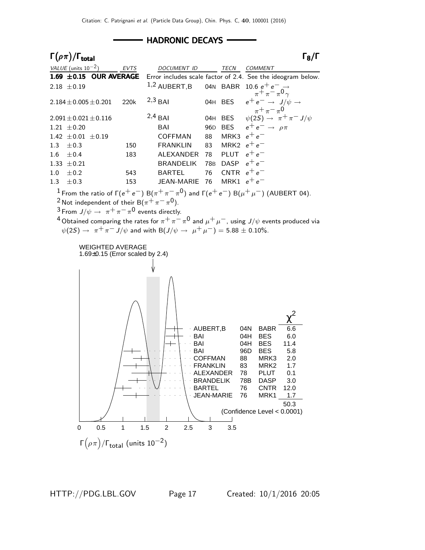#### HADRONIC DECAYS



HTTP://PDG.LBL.GOV Page 17 Created: 10/1/2016 20:05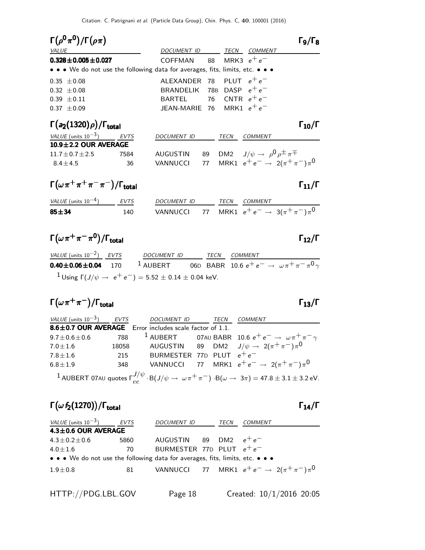Γ $(\rho^0 \pi^0)/\Gamma(\rho \pi)$  Γ $_8$  $\Gamma_9/\Gamma_8$ DOCUMENT ID TECN COMMENT 0.328 $\pm$ 0.005 $\pm$ 0.027 COFFMAN 88 MRK3  $e^+e^-$ • • • We do not use the following data for averages, fits, limits, etc. • • •  $0.35 \pm 0.08$  ALEXANDER 78 PLUT  $e^+e^ 0.32 \pm 0.08$  BRANDELIK 78B DASP  $e^+e^ 0.39 \pm 0.11$  BARTEL 76 CNTR  $e^+e^ 0.37 \pm 0.09$  JEAN-MARIE 76 MRK1  $e^+e^-$ 

Γ $(a_2(1320) \rho)/\Gamma_{\text{total}}$ total $1\,10/1$  $VALU E$  (units 10<sup>-3</sup>) EVTS DOCUMENT ID TECN COMMENT  $10.9\pm2.2$  OUR AVERAGE  $11.7\pm0.7\pm2.5$  7584 AUGUSTIN 89 DM2  $J/\psi\rightarrow\ {\rho^0}{\rho^{\pm}}{\pi^{\mp}}$ 8.4 $\pm$ 4.5 36 VANNUCCI 77 MRK1  $e^+e^- \rightarrow 2(\pi^+\pi^-)\pi^0$ 

## $\Gamma(\omega \, \pi^+ \, \pi^+ \, \pi^- \, \pi^-)/\Gamma_{\rm total}$  Γ<sub>11</sub>/Γ

| $VALUE$ (units $10^{-4}$ ) | EVTS | <i>DOCUMENT ID</i>                               |  | <i>TECN COMMENT</i> |  |
|----------------------------|------|--------------------------------------------------|--|---------------------|--|
| $85 + 34$                  | 140  | VANNUCCI 77 MRK1 $e^+e^- \to 3(\pi^+\pi^-)\pi^0$ |  |                     |  |

| Г $(\omega \pi^+ \pi^- \pi^0)/\Gamma_{\rm total}$ |                                                                                                                  |  | $\Gamma_{12}/\Gamma$ |
|---------------------------------------------------|------------------------------------------------------------------------------------------------------------------|--|----------------------|
| VALUE (units $10^{-2}$ ) EVTS                     | DOCUMENT ID TECN COMMENT                                                                                         |  |                      |
|                                                   | <b>0.40±0.06±0.04</b> 170 <sup>1</sup> AUBERT 06D BABR 10.6 $e^+e^- \rightarrow \omega \pi^+ \pi^- \pi^0 \gamma$ |  |                      |
|                                                   | <sup>1</sup> Using $\Gamma(J/\psi \to e^+e^-) = 5.52 \pm 0.14 \pm 0.04$ keV.                                     |  |                      |

 $\Gamma(\omega \, \pi^+ \, \pi^-)/\Gamma_{\rm total}$  Γ<sub>13</sub>/Γ

|               |     | VALUE (units $10^{-3}$ ) EVTS DOCUMENT ID TECN          |  | <b>COMMENT</b>                                                                                                                                                                 |
|---------------|-----|---------------------------------------------------------|--|--------------------------------------------------------------------------------------------------------------------------------------------------------------------------------|
|               |     | 8.6±0.7 OUR AVERAGE Error includes scale factor of 1.1. |  |                                                                                                                                                                                |
|               |     |                                                         |  | 9.7 $\pm$ 0.6 $\pm$ 0.6 788 <sup>1</sup> AUBERT 07AU BABR 10.6 $e^+e^- \to \omega \pi^+ \pi^- \gamma$<br>7.0 $\pm$ 1.6 18058 AUGUSTIN 89 DM2 $J/\psi \to 2(\pi^+ \pi^-) \pi^0$ |
|               |     |                                                         |  |                                                                                                                                                                                |
| $7.8 \pm 1.6$ |     | 215 BURMESTER 77D PLUT $e^+e^-$                         |  |                                                                                                                                                                                |
| $6.8 \pm 1.9$ | 348 |                                                         |  | VANNUCCI 77 MRK1 $e^+e^- \rightarrow 2(\pi^+\pi^-)\pi^0$                                                                                                                       |
|               |     |                                                         |  | 1 AUBERT 07AU quotes $\Gamma_{ee}^{J/\psi} \cdot B(J/\psi \to \omega \pi^+ \pi^-) \cdot B(\omega \to 3\pi) = 47.8 \pm 3.1 \pm 3.2$ eV.                                         |

#### Γ $(\omega f_2(1270))/\Gamma_{\text{total}}$  Γ

| <i>VALUE</i> (units $10^{-3}$ )                                               | EVTS | <i>DOCUMENT ID</i>          | TECN | COMMENT                                          |
|-------------------------------------------------------------------------------|------|-----------------------------|------|--------------------------------------------------|
| $4.3 \pm 0.6$ OUR AVERAGE                                                     |      |                             |      |                                                  |
| $4.3 \pm 0.2 \pm 0.6$                                                         | 5860 | AUGUSTIN 89 DM2 $e^+e^-$    |      |                                                  |
| $4.0 \pm 1.6$                                                                 | 70   | BURMESTER 77D PLUT $e^+e^-$ |      |                                                  |
| • • • We do not use the following data for averages, fits, limits, etc. • • • |      |                             |      |                                                  |
| $1.9 \pm 0.8$                                                                 | 81   |                             |      | VANNUCCI 77 MRK1 $e^+e^- \to 2(\pi^+\pi^-)\pi^0$ |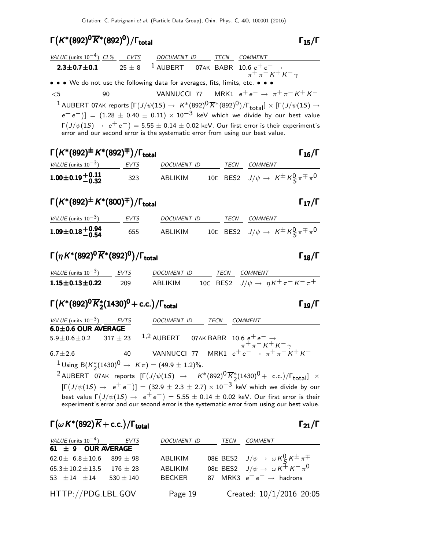#### Γ $(K^*(892)^0\overline{K}^*(892)^0)/\Gamma_{\rm total}$  Γ<sub>15</sub>/Γ

| VALUE (units $10^{-4}$ ) CL% EVTS                                                                                                   |                                                                                                                                                                                              | DOCUMENT ID TECN COMMENT                                                 |  |
|-------------------------------------------------------------------------------------------------------------------------------------|----------------------------------------------------------------------------------------------------------------------------------------------------------------------------------------------|--------------------------------------------------------------------------|--|
| $2.3 \pm 0.7 \pm 0.1$ 25 $\pm$ 8                                                                                                    |                                                                                                                                                                                              | 1 AUBERT 07AK BABR $10.6 e^+ e^- \rightarrow \pi^+ \pi^- K^+ K^- \gamma$ |  |
| • • • We do not use the following data for averages, fits, limits, etc. • • •                                                       |                                                                                                                                                                                              |                                                                          |  |
| $<$ 5<br>90                                                                                                                         |                                                                                                                                                                                              | VANNUCCI 77 MRK1 $e^+e^- \rightarrow \pi^+\pi^-K^+K^-$                   |  |
|                                                                                                                                     | <sup>1</sup> AUBERT 07AK reports $[\Gamma(J/\psi(1S) \to K^*(892)^0 \overline{K}^*(892)^0)/\Gamma_{\text{total}}] \times [\Gamma(J/\psi(1S) \to$                                             |                                                                          |  |
|                                                                                                                                     | $(e^+e^-)$ ] = (1.28 ± 0.40 ± 0.11) × 10 <sup>-3</sup> keV which we divide by our best value                                                                                                 |                                                                          |  |
|                                                                                                                                     | $\Gamma(J/\psi(15) \rightarrow e^+e^-) = 5.55 \pm 0.14 \pm 0.02$ keV. Our first error is their experiment's<br>error and our second error is the systematic error from using our best value. |                                                                          |  |
| $\mathsf{r}(1/\mathsf{k}/\mathsf{0} \cdot \mathsf{0}) + 1/\mathsf{k}/\mathsf{0} \cdot \mathsf{0} \cdot \mathsf{0} \cdot \mathsf{1}$ |                                                                                                                                                                                              |                                                                          |  |

| $\Gamma(K^*(892)^{\pm} K^*(892)^{\mp})/\Gamma_{\text{total}}$<br>$\Gamma_{16}/\Gamma$ |      |                    |  |      |                                                             |  |  |
|---------------------------------------------------------------------------------------|------|--------------------|--|------|-------------------------------------------------------------|--|--|
| VALUE (units $10^{-3}$ )                                                              | EVTS | <i>DOCUMENT ID</i> |  | TECN | COMMENT                                                     |  |  |
| $1.00\pm0.19\frac{+0.11}{-0.32}$                                                      | 323  | ABLIKIM            |  |      | 10E BES2 $J/\psi \rightarrow K^{\pm} K^0_S \pi^{\mp} \pi^0$ |  |  |

 $\Gamma(K^*(892)^\pm K^*(800)^\mp)/\Gamma_{\rm total}$ Γ

| VALUE (units $10^{-3}$ )        | EVTS | <i>DOCUMENT ID</i> |  | <i>TECN COMMENT</i>                                         |
|---------------------------------|------|--------------------|--|-------------------------------------------------------------|
| $1.09 \pm 0.18 + 0.94$<br>-0.54 | 655  | ABLIKIM            |  | 10E BES2 $J/\psi \rightarrow K^{\pm} K^0_S \pi^{\mp} \pi^0$ |

$$
\Gamma(\eta K^*(892)^0 \overline{K}^*(892)^0)/\Gamma_{\text{total}}
$$

| VALUE (units $10^{-3}$ ) | <b>EVTS</b> | <i>DOCUMENT ID</i> | TFCN | COMMENT                                        |
|--------------------------|-------------|--------------------|------|------------------------------------------------|
| $1.15\pm0.13\pm0.22$     | 209         | ABI IKIM           |      | 10C BES2 $J/\psi \to \eta K^+ \pi^- K^- \pi^+$ |

#### Γ $(K^*(892)^0\overline{K}_2^*)$ Γ(K\*(892)<sup>0</sup> $\overline{K}_2^*(1430)^0$  + c.c.)/Γ<sub>total</sub> Γ<sub>19</sub>/Γ  $\Gamma(K^*(892)^0\overline{K}_2^*(1430)^0 + \text{c.c.})/\Gamma_{\text{total}}$ Γ

| VALUE (units $10^{-3}$ ) EVTS | DOCUMENT ID TECN                                                           | <b>COMMENT</b>                                                                                                 |
|-------------------------------|----------------------------------------------------------------------------|----------------------------------------------------------------------------------------------------------------|
| $6.0 \pm 0.6$ OUR AVERAGE     |                                                                            |                                                                                                                |
|                               |                                                                            | 5.9 ± 0.6 ± 0.2 317 ± 23 <sup>1</sup> ,2 AUBERT 07AK BABR 10.6 $e^+e^- \rightarrow \pi^+ \pi^- K^+ K^- \gamma$ |
|                               |                                                                            |                                                                                                                |
| $6.7 \pm 2.6$                 |                                                                            |                                                                                                                |
|                               | <sup>1</sup> Using B( $K_2^*(1430)^0 \rightarrow K \pi$ ) = (49.9 ± 1.2)%. |                                                                                                                |
|                               | $2 \ldots =   -$                                                           | $\sim$ $\sim$ $\sim$ $\sim$                                                                                    |

 $^{2}$  AUBERT 07AK reports  $[Γ(J/\psi(1S) → K*(892)^0\overline{K}_2^*(1430)^0 + c.c.)/Γ_{total}] ×$  $[\Gamma(J/\psi(15) \to e^+e^-)] = (32.9 \pm 2.3 \pm 2.7) \times 10^{-3}$  keV which we divide by our best value  $\Gamma\bigl(J/\psi(1S) \rightarrow~{\rm e^+e^-} \bigr) = 5.55 \pm 0.14 \pm 0.02$  keV. Our first error is their experiment's error and our second error is the systematic error from using our best value.

### $\Gamma(\omega K^*(892)\overline{K}+\text{c.c.})/\Gamma_{\text{total}}$  Γ<sub>21</sub>/Γ

| VALUE (units $10^{-4}$ ) EVTS        |            | DOCUMENT ID TECN |  | COMMENT                                                                                                            |
|--------------------------------------|------------|------------------|--|--------------------------------------------------------------------------------------------------------------------|
| $61 \pm 9$ OUR AVERAGE               |            |                  |  |                                                                                                                    |
| $62.0 \pm 6.8 \pm 10.6$ 899 $\pm$ 98 |            | <b>ABLIKIM</b>   |  | 08E BES2 $J/\psi \rightarrow \omega K_S^0 K^{\pm} \pi^{\mp}$<br>08E BES2 $J/\psi \rightarrow \omega K^+ K^- \pi^0$ |
| $65.3 \pm 10.2 \pm 13.5$             | $176 + 28$ | ABLIKIM          |  |                                                                                                                    |
| 53 $\pm$ 14 $\pm$ 14 530 $\pm$ 140   |            | BECKER           |  | 87 MRK3 $e^+e^- \rightarrow$ hadrons                                                                               |
| HTTP://PDG.LBL.GOV                   |            | Page 19          |  | Created: 10/1/2016 20:05                                                                                           |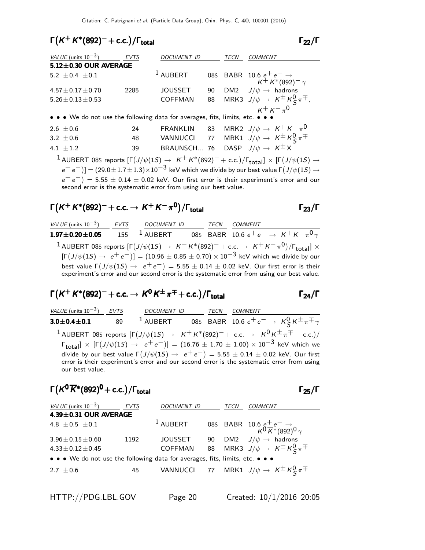#### $\Gamma(K^+K^*(892)^- + \text{c.c.})/\Gamma_{\text{total}}$  Γ<sub>22</sub>/Γ

| VALUE (units $10^{-3}$ )                                                                                                                                          | <b>EVTS</b> | <b>DOCUMENT ID</b> |    | TECN | <i>COMMENT</i>                                                                                                                               |  |
|-------------------------------------------------------------------------------------------------------------------------------------------------------------------|-------------|--------------------|----|------|----------------------------------------------------------------------------------------------------------------------------------------------|--|
| $5.12 \pm 0.30$ OUR AVERAGE                                                                                                                                       |             |                    |    |      |                                                                                                                                              |  |
| 5.2 $\pm$ 0.4 $\pm$ 0.1                                                                                                                                           |             | $1$ AUBERT         |    |      | 085 BABR 10.6 $e^+e^- \rightarrow$<br>$K^{+} K^{*} (892)^{-} \gamma$                                                                         |  |
| 4.57 $\pm$ 0.17 $\pm$ 0.70                                                                                                                                        | 2285        | <b>JOUSSET</b>     | 90 |      | DM2 $J/\psi \rightarrow$ hadrons                                                                                                             |  |
| $5.26 \pm 0.13 \pm 0.53$                                                                                                                                          |             | <b>COFFMAN</b>     | 88 |      | MRK3 $J/\psi \rightarrow K^{\pm} K^0_S \pi^{\mp}$ ,                                                                                          |  |
|                                                                                                                                                                   |             |                    |    |      | $K^+ K^- \pi^0$                                                                                                                              |  |
| $\bullet \bullet \bullet$ We do not use the following data for averages, fits, limits, etc. $\bullet \bullet \bullet$                                             |             |                    |    |      |                                                                                                                                              |  |
| 2.6 $\pm$ 0.6                                                                                                                                                     | 24          |                    |    |      | FRANKLIN 83 MRK2 $J/\psi \rightarrow K^+ K^- \pi^0$                                                                                          |  |
| 3.2 $\pm$ 0.6                                                                                                                                                     | 48          |                    |    |      | VANNUCCI 77 MRK1 $J/\psi \rightarrow K^{\pm} K^0_S \pi^{\mp}$                                                                                |  |
| $4.1 + 1.2$                                                                                                                                                       | 39          |                    |    |      | BRAUNSCH 76 DASP $J/\psi \rightarrow K^{\pm}X$                                                                                               |  |
|                                                                                                                                                                   |             |                    |    |      | <sup>1</sup> AUBERT 08S reports $[\Gamma(J/\psi(1S) \rightarrow K^+K^*(892)^- + c.c.)/\Gamma_{total}] \times [\Gamma(J/\psi(1S) \rightarrow$ |  |
|                                                                                                                                                                   |             |                    |    |      | $(e^+e^-)$ ] = (29.0 ± 1.7 ± 1.3) $\times$ 10 <sup>-3</sup> keV which we divide by our best value $\Gamma(J/\psi(1S) \rightarrow$            |  |
| $e^+e^-$ = 5.55 $\pm$ 0.14 $\pm$ 0.02 keV. Our first error is their experiment's error and our<br>second error is the systematic error from using our best value. |             |                    |    |      |                                                                                                                                              |  |

## $\Gamma(K^+K^*(892)^-$  + c.c.  $\rightarrow K^+K^-\pi^0)/\Gamma_{\rm total}$  Γ<sub>23</sub>/Γ

 $VALU E$  (units 10<sup>-3</sup>) EVTS DOCUMENT ID TECN COMMENT  $1.97\pm0.20\pm0.05$   $155$   $^1$  aubert  $08$ s babr 10.6  $e^+$   $e^ \rightarrow$   $\kappa^+$   $\kappa^ \pi^0$   $\gamma$  $1$  AUBERT 08s reports  $[\Gamma(J/\psi(1S) \to K^+K^*(892)^- + c.c. \to K^+K^-\pi^0)/\Gamma_{\rm total}]\times$  $[\Gamma(J/\psi(1S) \to e^+e^-)] = (10.96 \pm 0.85 \pm 0.70) \times 10^{-3}$  keV which we divide by our best value  $\Gamma\big( J/\psi(1S) \, \rightarrow \, \, e^+ \, e^- \big) \, = \, 5.55 \, \pm \, 0.14 \, \pm \, 0.02$  keV. Our first error is their experiment's error and our second error is the systematic error from using our best value.

## $\Gamma(K^+K^*(892)^- + \text{c.c.} \rightarrow K^0K^{\pm}\pi^{\mp} + \text{c.c.})/\Gamma_{\text{total}}$  Γ<sub>24</sub>/Γ

VALUE (units 10<sup>-3</sup>) EVTS DOCUMENT ID TECN COMMENT **3.0±0.4±0.1** 89 <sup>1</sup> AUBERT 08s BABR 10.6  $e^+e^- \rightarrow K_S^0 K^{\pm} \pi^{\mp} \gamma$  $^1$ AUBERT 08S reports  $[\Gamma(J/\psi(1S) \to~K^+K^*(892)^- +$  c.c.  $\to~\kappa^0\,K^\pm\pi^\mp+$  c.c.)/  $\lceil \frac{\mathsf{r}}{\mathsf{total}} \rceil \times \lceil \mathsf{\Gamma}(J/\psi(1S) \rightarrow \,\,\, e^+ \, e^-) \rceil = (16.76 \, \pm \, 1.70 \, \pm \, 1.00) \times 10^{-3} \, \, \text{keV}$  which we divide by our best value  $\Gamma(J/\psi(1S) \rightarrow~{\rm e^+ \, e^-}) = 5.55 \pm 0.14 \pm 0.02$  keV. Our first error is their experiment's error and our second error is the systematic error from using our best value.

### $\Gamma(K^0\overline{K}^*(892)^0 + \text{c.c.})/\Gamma_{\text{total}}$  Γ<sub>25</sub>/Γ

VALUE (units  $10^{-3}$ ) EVTS DOCUMENT ID TECN COMMENT  $4.39\pm0.31$  OUR AVERAGE 4.8  $\pm 0.5 \pm 0.1$  $1$  AUBERT 08S BABR 10.6  $g_{-}^{+}e_{-} \rightarrow$  $K^0 \overline{K^*}$ (892) $0 \gamma$  $3.96\pm0.15\pm0.60$  1192 JOUSSET 90 DM2  $J/\psi \rightarrow$  hadrons  $4.33 \pm 0.12 \pm 0.45$  COFFMAN 88 MRK3  $J/\psi \to K^{\pm} K^0_S \pi^{\mp}$ • • • We do not use the following data for averages, fits, limits, etc. • • • 2.7  $\pm$  0.6 45 VANNUCCI 77 MRK1  $J/\psi \to K^{\pm} K^0_S \pi^{\mp}$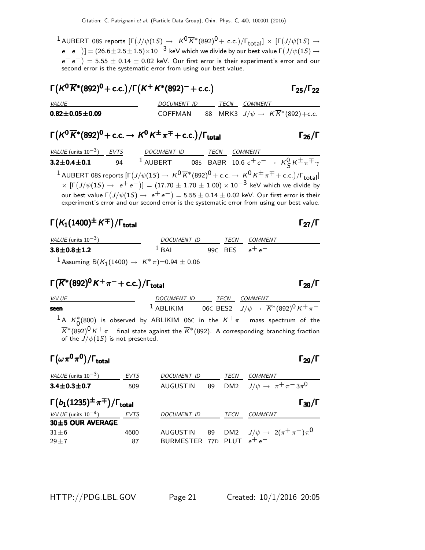$^1$ AUBERT 08S reports  $[\Gamma\big(J/\psi(1S)\big] \to \ K^0\overline{K}{}^*(892)^0+$  c.c. $)\big/\Gamma_{\rm total}\big] \times [\Gamma\big(J/\psi(1S)\to \psi(S2)\big]$  $\rm [e^+e^-)] =$   $(26.6\pm2.5\pm1.5)\times10^{-3}$  keV which we divide by our best value  $\Gamma(J/\psi(1S) \to$  $(e^+e^-) = 5.55 \pm 0.14 \pm 0.02$  keV. Our first error is their experiment's error and our second error is the systematic error from using our best value.

#### Γ( $K^0\overline{K}^*(892)^0$  + c.c.)/Γ( $K^+K^*(892)^-$  + c.c.) Γ<sub>25</sub>/Γ<sub>22</sub> VALUE MERICULARI DOCUMENT ID TECN COMMENT **0.82±0.05±0.09** COFFMAN 88 MRK3  $J/\psi \to K\overline{K}^*(892) + c.c.$

## $\mathsf{\Gamma}(K^0\overline{K}^*{(}892)^0+$  c.c. →  $K^0K^{\pm}\pi^{\mp}+$  c.c. $)/\mathsf{\Gamma}_{\mathsf{total}}$  Γ<sub>26</sub>/Γ

| VALUE (units $10^{-3}$ ) | EVTS | <b>DOCUMENT ID</b> | TECN | <b>COMMENT</b>                                                                                                                                                                                                                                                                                                                                                                                                                                                                            |
|--------------------------|------|--------------------|------|-------------------------------------------------------------------------------------------------------------------------------------------------------------------------------------------------------------------------------------------------------------------------------------------------------------------------------------------------------------------------------------------------------------------------------------------------------------------------------------------|
| $3.2 \pm 0.4 \pm 0.1$    | 94   | $1$ AUBERT         |      | 085 BABR 10.6 $e^+e^- \rightarrow K_S^0 K^{\pm} \pi^{\mp} \gamma$                                                                                                                                                                                                                                                                                                                                                                                                                         |
|                          |      |                    |      | <sup>1</sup> AUBERT 08S reports $[\Gamma(J/\psi(15) \to K^0 \overline{K}^*(892)^0 + c.c. \to K^0 K^{\pm} \pi^{\mp} + c.c.)/\Gamma_{\text{total}}]$<br>$\times$ $[\Gamma(J/\psi(15) \rightarrow e^+e^-)] = (17.70 \pm 1.70 \pm 1.00) \times 10^{-3}$ keV which we divide by<br>our best value $\Gamma(J/\psi(1S) \rightarrow e^+e^-) = 5.55 \pm 0.14 \pm 0.02$ keV. Our first error is their<br>experiment's error and our second error is the systematic error from using our best value. |

# $\Gamma(K_1(1400)^\pm K^\mp)/\Gamma_{\rm total}$  Γ<sub>27</sub>/Γ

| VALUE (units $10^{-3}$ )                                                                       | <i>DOCUMENT ID</i> | TECN             | COMMENT |
|------------------------------------------------------------------------------------------------|--------------------|------------------|---------|
| $3.8 \pm 0.8 \pm 1.2$                                                                          | $\frac{1}{2}$ RAI  | 99C BES $e^+e^-$ |         |
| <sup>1</sup> Assuming B(K <sub>1</sub> (1400) $\rightarrow$ K <sup>*</sup> $\pi$ )=0.94 ± 0.06 |                    |                  |         |

## $\Gamma(\overline{K}^*(892)^0 K^+\pi^-+$  c.c.)/ $\Gamma_{\text{total}}$   $\Gamma_{28}/\Gamma$

| <b>VALUE</b>                                                                                                                              | DOCUMENT ID TECN COMMENT |  |                                                      |  |
|-------------------------------------------------------------------------------------------------------------------------------------------|--------------------------|--|------------------------------------------------------|--|
| seen                                                                                                                                      | $1$ ABLIKIM              |  | 06C BES2 $J/\psi \to \overline{K}^*(892)^0 K^+\pi^-$ |  |
| <sup>1</sup> A K <sup>*</sup> <sub>0</sub> (800) is observed by ABLIKIM 06C in the K <sup>+</sup> $\pi$ <sup>-</sup> mass spectrum of the |                          |  |                                                      |  |
| $\overline{K}^*(892)^0 K^+\pi^-$ final state against the $\overline{K}^*(892)$ . A corresponding branching fraction                       |                          |  |                                                      |  |
| of the $J/\psi(1S)$ is not presented.                                                                                                     |                          |  |                                                      |  |

### Γ $(\omega \pi^0 \pi^0)/\Gamma_{\text{total}}$

| VALUE (units $10^{-3}$ )                              | <b>EVTS</b> | DOCUMENT ID                 |    | TECN        | COMMENT                              |
|-------------------------------------------------------|-------------|-----------------------------|----|-------------|--------------------------------------|
| $3.4 \pm 0.3 \pm 0.7$                                 | 509         | <b>AUGUSTIN</b>             | 89 |             | DM2 $J/\psi \to \pi^+ \pi^- 3 \pi^0$ |
| $\Gamma(b_1(1235)^{\pm}\pi^{\mp})/\Gamma_{\rm total}$ |             |                             |    |             | $\Gamma_{30}/\Gamma$                 |
| VALUE (units $10^{-4}$ )                              | EVTS        | <b>DOCUMENT ID</b>          |    | <b>TECN</b> | <b>COMMENT</b>                       |
| 30±5 OUR AVERAGE                                      |             |                             |    |             |                                      |
| $31\pm 6$                                             | 4600        | AUGUSTIN                    | 89 |             | DM2 $J/\psi \to 2(\pi^+\pi^-)\pi^0$  |
| $29 + 7$                                              | 87          | BURMESTER 77D PLUT $e^+e^-$ |    |             |                                      |

total27

 $\Gamma_{28}/\Gamma$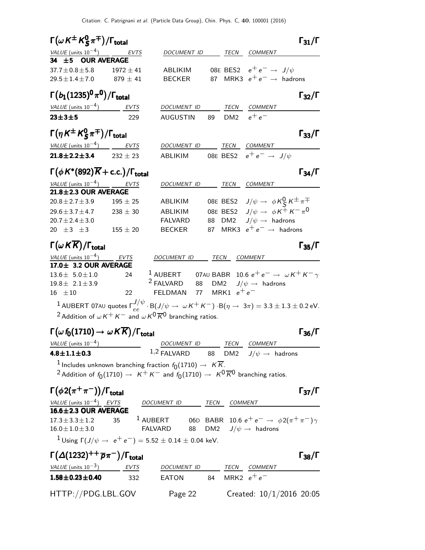| $\Gamma(\omega K^{\pm} K^0_S \pi^{\mp})/\Gamma_{\text{total}}$             |               |                                                                                                                                 |    |                  |                                                            | $\Gamma_{31}/\Gamma$ |
|----------------------------------------------------------------------------|---------------|---------------------------------------------------------------------------------------------------------------------------------|----|------------------|------------------------------------------------------------|----------------------|
| $VALUE$ (units $10^{-4}$ ) EVTS                                            |               | DOCUMENT ID TECN COMMENT                                                                                                        |    |                  |                                                            |                      |
| 34 ±5 OUR AVERAGE                                                          |               |                                                                                                                                 |    |                  |                                                            |                      |
| $37.7 \pm 0.8 \pm 5.8$                                                     | $1972 \pm 41$ | ABLIKIM                                                                                                                         |    |                  | 08E BES2 $e^+e^- \rightarrow J/\psi$                       |                      |
| $29.5 \pm 1.4 \pm 7.0$                                                     | $879\pm41$    | <b>BECKER</b>                                                                                                                   |    |                  | 87 MRK3 $e^+e^- \rightarrow$ hadrons                       |                      |
| $\Gamma(b_1(1235)^{0}\pi^{0})/\Gamma_{\rm total}$                          |               |                                                                                                                                 |    |                  |                                                            | $\Gamma_{32}/\Gamma$ |
| VALUE (units $10^{-4}$ ) EVTS                                              |               | DOCUMENT ID TECN COMMENT                                                                                                        |    |                  |                                                            |                      |
| $23 + 3 + 5$                                                               | 229           | AUGUSTIN 89 DM2 $e^+e^-$                                                                                                        |    |                  |                                                            |                      |
| $\Gamma(\eta K^{\pm} K^0_S \pi^{\mp})/\Gamma_{\text{total}}$               |               |                                                                                                                                 |    |                  |                                                            | $\Gamma_{33}/\Gamma$ |
| $VALUE$ (units $10^{-4}$ ) EVTS                                            |               | DOCUMENT ID TECN COMMENT                                                                                                        |    |                  |                                                            |                      |
| $21.8 \pm 2.2 \pm 3.4$                                                     | $232 \pm 23$  | ABLIKIM 08E BES2 $e^+e^- \rightarrow J/\psi$                                                                                    |    |                  |                                                            |                      |
| $\Gamma(\phi K^*(892)\overline{K}$ + c.c.)/ $\Gamma_{\text{total}}$        |               |                                                                                                                                 |    |                  |                                                            | $\Gamma_{34}/\Gamma$ |
| VALUE (units $10^{-4}$ ) EVTS                                              |               | DOCUMENT ID                                                                                                                     |    |                  | TECN COMMENT                                               |                      |
| $21.8 \pm 2.3$ OUR AVERAGE                                                 |               |                                                                                                                                 |    |                  |                                                            |                      |
| $20.8 \pm 2.7 \pm 3.9$                                                     | $195 + 25$    | ABLIKIM                                                                                                                         |    |                  | 08E BES2 $J/\psi \rightarrow \phi K^0_S K^{\pm} \pi^{\mp}$ |                      |
| $29.6 \pm 3.7 \pm 4.7$                                                     | $238 \pm 30$  | ABLIKIM                                                                                                                         |    |                  | 08E BES2 $J/\psi \rightarrow \phi K^{\pm} K^- \pi^0$       |                      |
| $20.7 \pm 2.4 \pm 3.0$                                                     |               | <b>FALVARD</b>                                                                                                                  |    |                  | 88 DM2 $J/\psi \rightarrow$ hadrons                        |                      |
| $20 \pm 3 \pm 3$ $155 \pm 20$                                              |               | <b>BECKER</b>                                                                                                                   |    |                  | 87 MRK3 $e^+e^- \rightarrow$ hadrons                       |                      |
| $\Gamma(\omega K\overline{K})/\Gamma_{\rm total}$                          |               |                                                                                                                                 |    |                  |                                                            | $\Gamma_{35}/\Gamma$ |
| $VALUE$ (units $10^{-4}$ ) EVTS                                            |               | DOCUMENT ID TECN COMMENT                                                                                                        |    |                  |                                                            |                      |
| 17.0± 3.2 OUR AVERAGE                                                      |               |                                                                                                                                 |    |                  |                                                            |                      |
| $13.6 \pm 5.0 \pm 1.0$                                                     | 24            | 1 AUBERT 07AU BABR 10.6 $e^+e^- \rightarrow \omega K^+ K^- \gamma$                                                              |    |                  |                                                            |                      |
| $19.8 \pm 2.1 \pm 3.9$                                                     |               | <sup>2</sup> FALVARD                                                                                                            |    | 77 MRK1 $e^+e^-$ | 88 DM2 $J/\psi \rightarrow$ hadrons                        |                      |
| $16 \pm 10$                                                                | 22            | <b>FELDMAN</b>                                                                                                                  |    |                  |                                                            |                      |
|                                                                            |               | 1 AUBERT 07AU quotes $\Gamma_{ee}^{J/\psi} \cdot B(J/\psi \to \omega K^+ K^-) \cdot B(\eta \to 3\pi) = 3.3 \pm 1.3 \pm 0.2$ eV. |    |                  |                                                            |                      |
|                                                                            |               | <sup>2</sup> Addition of $\omega K^+ K^-$ and $\omega K^0 \overline{K}{}^0$ branching ratios.                                   |    |                  |                                                            |                      |
| $\Gamma(\omega f_0(1710) \to \omega K \overline{K})/\Gamma_{\text{total}}$ |               |                                                                                                                                 |    |                  |                                                            | $\Gamma_{36}/\Gamma$ |
| $VALUE$ (units $10^{-4}$ )                                                 |               | DOCUMENT ID                                                                                                                     |    |                  | TECN COMMENT                                               |                      |
| $4.8 \pm 1.1 \pm 0.3$                                                      |               | $1,2$ FALVARD                                                                                                                   | 88 |                  | DM2 $J/\psi \rightarrow$ hadrons                           |                      |
|                                                                            |               | $^1$ Includes unknown branching fraction $f_0(1710)\rightarrow~K\overline{K}.$                                                  |    |                  |                                                            |                      |
|                                                                            |               | <sup>2</sup> Addition of $f_0(1710) \to K^+K^-$ and $f_0(1710) \to K^0\overline{K}^0$ branching ratios.                         |    |                  |                                                            |                      |
| $\Gamma(\phi 2(\pi^+\pi^-))/\Gamma_{\rm total}$                            |               |                                                                                                                                 |    |                  |                                                            | $\Gamma_{37}/\Gamma$ |

| $\Gamma(\phi 2(\pi^+\pi^-))/\Gamma_{\rm total}$ |                                                                     |      | $\Gamma_{37}/\Gamma$                                        |
|-------------------------------------------------|---------------------------------------------------------------------|------|-------------------------------------------------------------|
| VALUE (units $10^{-4}$ ) EVTS                   | <i>DOCUMENT ID</i>                                                  | TECN | <i>COMMENT</i>                                              |
| $16.6 \pm 2.3$ OUR AVERAGE                      |                                                                     |      |                                                             |
| $17.3 \pm 3.3 \pm 1.2$ 35                       | $1$ AUBERT                                                          |      | 06D BABR 10.6 $e^+e^- \rightarrow \phi 2(\pi^+\pi^-)\gamma$ |
| $16.0 \pm 1.0 \pm 3.0$                          | FAI VARD                                                            |      | 88 DM2 $J/\psi \rightarrow$ hadrons                         |
|                                                 | $1$ Using $\Gamma(J/\psi \to e^+e^-) = 5.52 \pm 0.14 \pm 0.04$ keV. |      |                                                             |

| $\Gamma(\Delta(1232)^{++} \overline{p}\pi^-)/\Gamma_{\rm total}$ |             |                    |                  |                            | $\Gamma_{38}/\Gamma$ |
|------------------------------------------------------------------|-------------|--------------------|------------------|----------------------------|----------------------|
| <i>VALUE</i> (units $10^{-3}$ )                                  | <b>EVTS</b> | <b>DOCUMENT ID</b> | TECN             | COMMENT                    |                      |
| $1.58 \pm 0.23 \pm 0.40$                                         | 332         | FATON              | 84 MRK2 $e^+e^-$ |                            |                      |
| HTTP://PDG.LBL.GOV                                               |             | Page 22            |                  | Created: $10/1/2016$ 20:05 |                      |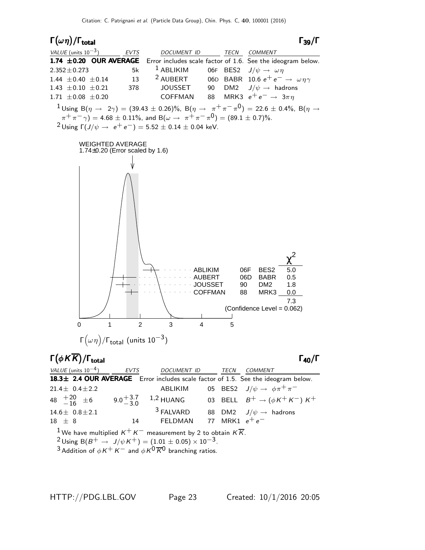

21.4 $\pm$  0.4 $\pm$ 2.2 ABLIKIM 05 BES2  $J/\psi \to \phi \pi^+ \pi^ 48 \begin{array}{r} +20 \\ -16 \end{array} \pm 6$  9.0  $+3.7$ −3.0 1,2 HUANG 03 BELL  $B^+ \rightarrow (\phi K^+ K^-) K^+$  $14.6 \pm 0.8 \pm 2.1$  $3$  FALVARD 88 DM2  $J/\psi \rightarrow$  hadrons  $18 \pm 8$  14 FELDMAN 77 MRK1  $e^+e^-$ <sup>1</sup> We have multiplied  $K^+ K^-$  measurement by 2 to obtain K $\overline{K}$ .  $2$  Using B( $B^+$  →  $J/\psi K^+$ ) = (1.01  $\pm$  0.05)  $\times$  10<sup>-3</sup>.

 $^3$  Addition of  $\phi K^+ K^-$  and  $\phi K^0 \overline{K}{}^0$  branching ratios.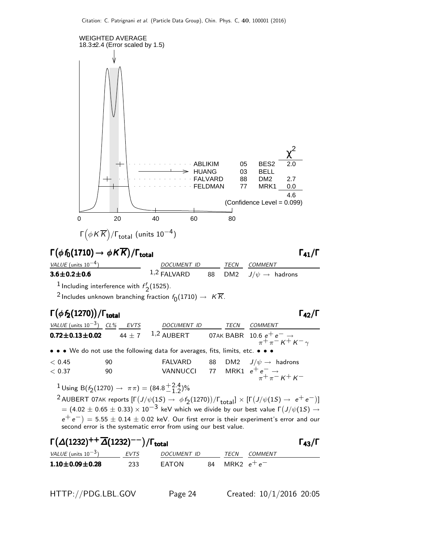

$$
3.6\!\pm\!0.2\!\pm\!0.6
$$

 $\Gamma_{42}/\Gamma$ 

 $1$  Including interference with  $f'$  $\frac{1}{2}$ (1525).

 $^2$ Includes unknown branching fraction  $f_0(1710)\rightarrow~K\overline{K}.$ 

#### Γ $(\phi f_2(1270))$ /Γ<sub>total</sub> Γ<sub>42</sub>/Γ

VALUE (units 10<sup>-3</sup>) CL% EVTS DOCUMENT ID TECN COMMENT  $0.72 \pm 0.13 \pm 0.02$  44  $\pm$  7 1,2 AUBERT 07AK BABR 10.6  $e^+e^ K^+ K^-$ • • • We do not use the following data for averages, fits, limits, etc. •  $< 0.45$  90 FALVARD 88 DM2  $J/\psi \rightarrow$  hadrons  $< 0.37$  90 VANNUCCI 77 MRK1  $e^+ e^- \rightarrow$  $\frac{1}{\pi} + \frac{1}{\pi} - \frac{1}{\pi} + \frac{1}{\pi}$ 

 $1$  Using B( $f_2(1270) \rightarrow \pi \pi$ ) = (84.8 $^{+2.4}_{-1.2}$  $\binom{+2.4}{-1.2}$ %

 $^2$  AUBERT 07AK reports  $[\Gamma(J/\psi(1S) \to \phi f_2(1270))/\Gamma_{\text{total}}] \times [\Gamma(J/\psi(1S) \to e^+e^-)]$  $= (4.02 \pm 0.65 \pm 0.33) \times 10^{-3}$  keV which we divide by our best value  $\Gamma(J/\psi(15) \rightarrow$  $\mathrm{e^+e^-)}=5.55\pm0.14\pm0.02$  keV. Our first error is their experiment's error and our second error is the systematic error from using our best value.

| $\Gamma(\Delta(1232)^{++}\overline{\Delta}(1232)^{--})/\Gamma_{\rm total}$ |      |             |                  |         | $\Gamma_{43}/\Gamma$ |
|----------------------------------------------------------------------------|------|-------------|------------------|---------|----------------------|
| <i>VALUE</i> (units $10^{-3}$ )                                            | EVTS | DOCUMENT ID | <b>TFCN</b>      | COMMENT |                      |
| $1.10\pm0.09\pm0.28$                                                       | 233  | FATON       | 84 MRK2 $e^+e^-$ |         |                      |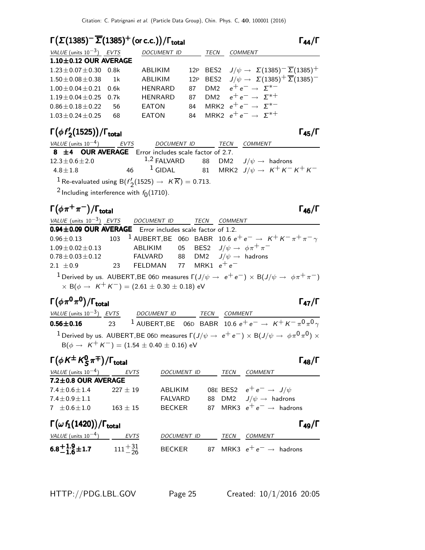#### $\Gamma(\Sigma(1385)^{-}\overline{\Sigma}(1385)^{+}$  (or c.c.)) / Γ<sub>total</sub> Γ<sub>44</sub> / Γ

| VALUE (units $10^{-3}$ ) EVTS |       | DOCUMENT ID    |    | <b>TECN</b> | <b>COMMENT</b>                                                             |
|-------------------------------|-------|----------------|----|-------------|----------------------------------------------------------------------------|
| $1.10 \pm 0.12$ OUR AVERAGE   |       |                |    |             |                                                                            |
| $1.23 \pm 0.07 \pm 0.30$      | .0.8k | ABLIKIM        |    |             | 12P BES2 $J/\psi \rightarrow \Sigma(1385)^{-} \overline{\Sigma}(1385)^{+}$ |
| $1.50 \pm 0.08 \pm 0.38$      | 1 k   | <b>ABLIKIM</b> |    |             | 12P BES2 $J/\psi \rightarrow \Sigma(1385)^{+} \overline{\Sigma}(1385)^{-}$ |
| $1.00 \pm 0.04 \pm 0.21$ 0.6k |       | <b>HFNRARD</b> | 87 |             | DM2 $e^+e^- \rightarrow \Sigma^{*-}$                                       |
| $1.19 \pm 0.04 \pm 0.25$ 0.7k |       | <b>HENRARD</b> |    |             | 87 DM2 $e^+e^- \rightarrow \Sigma^{*+}$                                    |
| $0.86 \pm 0.18 \pm 0.22$      | - 56  | <b>EATON</b>   | 84 |             | MRK2 $e^+e^- \rightarrow \Sigma^{*-}$                                      |
| $1.03 \pm 0.24 \pm 0.25$      | 68    | <b>EATON</b>   | 84 |             | MRK2 $e^+e^- \rightarrow \Sigma^{*+}$                                      |
|                               |       |                |    |             |                                                                            |

#### $Γ(φf')$ Γ $(\phi f'_{2}(1525))$ /Γ<sub>total</sub> Γ<sub>45</sub>/Γ

 $\Gamma_{44}/\Gamma$ 

| VALUE (units $10^{-4}$ ) EVTS DOCUMENT ID TECN                                         |  |  | COMMENT                                                    |
|----------------------------------------------------------------------------------------|--|--|------------------------------------------------------------|
| 8 $\pm$ 4 OUR AVERAGE Error includes scale factor of 2.7.                              |  |  |                                                            |
| $12.3 \pm 0.6 \pm 2.0$                                                                 |  |  | 1,2 FALVARD 88 DM2 $J/\psi \rightarrow$ hadrons            |
| $4.8 \pm 1.8$                                                                          |  |  | 46 <sup>1</sup> GIDAL 81 MRK2 $J/\psi \to K^+ K^- K^+ K^-$ |
| <sup>1</sup> Re-evaluated using B( $f'_{2}(1525) \rightarrow K\overline{K}$ ) = 0.713. |  |  |                                                            |

 $^2$ Including interference with  $f_0(1710)$ .

### $\Gamma(\phi \pi^+ \pi^-)/\Gamma_{\rm total}$  Γ<sub>46</sub>/Γ

total and the set of the set of the set of the set of the set of the set of the set of the set of the set of t

| VALUE (units $10^{-3}$ ) EVTS DOCUMENT ID TECN COMMENT               |                                                                               |  |                                                                                                                       |
|----------------------------------------------------------------------|-------------------------------------------------------------------------------|--|-----------------------------------------------------------------------------------------------------------------------|
| 0.94±0.09 OUR AVERAGE Error includes scale factor of 1.2.            |                                                                               |  |                                                                                                                       |
|                                                                      |                                                                               |  | $0.96 \pm 0.13$ 103 <sup>1</sup> AUBERT, BE 06D BABR 10.6 $e^+e^- \rightarrow K^+K^-\pi^+\pi^-\gamma$                 |
| $1.09 \pm 0.02 \pm 0.13$                                             |                                                                               |  | ABLIKIM 05 BES2 $J/\psi \rightarrow \phi \pi^+ \pi^-$                                                                 |
| $0.78 \pm 0.03 \pm 0.12$ FALVARD 88 DM2 $J/\psi \rightarrow$ hadrons |                                                                               |  |                                                                                                                       |
| 2.1 $\pm$ 0.9 23 FELDMAN 77 MRK1 $e^+e^-$                            |                                                                               |  |                                                                                                                       |
|                                                                      |                                                                               |  | <sup>1</sup> Derived by us. AUBERT, BE 06D measures $\Gamma(J/\psi \to e^+e^-) \times B(J/\psi \to \phi \pi^+ \pi^-)$ |
|                                                                      | $\times$ B( $\phi \rightarrow K^{+}K^{-}$ ) = (2.61 $\pm$ 0.30 $\pm$ 0.18) eV |  |                                                                                                                       |

#### $\Gamma(\phi \, \pi^0 \, \pi^0) / \Gamma_{\rm total}$  Γ<sub>47</sub>/Γ

VALUE (units 10<sup>-3</sup>) EVTS DOCUMENT ID TECN COMMENT  ${\bf 0.56{\pm}0.16}$   ${\rm 23}$   ${\rm 1}$  aubert,be 06d babr 10.6  $e^+ \, e^- \rightarrow \ K^+ \, K^- \, \pi^0 \pi^0 \, \gamma$  $^1$  Derived by us. <code>AUBERT</code>,BE 06D measures  $\Gamma(J/\psi\to~{\rm e^+e^-})\times {\rm B}(J/\psi\to~\phi\pi^0\pi^0)\times$  $B(\phi \to K^+ K^-) = (1.54 \pm 0.40 \pm 0.16)$  eV

| $\Gamma(\phi K^{\pm} K^0_S \pi^{\mp})/\Gamma_{\text{total}}$ |                       |                    |             | $\Gamma_{48}/\Gamma$                 |
|--------------------------------------------------------------|-----------------------|--------------------|-------------|--------------------------------------|
| VALUE (units $10^{-4}$ )                                     | <b>EVTS</b>           | <b>DOCUMENT ID</b> | <b>TECN</b> | <b>COMMENT</b>                       |
| 7.2±0.8 OUR AVERAGE                                          |                       |                    |             |                                      |
| $7.4 \pm 0.6 \pm 1.4$                                        | $227\pm19$            | ABLIKIM            |             | 08E BES2 $e^+e^- \rightarrow J/\psi$ |
| $7.4 \pm 0.9 \pm 1.1$                                        |                       | <b>FALVARD</b>     |             | 88 DM2 $J/\psi \rightarrow$ hadrons  |
| $7 \pm 0.6 \pm 1.0$                                          | $163 \pm 15$          | <b>BECKER</b>      |             | 87 MRK3 $e^+e^- \rightarrow$ hadrons |
| $\Gamma(\omega f_1(1420))/\Gamma_{\rm total}$                |                       |                    |             | $\Gamma_{49}/\Gamma$                 |
| VALUE (units $10^{-4}$ )                                     | <b>EVTS</b>           | <b>DOCUMENT ID</b> | <b>TECN</b> | <b>COMMENT</b>                       |
| $6.8^{+1.9}_{-1.6}$ ± 1.7                                    | $111 + \frac{31}{26}$ | <b>BECKER</b>      |             | 87 MRK3 $e^+e^- \rightarrow$ hadrons |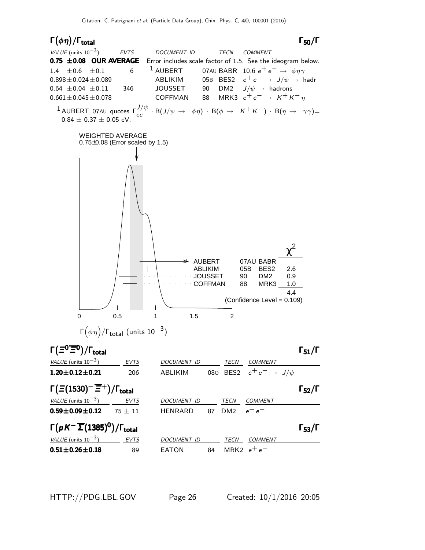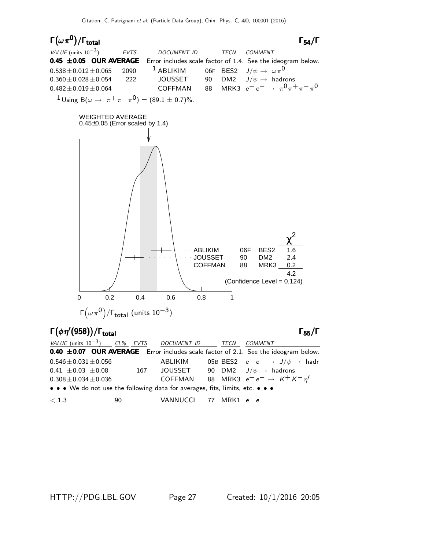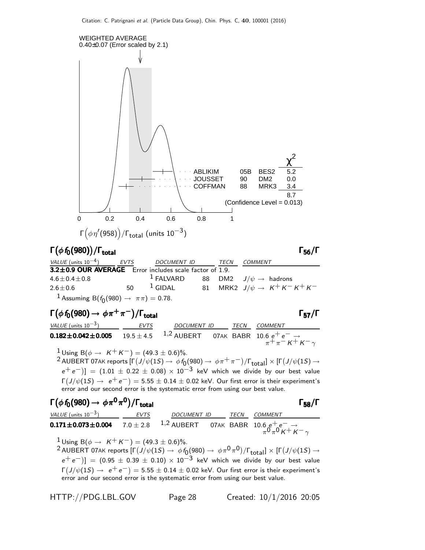

#### Γ $(\phi f_0(980))/\Gamma_{\text{total}}$  Γ $_5$ 6/Γ

/Γ $_{\rm total}$  Γ $_{56}/$  Γ

VALUE (units  $10^{-4}$ ) EVTS DOCUMENT ID TECN COMMENT **3.2±0.9 OUR AVERAGE** Error includes scale factor of 1.9.<br>4.6±0.4±0.8  $1$  FALVARD 88 DM  $4.6 \pm 0.4 \pm 0.8$ 88 DM2  $J/\psi \rightarrow$  hadrons  $2.6 \pm 0.6$  50 <sup>1</sup> GIDAL 81 MRK2  $J/\psi \to K^+ K^- K^+ K^ 1$  Assuming B $(f_0(980) \rightarrow \pi\pi) = 0.78$ .

$$
\Gamma(\phi f_0(980) \to \phi \pi^+ \pi^-)/\Gamma_{\text{total}}
$$

VALUE (units 10<sup>-3</sup> ) EVTS DOCUMENT ID TECN COMMENT  $0.182 \pm 0.042 \pm 0.005$  19.5  $\pm$  4.5  $1,2$  AUBERT 07AK BABR 10.6  $e^+e^ + \pi$ <sup>-</sup> K<sup>+</sup> K<sup>-</sup> γ

 $1 \text{ Using } B(\phi \to K^+ K^-) = (49.3 \pm 0.6)\%$ .

 $^2$  AUBERT 07AK reports  $[\Gamma(J/\psi(1S) \to \phi' f_0(980) \to \phi \pi^+ \pi^-)/\Gamma_{\rm total}] \times [\Gamma(J/\psi(1S) \to \phi' f_0(980) \to \phi \pi^+ \pi^-)]$  $\mathrm{e^+e^-)}] = (1.01\,\pm\,0.22\,\pm\,0.08)\times 10^{-3}$  keV which we divide by our best value  $\Gamma(J/\psi(1S) \rightarrow~{\rm e^+ \, e^-}) = 5.55 \pm 0.14 \pm 0.02$  keV. Our first error is their experiment's error and our second error is the systematic error from using our best value.

$$
\Gamma(\phi f_0(980) \rightarrow \phi \pi^0 \pi^0)/\Gamma_{\text{total}}
$$
\n
$$
\frac{\text{VALUE (units 10}^{-3})}{0.171 \pm 0.073 \pm 0.004} \frac{\text{EVTS}}{7.0 \pm 2.8}
$$
\n
$$
\frac{\text{DOCUMENT ID}}{1.2 \text{ AUBERT}} \frac{\text{TECN}}{074K} \frac{\text{COMMENT}}{10.6 e^+ e^-} \rightarrow
$$
\n
$$
\pi^0 \pi^0 \pi^0 K^+ K^- \gamma
$$

 $1$  Using B( $\phi \to K^+ K^-$ ) = (49.3 ± 0.6)%.

 $^2$  AUBERT 07AK reports  $[\Gamma(J/\psi(1S) \to] \phi f_0(980) \to] \phi \pi^0 \pi^0)/\Gamma_{\rm total}] \times [\Gamma(J/\psi(1S) \to]$  $\mathrm{[Fe^{-})}] \ = \ (0.95\,\pm\,0.39\,\pm\,0.10)\,\times\,10^{-3}$  keV which we divide by our best value  $\Gamma(J/\psi(1S) \to~{\rm e^+ \, e^-}) = 5.55 \pm 0.14 \pm 0.02$  keV. Our first error is their experiment's error and our second error is the systematic error from using our best value.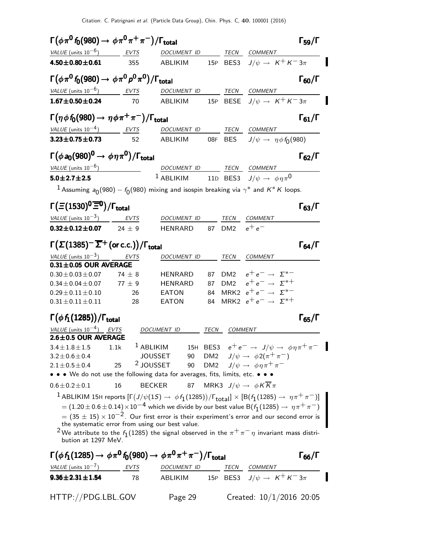| $\Gamma(\phi\pi^0f_0(980)\to \phi\pi^0\pi^+\pi^-)/\Gamma_{\rm total}$                                    |            |                                                 |      |                |                                                                                                                                                                                                                                                                                                                                                                                               | $\Gamma_{59}/\Gamma$ |
|----------------------------------------------------------------------------------------------------------|------------|-------------------------------------------------|------|----------------|-----------------------------------------------------------------------------------------------------------------------------------------------------------------------------------------------------------------------------------------------------------------------------------------------------------------------------------------------------------------------------------------------|----------------------|
| VALUE (units $10^{-6}$ ) EVTS                                                                            |            | DOCUMENT ID                                     |      |                | TECN COMMENT                                                                                                                                                                                                                                                                                                                                                                                  |                      |
| $4.50 \pm 0.80 \pm 0.61$                                                                                 | 355        | ABLIKIM                                         |      |                | 15P BES3 $J/\psi \rightarrow K^+ K^- 3\pi$                                                                                                                                                                                                                                                                                                                                                    |                      |
| $\Gamma(\phi\pi^0\,f_0(980)\rightarrow\,\phi\,\pi^0\,\rho^0\,\pi^0)/\Gamma_{\rm total}$                  |            |                                                 |      |                |                                                                                                                                                                                                                                                                                                                                                                                               | $\Gamma_{60}/\Gamma$ |
| $VALUE$ (units $10^{-6}$ ) EVTS                                                                          |            | DOCUMENT ID TECN COMMENT                        |      |                |                                                                                                                                                                                                                                                                                                                                                                                               |                      |
| $1.67 \pm 0.50 \pm 0.24$                                                                                 | 70         | ABLIKIM                                         |      |                | 15P BESE $J/\psi \rightarrow K^+ K^- 3 \pi$                                                                                                                                                                                                                                                                                                                                                   |                      |
| $\Gamma(\eta \phi f_0(980) \rightarrow \eta \phi \pi^+ \pi^-)/\Gamma_{\rm total}$                        |            |                                                 |      |                |                                                                                                                                                                                                                                                                                                                                                                                               | $\Gamma_{61}/\Gamma$ |
| VALUE (units $10^{-4}$ ) EVTS                                                                            |            | DOCUMENT ID                                     |      |                | TECN COMMENT                                                                                                                                                                                                                                                                                                                                                                                  |                      |
| $3.23 \pm 0.75 \pm 0.73$                                                                                 | 52         | ABLIKIM                                         |      |                | 08F BES $J/\psi \rightarrow \eta \phi f_0(980)$                                                                                                                                                                                                                                                                                                                                               |                      |
| $\Gamma(\phi a_0(980)^0 \to \phi \eta \pi^0)/\Gamma_{\rm total}$                                         |            |                                                 |      |                |                                                                                                                                                                                                                                                                                                                                                                                               | $\Gamma_{62}/\Gamma$ |
| VALUE (units $10^{-6}$ )                                                                                 |            | DOCUMENT ID TECN COMMENT                        |      |                |                                                                                                                                                                                                                                                                                                                                                                                               |                      |
| $5.0 \pm 2.7 \pm 2.5$                                                                                    |            |                                                 |      |                | <sup>1</sup> ABLIKIM 11D BES3 $J/\psi \rightarrow \phi \eta \pi^0$                                                                                                                                                                                                                                                                                                                            |                      |
| <sup>1</sup> Assuming $a_0(980) - f_0(980)$ mixing and isospin breaking via $\gamma^*$ and $K^*K$ loops. |            |                                                 |      |                |                                                                                                                                                                                                                                                                                                                                                                                               |                      |
| $\Gamma(\Xi(1530)^0\overline{\Xi}{}^0)/\Gamma_{\rm total}$                                               |            |                                                 |      |                |                                                                                                                                                                                                                                                                                                                                                                                               | $\Gamma_{63}/\Gamma$ |
| VALUE (units $10^{-3}$ ) EVTS                                                                            |            | DOCUMENT ID                                     |      | TECN           | <b>COMMENT</b>                                                                                                                                                                                                                                                                                                                                                                                |                      |
| $0.32 \pm 0.12 \pm 0.07$                                                                                 | 24 $\pm$ 9 | HENRARD 87 DM2                                  |      |                | $e^+e^-$                                                                                                                                                                                                                                                                                                                                                                                      |                      |
| $\Gamma(\Sigma(1385)^{-}\overline{\Sigma}^{+}$ (or c.c.)) / $\Gamma_{\rm total}$                         |            |                                                 |      |                |                                                                                                                                                                                                                                                                                                                                                                                               | $\Gamma_{64}/\Gamma$ |
| VALUE (units $10^{-3}$ )                                                                                 | EVTS       | DOCUMENT ID                                     |      |                | TECN COMMENT                                                                                                                                                                                                                                                                                                                                                                                  |                      |
| $0.31 \pm 0.05$ OUR AVERAGE                                                                              |            |                                                 |      |                |                                                                                                                                                                                                                                                                                                                                                                                               |                      |
| $0.30 \pm 0.03 \pm 0.07$                                                                                 | 74 $\pm$ 8 | <b>HENRARD</b>                                  |      |                | 87 DM2 $e^+e^- \to \Sigma^{*-}$                                                                                                                                                                                                                                                                                                                                                               |                      |
| $0.34 \pm 0.04 \pm 0.07$                                                                                 | $77 \pm 9$ | <b>HENRARD</b>                                  | 87   |                | DM2 $e^+e^- \rightarrow \Sigma^{*+}$                                                                                                                                                                                                                                                                                                                                                          |                      |
| $0.29 \pm 0.11 \pm 0.10$                                                                                 | 26         | <b>EATON</b>                                    | 84   |                | MRK2 $e^+e^- \rightarrow \Sigma^{*-}$                                                                                                                                                                                                                                                                                                                                                         |                      |
| $0.31 \pm 0.11 \pm 0.11$                                                                                 | 28         | <b>EATON</b>                                    | 84   |                | MRK2 $e^+e^- \rightarrow \Sigma^{*+}$                                                                                                                                                                                                                                                                                                                                                         |                      |
| $\Gamma(\phi\,f_1(1285))/\Gamma_{\rm total}$                                                             |            |                                                 |      |                |                                                                                                                                                                                                                                                                                                                                                                                               | $\Gamma_{65}/\Gamma$ |
| VALUE (units $10^{-4}$ ) EVTS                                                                            |            | DOCUMENT ID                                     | TECN | <b>COMMENT</b> |                                                                                                                                                                                                                                                                                                                                                                                               |                      |
| 2.6±0.5 OUR AVERAGE                                                                                      |            |                                                 |      |                |                                                                                                                                                                                                                                                                                                                                                                                               |                      |
| $3.4 \pm 1.8 \pm 1.5$                                                                                    | 1.1k       | $^1$ ABLIKIM                                    |      |                | 15H BES3 $e^+e^- \rightarrow J/\psi \rightarrow \phi \eta \pi^+ \pi^-$                                                                                                                                                                                                                                                                                                                        |                      |
| $3.2 \pm 0.6 \pm 0.4$                                                                                    |            | JOUSSET<br>90                                   |      |                | DM2 $J/\psi \rightarrow \phi 2(\pi^+\pi^-)$                                                                                                                                                                                                                                                                                                                                                   |                      |
| $2.1 \pm 0.5 \pm 0.4$                                                                                    | 25         | <sup>2</sup> JOUSSET                            |      |                | 90 DM2 $J/\psi \rightarrow \phi \eta \pi^+ \pi^-$                                                                                                                                                                                                                                                                                                                                             |                      |
| • • • We do not use the following data for averages, fits, limits, etc. • • •                            |            |                                                 |      |                |                                                                                                                                                                                                                                                                                                                                                                                               |                      |
| $0.6 \pm 0.2 \pm 0.1$                                                                                    | 16         | <b>BECKER</b>                                   |      |                | 87 MRK3 $J/\psi \rightarrow \phi K \overline{K} \pi$                                                                                                                                                                                                                                                                                                                                          |                      |
|                                                                                                          |            |                                                 |      |                | $^1$ ABLIKIM 15H reports $[\Gamma(J/\psi(1S) \to \phi f_1(1285))/\Gamma_{\rm total}]\times [B(f_1(1285) \to \eta \pi^+\pi^-)]$<br>$\alpha = (1.20 \pm 0.6 \pm 0.14) \times 10^{-4}$ which we divide by our best value B $(f_1(1285) \rightarrow~\eta \pi^+ \pi^-)$<br>= (35 $\pm$ 15) $\times$ 10 <sup>-2</sup> . Our first error is their experiment's error and our second error is $\vert$ |                      |
|                                                                                                          |            | the systematic error from using our best value. |      |                |                                                                                                                                                                                                                                                                                                                                                                                               |                      |
| bution at 1297 MeV.                                                                                      |            |                                                 |      |                | <sup>2</sup> We attribute to the $f_1$ (1285) the signal observed in the $\pi^+\pi^-\eta$ invariant mass distri-                                                                                                                                                                                                                                                                              |                      |
| $\Gamma(\phi f_1(1285) \to \phi \pi^0 f_0(980) \to \phi \pi^0 \pi^+ \pi^-)/\Gamma_{\text{total}}$        |            |                                                 |      |                |                                                                                                                                                                                                                                                                                                                                                                                               | $\Gamma_{66}/\Gamma$ |
| $VALUE$ (units $10^{-7}$ ) EVTS                                                                          |            | DOCUMENT ID                                     |      |                | TECN COMMENT                                                                                                                                                                                                                                                                                                                                                                                  |                      |
| $9.36 \pm 2.31 \pm 1.54$                                                                                 | 78         |                                                 |      |                | ABLIKIM 15P BES3 $J/\psi \rightarrow K^+ K^- 3\pi$                                                                                                                                                                                                                                                                                                                                            |                      |
|                                                                                                          |            |                                                 |      |                |                                                                                                                                                                                                                                                                                                                                                                                               |                      |
| HTTP://PDG.LBL.GOV                                                                                       |            | Page 29                                         |      |                | Created: 10/1/2016 20:05                                                                                                                                                                                                                                                                                                                                                                      |                      |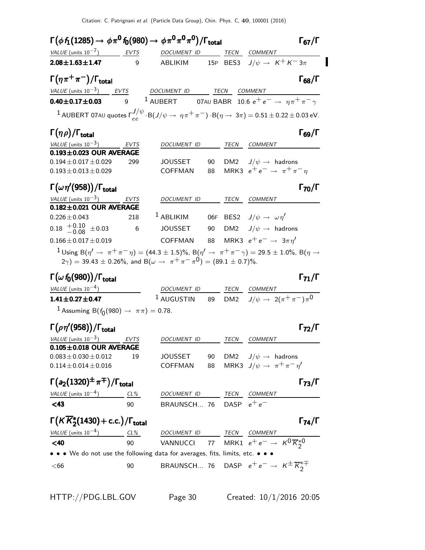| $\Gamma\big(\phi\,f_1(1285) \to\, \phi\,\pi^{\mathbf{0}}\,f_0(980) \to\, \phi\,\pi^{\mathbf{0}}\,\pi^{\mathbf{0}}\,\pi^{\mathbf{0}}\big)/\Gamma_{\text{total}}$ |                |                           |          | $\Gamma_{67}/\Gamma$                                                                                                                              |
|-----------------------------------------------------------------------------------------------------------------------------------------------------------------|----------------|---------------------------|----------|---------------------------------------------------------------------------------------------------------------------------------------------------|
| VALUE (units $10^{-7}$ )                                                                                                                                        | <b>EVTS</b>    | DOCUMENT ID TECN COMMENT  |          |                                                                                                                                                   |
| $2.08 \pm 1.63 \pm 1.47$                                                                                                                                        | 9              |                           |          | ABLIKIM 15P BES3 $J/\psi \rightarrow K^+ K^- 3\pi$                                                                                                |
| $\Gamma(\eta \pi^+\pi^-)/\Gamma_{\rm total}$                                                                                                                    |                |                           |          | $\Gamma_{68}/\Gamma$                                                                                                                              |
| VALUE (units $10^{-3}$ ) EVTS                                                                                                                                   |                | DOCUMENT ID TECN COMMENT  |          |                                                                                                                                                   |
| $0.40 \pm 0.17 \pm 0.03$                                                                                                                                        | $\overline{9}$ |                           |          | <sup>1</sup> AUBERT 07AU BABR 10.6 $e^+e^- \rightarrow \eta \pi^+ \pi^- \gamma$                                                                   |
|                                                                                                                                                                 |                |                           |          | 1 AUBERT 07AU quotes $\Gamma_{ee}^{J/\psi}$ ·B $(J/\psi \rightarrow \eta \pi^+ \pi^-)\cdot B(\eta \rightarrow 3\pi) = 0.51 \pm 0.22 \pm 0.03$ eV. |
| $\Gamma(\eta \rho)/\Gamma_{\rm total}$                                                                                                                          |                |                           |          | $\Gamma_{69}/\Gamma$                                                                                                                              |
| VALUE (units $10^{-3}$ ) EVTS                                                                                                                                   |                | DOCUMENT ID               |          | TECN COMMENT                                                                                                                                      |
| $0.193 \pm 0.023$ OUR AVERAGE                                                                                                                                   |                |                           |          |                                                                                                                                                   |
| $0.194 \pm 0.017 \pm 0.029$<br>$0.193 \pm 0.013 \pm 0.029$                                                                                                      | 299            | <b>JOUSSET</b><br>COFFMAN | 90<br>88 | DM2 $J/\psi \rightarrow$ hadrons<br>MRK3 $e^+e^- \rightarrow \pi^+\pi^-\eta$                                                                      |
|                                                                                                                                                                 |                |                           |          |                                                                                                                                                   |
| $\Gamma(\omega\eta'(958))/\Gamma_{\rm total}$                                                                                                                   |                |                           |          | $\Gamma_{70}/\Gamma$                                                                                                                              |
| VALUE (units $10^{-3}$ ) EVTS                                                                                                                                   |                | DOCUMENT ID TECN COMMENT  |          |                                                                                                                                                   |
| $0.182 \pm 0.021$ OUR AVERAGE                                                                                                                                   |                |                           |          |                                                                                                                                                   |
| $0.226 \pm 0.043$                                                                                                                                               | 218            | $^1$ ABLIKIM              |          | 06F BES2 $J/\psi \rightarrow \omega \eta'$                                                                                                        |
| $0.18 \begin{array}{l} +0.10 \\ -0.08 \end{array} \pm 0.03$                                                                                                     | $\overline{6}$ | JOUSSET                   | 90       | DM2 $J/\psi \rightarrow$ hadrons                                                                                                                  |
| $0.166 \pm 0.017 \pm 0.019$                                                                                                                                     |                |                           |          | COFFMAN 88 MRK3 $e^+e^- \rightarrow 3\pi \eta'$                                                                                                   |
| $(2\gamma) = 39.43 \pm 0.26\%$ , and B( $\omega \rightarrow \pi^+ \pi^- \pi^0$ ) = (89.1 $\pm$ 0.7)%.                                                           |                |                           |          | $^{-1}$ Using B( $\eta' \to \pi^+\pi^-\eta$ ) = (44.3 $\pm$ 1.5)%, B( $\eta' \to \pi^+\pi^-\gamma$ ) = 29.5 $\pm$ 1.0%, B( $\eta \to$             |
| $\Gamma(\omega f_0(980))/\Gamma_{\rm total}$                                                                                                                    |                |                           |          | $\Gamma_{71}/\Gamma$                                                                                                                              |
| VALUE (units $10^{-4}$ )                                                                                                                                        |                | DOCUMENT ID TECN COMMENT  |          |                                                                                                                                                   |
| $1.41 \pm 0.27 \pm 0.47$                                                                                                                                        |                |                           |          | <sup>1</sup> AUGUSTIN 89 DM2 $J/\psi \rightarrow 2(\pi^+\pi^-)\pi^0$                                                                              |
| <sup>1</sup> Assuming B( $f_0(980) \to \pi \pi$ ) = 0.78.                                                                                                       |                |                           |          |                                                                                                                                                   |
|                                                                                                                                                                 |                |                           |          |                                                                                                                                                   |
| $\Gamma(\rho\eta'(958))/\Gamma_{\rm total}$                                                                                                                     |                |                           |          | $\Gamma_{72}/\Gamma$                                                                                                                              |
| VALUE (units $10^{-3}$ ) EVTS<br>$0.105 \pm 0.018$ OUR AVERAGE                                                                                                  |                | DOCUMENT ID TECN COMMENT  |          |                                                                                                                                                   |
| $0.083 \pm 0.030 \pm 0.012$                                                                                                                                     | 19             | JOUSSET                   |          | 90 DM2 $J/\psi \rightarrow$ hadrons                                                                                                               |
| $0.114 \pm 0.014 \pm 0.016$                                                                                                                                     |                | COFFMAN                   |          | 88 MRK3 $J/\psi \rightarrow \pi^+ \pi^- \eta'$                                                                                                    |
| $\Gamma(a_2(1320)^{\pm} \pi^{\mp})/\Gamma_{\text{total}}$                                                                                                       |                |                           |          | $\Gamma_{73}/\Gamma$                                                                                                                              |
|                                                                                                                                                                 |                | DOCUMENT ID TECN COMMENT  |          |                                                                                                                                                   |
| $\frac{VALUE \text{ (units 10}^{-4})}{\angle 43}$ $\frac{CL\%}{90}$<br>$\leq 43$                                                                                |                | BRAUNSCH 76 DASP $e^+e^-$ |          |                                                                                                                                                   |
| $\Gamma(K\overline{K}_2^*(1430) + c.c.)/\Gamma_{\text{total}}$                                                                                                  |                |                           |          | $\Gamma_{74}/\Gamma$                                                                                                                              |
| <u>VALUE</u> (units $10^{-4}$ ) CL%                                                                                                                             |                |                           |          |                                                                                                                                                   |
| $<$ 40                                                                                                                                                          | 90             |                           |          | $\frac{DOCUMENT~ID}{VANNUCCI}$ $\frac{TECN}{NRK1}$ $\frac{COMMENT}{e^+e^-}$ $\rightarrow$ $\frac{K^0 \overline{K}_2^{*0}}{e^+e^-}$                |
| • • • We do not use the following data for averages, fits, limits, etc. • • •                                                                                   |                |                           |          |                                                                                                                                                   |
| $<$ 66                                                                                                                                                          | 90             |                           |          | BRAUNSCH 76 DASP $e^+e^- \rightarrow K^{\pm} \overline{K_2^*}$                                                                                    |
|                                                                                                                                                                 |                |                           |          |                                                                                                                                                   |
|                                                                                                                                                                 |                |                           |          |                                                                                                                                                   |
| HTTP://PDG.LBL.GOV                                                                                                                                              |                | Page 30                   |          | Created: $10/1/2016$ 20:05                                                                                                                        |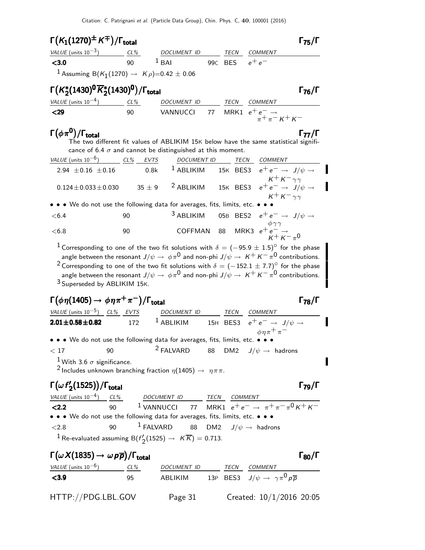| VALUE (units $10^{-3}$ )                                                                                                                                                                                                                                                                                                                                                                                                                                                                                                                                                                                                                                                                                               | $\Gamma(K_1(1270)^{\pm}\,K^{\mp})/\Gamma_{\rm total}$<br>$CL\%$ | DOCUMENT ID                                                                                                                                               |    | TECN        | <i>COMMENT</i>                                                              | $\Gamma_{75}/\Gamma$                                                                                    |
|------------------------------------------------------------------------------------------------------------------------------------------------------------------------------------------------------------------------------------------------------------------------------------------------------------------------------------------------------------------------------------------------------------------------------------------------------------------------------------------------------------------------------------------------------------------------------------------------------------------------------------------------------------------------------------------------------------------------|-----------------------------------------------------------------|-----------------------------------------------------------------------------------------------------------------------------------------------------------|----|-------------|-----------------------------------------------------------------------------|---------------------------------------------------------------------------------------------------------|
| < 3.0                                                                                                                                                                                                                                                                                                                                                                                                                                                                                                                                                                                                                                                                                                                  | 90                                                              | $1$ BAI                                                                                                                                                   |    | 99C BES     | $e^+e^-$                                                                    |                                                                                                         |
| <sup>1</sup> Assuming B(K <sub>1</sub> (1270) $\rightarrow$ K $\rho$ )=0.42 ± 0.06                                                                                                                                                                                                                                                                                                                                                                                                                                                                                                                                                                                                                                     |                                                                 |                                                                                                                                                           |    |             |                                                                             |                                                                                                         |
|                                                                                                                                                                                                                                                                                                                                                                                                                                                                                                                                                                                                                                                                                                                        |                                                                 |                                                                                                                                                           |    |             |                                                                             |                                                                                                         |
| $\Gamma(K_2^*(1430)^0\overline{K}_2^*(1430)^0)/\Gamma_{\rm total}$                                                                                                                                                                                                                                                                                                                                                                                                                                                                                                                                                                                                                                                     |                                                                 |                                                                                                                                                           |    |             |                                                                             | $\Gamma_{76}/\Gamma$                                                                                    |
| VALUE (units $10^{-4}$ )                                                                                                                                                                                                                                                                                                                                                                                                                                                                                                                                                                                                                                                                                               | $CL\%$                                                          | DOCUMENT ID                                                                                                                                               |    | <b>TECN</b> | COMMENT                                                                     |                                                                                                         |
| $29$                                                                                                                                                                                                                                                                                                                                                                                                                                                                                                                                                                                                                                                                                                                   | 90                                                              | VANNUCCI                                                                                                                                                  | 77 |             | MRK1 $e^+e^- \rightarrow \pi^+ \pi^- K^+ K^-$                               |                                                                                                         |
| $\Gamma(\phi\pi^0)/\Gamma_{\rm total}$                                                                                                                                                                                                                                                                                                                                                                                                                                                                                                                                                                                                                                                                                 |                                                                 | The two different fit values of ABLIKIM 15K below have the same statistical signifi-<br>cance of 6.4 $\sigma$ and cannot be distinguished at this moment. |    |             |                                                                             | $\Gamma_{77}/\Gamma$                                                                                    |
| VALUE (units $10^{-6}$ )                                                                                                                                                                                                                                                                                                                                                                                                                                                                                                                                                                                                                                                                                               | $CL\%$ EVTS                                                     | <b>DOCUMENT ID</b>                                                                                                                                        |    |             | TECN COMMENT                                                                |                                                                                                         |
| 2.94 $\pm$ 0.16 $\pm$ 0.16                                                                                                                                                                                                                                                                                                                                                                                                                                                                                                                                                                                                                                                                                             |                                                                 | $1$ ABLIKIM<br>0.8k                                                                                                                                       |    |             | 15K BES3 $e^+e^- \rightarrow J/\psi \rightarrow$                            |                                                                                                         |
| $0.124 \pm 0.033 \pm 0.030$                                                                                                                                                                                                                                                                                                                                                                                                                                                                                                                                                                                                                                                                                            |                                                                 | $35 \pm 9$ <sup>2</sup> ABLIKIM                                                                                                                           |    |             | $K^+ K^- \gamma \gamma$<br>15K BES3 $e^+e^- \rightarrow J/\psi \rightarrow$ |                                                                                                         |
|                                                                                                                                                                                                                                                                                                                                                                                                                                                                                                                                                                                                                                                                                                                        |                                                                 |                                                                                                                                                           |    |             | $K^+ K^- \gamma \gamma$                                                     |                                                                                                         |
| • • • We do not use the following data for averages, fits, limits, etc. • •                                                                                                                                                                                                                                                                                                                                                                                                                                                                                                                                                                                                                                            |                                                                 |                                                                                                                                                           |    |             |                                                                             |                                                                                                         |
| < 6.4                                                                                                                                                                                                                                                                                                                                                                                                                                                                                                                                                                                                                                                                                                                  | 90                                                              | $3$ ABLIKIM                                                                                                                                               |    |             | 05B BES2 $e^+e^- \rightarrow J/\psi \rightarrow$                            |                                                                                                         |
| < 6.8                                                                                                                                                                                                                                                                                                                                                                                                                                                                                                                                                                                                                                                                                                                  | 90                                                              | COFFMAN                                                                                                                                                   |    | 88          | MRK3 $e^+e^-$<br>$\overrightarrow{K} + \overrightarrow{K} - \pi^0$          |                                                                                                         |
| <sup>2</sup> Corresponding to one of the two fit solutions with $\delta = (-152.1 \pm 7.7)^{\circ}$ for the phase                                                                                                                                                                                                                                                                                                                                                                                                                                                                                                                                                                                                      |                                                                 |                                                                                                                                                           |    |             |                                                                             | angle between the resonant $J/\psi\to\ \phi\pi^0$ and non-phi $J/\psi\to\ K^+\ K^-\pi^0$ contributions. |
| <sup>3</sup> Superseded by ABLIKIM 15K.                                                                                                                                                                                                                                                                                                                                                                                                                                                                                                                                                                                                                                                                                |                                                                 | angle between the resonant $J/\psi \to \phi \pi^0$ and non-phi $J/\psi \to K^+ K^- \pi^0$ contributions.                                                  |    |             |                                                                             |                                                                                                         |
|                                                                                                                                                                                                                                                                                                                                                                                                                                                                                                                                                                                                                                                                                                                        |                                                                 |                                                                                                                                                           |    |             |                                                                             |                                                                                                         |
|                                                                                                                                                                                                                                                                                                                                                                                                                                                                                                                                                                                                                                                                                                                        | 172                                                             | DOCUMENT ID<br>$1$ ABLIKIM                                                                                                                                |    |             | TECN COMMENT                                                                |                                                                                                         |
|                                                                                                                                                                                                                                                                                                                                                                                                                                                                                                                                                                                                                                                                                                                        |                                                                 |                                                                                                                                                           |    |             | 15H BES3 $e^+e^- \rightarrow J/\psi \rightarrow$<br>$\phi n \pi^+ \pi^-$    |                                                                                                         |
| • • We do not use the following data for averages, fits, limits, etc. •                                                                                                                                                                                                                                                                                                                                                                                                                                                                                                                                                                                                                                                |                                                                 |                                                                                                                                                           |    |             |                                                                             |                                                                                                         |
| 90                                                                                                                                                                                                                                                                                                                                                                                                                                                                                                                                                                                                                                                                                                                     |                                                                 | <sup>2</sup> FALVARD 88 DM2 $J/\psi \rightarrow$ hadrons                                                                                                  |    |             |                                                                             |                                                                                                         |
| <sup>1</sup> With 3.6 $\sigma$ significance.                                                                                                                                                                                                                                                                                                                                                                                                                                                                                                                                                                                                                                                                           |                                                                 |                                                                                                                                                           |    |             |                                                                             | $\Gamma_{78}/\Gamma$                                                                                    |
|                                                                                                                                                                                                                                                                                                                                                                                                                                                                                                                                                                                                                                                                                                                        |                                                                 | <sup>2</sup> Includes unknown branching fraction $\eta(1405) \rightarrow \eta \pi \pi$ .                                                                  |    |             |                                                                             |                                                                                                         |
|                                                                                                                                                                                                                                                                                                                                                                                                                                                                                                                                                                                                                                                                                                                        |                                                                 |                                                                                                                                                           |    |             |                                                                             |                                                                                                         |
|                                                                                                                                                                                                                                                                                                                                                                                                                                                                                                                                                                                                                                                                                                                        |                                                                 |                                                                                                                                                           |    |             |                                                                             |                                                                                                         |
|                                                                                                                                                                                                                                                                                                                                                                                                                                                                                                                                                                                                                                                                                                                        |                                                                 |                                                                                                                                                           |    |             |                                                                             |                                                                                                         |
|                                                                                                                                                                                                                                                                                                                                                                                                                                                                                                                                                                                                                                                                                                                        |                                                                 |                                                                                                                                                           |    |             |                                                                             |                                                                                                         |
|                                                                                                                                                                                                                                                                                                                                                                                                                                                                                                                                                                                                                                                                                                                        | 90                                                              | <sup>1</sup> FALVARD 88 DM2 $J/\psi \rightarrow$ hadrons                                                                                                  |    |             |                                                                             |                                                                                                         |
|                                                                                                                                                                                                                                                                                                                                                                                                                                                                                                                                                                                                                                                                                                                        |                                                                 | <sup>1</sup> Re-evaluated assuming B( $f'_{2}(1525) \rightarrow K\overline{K}$ ) = 0.713.                                                                 |    |             |                                                                             |                                                                                                         |
|                                                                                                                                                                                                                                                                                                                                                                                                                                                                                                                                                                                                                                                                                                                        |                                                                 |                                                                                                                                                           |    |             |                                                                             |                                                                                                         |
|                                                                                                                                                                                                                                                                                                                                                                                                                                                                                                                                                                                                                                                                                                                        |                                                                 |                                                                                                                                                           |    |             |                                                                             |                                                                                                         |
| $\Gamma(\phi \eta(1405) \to \phi \eta \pi^+ \pi^-)/\Gamma_{\text{total}}$<br>VALUE (units $10^{-5}$ ) CL% EVTS<br>$2.01 \pm 0.58 \pm 0.82$<br>< 17<br>$\Gamma(\omega f_{2}^{\prime}(1525)) / \Gamma_{\text{total}}$<br>$\frac{\text{VALU E (units 10}^{-4})}{\text{C2.2}} \quad \frac{\text{CL\%}}{90} \quad \frac{\text{DOCUMENT ID}}{1 \text{VANNUCCI}} \quad \frac{\text{TECN}}{77} \quad \frac{\text{COMMENT}}{\text{MRK1}} \quad e^+ e^- \rightarrow \pi^+ \pi^- \pi^0 K^+ K^-$<br>• • • We do not use the following data for averages, fits, limits, etc. • • •<br>${<}2.8$<br>$\Gamma(\omega X(1835) \rightarrow \omega \, p \overline{p})/\Gamma_{\rm total}$<br>VALUE (units $10^{-6}$ ) CL%<br>$\langle$ 3.9 | 95                                                              | $\frac{DOCUMENT ID}{ABELIKIM}$ $\frac{TECN}{BES3}$ $\frac{COMMENT}{J/\psi \rightarrow \gamma \pi^0 p \overline{p}}$                                       |    |             |                                                                             |                                                                                                         |
| HTTP://PDG.LBL.GOV                                                                                                                                                                                                                                                                                                                                                                                                                                                                                                                                                                                                                                                                                                     |                                                                 | Page 31                                                                                                                                                   |    |             | Created: $10/1/2016$ 20:05                                                  | $\Gamma_{79}/\Gamma$<br>$\Gamma_{80}/\Gamma$                                                            |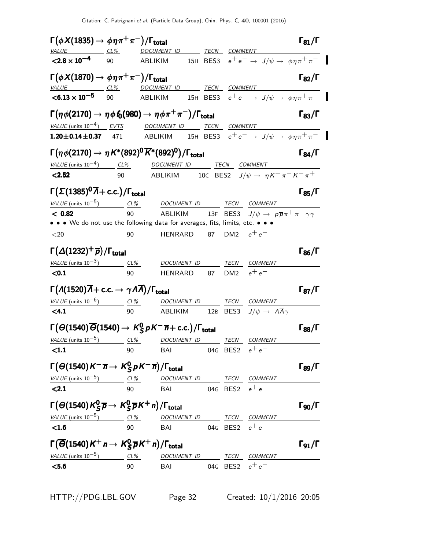| $\Gamma(\phi X(1835) \to \phi \eta \pi^+ \pi^-)/\Gamma_{\rm total}$                                                  |    |                                                                                                    |  |                   |                                                                               | $\Gamma_{81}/\Gamma$                                                   |
|----------------------------------------------------------------------------------------------------------------------|----|----------------------------------------------------------------------------------------------------|--|-------------------|-------------------------------------------------------------------------------|------------------------------------------------------------------------|
| $\frac{VALUE}{2.8 \times 10^{-4}}$ $\frac{CL\%}{90}$                                                                 |    | DOCUMENT ID TECN<br>ABLIKIM 15H BES3 $e^+e^- \rightarrow J/\psi \rightarrow \phi \eta \pi^+ \pi^-$ |  | <b>COMMENT</b>    |                                                                               |                                                                        |
| $\Gamma(\phi X(1870) \rightarrow \phi \eta \pi^+ \pi^-)/\Gamma_{\text{total}}$                                       |    |                                                                                                    |  |                   |                                                                               | $\Gamma_{82}/\Gamma$                                                   |
| $VALUE$ $CL\%$                                                                                                       |    | DOCUMENT ID TECN COMMENT                                                                           |  |                   |                                                                               |                                                                        |
| $\leq 6.13 \times 10^{-5}$ 90                                                                                        |    | ABLIKIM                                                                                            |  |                   |                                                                               | 15H BES3 $e^+e^- \rightarrow J/\psi \rightarrow \phi \eta \pi^+ \pi^-$ |
| $\Gamma(\eta\phi(2170) \to \eta\phi\, \mathit{f}_0(980) \to \eta\,\phi\, \pi^+\pi^-)/\Gamma_{\text{total}}$          |    |                                                                                                    |  |                   |                                                                               | $\Gamma_{83}/\Gamma$                                                   |
| $VALU E$ (units $10^{-4}$ ) EVTS DOCUMENT ID TECN COMMENT                                                            |    |                                                                                                    |  |                   |                                                                               |                                                                        |
| $1.20 \pm 0.14 \pm 0.37$ 471                                                                                         |    | ABLIKIM 15H BES3 $e^+e^- \rightarrow J/\psi \rightarrow \phi \eta \pi^+ \pi^-$                     |  |                   |                                                                               |                                                                        |
| $\Gamma(\eta \phi(2170) \to \eta K^{*}(892)^{0} \overline{K}^{*}(892)^{0})/\Gamma_{\text{total}}$                    |    |                                                                                                    |  |                   |                                                                               | $\Gamma_{84}/\Gamma$                                                   |
| $VALUE$ (units $10^{-4}$ ) CL% DOCUMENT ID TECN COMMENT                                                              |    |                                                                                                    |  |                   |                                                                               |                                                                        |
| < 2.52                                                                                                               | 90 | ABLIKIM 10C BES2 $J/\psi \rightarrow \eta K^+ \pi^- K^- \pi^+$                                     |  |                   |                                                                               |                                                                        |
| $\Gamma(\Sigma(1385)^0\overline{A} + \text{c.c.})/\Gamma_{\text{total}}$                                             |    |                                                                                                    |  |                   |                                                                               | $\Gamma_{85}/\Gamma$                                                   |
| VALUE (units $10^{-5}$ ) CL%                                                                                         |    | DOCUMENT ID TECN COMMENT                                                                           |  |                   |                                                                               |                                                                        |
| < 0.82<br>• • • We do not use the following data for averages, fits, limits, etc. • • •                              | 90 |                                                                                                    |  |                   | ABLIKIM 13F BES3 $J/\psi \rightarrow p\overline{p}\pi^{+}\pi^{-}\gamma\gamma$ |                                                                        |
| $<$ 20                                                                                                               | 90 | HENRARD                                                                                            |  |                   | 87 DM2 $e^+e^-$                                                               |                                                                        |
| $\Gamma(\Delta(1232)^+\overline{p})/\Gamma_{\rm total}$                                                              |    |                                                                                                    |  |                   |                                                                               | $\Gamma_{86}/\Gamma$                                                   |
| <u>VALUE</u> (units $10^{-3}$ ) CL%                                                                                  |    | DOCUMENT ID                                                                                        |  |                   | TECN COMMENT                                                                  |                                                                        |
| < 0.1                                                                                                                | 90 | HENRARD                                                                                            |  | 87 DM2            | $e^+e^-$                                                                      |                                                                        |
| $\Gamma(A(1520)\overline{A} + \text{c.c.} \rightarrow \gamma A \overline{A})/\Gamma_{\text{total}}$                  |    |                                                                                                    |  |                   |                                                                               | $\Gamma_{87}/\Gamma$                                                   |
| <u>VALUE</u> (units $10^{-6}$ ) CL%                                                                                  |    | DOCUMENT ID TECN COMMENT                                                                           |  |                   |                                                                               |                                                                        |
| < 4.1                                                                                                                | 90 |                                                                                                    |  |                   | ABLIKIM 12B BES3 $J/\psi \to A\overline{A}\gamma$                             |                                                                        |
| $\Gamma(\Theta(1540)\overline{\Theta}(1540) \rightarrow K_S^0 pK^-\overline{n} + \text{c.c.})/\Gamma_{\text{total}}$ |    |                                                                                                    |  |                   |                                                                               | $\Gamma_{88}/\Gamma$                                                   |
| VALUE (units $10^{-5}$ ) CL%                                                                                         |    | DOCUMENT ID                                                                                        |  | TECN              | COMMENT                                                                       |                                                                        |
| $\leq 1.1$                                                                                                           | 90 | BAI                                                                                                |  | 04G BES2 $e^+e^-$ |                                                                               |                                                                        |
| $\Gamma(\Theta(1540)K^{-}\overline{n} \rightarrow K_S^0 pK^{-}\overline{n})/\Gamma_{\rm total}$                      |    |                                                                                                    |  |                   |                                                                               | $\Gamma_{89}/\Gamma$                                                   |
| VALUE (units $10^{-5}$ ) CL%                                                                                         |    | DOCUMENT ID TECN COMMENT                                                                           |  |                   |                                                                               |                                                                        |
| < 2.1                                                                                                                | 90 | BAI                                                                                                |  |                   | 04G BES2 $e^+e^-$                                                             |                                                                        |
| $\Gamma(\Theta(1540)K_S^0\overline{p}\rightarrow K_S^0\overline{p}K^+n)/\Gamma_{\rm total}$                          |    |                                                                                                    |  |                   |                                                                               | $\Gamma_{90}/\Gamma$                                                   |
| $VALUE$ (units $10^{-5}$ ) $CL\%$ DOCUMENT ID TECN COMMENT                                                           |    |                                                                                                    |  |                   |                                                                               |                                                                        |
| $<1.6$                                                                                                               | 90 | <b>BAI</b>                                                                                         |  |                   | 04G BES2 $e^+e^-$                                                             |                                                                        |
| $\Gamma(\overline{\Theta}(1540)K^+n\to K_S^0\overline{p}K^+n)/\Gamma_{\rm total}$                                    |    |                                                                                                    |  |                   |                                                                               | $\Gamma_{91}/\Gamma$                                                   |
| $VALUE$ (units $10^{-5}$ ) $CL\%$ DOCUMENT ID TECN COMMENT                                                           |    |                                                                                                    |  |                   |                                                                               |                                                                        |
| < 5.6                                                                                                                | 90 | BAI                                                                                                |  | 04G BES2 $e^+e^-$ |                                                                               |                                                                        |
|                                                                                                                      |    |                                                                                                    |  |                   |                                                                               |                                                                        |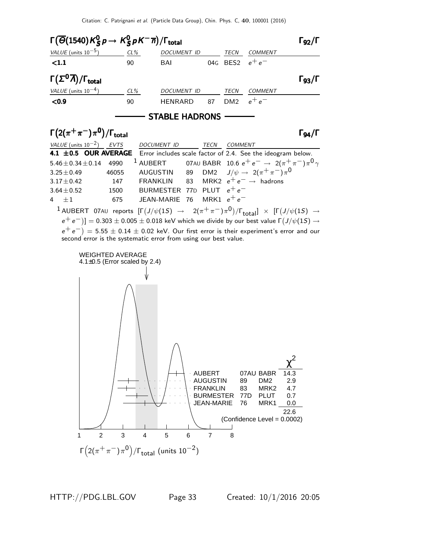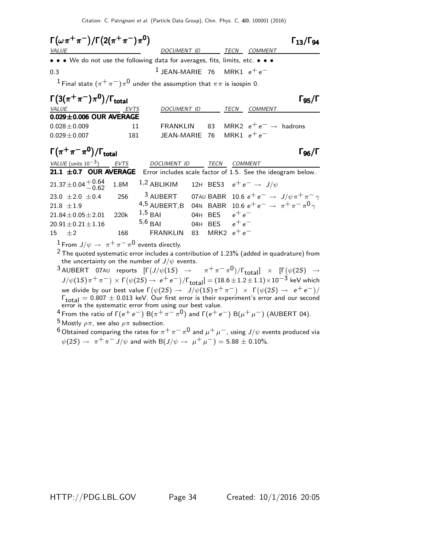| $\Gamma(\omega \pi^+ \pi^-)/\Gamma(2(\pi^+ \pi^-) \pi^0)$                                                                          |      |                                                                       |     |                  |                                      | $\Gamma_{13}/\Gamma_{94}$                                     |
|------------------------------------------------------------------------------------------------------------------------------------|------|-----------------------------------------------------------------------|-----|------------------|--------------------------------------|---------------------------------------------------------------|
| <b>VALUE</b>                                                                                                                       |      | <b>DOCUMENT ID</b>                                                    |     |                  | TECN COMMENT                         |                                                               |
| • • • We do not use the following data for averages, fits, limits, etc. • • •                                                      |      |                                                                       |     |                  |                                      |                                                               |
| 0.3                                                                                                                                |      | <sup>1</sup> JEAN-MARIE 76 MRK1 $e^+e^-$                              |     |                  |                                      |                                                               |
| <sup>1</sup> Final state $(\pi^+\pi^-)\pi^0$ under the assumption that $\pi\pi$ is isospin 0.                                      |      |                                                                       |     |                  |                                      |                                                               |
| $\Gamma(3(\pi^+\pi^-)\pi^0)/\Gamma_{\rm total}$                                                                                    |      |                                                                       |     |                  |                                      | $\Gamma$ 95/Г                                                 |
| <b>VALUE</b>                                                                                                                       | EVTS | DOCUMENT ID                                                           |     | TECN             | COMMENT                              |                                                               |
| $0.029 \pm 0.006$ OUR AVERAGE                                                                                                      |      |                                                                       |     |                  |                                      |                                                               |
| $0.028 \pm 0.009$                                                                                                                  | 11   | FRANKLIN                                                              | 83  |                  | MRK2 $e^+e^- \rightarrow$ hadrons    |                                                               |
| $0.029 \pm 0.007$                                                                                                                  | 181  | JEAN-MARIE                                                            | 76  |                  | MRK1 $e^+e^-$                        |                                                               |
| $\Gamma(\pi^+\pi^-\pi^0)/\Gamma_{\rm total}$                                                                                       |      |                                                                       |     |                  |                                      | $\Gamma_{96}/\Gamma$                                          |
| VALUE (units $10^{-3}$ ) EVTS                                                                                                      |      | DOCUMENT ID                                                           |     | <b>TECN</b>      | <b>COMMENT</b>                       |                                                               |
| 21.1 $\pm$ 0.7 OUR AVERAGE                                                                                                         |      | Error includes scale factor of 1.5. See the ideogram below.           |     |                  |                                      |                                                               |
| $21.37 \pm 0.04 \begin{array}{c} +0.64 \\ -0.62 \end{array}$                                                                       | 1.8M | $1,2$ ABLIKIM                                                         |     |                  | 12H BES3 $e^+e^- \rightarrow J/\psi$ |                                                               |
| 23.0 $\pm 2.0 \pm 0.4$                                                                                                             | 256  | <sup>3</sup> AUBERT                                                   |     |                  |                                      | 07AU BABR 10.6 $e^+e^- \rightarrow J/\psi \pi^+ \pi^- \gamma$ |
| 21.8 $\pm 1.9$                                                                                                                     |      | 4,5 AUBERT,B 04N BABR 10.6 $e^+e^- \rightarrow \pi^+\pi^-\pi^0\gamma$ |     |                  |                                      |                                                               |
| $21.84 \pm 0.05 \pm 2.01$                                                                                                          | 220k | $1,5$ BAI                                                             |     | 04H BES $e^+e^-$ |                                      |                                                               |
| $20.91 \pm 0.21 \pm 1.16$                                                                                                          |      | $5,6$ BAI                                                             | 04H | BES $e^+e^-$     |                                      |                                                               |
| $+2$<br>15                                                                                                                         | 168  | <b>FRANKLIN</b>                                                       | 83  | MRK2 $e^+e^-$    |                                      |                                                               |
| $1$ From $\,J/\psi\,\rightarrow\,\,\pi^+\,\pi^-\,\pi^0\,$ events directly.                                                         |      |                                                                       |     |                  |                                      |                                                               |
| $2$ The quoted systematic error includes a contribution of 1.23% (added in quadrature) from                                        |      |                                                                       |     |                  |                                      |                                                               |
|                                                                                                                                    |      | the uncertainty on the number of $J/\psi$ events.                     |     |                  |                                      |                                                               |
| 3 AUBERT 07AU reports $[\Gamma(J/\psi(1S) \rightarrow \pi^+\pi^-\pi^0)/\Gamma_{\text{total}}] \times [\Gamma(\psi(2S) \rightarrow$ |      |                                                                       |     |                  |                                      |                                                               |

 $J/\psi(1S)\,\pi^+\,\pi^-)\,\times\,\Gamma\big(\psi(2S)\rightarrow\,e^+\,e^-\big)/\Gamma_{\rm total}\big] = (18.6\pm1.2\pm1.1)\times10^{-3}$  keV which we divide by our best value  $\Gamma(\psi(2S) \to J/\psi(1S) \pi^+ \pi^-) \times \Gamma(\psi(2S) \to e^+ e^-)/\pi$  $\Gamma_{\rm total} = 0.807 \pm 0.013$  keV. Our first error is their experiment's error and our second<br>error is the systematic error from using our best value.

 $^4$  From the ratio of Γ( $e^+ \, e^-$ ) B( $\pi^+ \, \pi^- \, \pi^0)$  and Γ( $e^+ \, e^-$ ) B( $\mu^+ \, \mu^-$ ) (AUBERT 04).

<sup>5</sup> Mostly  $ρπ$ , see also  $ρπ$  subsection.

 $^6$ Obtained comparing the rates for  $\pi^+\pi^-\pi^0$  and  $\mu^+\mu^-$ , using  $J/\psi$  events produced via  $\psi(2S) \to \pi^+ \pi^- J/\psi$  and with B $(J/\psi \to \mu^+ \mu^-) = 5.88 \pm 0.10\%$ .

HTTP://PDG.LBL.GOV Page 34 Created: 10/1/2016 20:05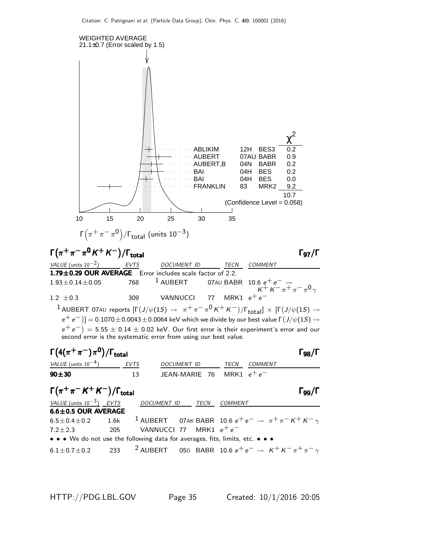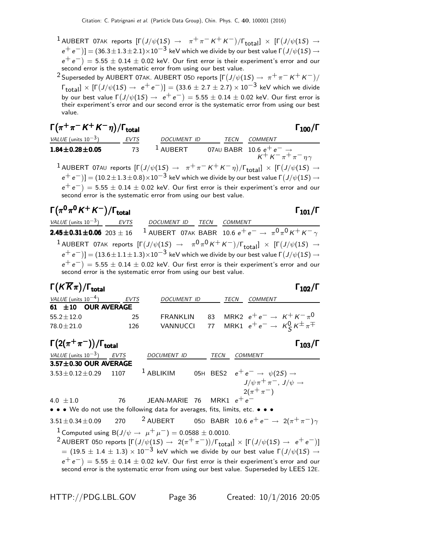$^1$  AUBERT 07AK reports  $[\Gamma\big(J/\psi(1S) \to~\pi^+\pi^-K^+K^-)/\Gamma_{\rm total}]\; \times \; [\Gamma\big(J/\psi(1S) \to \gamma^+\pi^-\pi^0K^+K^+\big)$  $\rm [e^+e^-)] =$   $(36.3\pm1.3\pm2.1)\times10^{-3}$  keV which we divide by our best value  $\Gamma(J/\psi(1S) \rightarrow$  $(e^+e^-) = 5.55 \pm 0.14 \pm 0.02$  keV. Our first error is their experiment's error and our second error is the systematic error from using our best value.

<sup>2</sup> Superseded by AUBERT 07AK. AUBERT 05D reports  $[\Gamma(J/\psi(1S) \to \pi^+\pi^-K^+K^-)/\psi(1S)]$  $\lceil \frac{\mathsf{r}_{\mathsf{total}}}{\mathsf{total}} \rceil \times \lceil \mathsf{\Gamma}(J/\psi(1S) \rightarrow \, \mathsf{e}^+\mathsf{e}^-) \rceil = (33.6 \pm 2.7 \pm 2.7) \times 10^{-3} \, \, \mathrm{keV}$  which we divide by our best value  $\Gamma(J/\psi(1S) \to e^+e^-) = 5.55 \pm 0.14 \pm 0.02$  keV. Our first error is their experiment's error and our second error is the systematic error from using our best value.

$$
\Gamma(\pi^+\pi^-K^+K^-\eta)/\Gamma_{\text{total}}
$$

| <i>VALUE</i> (units $10^{-3}$ ) | <i>FVTS</i> | DOCUMENT ID | TECN COMMENT                                                                                   |
|---------------------------------|-------------|-------------|------------------------------------------------------------------------------------------------|
| $1.84 \pm 0.28 \pm 0.05$        | 73          | $^1$ AUBERT | 07AU BABR $\,$ 10.6 $\mathrm{e^+e^-} \rightarrow$<br>$K^{+} K^{-} \pi^{+} \pi^{-} \eta \gamma$ |

 $^1$  AUBERT 07AU reports  $[Γ(J/\psi(1S) \rightarrow π^+ π^- K^+ K^− η)/Γ_{total}] \times [Γ(J/\psi(1S) \rightarrow$  $(e^+e^-)$ ] =  $(10.2\pm 1.3\pm 0.8)\times 10^{-3}$  keV which we divide by our best value  $\Gamma(J/\psi(1S) \to$  $\mathrm{e^+e^-)}=5.55\pm0.14\pm0.02$  keV. Our first error is their experiment's error and our second error is the systematic error from using our best value.

| $\Gamma(\pi^0\pi^0\,K^+\,K^-)/\Gamma_{\rm total}$ | $\Gamma_{101}/\Gamma$ |
|---------------------------------------------------|-----------------------|
|                                                   |                       |

VALUE (units 10<sup>-3</sup>) EVTS DOCUMENT ID TECN COMMENT  $\textbf{2.45} \!\pm\! \textbf{0.31} \!\pm\! \textbf{0.06}$  203  $\pm$  16  $^{-1}$  aubert 07ak babr 10.6  $e^+ \, e^- \rightarrow \; \pi^0 \, \pi^0 \, \kappa^+ \, \kappa^- \, \gamma$  $^1$  AUBERT 07AK reports  $[\Gamma(J/\psi(1S) \ \to \ \ \pi^0\pi^0\,K^+\,K^-)/\Gamma_{\rm total}]\;\times\; [\Gamma(J/\psi(1S) \ \to \ \pi^0\pi^0\,K^+\,K^-)/\Gamma_{\rm total}$  $\rm (e^+e^-)$ ]  $= (13.6\pm 1.1\pm 1.3)\times 10^{-3}$  keV which we divide by our best value  $\Gamma(J/\psi(1S) \rightarrow$  $\mathrm{e^+e^-)}=5.55\pm0.14\pm0.02$  keV. Our first error is their experiment's error and our second error is the systematic error from using our best value.

Γ $(K\overline{K}_{\pi})/\Gamma_{\text{total}}$  Γ<sub>102</sub>/Γ

| <i>VALUE</i> (units $10^{-4}$ ) | EVTS | DOCUMENT ID      | <b>TECN</b> | COMMENT                                                       |
|---------------------------------|------|------------------|-------------|---------------------------------------------------------------|
| $61 \pm 10$ OUR AVERAGE         |      |                  |             |                                                               |
| $55.2 + 12.0$                   | 25   | <b>FRANKI IN</b> |             | 83 MRK2 $e^+e^- \rightarrow K^+K^-\pi^0$                      |
| $78.0 \pm 21.0$                 | 126. |                  |             | VANNUCCI 77 MRK1 $e^+e^- \rightarrow K^0_S K^{\pm} \pi^{\mp}$ |

| $\Gamma(2(\pi^+\pi^-))/\Gamma_{\text{total}}$                                 |      |                    |               | $\Gamma_{103}/\Gamma$                              |
|-------------------------------------------------------------------------------|------|--------------------|---------------|----------------------------------------------------|
| VALUE (units $10^{-3}$ ) EVTS                                                 |      | <b>DOCUMENT ID</b> | TECN          | <b>COMMENT</b>                                     |
| $3.57 \pm 0.30$ OUR AVERAGE                                                   |      |                    |               |                                                    |
| $3.53 \pm 0.12 \pm 0.29$                                                      | 1107 | $1$ ABLIKIM        |               | 05H BES2 $e^+e^- \rightarrow \psi(2S) \rightarrow$ |
|                                                                               |      |                    |               | $J/\psi \pi^+ \pi^-$ , $J/\psi \rightarrow$        |
|                                                                               |      |                    |               | $2(\pi^+\pi^-)$                                    |
| 4.0 $\pm 1.0$                                                                 | 76   | JEAN-MARIE 76      | MRK1 $e^+e^-$ |                                                    |
| • • • We do not use the following data for averages, fits, limits, etc. • • • |      |                    |               |                                                    |

 $3.51\pm0.34\pm0.09$  270 <sup>2</sup> AUBERT 05D BABR 10.6  $e^+e^- \rightarrow 2(\pi^+\pi^-)\gamma$ 1 Computed using  $B(J/\psi \to \mu^+ \mu^-) = 0.0588 \pm 0.0010$ .  $^2$ AUBERT 05D reports  $[\Gamma\big(J/\psi(1S) \to 2(\pi^+\pi^-)\big)/\Gamma_{\rm total}] \times [\Gamma\big(J/\psi(1S) \to e^+e^-\big)]$  $= (19.5 \pm 1.4 \pm 1.3) \times 10^{-3}$  keV which we divide by our best value  $\Gamma(J/\psi(1S) \rightarrow$ 

 $\mathrm{e^+e^-)}=5.55\pm0.14\pm0.02$  keV. Our first error is their experiment's error and our second error is the systematic error from using our best value. Superseded by LEES 12E.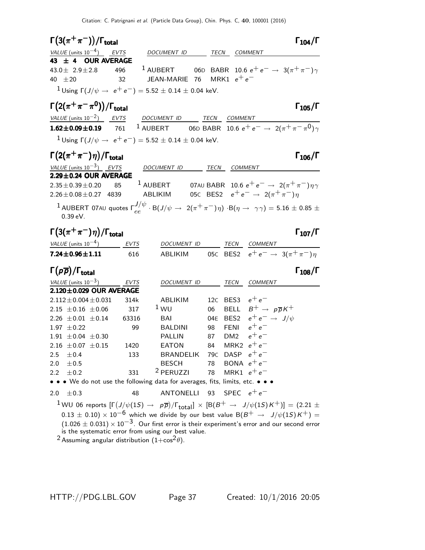| VALUE (units $10^{-4}$ ) EVTS<br>DOCUMENT ID TECN COMMENT<br>43 $\pm$ 4 OUR AVERAGE<br>$^{-1}$ AUBERT 06D BABR 10.6 $e^+e^- \rightarrow 3(\pi^+\pi^-)\gamma$<br>496<br>43.0 $\pm$ 2.9 $\pm$ 2.8<br>MRK1 $e^+e^-$<br>40 $\pm 20$<br>32<br>JEAN-MARIE 76<br><sup>1</sup> Using $\Gamma(J/\psi \to e^+e^-) = 5.52 \pm 0.14 \pm 0.04$ keV.<br>$\Gamma(2(\pi^+\pi^-\pi^0))/\Gamma_{\rm total}$<br>$\Gamma_{105}/\Gamma$<br>VALUE (units $10^{-2}$ ) EVTS<br>DOCUMENT ID TECN COMMENT<br><sup>1</sup> AUBERT 06D BABR 10.6 $e^+e^- \rightarrow 2(\pi^+\pi^-\pi^0)\gamma$<br>$1.62 \pm 0.09 \pm 0.19$ 761<br><sup>1</sup> Using $\Gamma(J/\psi \to e^+e^-) = 5.52 \pm 0.14 \pm 0.04$ keV.<br>$\Gamma_{106}/\Gamma$<br>VALUE (units $10^{-3}$ ) EVTS<br>DOCUMENT ID TECN COMMENT | $\Gamma_{104}/\Gamma$ |
|--------------------------------------------------------------------------------------------------------------------------------------------------------------------------------------------------------------------------------------------------------------------------------------------------------------------------------------------------------------------------------------------------------------------------------------------------------------------------------------------------------------------------------------------------------------------------------------------------------------------------------------------------------------------------------------------------------------------------------------------------------------------------|-----------------------|
|                                                                                                                                                                                                                                                                                                                                                                                                                                                                                                                                                                                                                                                                                                                                                                          |                       |
|                                                                                                                                                                                                                                                                                                                                                                                                                                                                                                                                                                                                                                                                                                                                                                          |                       |
| $\Gamma\left(2(\pi^+\pi^-)\eta\right)/\Gamma_{\rm total}$<br>$2.29 \pm 0.24$ OUR AVERAGE                                                                                                                                                                                                                                                                                                                                                                                                                                                                                                                                                                                                                                                                                 |                       |
|                                                                                                                                                                                                                                                                                                                                                                                                                                                                                                                                                                                                                                                                                                                                                                          |                       |
|                                                                                                                                                                                                                                                                                                                                                                                                                                                                                                                                                                                                                                                                                                                                                                          |                       |
|                                                                                                                                                                                                                                                                                                                                                                                                                                                                                                                                                                                                                                                                                                                                                                          |                       |
|                                                                                                                                                                                                                                                                                                                                                                                                                                                                                                                                                                                                                                                                                                                                                                          |                       |
|                                                                                                                                                                                                                                                                                                                                                                                                                                                                                                                                                                                                                                                                                                                                                                          |                       |
|                                                                                                                                                                                                                                                                                                                                                                                                                                                                                                                                                                                                                                                                                                                                                                          |                       |
|                                                                                                                                                                                                                                                                                                                                                                                                                                                                                                                                                                                                                                                                                                                                                                          |                       |
|                                                                                                                                                                                                                                                                                                                                                                                                                                                                                                                                                                                                                                                                                                                                                                          |                       |
|                                                                                                                                                                                                                                                                                                                                                                                                                                                                                                                                                                                                                                                                                                                                                                          |                       |
| <sup>1</sup> AUBERT 07AU BABR 10.6 $e^+e^- \rightarrow 2(\pi^+\pi^-)\eta\gamma$<br>$2.35 \pm 0.39 \pm 0.20$<br>85                                                                                                                                                                                                                                                                                                                                                                                                                                                                                                                                                                                                                                                        |                       |
| ABLIKIM 05C BES2 $e^+e^- \rightarrow 2(\pi^+\pi^-)\eta$<br>$2.26 \pm 0.08 \pm 0.27$ 4839                                                                                                                                                                                                                                                                                                                                                                                                                                                                                                                                                                                                                                                                                 |                       |
| 1 AUBERT 07AU quotes $\Gamma^{J/\psi}_{\rho\rho}\cdot B(J/\psi\to 2(\pi^+\pi^-)\eta)\cdot B(\eta\to\gamma\gamma)=5.16\pm0.85\pm0.85$<br>0.39 eV.                                                                                                                                                                                                                                                                                                                                                                                                                                                                                                                                                                                                                         |                       |
| $\Gamma\left(3(\pi^+\pi^-)\eta\right)/\Gamma_{\rm total}$<br>$\Gamma_{107}/\Gamma$                                                                                                                                                                                                                                                                                                                                                                                                                                                                                                                                                                                                                                                                                       |                       |
| VALUE $(\text{units } 10^{-4})$ EVTS<br>DOCUMENT ID TECN COMMENT                                                                                                                                                                                                                                                                                                                                                                                                                                                                                                                                                                                                                                                                                                         |                       |
| 05C BES2 $e^+e^- \to 3(\pi^+\pi^-)\eta$<br>$7.24 \pm 0.96 \pm 1.11$<br>ABLIKIM<br>616                                                                                                                                                                                                                                                                                                                                                                                                                                                                                                                                                                                                                                                                                    |                       |
| $\Gamma(p\overline{p})/\Gamma_{\rm total}$<br>$\Gamma_{108}/\Gamma$                                                                                                                                                                                                                                                                                                                                                                                                                                                                                                                                                                                                                                                                                                      |                       |
| VALUE (units $10^{-3}$ )<br><b>EVTS</b><br>DOCUMENT ID TECN COMMENT                                                                                                                                                                                                                                                                                                                                                                                                                                                                                                                                                                                                                                                                                                      |                       |
| 2.120±0.029 OUR AVERAGE                                                                                                                                                                                                                                                                                                                                                                                                                                                                                                                                                                                                                                                                                                                                                  |                       |
| 12C BES3 $e^+e^-$<br>$2.112 \pm 0.004 \pm 0.031$<br>314k<br>ABLIKIM                                                                                                                                                                                                                                                                                                                                                                                                                                                                                                                                                                                                                                                                                                      |                       |
| BELL $B^+ \rightarrow p\overline{p}K^+$<br>$1 \text{ WU}$<br>2.15 $\pm$ 0.16 $\pm$ 0.06<br>06<br>317                                                                                                                                                                                                                                                                                                                                                                                                                                                                                                                                                                                                                                                                     |                       |
| BES2 $e^+e^- \rightarrow J/\psi$<br>2.26 $\pm 0.01 \pm 0.14$<br>BAI<br>04E<br>63316                                                                                                                                                                                                                                                                                                                                                                                                                                                                                                                                                                                                                                                                                      |                       |
| <b>FENI</b><br>$e^+e^-$<br>$1.97 \pm 0.22$<br>98<br>99<br><b>BALDINI</b>                                                                                                                                                                                                                                                                                                                                                                                                                                                                                                                                                                                                                                                                                                 |                       |
| DM <sub>2</sub><br>$e^+e^-$<br>87<br>$1.91 \pm 0.04 \pm 0.30$<br><b>PALLIN</b>                                                                                                                                                                                                                                                                                                                                                                                                                                                                                                                                                                                                                                                                                           |                       |
| 84 MRK2 $e^+e^-$<br>$2.16 \pm 0.07 \pm 0.15$<br>1420<br>EATON                                                                                                                                                                                                                                                                                                                                                                                                                                                                                                                                                                                                                                                                                                            |                       |
| BRANDELIK 79C DASP $e^+e^-$<br>$2.5\,$<br>±0.4<br>133                                                                                                                                                                                                                                                                                                                                                                                                                                                                                                                                                                                                                                                                                                                    |                       |
| BONA $e^+e^-$<br>78<br>$\pm 0.5$<br><b>BESCH</b><br>2.0                                                                                                                                                                                                                                                                                                                                                                                                                                                                                                                                                                                                                                                                                                                  |                       |
| <sup>2</sup> PERUZZI<br>MRK1 $e^+e^-$<br>78<br>331<br>2.2<br>$\pm 0.2$                                                                                                                                                                                                                                                                                                                                                                                                                                                                                                                                                                                                                                                                                                   |                       |
| • • • We do not use the following data for averages, fits, limits, etc. • • •                                                                                                                                                                                                                                                                                                                                                                                                                                                                                                                                                                                                                                                                                            |                       |
| SPEC $e^+e^-$<br>93<br>2.0<br>±0.3<br>ANTONELLI<br>48                                                                                                                                                                                                                                                                                                                                                                                                                                                                                                                                                                                                                                                                                                                    |                       |
| $^1$ WU 06 reports $[\Gamma(J/\psi(1S) \to p\overline{p})/\Gamma_{\text{total}}] \times [B(B^+ \to J/\psi(1S)K^+)] = (2.21 \pm 1.5)$                                                                                                                                                                                                                                                                                                                                                                                                                                                                                                                                                                                                                                     |                       |
| $(0.13 \pm 0.10) \times 10^{-6}$ which we divide by our best value B(B <sup>+</sup> $\rightarrow$ J/ $\psi(1S)K^{+})=$                                                                                                                                                                                                                                                                                                                                                                                                                                                                                                                                                                                                                                                   |                       |
| $(1.026 \pm 0.031) \times 10^{-3}$ . Our first error is their experiment's error and our second error                                                                                                                                                                                                                                                                                                                                                                                                                                                                                                                                                                                                                                                                    |                       |
| is the systematic error from using our best value.<br>2<br>$(1 - 20)$                                                                                                                                                                                                                                                                                                                                                                                                                                                                                                                                                                                                                                                                                                    |                       |

Assuming angular distribution  $(1+\cos^2\theta)$ .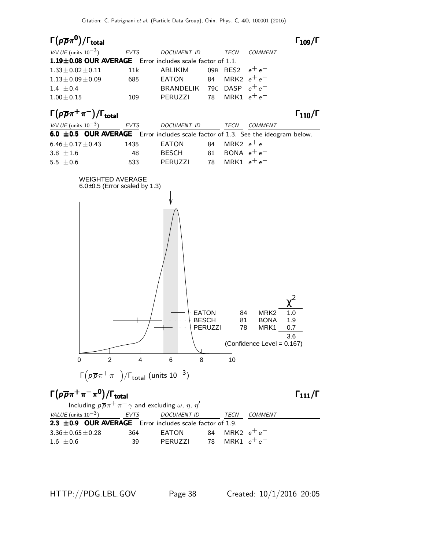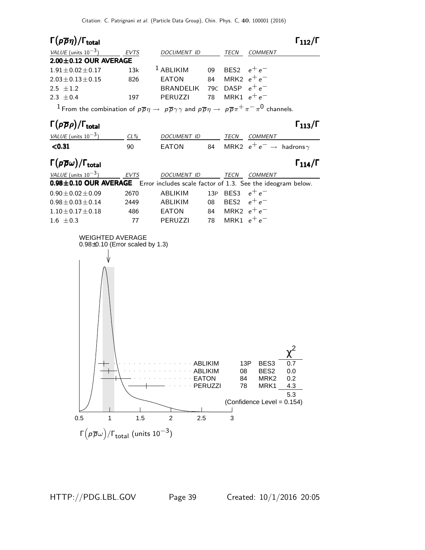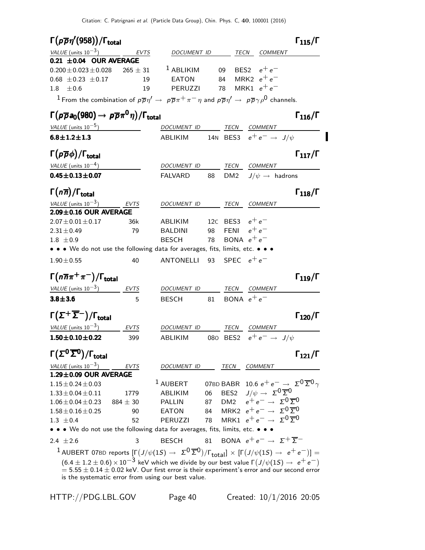| $\Gamma(p\overline{p}\eta'(958))/\Gamma_{\rm total}$                                                                                                                                                                                                                      |              |                           |    |                  |                                                                         | $\Gamma_{115}/\Gamma$ |
|---------------------------------------------------------------------------------------------------------------------------------------------------------------------------------------------------------------------------------------------------------------------------|--------------|---------------------------|----|------------------|-------------------------------------------------------------------------|-----------------------|
| VALUE (units $10^{-3}$ ) EVTS                                                                                                                                                                                                                                             |              | DOCUMENT ID               |    | TECN             | COMMENT                                                                 |                       |
| $0.21 \pm 0.04$ OUR AVERAGE                                                                                                                                                                                                                                               |              |                           |    |                  |                                                                         |                       |
| $0.200 \pm 0.023 \pm 0.028$                                                                                                                                                                                                                                               | $265 \pm 31$ | $1$ ABLIKIM               |    | 09               | BES2 $e^+e^-$                                                           |                       |
| $0.68 \pm 0.23 \pm 0.17$                                                                                                                                                                                                                                                  | 19           | <b>EATON</b>              |    | 84               | MRK2 $e^+e^-$                                                           |                       |
| $\pm 0.6$<br>1.8                                                                                                                                                                                                                                                          | 19           | PERUZZI 78                |    |                  | MRK1 $e^+e^-$                                                           |                       |
| <sup>1</sup> From the combination of $p\overline{p}\eta' \to p\overline{p}\pi^+\pi^-\eta$ and $p\overline{p}\eta' \to p\overline{p}\gamma\rho^0$ channels.                                                                                                                |              |                           |    |                  |                                                                         |                       |
| $\Gamma(p\overline{p}a_0(980) \rightarrow p\overline{p}\pi^0\eta)/\Gamma_{\rm total}$                                                                                                                                                                                     |              |                           |    |                  |                                                                         | $\Gamma_{116}/\Gamma$ |
| VALUE (units $10^{-5}$ )                                                                                                                                                                                                                                                  |              | DOCUMENT ID TECN COMMENT  |    |                  |                                                                         |                       |
| $6.8 \pm 1.2 \pm 1.3$                                                                                                                                                                                                                                                     |              | ABLIKIM                   |    |                  | 14N BES3 $e^+e^- \rightarrow J/\psi$                                    |                       |
| $\Gamma(p\overline{p}\phi)/\Gamma_{\rm total}$                                                                                                                                                                                                                            |              |                           |    |                  |                                                                         | $\Gamma_{117}/\Gamma$ |
| VALUE (units $10^{-4}$ )                                                                                                                                                                                                                                                  |              | DOCUMENT ID               |    |                  | TECN COMMENT                                                            |                       |
| $0.45 \pm 0.13 \pm 0.07$                                                                                                                                                                                                                                                  |              | <b>FALVARD</b>            | 88 |                  | DM2 $J/\psi \rightarrow$ hadrons                                        |                       |
| $\Gamma(n\overline{n})/\Gamma_{\rm total}$                                                                                                                                                                                                                                |              |                           |    |                  |                                                                         | $\Gamma_{118}/\Gamma$ |
| VALUE (units $10^{-3}$ )                                                                                                                                                                                                                                                  |              |                           |    |                  |                                                                         |                       |
| $2.09 \pm 0.16$ OUR AVERAGE                                                                                                                                                                                                                                               | EVTS         | DOCUMENT ID TECN COMMENT  |    |                  |                                                                         |                       |
| $2.07 \pm 0.01 \pm 0.17$                                                                                                                                                                                                                                                  | 36k          | ABLIKIM 12C BES3 $e^+e^-$ |    |                  |                                                                         |                       |
| $2.31 \pm 0.49$                                                                                                                                                                                                                                                           | 79           | BALDINI                   |    | 98 FENI $e^+e^-$ |                                                                         |                       |
| $1.8 \pm 0.9$                                                                                                                                                                                                                                                             |              | <b>BESCH</b>              |    | 78 BONA $e^+e^-$ |                                                                         |                       |
| • • • We do not use the following data for averages, fits, limits, etc. • • •                                                                                                                                                                                             |              |                           |    |                  |                                                                         |                       |
|                                                                                                                                                                                                                                                                           |              |                           |    | SPEC $e^+e^-$    |                                                                         |                       |
| $1.90 \pm 0.55$                                                                                                                                                                                                                                                           | 40           | ANTONELLI 93              |    |                  |                                                                         |                       |
| $\Gamma(n\overline{n}\pi^+\pi^-)/\Gamma_{\rm total}$                                                                                                                                                                                                                      |              |                           |    |                  |                                                                         | $\Gamma_{119}/\Gamma$ |
| $VALUE$ (units $10^{-3}$ ) EVTS                                                                                                                                                                                                                                           |              | DOCUMENT ID TECN COMMENT  |    |                  |                                                                         |                       |
| $3.8 + 3.6$                                                                                                                                                                                                                                                               | 5            | BESCH 81                  |    |                  | BONA $e^+e^-$                                                           |                       |
| $\Gamma(\Sigma^+\overline{\Sigma}^-)/\Gamma_{\rm total}$                                                                                                                                                                                                                  |              |                           |    |                  |                                                                         | $\Gamma_{120}/\Gamma$ |
| VALUE (units $10^{-3}$ ) EVTS                                                                                                                                                                                                                                             |              | DOCUMENT ID               |    |                  | TECN COMMENT                                                            |                       |
| $1.50 \pm 0.10 \pm 0.22$                                                                                                                                                                                                                                                  | 399          | ABLIKIM                   |    |                  | 080 BES2 $e^+e^- \rightarrow J/\psi$                                    |                       |
|                                                                                                                                                                                                                                                                           |              |                           |    |                  |                                                                         |                       |
| $\Gamma(\Sigma^0\overline{\Sigma}{}^0)/\Gamma_{\rm total}$                                                                                                                                                                                                                |              |                           |    |                  |                                                                         | $\Gamma_{121}/\Gamma$ |
| VALUE (units $10^{-3}$ )                                                                                                                                                                                                                                                  | EVTS         | DOCUMENT ID               |    |                  | TECN COMMENT                                                            |                       |
| $1.29 \pm 0.09$ OUR AVERAGE                                                                                                                                                                                                                                               |              |                           |    |                  |                                                                         |                       |
| $1.15 \pm 0.24 \pm 0.03$                                                                                                                                                                                                                                                  |              | $1$ AUBERT                |    |                  | 07BD BABR 10.6 $e^+e^- \rightarrow \Sigma^0 \overline{\Sigma}^0 \gamma$ |                       |
| $1.33 \pm 0.04 \pm 0.11$                                                                                                                                                                                                                                                  | 1779         | ABLIKIM                   |    |                  | 06 BES2 $J/\psi \rightarrow \Sigma^0 \overline{\Sigma}^0$               |                       |
| $1.06 \pm 0.04 \pm 0.23$                                                                                                                                                                                                                                                  | $884 \pm 30$ | <b>PALLIN</b>             |    |                  | 87 DM2 $e^+e^- \rightarrow \Sigma^0 \overline{\Sigma}{}^0$              |                       |
| $1.58 \pm 0.16 \pm 0.25$                                                                                                                                                                                                                                                  | 90           | <b>EATON</b>              | 84 |                  | MRK2 $e^+e^- \rightarrow \Sigma^0 \overline{\Sigma}{}^0$                |                       |
| $1.3 \pm 0.4$                                                                                                                                                                                                                                                             | 52           | <b>PERUZZI</b>            | 78 |                  | MRK1 $e^+e^- \rightarrow \Sigma^0 \overline{\Sigma}^0$                  |                       |
| $\bullet \bullet \bullet$ We do not use the following data for averages, fits, limits, etc. $\bullet \bullet \bullet$                                                                                                                                                     |              |                           |    |                  |                                                                         |                       |
| 2.4 $\pm 2.6$                                                                                                                                                                                                                                                             | 3            | <b>BESCH</b>              |    |                  | 81 BONA $e^+e^- \rightarrow \Sigma^+ \overline{\Sigma}^-$               |                       |
| $^1$ AUBERT 07BD reports $[\Gamma(J/\psi(1S) \to \Sigma^0 \overline{\Sigma}^0)/\Gamma_{\rm total}] \times [\Gamma(J/\psi(1S) \to e^+e^-)] =$                                                                                                                              |              |                           |    |                  |                                                                         |                       |
| $(6.4 \pm 1.2 \pm 0.6) \times 10^{-3}$ keV which we divide by our best value $\Gamma\big(J/\psi(1S) \to e^+e^-\big)$<br>$=5.55\pm0.14\pm0.02$ keV. Our first error is their experiment's error and our second error<br>is the systematic error from using our best value. |              |                           |    |                  |                                                                         |                       |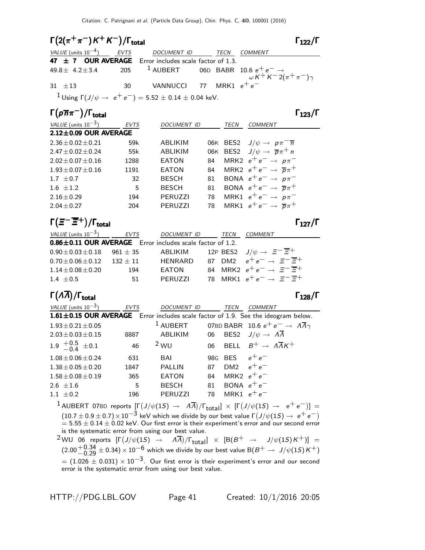| $\Gamma(2(\pi^+\pi^-)K^+K^-)/\Gamma_{\rm total}$                |                                                                              |  | $\Gamma_{122}/\Gamma$                                                                                         |
|-----------------------------------------------------------------|------------------------------------------------------------------------------|--|---------------------------------------------------------------------------------------------------------------|
| VALUE (units $10^{-4}$ ) _ <u>EVTS</u> DOCUMENT ID TECN COMMENT |                                                                              |  |                                                                                                               |
| 47 $\pm$ 7 OUR AVERAGE Error includes scale factor of 1.3.      |                                                                              |  |                                                                                                               |
|                                                                 |                                                                              |  | 40.8± 4.2±3.4 205 <sup>1</sup> AUBERT 06D BABR 10.6 $e^+e^-$<br>$\rightarrow$ $\omega K^+ K^- 2(\pi^+ \pi^-)$ |
| $31 + 13$                                                       |                                                                              |  |                                                                                                               |
|                                                                 | <sup>1</sup> Using $\Gamma(J/\psi \to e^+e^-) = 5.52 \pm 0.14 \pm 0.04$ keV. |  |                                                                                                               |

### $\Gamma(p\overline{n}\pi^-)/\Gamma_{\rm total}$  Γ<sub>123</sub>/Γ

|--|

| VALUE (units $10^{-3}$ )    | <b>EVTS</b> | DOCUMENT ID    |     | TECN     | <b>COMMENT</b>                                |
|-----------------------------|-------------|----------------|-----|----------|-----------------------------------------------|
| $2.12 \pm 0.09$ OUR AVERAGE |             |                |     |          |                                               |
| $2.36 \pm 0.02 \pm 0.21$    | 59k         | ABLIKIM        |     | 06K BES2 | $J/\psi \rightarrow p \pi^- \overline{n}$     |
| $2.47 \pm 0.02 \pm 0.24$    | 55k         | <b>ABLIKIM</b> | 06K |          | BES2 $J/\psi \rightarrow \overline{p}\pi^+ n$ |
| $2.02 \pm 0.07 \pm 0.16$    | 1288        | <b>EATON</b>   | 84  |          | MRK2 $e^+e^- \rightarrow p\pi^-$              |
| $1.93 \pm 0.07 \pm 0.16$    | 1191        | <b>EATON</b>   | 84  |          | MRK2 $e^+e^- \rightarrow \overline{p}\pi^+$   |
| $1.7 + 0.7$                 | 32          | <b>BESCH</b>   | 81  |          | BONA $e^+e^- \rightarrow p\pi^-$              |
| $1.6 + 1.2$                 | 5           | <b>BESCH</b>   | 81  |          | BONA $e^+e^- \rightarrow \overline{p}\pi^+$   |
| $2.16 \pm 0.29$             | 194         | <b>PERUZZI</b> | 78  |          | MRK1 $e^+e^- \rightarrow p\pi^-$              |
| $2.04 + 0.27$               | 204         | <b>PERUZZI</b> | 78  |          | MRK1 $e^+e^- \rightarrow \overline{p}\pi^+$   |

 $\Gamma(\Xi^-\overline{\Xi}{}^+)$ /Γ<sub>total</sub> 127/Γ

|--|--|

| VALUE (units $10^{-3}$ )                                  | EVTS       | DOCUMENT ID | TECN | <b>COMMENT</b>                                         |
|-----------------------------------------------------------|------------|-------------|------|--------------------------------------------------------|
| 0.86±0.11 OUR AVERAGE Error includes scale factor of 1.2. |            |             |      |                                                        |
| $0.90 \pm 0.03 \pm 0.18$                                  | $961 + 35$ | ABLIKIM     |      | 12P BES2 $J/\psi \rightarrow \Xi^- \overline{\Xi}^+$   |
| $0.70 \pm 0.06 \pm 0.12$                                  | $132 + 11$ | HENRARD     |      | 87 DM2 $e^+e^- \rightarrow \equiv -\equiv +$           |
| $1.14 \pm 0.08 \pm 0.20$                                  | 194        | EATON       |      | 84 MRK2 $e^+e^- \rightarrow \Xi^{-}\overline{\Xi}^{+}$ |
| $1.4 + 0.5$                                               | 51.        | PFRUZZI     |      | 78 MRK1 $e^+e^- \rightarrow \equiv -\equiv +$          |

#### Γ(Λ $\overline{\Lambda}$ )/Γ<sub>total</sub> Γ<sub>128</sub>/Γ /Γ $_{\rm total}$  Γ $_{128}/$  Γ

| VALUE (units $10^{-3}$ )       | EVTS | DOCUMENT ID    |    | TECN          | COMMENT                                                                           |
|--------------------------------|------|----------------|----|---------------|-----------------------------------------------------------------------------------|
|                                |      |                |    |               | 1.61±0.15 OUR AVERAGE Error includes scale factor of 1.9. See the ideogram below. |
| $1.93 \pm 0.21 \pm 0.05$       |      | $1$ AUBERT     |    |               | 07BD BABR 10.6 $e^+e^- \rightarrow A\overline{A}\gamma$                           |
| $2.03 \pm 0.03 \pm 0.15$       | 8887 | ABLIKIM        |    |               | 06 BES2 $J/\psi \rightarrow A\overline{A}$                                        |
| 1.9 $^{+0.5}_{-0.4}$ $\pm$ 0.1 | 46   | $2$ WU         | 06 |               | BELL $B^+ \rightarrow A\overline{A}K^+$                                           |
| $1.08 \pm 0.06 \pm 0.24$       | 631  | BAI            |    | 98G BES       | $e^+e^-$                                                                          |
| $1.38 \pm 0.05 \pm 0.20$       | 1847 | <b>PALLIN</b>  | 87 | DM2 $e^+e^-$  |                                                                                   |
| $1.58 \pm 0.08 \pm 0.19$       | 365  | <b>EATON</b>   | 84 | MRK2 $e^+e^-$ |                                                                                   |
| $2.6 \pm 1.6$                  | 5    | <b>BESCH</b>   | 81 | BONA $e^+e^-$ |                                                                                   |
| 1.1 $\pm$ 0.2                  | 196  | <b>PERUZZI</b> | 78 | MRK1          | $e^+e^-$                                                                          |

 $1\,\mathsf{AUBERT}$  07BD reports  $\left[\Gamma\big(J/\psi(1S) \to -A\overline{\Lambda}\big)/\Gamma_{\mathsf{total}}\right] \,\times\, \left[\Gamma\big(J/\psi(1S) \to -e^+e^-\big)\right] =$  $(10.7 \pm 0.9 \pm 0.7) \times 10^{-3}$  keV which we divide by our best value  $\Gamma\left(J/\psi(1S) \rightarrow\ e^+e^-\right)$  $= 5.55 \pm 0.14 \pm 0.02$  keV. Our first error is their experiment's error and our second error is the systematic error from using our best value.

 $^2$ WU 06 reports  $[\Gamma(J/\psi(15) \rightarrow \overline{\Lambda} \overline{\Lambda})/\Gamma_{\text{total}}] \times [B(B^+ \rightarrow \overline{\Lambda}/\psi(15)K^+)] =$  $(2.00 + 0.34 \pm 0.34) \times 10^{-6}$  which we divide by our best value B $(B^+ \rightarrow J/\psi(1S)K^+)$  $= (1.026 \pm 0.031) \times 10^{-3}$ . Our first error is their experiment's error and our second error is the systematic error from using our best value.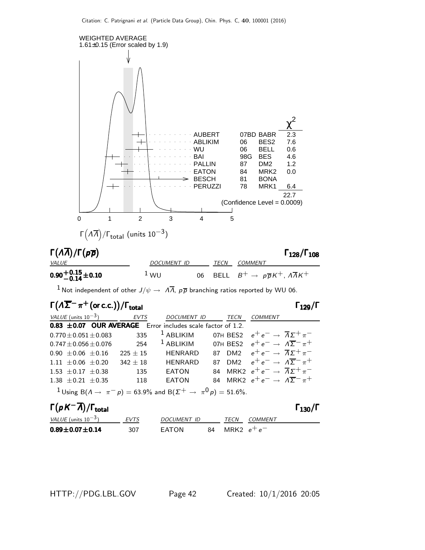

| $\Gamma_{129}/\Gamma$ |
|-----------------------|
|                       |

| VALUE (units $10^{-3}$ ) EVTS                                                                                      |     | DOCUMENT ID TECN |  |  | COMMENT                                                                             |  |  |  |
|--------------------------------------------------------------------------------------------------------------------|-----|------------------|--|--|-------------------------------------------------------------------------------------|--|--|--|
| 0.83 ±0.07 OUR AVERAGE Error includes scale factor of 1.2.                                                         |     |                  |  |  |                                                                                     |  |  |  |
| $0.770 \pm 0.051 \pm 0.083$ 335 <sup>1</sup> ABLIKIM 07H BES2 $e^+e^- \rightarrow \overline{\Lambda}\Sigma^+\pi^-$ |     |                  |  |  |                                                                                     |  |  |  |
| $0.747 \pm 0.056 \pm 0.076$                                                                                        |     |                  |  |  | 254 $^{-1}$ ABLIKIM 07H BES2 $e^+e^- \rightarrow \Lambda \overline{\Sigma}^- \pi^+$ |  |  |  |
| 0.90 $\pm$ 0.06 $\pm$ 0.16 225 $\pm$ 15 HENRARD                                                                    |     |                  |  |  | 87 DM2 $e^+e^- \rightarrow \overline{\Lambda}\Sigma^+\pi^-$                         |  |  |  |
| 1.11 $\pm$ 0.06 $\pm$ 0.20 342 $\pm$ 18 HENRARD                                                                    |     |                  |  |  | 87 DM2 $e^+e^- \rightarrow \Lambda \overline{\Sigma}^- \pi^+$                       |  |  |  |
| 1.53 $\pm$ 0.17 $\pm$ 0.38                                                                                         |     | 135 EATON        |  |  | 84 MRK2 $e^+e^- \rightarrow \overline{\Lambda}\Sigma^+\pi^-$                        |  |  |  |
| 1.38 $\pm$ 0.21 $\pm$ 0.35                                                                                         | 118 | EATON            |  |  | 84 MRK2 $e^+e^- \rightarrow \Lambda \overline{\Sigma}^- \pi^+$                      |  |  |  |
| <sup>1</sup> Using B( $A \to \pi^- p$ ) = 63.9% and B( $\Sigma^+ \to \pi^0 p$ ) = 51.6%.                           |     |                  |  |  |                                                                                     |  |  |  |

| $\Gamma(pK^{-}\overline{\Lambda})/\Gamma_{\rm total}$ |             |              |    |               |         | $\Gamma_{130}/\Gamma$ |
|-------------------------------------------------------|-------------|--------------|----|---------------|---------|-----------------------|
| VALUE (units $10^{-3}$ )                              | <b>EVTS</b> | DOCUMENT ID  |    | <b>TECN</b>   | COMMENT |                       |
| $0.89 \pm 0.07 \pm 0.14$                              | 307         | <b>FATON</b> | 84 | MRK2 $e^+e^-$ |         |                       |

HTTP://PDG.LBL.GOV Page 42 Created: 10/1/2016 20:05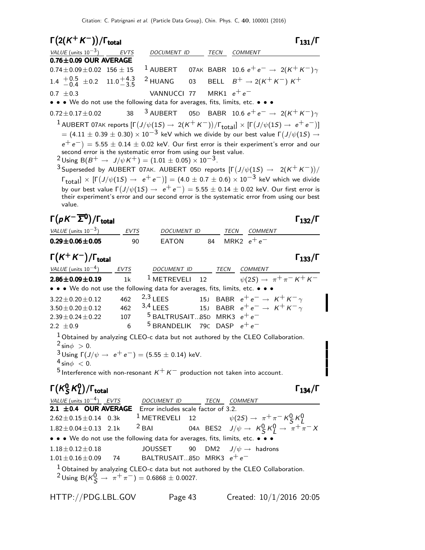| $\Gamma(2(K^+K^-))/\Gamma_{\rm total}$<br>$\Gamma_{131}/\Gamma$                                                                                                                                                                                                                                                                                                                                                                                                                                                         |
|-------------------------------------------------------------------------------------------------------------------------------------------------------------------------------------------------------------------------------------------------------------------------------------------------------------------------------------------------------------------------------------------------------------------------------------------------------------------------------------------------------------------------|
| VALUE (units $10^{-3}$ ) EVTS<br>DOCUMENT ID<br>TECN<br>COMMENT                                                                                                                                                                                                                                                                                                                                                                                                                                                         |
| $0.76 \pm 0.09$ OUR AVERAGE<br><sup>1</sup> AUBERT 07AK BABR 10.6 $e^+e^- \rightarrow 2(K^+K^-)\gamma$<br>$0.74 \pm 0.09 \pm 0.02$ 156 $\pm$ 15                                                                                                                                                                                                                                                                                                                                                                         |
| 1.4 $\frac{+0.5}{-0.4}$ $\pm$ 0.2 11.0 $\frac{+4.3}{-3.5}$<br><sup>2</sup> HUANG<br>BELL $B^+ \rightarrow 2(K^+ K^-) K^+$<br>03                                                                                                                                                                                                                                                                                                                                                                                         |
| MRK1 $e^+e^-$<br>VANNUCCI 77<br>$0.7 \pm 0.3$                                                                                                                                                                                                                                                                                                                                                                                                                                                                           |
| • • • We do not use the following data for averages, fits, limits, etc. • • •                                                                                                                                                                                                                                                                                                                                                                                                                                           |
| <sup>3</sup> AUBERT 05D BABR 10.6 $e^+e^- \rightarrow 2(K^+K^-)\gamma$<br>38<br>$0.72 \pm 0.17 \pm 0.02$                                                                                                                                                                                                                                                                                                                                                                                                                |
| $^1$ AUBERT 07AK reports $[\Gamma(J/\psi(1S) \to 2(K^+K^-))/\Gamma_{\rm total}] \times [\Gamma(J/\psi(1S) \to e^+e^-)]$                                                                                                                                                                                                                                                                                                                                                                                                 |
| $\tau = (4.11 \pm 0.39 \pm 0.30) \times 10^{-3}$ keV which we divide by our best value $\Gamma\bigl(J/\psi(1S) \to 0.39\bigr)$<br>$e^+e^-$ ) = 5.55 $\pm$ 0.14 $\pm$ 0.02 keV. Our first error is their experiment's error and our<br>second error is the systematic error from using our best value.<br><sup>2</sup> Using B( $B^+ \to J/\psi K^+$ ) = (1.01 $\pm$ 0.05) $\times$ 10 <sup>-3</sup> .<br>$^{3}$ Superseded by AUBERT 07AK. AUBERT 05D reports $[\Gamma(J/\psi(1S) \rightarrow 2(K^{+}K^{-}))/\psi(1S)]$ |
| $\lceil \frac{\text{total}}{\text{total}} \rceil \times \lceil \Gamma(1/\psi(1S) \to e^+e^-) \rceil = (4.0 \pm 0.7 \pm 0.6) \times 10^{-3} \text{ keV which we divide }$                                                                                                                                                                                                                                                                                                                                                |
| by our best value $\Gamma(J/\psi(1S) \rightarrow e^+e^-) = 5.55 \pm 0.14 \pm 0.02$ keV. Our first error is<br>their experiment's error and our second error is the systematic error from using our best<br>value.                                                                                                                                                                                                                                                                                                       |
| $\Gamma(pK^-\overline{\Sigma^0})/\Gamma_{\rm total}$<br>$\Gamma_{132}/\Gamma$                                                                                                                                                                                                                                                                                                                                                                                                                                           |
| VALUE (units $10^{-3}$ )<br>COMMENT<br>EVTS<br>DOCUMENT ID<br>TECN                                                                                                                                                                                                                                                                                                                                                                                                                                                      |
| MRK2 $e^+e^-$<br>$0.29 \pm 0.06 \pm 0.05$<br>84<br>90<br><b>EATON</b>                                                                                                                                                                                                                                                                                                                                                                                                                                                   |
| $\Gamma(K^+K^-)/\Gamma_{\rm total}$<br>$\Gamma_{133}/\Gamma$                                                                                                                                                                                                                                                                                                                                                                                                                                                            |
| VALUE (units $10^{-4}$ ) EVTS<br>DOCUMENT ID TECN COMMENT                                                                                                                                                                                                                                                                                                                                                                                                                                                               |
| $\psi(2S) \rightarrow \pi^+ \pi^- K^+ K^-$<br>$^1$ METREVELI<br>12<br>1 <sub>k</sub><br>$2.86 \pm 0.09 \pm 0.19$<br>• • • We do not use the following data for averages, fits, limits, etc. • •                                                                                                                                                                                                                                                                                                                         |
| $2,3$ LEES<br>15J BABR $e^+e^- \rightarrow K^+K^- \gamma$<br>462<br>$3.22 \pm 0.20 \pm 0.12$<br>$3,4$ LEES<br>15J BABR $e^+e^- \rightarrow K^+K^-\gamma$<br>$3.50 \pm 0.20 \pm 0.12$<br>462<br>$5$ BALTRUSAIT85D MRK3 $e^+e^-$<br>$2.39 \pm 0.24 \pm 0.22$<br>107<br><sup>5</sup> BRANDELIK<br>79C DASP<br>$e^+e^-$<br>2.2 $\pm 0.9$<br>6                                                                                                                                                                               |
| $1$ Obtained by analyzing CLEO-c data but not authored by the CLEO Collaboration.<br>$2 \sin \phi > 0$ .                                                                                                                                                                                                                                                                                                                                                                                                                |
| $3 \text{ Using } \Gamma(J/\psi \rightarrow e^+e^-) = (5.55 \pm 0.14) \text{ keV}.$                                                                                                                                                                                                                                                                                                                                                                                                                                     |
| $4\sin\phi < 0$ .                                                                                                                                                                                                                                                                                                                                                                                                                                                                                                       |
| <sup>5</sup> Interference with non-resonant $K^+K^-$ production not taken into account.                                                                                                                                                                                                                                                                                                                                                                                                                                 |
| $\Gamma(K_S^0 K_I^0)/\Gamma_{\rm total}$<br>$\Gamma_{134}/\Gamma$                                                                                                                                                                                                                                                                                                                                                                                                                                                       |
| $\frac{VALUE \text{ (units 10}^{-4})}{2.1 \pm 0.4}$ OUR AVERAGE Error includes scale factor of 3.2.                                                                                                                                                                                                                                                                                                                                                                                                                     |
| $2.62 \pm 0.15 \pm 0.14$ 0.3k                                                                                                                                                                                                                                                                                                                                                                                                                                                                                           |
| <sup>1</sup> METREVELI 12 $\psi(2S) \rightarrow \pi^+ \pi^- K_S^0 K_L^0$<br><sup>2</sup> BAI 04A BES2 $J/\psi \rightarrow K_S^0 K_L^0 \rightarrow \pi^+ \pi^- X$<br>$1.82 \pm 0.04 \pm 0.13$ 2.1k                                                                                                                                                                                                                                                                                                                       |
| • • • We do not use the following data for averages, fits, limits, etc. • • •                                                                                                                                                                                                                                                                                                                                                                                                                                           |
| 90 DM2 $J/\psi \rightarrow$ hadrons<br><b>JOUSSET</b><br>$1.18 \pm 0.12 \pm 0.18$                                                                                                                                                                                                                                                                                                                                                                                                                                       |
| BALTRUSAIT85D MRK3 $e^+e^-$<br>$1.01 \pm 0.16 \pm 0.09$ 74                                                                                                                                                                                                                                                                                                                                                                                                                                                              |
| $1$ Obtained by analyzing CLEO-c data but not authored by the CLEO Collaboration.<br><sup>2</sup> Using B( $K^0$ $\rightarrow \pi^+\pi^-$ ) = 0.6868 ± 0.0027.                                                                                                                                                                                                                                                                                                                                                          |
| HTTP://PDG.LBL.GOV<br>Created: $10/1/2016$ 20:05<br>Page 43                                                                                                                                                                                                                                                                                                                                                                                                                                                             |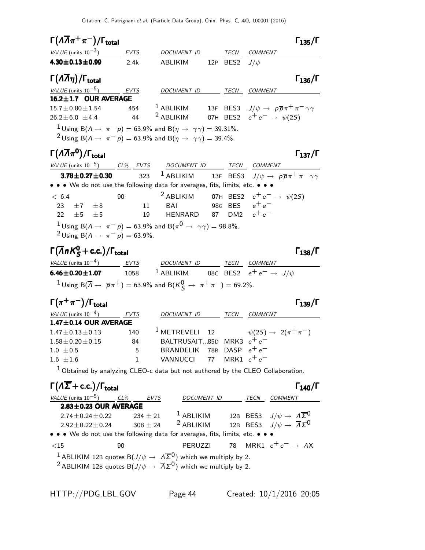| $\Gamma(\Lambda\overline{\Lambda}\pi^+\pi^-)/\Gamma_{\rm total}$                                                                                                                                                                      |             |                           |      | $\Gamma_{135}/\Gamma$                                                 |
|---------------------------------------------------------------------------------------------------------------------------------------------------------------------------------------------------------------------------------------|-------------|---------------------------|------|-----------------------------------------------------------------------|
| VALUE (units $10^{-3}$ )                                                                                                                                                                                                              | <b>EVTS</b> | DOCUMENT ID               | TECN | COMMENT                                                               |
| $4.30 \pm 0.13 \pm 0.99$                                                                                                                                                                                                              | 2.4k        | ABLIKIM 12P BES2 $J/\psi$ |      |                                                                       |
| $\Gamma(\Lambda \overline{\Lambda} \eta)/\Gamma_{\rm total}$                                                                                                                                                                          |             |                           |      | $\Gamma_{136}/\Gamma$                                                 |
| VALUE (units $10^{-5}$ ) EVTS                                                                                                                                                                                                         |             | DOCUMENT ID               | TECN | <b>COMMENT</b>                                                        |
| $16.2 \pm 1.7$ OUR AVERAGE                                                                                                                                                                                                            |             |                           |      |                                                                       |
| $15.7 + 0.80 + 1.54$                                                                                                                                                                                                                  | 454         | $1$ ABLIKIM               |      | 13F BES3 $J/\psi \rightarrow p\overline{p}\pi^{+}\pi^{-}\gamma\gamma$ |
| $26.2 + 6.0 + 4.4$                                                                                                                                                                                                                    | -44         | $2$ ABLIKIM               |      | 07H BES2 $e^+e^- \rightarrow \psi(2S)$                                |
| <sup>1</sup> Using B( $\Lambda \rightarrow \pi^- p$ ) = 63.9% and B( $\eta \rightarrow \gamma \gamma$ ) = 39.31%.<br><sup>2</sup> Using B( $\Lambda \rightarrow \pi^- p$ ) = 63.9% and B( $\eta \rightarrow \gamma \gamma$ ) = 39.4%. |             |                           |      |                                                                       |
| $\Gamma(\Lambda \overline{\Lambda} \pi^0)/\Gamma_{\rm total}$                                                                                                                                                                         |             |                           |      | 137/l                                                                 |

|                                                                                                                   |                |     |           | VALUE (units $10^{-5}$ ) CL% EVTS DOCUMENT ID TECN                                                                    |  |  | <i>COMMENT</i>                                              |
|-------------------------------------------------------------------------------------------------------------------|----------------|-----|-----------|-----------------------------------------------------------------------------------------------------------------------|--|--|-------------------------------------------------------------|
|                                                                                                                   |                |     |           | <b>3.78±0.27±0.30</b> 323 <sup>1</sup> ABLIKIM 13F BES3 $J/\psi \to p\overline{p}\pi^{+}\pi^{-}\gamma\gamma$          |  |  |                                                             |
|                                                                                                                   |                |     |           | $\bullet \bullet \bullet$ We do not use the following data for averages, fits, limits, etc. $\bullet \bullet \bullet$ |  |  |                                                             |
| < 6.4                                                                                                             |                | -90 |           |                                                                                                                       |  |  | <sup>2</sup> ABLIKIM 07H BES2 $e^+e^- \rightarrow \psi(2S)$ |
| 23 $\pm 7$ $\pm 8$                                                                                                |                |     | $\sim$ 11 | BAI 98G BES $e^+e^-$                                                                                                  |  |  |                                                             |
| $22 + 5 + 5$                                                                                                      |                |     | 19        | HENRARD 87 DM2 $e^+e^-$                                                                                               |  |  |                                                             |
| <sup>1</sup> Using B( $\Lambda \rightarrow \pi^- p$ ) = 63.9% and B( $\pi^0 \rightarrow \gamma \gamma$ ) = 98.8%. |                |     |           |                                                                                                                       |  |  |                                                             |
|                                                                                                                   | $2 501 - 1200$ |     |           |                                                                                                                       |  |  |                                                             |

<sup>2</sup> Using B( $\Lambda \rightarrow \pi^- p$ ) = 63.9%.

# $\Gamma(\overline{\Lambda}nK_S^0 + \text{c.c.})/\Gamma_{\text{total}}$  Γ<sub>138</sub>/Γ

#### VALUE (units 10<sup>-4</sup>) EVTS DOCUMENT ID TECN COMMENT **6.46±0.20±1.07** 1058 <sup>1</sup> ABLIKIM 08c BES2  $e^+ \, e^- \rightarrow \,$  J/ $\psi$  $1$ Using B $(\overline{\Lambda} \rightarrow \overline{p}\pi^+) = 63.9\%$  and B $({\cal K}^0_S \rightarrow \pi^+\pi^-) = 69.2\%.$

| $\Gamma(\pi^+\pi^-)/\Gamma_{\rm total}$ |             |                             |      | $\Gamma_{139}/\Gamma$                |
|-----------------------------------------|-------------|-----------------------------|------|--------------------------------------|
| VALUE (units $10^{-4}$ )                | <b>EVTS</b> | <b>DOCUMENT ID</b>          | TECN | COMMENT                              |
| $1.47 \pm 0.14$ OUR AVERAGE             |             |                             |      |                                      |
| $1.47 \pm 0.13 \pm 0.13$                | 140         | $1$ METREVELI $12$          |      | $\psi(2S) \rightarrow 2(\pi^+\pi^-)$ |
| $1.58 + 0.20 + 0.15$                    | 84          | BALTRUSAIT85D MRK3 $e^+e^-$ |      |                                      |
| $1.0 \pm 0.5$                           | 5           | BRANDELIK 78B DASP $e^+e^-$ |      |                                      |
| $1.6 + 1.6$                             | 1           | VANNUCCI 77 MRK1 $e^+e^-$   |      |                                      |
|                                         |             |                             |      |                                      |

 $1$  Obtained by analyzing CLEO-c data but not authored by the CLEO Collaboration.

| $\Gamma(\Lambda \overline{\Sigma} + c.c.)/\Gamma_{\text{total}}$                                                                                                                                                           |              |                    |      |                                                                                                                        |
|----------------------------------------------------------------------------------------------------------------------------------------------------------------------------------------------------------------------------|--------------|--------------------|------|------------------------------------------------------------------------------------------------------------------------|
| VALUE (units $10^{-5}$ ) CL% EVTS                                                                                                                                                                                          |              | <b>DOCUMENT ID</b> | TECN | COMMENT                                                                                                                |
| $2.83 \pm 0.23$ OUR AVERAGE                                                                                                                                                                                                |              |                    |      |                                                                                                                        |
| $2.74 \pm 0.24 \pm 0.22$                                                                                                                                                                                                   | $234 \pm 21$ | $1$ ABLIKIM        |      | 12B BES3 $J/\psi \rightarrow \Lambda \overline{\Sigma}^0$<br>12B BES3 $J/\psi \rightarrow \overline{\Lambda} \Sigma^0$ |
| $2.92 \pm 0.22 \pm 0.24$                                                                                                                                                                                                   | $308 \pm 24$ | $2$ ABLIKIM        |      |                                                                                                                        |
| • • • We do not use the following data for averages, fits, limits, etc. • • •                                                                                                                                              |              |                    |      |                                                                                                                        |
| ${<}15$                                                                                                                                                                                                                    | 90           |                    |      | PERUZZI 78 MRK1 $e^+e^- \rightarrow AX$                                                                                |
| <sup>1</sup> ABLIKIM 12B quotes B $(J/\psi \rightarrow \Lambda \overline{\Sigma}^0)$ which we multiply by 2.<br><sup>2</sup> ABLIKIM 12B quotes $B(J/\psi \rightarrow \overline{\Lambda}\Sigma^0)$ which we multiply by 2. |              |                    |      |                                                                                                                        |

#### total $1\,138/1$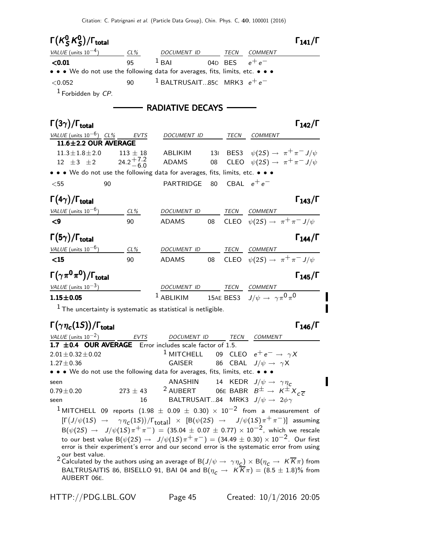| $\Gamma(K_S^0 K_S^0)/\Gamma_{\rm total}$                                                                                                                                                                                                                                                                                                                                                                                                                                                                                                                                                                                                                                                                                                            |                      |                                                                                                                                             |    |                  |                                                    | $\Gamma_{141}/\Gamma$                             |  |
|-----------------------------------------------------------------------------------------------------------------------------------------------------------------------------------------------------------------------------------------------------------------------------------------------------------------------------------------------------------------------------------------------------------------------------------------------------------------------------------------------------------------------------------------------------------------------------------------------------------------------------------------------------------------------------------------------------------------------------------------------------|----------------------|---------------------------------------------------------------------------------------------------------------------------------------------|----|------------------|----------------------------------------------------|---------------------------------------------------|--|
| VALUE (units $10^{-4}$ )                                                                                                                                                                                                                                                                                                                                                                                                                                                                                                                                                                                                                                                                                                                            | $CL\%$               | DOCUMENT ID                                                                                                                                 |    |                  | TECN COMMENT                                       |                                                   |  |
| < 0.01                                                                                                                                                                                                                                                                                                                                                                                                                                                                                                                                                                                                                                                                                                                                              | 95                   | $1$ BAI                                                                                                                                     |    | 04D BES $e^+e^-$ |                                                    |                                                   |  |
| • • • We do not use the following data for averages, fits, limits, etc. • • •                                                                                                                                                                                                                                                                                                                                                                                                                                                                                                                                                                                                                                                                       |                      |                                                                                                                                             |    |                  |                                                    |                                                   |  |
| < 0.052                                                                                                                                                                                                                                                                                                                                                                                                                                                                                                                                                                                                                                                                                                                                             | 90                   | $1$ BALTRUSAIT85C MRK3 $e^+e^-$                                                                                                             |    |                  |                                                    |                                                   |  |
| $1$ Forbidden by $CP$ .                                                                                                                                                                                                                                                                                                                                                                                                                                                                                                                                                                                                                                                                                                                             |                      |                                                                                                                                             |    |                  |                                                    |                                                   |  |
|                                                                                                                                                                                                                                                                                                                                                                                                                                                                                                                                                                                                                                                                                                                                                     |                      | — RADIATIVE DECAYS                                                                                                                          |    |                  |                                                    |                                                   |  |
|                                                                                                                                                                                                                                                                                                                                                                                                                                                                                                                                                                                                                                                                                                                                                     |                      |                                                                                                                                             |    |                  |                                                    |                                                   |  |
| $\Gamma(3\gamma)/\Gamma_{\rm total}$                                                                                                                                                                                                                                                                                                                                                                                                                                                                                                                                                                                                                                                                                                                |                      |                                                                                                                                             |    |                  |                                                    | $\Gamma_{142}/\Gamma$                             |  |
| <u>VALUE (units <math>10^{-6}</math>)</u> CL% EVTS                                                                                                                                                                                                                                                                                                                                                                                                                                                                                                                                                                                                                                                                                                  |                      | DOCUMENT ID                                                                                                                                 |    | <b>TECN</b>      | COMMENT                                            |                                                   |  |
| 11.6±2.2 OUR AVERAGE                                                                                                                                                                                                                                                                                                                                                                                                                                                                                                                                                                                                                                                                                                                                |                      |                                                                                                                                             |    |                  |                                                    |                                                   |  |
| $11.3 \pm 1.8 \pm 2.0$                                                                                                                                                                                                                                                                                                                                                                                                                                                                                                                                                                                                                                                                                                                              | $113 \pm 18$         | ABLIKIM 131 BES3 $\psi(2S) \rightarrow \pi^+ \pi^- J/\psi$                                                                                  |    |                  |                                                    |                                                   |  |
| $12 \pm 3 \pm 2$                                                                                                                                                                                                                                                                                                                                                                                                                                                                                                                                                                                                                                                                                                                                    | 24.2 <sup>+7.2</sup> | ADAMS                                                                                                                                       |    |                  |                                                    | 08 CLEO $\psi(2S) \rightarrow \pi^+ \pi^- J/\psi$ |  |
| • • • We do not use the following data for averages, fits, limits, etc. • • •                                                                                                                                                                                                                                                                                                                                                                                                                                                                                                                                                                                                                                                                       |                      |                                                                                                                                             |    |                  |                                                    |                                                   |  |
| 90<br>$<$ 55                                                                                                                                                                                                                                                                                                                                                                                                                                                                                                                                                                                                                                                                                                                                        |                      | PARTRIDGE                                                                                                                                   |    |                  | 80 CBAL $e^+e^-$                                   |                                                   |  |
| $\Gamma(4\gamma)/\Gamma_{\rm total}$                                                                                                                                                                                                                                                                                                                                                                                                                                                                                                                                                                                                                                                                                                                |                      |                                                                                                                                             |    |                  |                                                    | $\Gamma_{143}/\Gamma$                             |  |
|                                                                                                                                                                                                                                                                                                                                                                                                                                                                                                                                                                                                                                                                                                                                                     |                      |                                                                                                                                             |    |                  |                                                    |                                                   |  |
| VALUE (units $10^{-6}$ )                                                                                                                                                                                                                                                                                                                                                                                                                                                                                                                                                                                                                                                                                                                            | CL%                  | DOCUMENT ID TECN COMMENT                                                                                                                    |    |                  |                                                    |                                                   |  |
| $\mathbf{<}9$                                                                                                                                                                                                                                                                                                                                                                                                                                                                                                                                                                                                                                                                                                                                       | 90                   | <b>ADAMS</b>                                                                                                                                | 08 |                  |                                                    | CLEO $\psi(2S) \rightarrow \pi^+ \pi^- J/\psi$    |  |
| $\Gamma(5\gamma)/\Gamma_{\rm total}$                                                                                                                                                                                                                                                                                                                                                                                                                                                                                                                                                                                                                                                                                                                |                      |                                                                                                                                             |    |                  |                                                    | $\Gamma_{144}/\Gamma$                             |  |
| VALUE (units $10^{-6}$ )                                                                                                                                                                                                                                                                                                                                                                                                                                                                                                                                                                                                                                                                                                                            | CL%                  | DOCUMENT ID                                                                                                                                 |    |                  | TECN COMMENT                                       |                                                   |  |
| $\leq$ 15                                                                                                                                                                                                                                                                                                                                                                                                                                                                                                                                                                                                                                                                                                                                           | 90                   | <b>ADAMS</b>                                                                                                                                |    |                  |                                                    | 08 CLEO $\psi(2S) \rightarrow \pi^+ \pi^- J/\psi$ |  |
| $\Gamma(\gamma\pi^0\pi^0)/\Gamma_{\rm total}$                                                                                                                                                                                                                                                                                                                                                                                                                                                                                                                                                                                                                                                                                                       |                      |                                                                                                                                             |    |                  |                                                    | $\Gamma_{145}/\Gamma$                             |  |
| VALUE (units $10^{-3}$ )                                                                                                                                                                                                                                                                                                                                                                                                                                                                                                                                                                                                                                                                                                                            |                      |                                                                                                                                             |    |                  |                                                    |                                                   |  |
| $1.15 \pm 0.05$                                                                                                                                                                                                                                                                                                                                                                                                                                                                                                                                                                                                                                                                                                                                     |                      | $\frac{DOCUMENT ID}{A BLIKIM} \frac{TECN}{15AE BES3} \frac{COMMENT}{J/\psi \to \gamma \pi^0 \pi^0}$                                         |    |                  |                                                    |                                                   |  |
| $1$ The uncertainty is systematic as statistical is netligible.                                                                                                                                                                                                                                                                                                                                                                                                                                                                                                                                                                                                                                                                                     |                      |                                                                                                                                             |    |                  |                                                    |                                                   |  |
| $\Gamma(\gamma\eta_c(1S))/\Gamma_{\rm total}$                                                                                                                                                                                                                                                                                                                                                                                                                                                                                                                                                                                                                                                                                                       |                      |                                                                                                                                             |    |                  |                                                    | $\Gamma_{146}/\Gamma$                             |  |
| VALUE (units $10^{-2}$ )                                                                                                                                                                                                                                                                                                                                                                                                                                                                                                                                                                                                                                                                                                                            | EVTS                 | DOCUMENT ID                                                                                                                                 |    |                  | TECN COMMENT                                       |                                                   |  |
| 1.7 $\pm$ 0.4 OUR AVERAGE Error includes scale factor of 1.5.                                                                                                                                                                                                                                                                                                                                                                                                                                                                                                                                                                                                                                                                                       |                      | $1$ MITCHELL                                                                                                                                |    |                  | 09 CLEO $e^+e^- \rightarrow \gamma X$              |                                                   |  |
| $2.01 \pm 0.32 \pm 0.02$<br>$1.27 \pm 0.36$                                                                                                                                                                                                                                                                                                                                                                                                                                                                                                                                                                                                                                                                                                         |                      | GAISER                                                                                                                                      |    |                  | 86 CBAL $J/\psi \rightarrow \gamma X$              |                                                   |  |
| • • • We do not use the following data for averages, fits, limits, etc. • • •                                                                                                                                                                                                                                                                                                                                                                                                                                                                                                                                                                                                                                                                       |                      |                                                                                                                                             |    |                  |                                                    |                                                   |  |
| seen                                                                                                                                                                                                                                                                                                                                                                                                                                                                                                                                                                                                                                                                                                                                                |                      |                                                                                                                                             |    |                  | 14 KEDR $J/\psi \rightarrow \gamma \eta_c$         |                                                   |  |
| $0.79 \pm 0.20$                                                                                                                                                                                                                                                                                                                                                                                                                                                                                                                                                                                                                                                                                                                                     |                      | ANASHIN 14 KEDR $J/\psi \rightarrow \gamma \eta_c$<br>273 ± 43 <sup>2</sup> AUBERT 06E BABR $B^{\pm} \rightarrow K^{\pm} X_{c\overline{c}}$ |    |                  |                                                    |                                                   |  |
| seen                                                                                                                                                                                                                                                                                                                                                                                                                                                                                                                                                                                                                                                                                                                                                |                      | 16 —                                                                                                                                        |    |                  | BALTRUSAIT84 MRK3 $J/\psi \rightarrow 2\phi\gamma$ |                                                   |  |
| <sup>1</sup> MITCHELL 09 reports $(1.98 \pm 0.09 \pm 0.30) \times 10^{-2}$ from a measurement of<br>$[\Gamma(J/\psi(1S) \rightarrow \gamma \eta_c(1S))/\Gamma_{\text{total}}] \times [B(\psi(2S) \rightarrow J/\psi(1S)\pi^+\pi^-)]$ assuming<br>$B(\psi(2S) \rightarrow J/\psi(1S)\pi^{+}\pi^{-}) = (35.04 \pm 0.07 \pm 0.77) \times 10^{-2}$ , which we rescale<br>to our best value B( $\psi(2S) \to J/\psi(1S)\pi^+\pi^-) = (34.49 \pm 0.30) \times 10^{-2}$ . Our first<br>error is their experiment's error and our second error is the systematic error from using<br>our best value.<br>$^2$ Calculated by the authors using an average of B $(J/\psi\to\,\gamma\eta_{\rm\bm{C}})\times$ B $(\eta_{\rm\bm{C}}\to\,\,K\overline{K}\pi)$ from |                      |                                                                                                                                             |    |                  |                                                    |                                                   |  |
| BALTRUSAITIS 86, BISELLO 91, BAI 04 and B $(\eta_c \to K \overline{K} \pi) = (8.5 \pm 1.8)\%$ from<br>AUBERT 06E.                                                                                                                                                                                                                                                                                                                                                                                                                                                                                                                                                                                                                                   |                      |                                                                                                                                             |    |                  |                                                    |                                                   |  |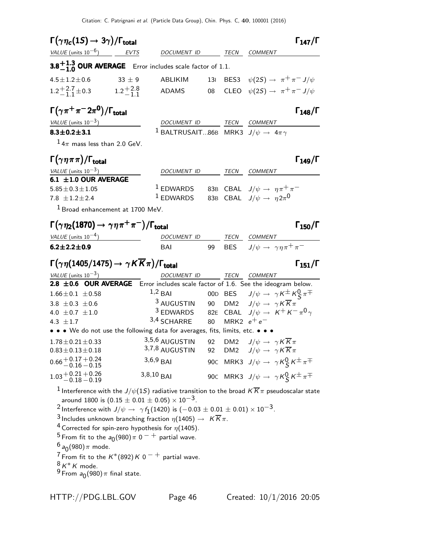| $\Gamma(\gamma\eta_c(1S) \rightarrow 3\gamma)/\Gamma_{\text{total}}$             |            |              |      |                                                   | $\Gamma_{147}/\Gamma$ |
|----------------------------------------------------------------------------------|------------|--------------|------|---------------------------------------------------|-----------------------|
| VALUE (units $10^{-6}$ ) EVTS                                                    |            | DOCUMENT ID  | TECN | <b>COMMENT</b>                                    |                       |
| 3.8 <sup><math>+1.3</math></sup> OUR AVERAGE Error includes scale factor of 1.1. |            |              |      |                                                   |                       |
| $4.5 \pm 1.2 \pm 0.6$                                                            | $33 \pm 9$ | ABLIKIM      |      | 131 BES3 $\psi(2S) \to \pi^+ \pi^- J/\psi$        |                       |
| $1.2 + \frac{2.7}{1.1} \pm 0.3$ $1.2 + \frac{2.8}{1.1}$                          |            | <b>ADAMS</b> |      | 08 CLEO $\psi(2S) \rightarrow \pi^+ \pi^- J/\psi$ |                       |
| $\Gamma(\gamma\pi^+\pi^-2\pi^0)/\Gamma_{\rm total}$                              |            |              |      |                                                   | $\Gamma_{148}/\Gamma$ |

# VALUE (units  $10^{-3}$ )

| DOCUMENT ID                                                      | TECN COMMENT |
|------------------------------------------------------------------|--------------|
| <sup>1</sup> BALTRUSAIT86B MRK3 $J/\psi \rightarrow 4\pi \gamma$ |              |

 $14\pi$  mass less than 2.0 GeV.

#### Γ $(\gamma \eta \pi \pi)/\Gamma_{\text{total}}$  Γ $_{149}/\Gamma$  $\big)$ /Γ<sub>total</sub>Γ

 $8.3 \pm 0.2 \pm 3.1$ 

| VALUE (units $10^{-3}$ )  | DOCUMENT ID                                                    | TECN | <b>COMMENT</b>                                                      |
|---------------------------|----------------------------------------------------------------|------|---------------------------------------------------------------------|
| 6.1 $\pm$ 1.0 OUR AVERAGE |                                                                |      |                                                                     |
| $5.85 \pm 0.3 \pm 1.05$   |                                                                |      | <sup>1</sup> EDWARDS 83B CBAL $J/\psi \rightarrow \eta \pi^+ \pi^-$ |
| $7.8 + 1.2 + 2.4$         | <sup>1</sup> EDWARDS 83B CBAL $J/\psi \rightarrow \eta 2\pi^0$ |      |                                                                     |

 $1$  Broad enhancement at 1700 MeV.

## $\Gamma(\gamma\eta_2(1870) \to \gamma\eta\pi^+\pi^-)/\Gamma_{\rm total}$  Γ<sub>150</sub>/Γ

| VALUE (units $10^{-4}$ ) | <i>DOCUMENT ID</i> |  | <b>TFCN</b> | COMMENT                                             |
|--------------------------|--------------------|--|-------------|-----------------------------------------------------|
| $6.2 \pm 2.2 \pm 0.9$    | RAI                |  |             | 99 BES $J/\psi \rightarrow \gamma \eta \pi^+ \pi^-$ |

## $\Gamma(\gamma\eta(1405/1475) \rightarrow \gamma K \overline{K} \pi)/\Gamma_{\rm total}$  Γ<sub>151</sub>/Γ

| VALUE (units $10^{-3}$ )                                                              | DOCUMENT ID           | TECN | <b>COMMENT</b>                                               |
|---------------------------------------------------------------------------------------|-----------------------|------|--------------------------------------------------------------|
| 2.8 $\pm$ 0.6 OUR AVERAGE Error includes scale factor of 1.6. See the ideogram below. |                       |      |                                                              |
| $1.66 \pm 0.1 \pm 0.58$                                                               | $1,2$ BAI             |      | 00D BES $J/\psi \rightarrow \gamma K^{\pm} K^0_S \pi^{\mp}$  |
| 3.8 $\pm$ 0.3 $\pm$ 0.6                                                               | <sup>3</sup> AUGUSTIN |      | 90 DM2 $J/\psi \rightarrow \gamma K \overline{K} \pi$        |
| 4.0 $\pm$ 0.7 $\pm$ 1.0                                                               | <sup>3</sup> EDWARDS  |      | 82E CBAL $J/\psi \rightarrow K^+ K^- \pi^0 \gamma$           |
| 4.3 $\pm 1.7$                                                                         | $3,4$ SCHARRE         | 80   | MRK2 $e^+e^-$                                                |
| • • • We do not use the following data for averages, fits, limits, etc. • • •         |                       |      |                                                              |
| $1.78 \pm 0.21 \pm 0.33$                                                              | 3,5,6 AUGUSTIN        |      | 92 DM2 $J/\psi \rightarrow \gamma K \overline{K} \pi$        |
| $0.83 \pm 0.13 \pm 0.18$                                                              | 3,7,8 AUGUSTIN        | 92   | DM2 $J/\psi \rightarrow \gamma K \overline{K} \pi$           |
| $0.66 + 0.17 + 0.24$<br>-0.16 - 0.15                                                  | $3,6,9$ BAI           |      | 90C MRK3 $J/\psi \rightarrow \gamma K_S^0 K^{\pm} \pi^{\mp}$ |
| $1.03 + 0.21 + 0.26$<br>$-0.18 - 0.19$                                                | $3,8,10$ BAI          |      | 90C MRK3 $J/\psi \rightarrow \gamma K_S^0 K^{\pm} \pi^{\mp}$ |

<sup>1</sup> Interference with the  $J/\psi(1S)$  radiative transition to the broad  $K \overline{K} \pi$  pseudoscalar state around 1800 is  $(0.15 \pm 0.01 \pm 0.05) \times 10^{-3}$ .

<sup>2</sup> Interference with  $J/\psi \rightarrow \gamma f_1(1420)$  is  $(-0.03 \pm 0.01 \pm 0.01) \times 10^{-3}$ .

3 Includes unknown branching fraction  $\eta(1405) \rightarrow K \overline{K} \pi$ .

<sup>4</sup> Corrected for spin-zero hypothesis for  $\eta$ (1405).

 $^5$  From fit to the  $a_0(980)\pi$  0  $^ ^+$  partial wave.

 $\frac{6}{5}$ a $_0$ (980) $\pi$  mode.

 $7$  From fit to the K<sup>\*</sup>(892)K 0<sup>-+</sup> partial wave.

 $8 K^* K$  mode.

 $^{9}$ From  $s_{0}($ 980) $\pi$  final state.

HTTP://PDG.LBL.GOV Page 46 Created: 10/1/2016 20:05

 $\Gamma_{151}/\Gamma$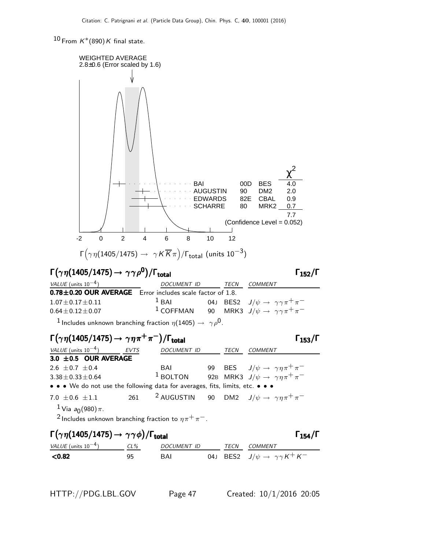$10$  From  $K^*(890)K$  final state.

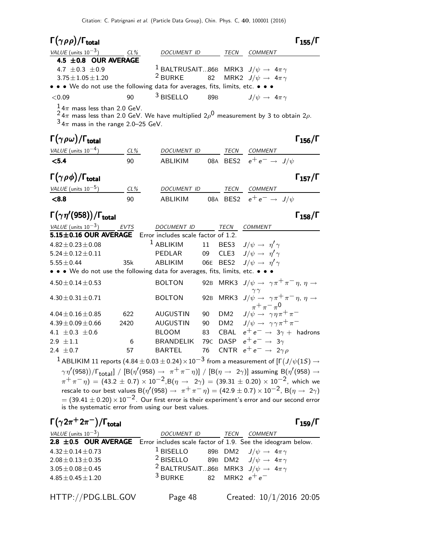| $\Gamma(\gamma \rho \rho)/\Gamma_{\rm total}$                                                                                                     |                 |                                                                                                                                               |     |                  |                                                                                               | $\Gamma_{155}/\Gamma$ |
|---------------------------------------------------------------------------------------------------------------------------------------------------|-----------------|-----------------------------------------------------------------------------------------------------------------------------------------------|-----|------------------|-----------------------------------------------------------------------------------------------|-----------------------|
| VALUE (units $10^{-3}$ )                                                                                                                          | CL%             | DOCUMENT ID                                                                                                                                   |     |                  | TECN COMMENT                                                                                  |                       |
| 4.5 ±0.8 OUR AVERAGE                                                                                                                              |                 |                                                                                                                                               |     |                  |                                                                                               |                       |
| 4.7 $\pm$ 0.3 $\pm$ 0.9                                                                                                                           |                 |                                                                                                                                               |     |                  | <sup>1</sup> BALTRUSAIT86B MRK3 $J/\psi \rightarrow 4\pi \gamma$                              |                       |
| $3.75 \pm 1.05 \pm 1.20$                                                                                                                          |                 | <sup>2</sup> BURKE                                                                                                                            | 82  |                  | MRK2 $J/\psi \rightarrow 4\pi \gamma$                                                         |                       |
| • • • We do not use the following data for averages, fits, limits, etc. • • •                                                                     |                 |                                                                                                                                               |     |                  |                                                                                               |                       |
| < 0.09                                                                                                                                            | 90              | <sup>3</sup> BISELLO                                                                                                                          |     |                  | 89B $J/\psi \rightarrow 4\pi \gamma$                                                          |                       |
| $14\pi$ mass less than 2.0 GeV.                                                                                                                   |                 |                                                                                                                                               |     |                  |                                                                                               |                       |
| $^2$ 4 $\pi$ mass less than 2.0 GeV. We have multiplied 2 $\rho^0$ measurement by 3 to obtain 2 $\rho$ .<br>$34\pi$ mass in the range 2.0–25 GeV. |                 |                                                                                                                                               |     |                  |                                                                                               |                       |
|                                                                                                                                                   |                 |                                                                                                                                               |     |                  |                                                                                               |                       |
| $\Gamma(\gamma \rho \omega)/\Gamma_{\rm total}$                                                                                                   |                 |                                                                                                                                               |     |                  |                                                                                               | $\Gamma_{156}/\Gamma$ |
| VALUE (units $10^{-4}$ )                                                                                                                          | CL%             | DOCUMENT ID                                                                                                                                   |     |                  | TECN COMMENT                                                                                  |                       |
| < 5.4                                                                                                                                             | 90              | ABLIKIM                                                                                                                                       |     |                  | 08A BES2 $e^+e^- \rightarrow J/\psi$                                                          |                       |
|                                                                                                                                                   |                 |                                                                                                                                               |     |                  |                                                                                               |                       |
| $\Gamma(\gamma\rho\phi)/\Gamma_{\rm total}$                                                                                                       |                 |                                                                                                                                               |     |                  |                                                                                               | $\Gamma_{157}/\Gamma$ |
| VALUE (units $10^{-5}$ )                                                                                                                          | CL%             | DOCUMENT ID                                                                                                                                   |     | TECN             | <b>COMMENT</b>                                                                                |                       |
| < 8.8                                                                                                                                             | 90              | ABLIKIM                                                                                                                                       |     |                  | 08A BES2 $e^+e^- \rightarrow J/\psi$                                                          |                       |
|                                                                                                                                                   |                 |                                                                                                                                               |     |                  |                                                                                               |                       |
| $\Gamma(\gamma\eta'(958))/\Gamma_{\rm total}$                                                                                                     |                 |                                                                                                                                               |     |                  |                                                                                               | $\Gamma_{158}/\Gamma$ |
| VALUE (units $10^{-3}$ ) EVTS                                                                                                                     |                 | DOCUMENT ID                                                                                                                                   |     | <b>TECN</b>      | <b>COMMENT</b>                                                                                |                       |
| 5.15±0.16 OUR AVERAGE Error includes scale factor of 1.2.                                                                                         |                 |                                                                                                                                               |     |                  |                                                                                               |                       |
| $4.82 \pm 0.23 \pm 0.08$                                                                                                                          |                 | <sup>1</sup> ABLIKIM                                                                                                                          |     | 11 BES3          | $J/\psi \rightarrow \eta' \gamma$                                                             |                       |
| $5.24 \pm 0.12 \pm 0.11$                                                                                                                          |                 | PEDLAR                                                                                                                                        | 09  | CLE3             | $J/\psi \rightarrow \eta' \gamma$                                                             |                       |
| $5.55 \pm 0.44$                                                                                                                                   | 35k             | ABLIKIM                                                                                                                                       | 06E | BES <sub>2</sub> | $J/\psi \rightarrow \eta' \gamma$                                                             |                       |
| • • • We do not use the following data for averages, fits, limits, etc. • • •                                                                     |                 |                                                                                                                                               |     |                  |                                                                                               |                       |
| $4.50 \pm 0.14 \pm 0.53$                                                                                                                          |                 | <b>BOLTON</b>                                                                                                                                 | 92B |                  | MRK3 $J/\psi \rightarrow \gamma \pi^+ \pi^- \eta$ , $\eta \rightarrow$                        |                       |
| $4.30 \pm 0.31 \pm 0.71$                                                                                                                          |                 | <b>BOLTON</b>                                                                                                                                 | 92B |                  | $\gamma\, \gamma$ .<br>MRK3 $J/\psi \rightarrow \gamma \pi^+ \pi^- \eta$ , $\eta \rightarrow$ |                       |
|                                                                                                                                                   |                 |                                                                                                                                               |     |                  | $\pi^+\pi^-\pi^0$                                                                             |                       |
| $4.04 \pm 0.16 \pm 0.85$                                                                                                                          | 622             | <b>AUGUSTIN</b>                                                                                                                               | 90  | DM <sub>2</sub>  | $J/\psi \rightarrow \gamma \eta \pi^+ \pi^-$                                                  |                       |
| $4.39 \pm 0.09 \pm 0.66$                                                                                                                          | 2420            | <b>AUGUSTIN</b>                                                                                                                               | 90  | DM <sub>2</sub>  | $J/\psi \rightarrow \gamma \gamma \pi^+ \pi^-$                                                |                       |
| 4.1 $\pm 0.3 \pm 0.6$                                                                                                                             |                 | <b>BLOOM</b>                                                                                                                                  | 83  | CBAL             | $e^+e^- \rightarrow 3\gamma +$ hadrons                                                        |                       |
| $2.9 \pm 1.1$                                                                                                                                     | $6\overline{6}$ | BRANDELIK 79C DASP $e^+e^- \rightarrow 3\gamma$                                                                                               |     |                  |                                                                                               |                       |
| 2.4 $\pm$ 0.7                                                                                                                                     | 57              | <b>BARTEL</b>                                                                                                                                 |     |                  | 76 CNTR $e^+e^- \rightarrow 2\gamma \rho$                                                     |                       |
| $^1$ ABLIKIM 11 reports (4.84 $\pm$ 0.03 $\pm$ 0.24) $\times$ 10 $^{-3}$ from a measurement of [F(J/ $\psi(1S)$ $\rightarrow$                     |                 |                                                                                                                                               |     |                  |                                                                                               |                       |
|                                                                                                                                                   |                 | $\gamma\eta'(958))/\Gamma_{\rm total}$ ] / [B $(\eta'(958) \to \pi^+\pi^-\eta)$ ] / [B $(\eta \to 2\gamma)$ ] assuming B $(\eta'(958) \to 0)$ |     |                  |                                                                                               |                       |
|                                                                                                                                                   |                 | $\pi^+\pi^-\eta$ = (43.2 ± 0.7) × 10 <sup>-2</sup> , B( $\eta \to 2\gamma$ ) = (39.31 ± 0.20) × 10 <sup>-2</sup> , which we                   |     |                  |                                                                                               |                       |
|                                                                                                                                                   |                 | rescale to our best values B $(\eta'(958) \rightarrow \pi^+\pi^-\eta) = (42.9 \pm 0.7) \times 10^{-2}$ , B $(\eta \rightarrow 2\gamma)$       |     |                  |                                                                                               |                       |
|                                                                                                                                                   |                 |                                                                                                                                               |     |                  |                                                                                               |                       |

 $=(39.41\pm0.20)\!\times\!10^{-2}.$  Our first error is their experiment's error and our second error is the systematic error from using our best values.

| $\Gamma(\gamma 2\pi^+ 2\pi^-)/\Gamma_{\rm total}$                                |                                                                  |                  |                            | $\Gamma_{159}/\Gamma$ |
|----------------------------------------------------------------------------------|------------------------------------------------------------------|------------------|----------------------------|-----------------------|
| VALUE (units $10^{-3}$ )                                                         | DOCUMENT ID TECN                                                 |                  | COMMENT                    |                       |
| 2.8 ±0.5 OUR AVERAGE Error includes scale factor of 1.9. See the ideogram below. |                                                                  |                  |                            |                       |
| $4.32 \pm 0.14 \pm 0.73$                                                         | <sup>1</sup> BISELLO 89B DM2 $J/\psi \rightarrow 4\pi \gamma$    |                  |                            |                       |
| $2.08 \pm 0.13 \pm 0.35$                                                         | <sup>2</sup> BISELLO 89B DM2 $J/\psi \rightarrow 4\pi \gamma$    |                  |                            |                       |
| $3.05 \pm 0.08 \pm 0.45$                                                         | <sup>2</sup> BALTRUSAIT86B MRK3 $J/\psi \rightarrow 4\pi \gamma$ |                  |                            |                       |
| $4.85 \pm 0.45 \pm 1.20$                                                         | $3$ BURKE                                                        | 82 MRK2 $e^+e^-$ |                            |                       |
|                                                                                  |                                                                  |                  |                            |                       |
| HTTP://PDG.LBL.GOV                                                               | Page 48                                                          |                  | Created: $10/1/2016$ 20:05 |                       |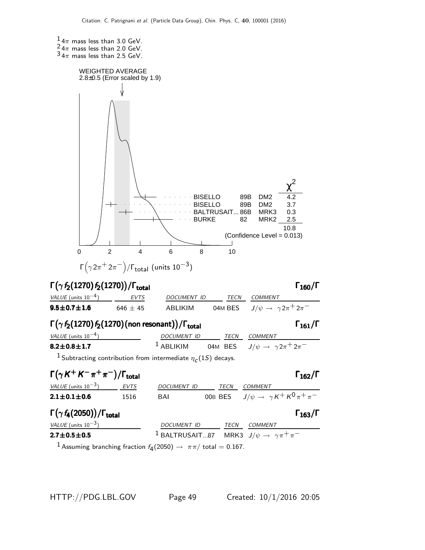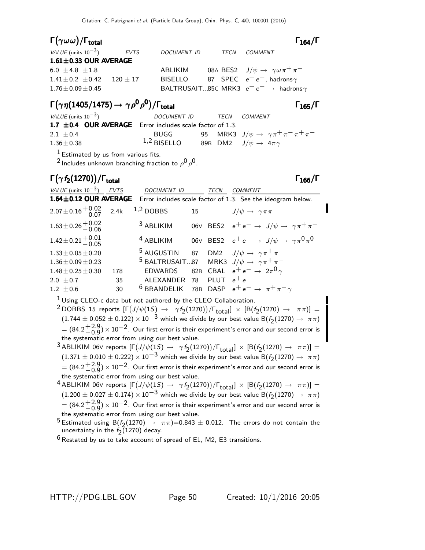| $\Gamma(\gamma\omega\omega)/\Gamma_{\rm total}$ |             |                    |      | $\Gamma_{164}/\Gamma$                                    |
|-------------------------------------------------|-------------|--------------------|------|----------------------------------------------------------|
| VALUE (units $10^{-3}$ )                        | <b>EVTS</b> | <b>DOCUMENT ID</b> | TECN | COMMENT                                                  |
| $1.61 \pm 0.33$ OUR AVERAGE                     |             |                    |      |                                                          |
| 6.0 $\pm$ 4.8 $\pm$ 1.8                         |             | ABLIKIM            |      | 08A BES2 $J/\psi \rightarrow \gamma \omega \pi^+ \pi^-$  |
| $1.41 \pm 0.2 \pm 0.42$                         | $120\pm17$  | <b>BISELLO</b>     |      | 87 SPEC $e^+e^-$ , hadrons $\gamma$                      |
| $1.76 \pm 0.09 \pm 0.45$                        |             |                    |      | BALTRUSAIT85C MRK3 $e^+e^- \rightarrow$ hadrons $\gamma$ |
|                                                 |             |                    |      |                                                          |

# $\Gamma(\gamma\eta(1405/1475) \to \gamma\rho^0\rho^0)/\Gamma_{\rm total}$  Γ<sub>165</sub>/Γ

| VALUE (units $10^{-3}$ )                                      | DOCUMENT ID   | TECN | COMMENT                                                     |
|---------------------------------------------------------------|---------------|------|-------------------------------------------------------------|
| 1.7 $\pm$ 0.4 OUR AVERAGE Error includes scale factor of 1.3. |               |      |                                                             |
| 2.1 $\pm$ 0.4                                                 | BUGG          |      | 95 MRK3 $J/\psi \rightarrow \gamma \pi^+ \pi^- \pi^+ \pi^-$ |
| $1.36 \pm 0.38$                                               | $1,2$ BISELLO |      | 89B DM2 $J/\psi \rightarrow 4\pi \gamma$                    |

 $<sup>1</sup>$  Estimated by us from various fits.</sup>

 $^2$ Includes unknown branching fraction to  $\rho^0\rho^0$ .

#### Γ $(\gamma f_2(1270))/\Gamma_{\text{total}}$  Γ $_{166}/\Gamma$

total and  $1/166/1$ 

П

| VALUE (units $10^{-3}$ )                                    | <b>EVTS</b> | DOCUMENT ID                | TECN    | COMMENT                                                                                                                  |
|-------------------------------------------------------------|-------------|----------------------------|---------|--------------------------------------------------------------------------------------------------------------------------|
|                                                             |             |                            |         | 1.64±0.12 OUR AVERAGE Error includes scale factor of 1.3. See the ideogram below.                                        |
| $2.07 \pm 0.16 \frac{+0.02}{-0.07}$ 2.4k 1,2 DOBBS          |             |                            | 15 (19) | $J/\psi \rightarrow \gamma \pi \pi$                                                                                      |
| $1.63 \pm 0.26 \pm 0.02$                                    |             | <sup>3</sup> ABLIKIM       |         | 06V BES2 $e^+e^- \rightarrow J/\psi \rightarrow \gamma \pi^+ \pi^-$                                                      |
| $1.42 \pm 0.21 \begin{array}{c} +0.01 \\ -0.05 \end{array}$ |             | <sup>4</sup> ABLIKIM       |         | 06V BES2 $e^+e^- \rightarrow J/\psi \rightarrow \gamma \pi^0 \pi^0$                                                      |
| $1.33 \pm 0.05 \pm 0.20$                                    |             |                            |         | 5 AUGUSTIN 87 DM2 $J/\psi \rightarrow \gamma \pi^+ \pi^-$<br>5 BALTRUSAIT87 MRK3 $J/\psi \rightarrow \gamma \pi^+ \pi^-$ |
| $1.36 \pm 0.09 \pm 0.23$                                    |             |                            |         |                                                                                                                          |
| $1.48 \pm 0.25 \pm 0.30$                                    | 178         | <b>EDWARDS</b>             |         | 82B CBAL $e^+e^- \rightarrow 2\pi^0 \gamma$                                                                              |
| 2.0 $\pm$ 0.7                                               | 35          | ALEXANDER 78 PLUT $e^+e^-$ |         |                                                                                                                          |
| $1.2 + 0.6$                                                 | 30          |                            |         | <sup>6</sup> BRANDELIK 78B DASP $e^+e^- \rightarrow \pi^+\pi^-\gamma$                                                    |

1 Using CLEO-c data but not authored by the CLEO Collaboration.

 $^2$ DOBBS 15 reports  $[\Gamma(J/\psi(1S)] \to \gamma f_2(1270))/\Gamma_{\rm total}]\times [\Bbb B(f_2(1270) \to \pi\pi)] =$  $(1.744 \pm 0.052 \pm 0.122) \times 10^{-3}$  which we divide by our best value B( $f_2(1270) \rightarrow \pi \pi$ )  $= (84.2 \frac{+2.9}{0.9})$  $^{+2.9}_{-0.9}$ )  $\times$  10 $^{-2}$ . Our first error is their experiment's error and our second error is the systematic error from using our best value.

 $^3$ ABLIKIM 06V reports  $[\Gamma\big(J/\psi(1S) \to \gamma f_2(1270)\big)/\Gamma_{\rm total}]\times [B(f_2(1270) \to \pi\pi)] =$  $(1.371 \pm 0.010 \pm 0.222) \times 10^{-3}$  which we divide by our best value B( $f_2(1270) \rightarrow \pi \pi$ )  $= (84.2 \frac{+2.9}{0.9})$  $^{+2.9}_{-0.9}$ )  $\times$   $10^{-2}$ . Our first error is their experiment's error and our second error is the systematic error from using our best value.

 $^4$  ABLIKIM 06V reports  $[\Gamma(J/\psi(15) \rightarrow \gamma f_2(1270))/\Gamma_{\rm total}]\times [B(f_2(1270) \rightarrow \pi\pi)]=$  $(1.200 \pm 0.027 \pm 0.174) \times 10^{-3}$  which we divide by our best value B( $f_2(1270) \rightarrow \pi \pi$ )  $= (84.2 + 2.9)$  $^{+2.9}_{-0.9}$ ) × 10 $^{-2}$ . Our first error is their experiment's error and our second error is the systematic error from using our best value.

 $^{5}$  Estimated using B( $f_2(1270) \rightarrow \pi \pi$ )=0.843  $\pm$  0.012. The errors do not contain the uncertainty in the  $f_2(1270)$  decay.

 $6$  Restated by us to take account of spread of E1, M2, E3 transitions.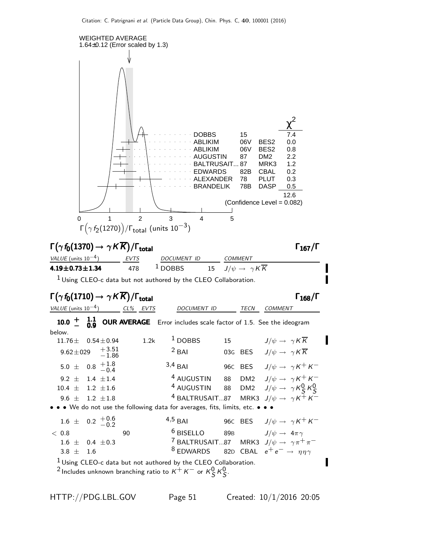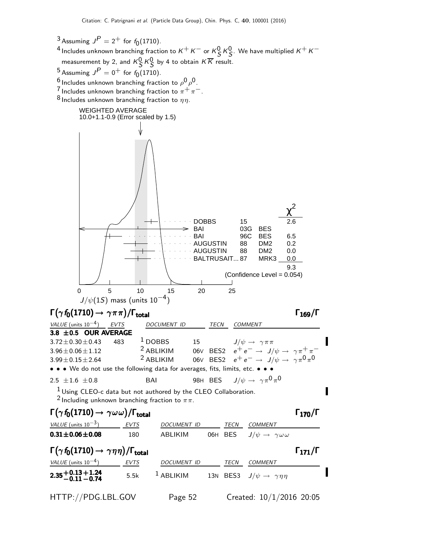<sup>3</sup> Assuming  $J^P = 2^+$  for  $f_0(1710)$ .  $^4$ Includes unknown branching fraction to  $K^+ K^-$  or  $K^0_S K^0_S$ . We have multiplied  $K^+ K^$ measurement by 2, and  $K_S^0 K_S^0$  by 4 to obtain  $K\overline{K}$  result. 5 Assuming  $J^P = 0^+$  for  $f_0(1710)$ .  $^6$  Includes unknown branching fraction to  $\rho^0\rho^0$ . 7 Includes unknown branching fraction to  $\pi^+ \pi^-$ . <sup>8</sup> Includes unknown branching fraction to  $\eta\eta$ . WEIGHTED AVERAGE 10.0+1.1-0.9 (Error scaled by 1.5) BALTRUSAIT... 87 MRK3 0.0 AUGUSTIN 88 DM2 0.0 AUGUSTIN 88 DM2 0.2 BAI 96C BES 6.5 BAI 03G BES DOBBS 15 χ 2 9.3 (Confidence Level = 0.054) 0 5 10 15 20 25  $J/\psi(1S)$  mass (units  $10^{-4})$  $\Gamma(\gamma f_0(1710) \rightarrow \gamma \pi \pi)/\Gamma_{\text{total}}$  Γ<sub>169</sub>/Γ  $\Gamma_{169}/\Gamma$ VALUE (units  $10^{-4}$ ) EVTS DOCUMENT ID TECN COMMENT  $\overline{3.8}$   $\pm 0.5$  OUR AVERAGE  $3.72 \pm 0.30 \pm 0.43$  483 <sup>1</sup> DOBBS 15  $J/\psi \to \gamma \pi \pi$ 3.96±0.06±1.12 <sup>2</sup> ABLIKIM 06V BES2  $e^+e^- \to J/\psi \to \gamma \pi^+ \pi^-$ <br>3.99±0.15±2.64 <sup>2</sup> ABLIKIM 06V BES2  $e^+e^- \to J/\psi \to \gamma \pi^0 \pi^0$  $3.99\pm0.15\pm2.64$   $2$  ABLIKIM 06V BES2  $e^+e^-\rightarrow\,J/\psi\rightarrow\,\,\gamma\pi^0\pi^0$ • • • We do not use the following data for averages, fits, limits, etc. • • • 2.5  $\pm 1.6$   $\pm 0.8$  BAI 98H BES  $J/\psi \rightarrow \ \gamma \pi^0 \pi^0$  $1$  Using CLEO-c data but not authored by the CLEO Collaboration. <sup>2</sup> Including unknown branching fraction to  $\pi\pi$ .  $\Gamma(\gamma f_0(1710) \rightarrow \gamma \omega \omega)/\Gamma_{\text{total}}$  Γ<sub>170</sub>/Γ  $\Gamma_{170}/\Gamma$ VALUE (units  $10^{-3}$ ) EVTS DOCUMENT ID TECN COMMENT **0.31±0.06±0.08** 180 ABLIKIM 06H BES  $J/\psi \rightarrow \gamma \omega \omega$  $\Gamma(\gamma f_0(1710) \to \gamma \eta \eta)/\Gamma_{\text{total}}$  Γ<sub>171</sub>/Γ  $VALU E$  (units 10<sup>-4</sup>) \_\_\_\_\_\_\_ EVTS DOCUMENT ID TECN COMMENT  $\phantom{0}2.35\genfrac{}{}{0pt}{}{+0.13}{-0.11}$ **2.35** $+0.13 + 1.24$  5.5k 1 ABLIKIM 13N BES3  $J/\psi \to \gamma \eta \eta$ HTTP://PDG.LBL.GOV Page 52 Created: 10/1/2016 20:05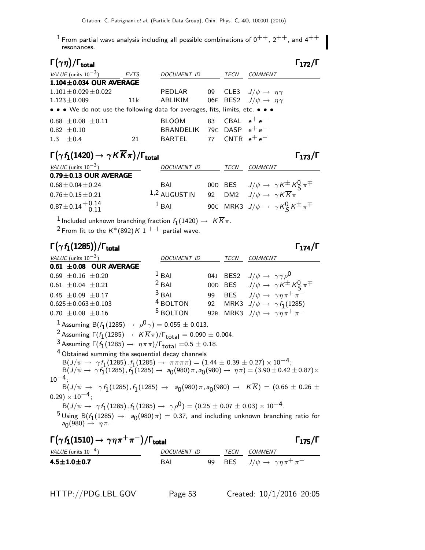<sup>1</sup> From partial wave analysis including all possible combinations of  $0^{++}$ ,  $2^{++}$ , and  $4^{++}$ resonances.

|                               |             |         |         | $\Gamma_{172}/\Gamma$                                                                                                                                                                                                                                             |
|-------------------------------|-------------|---------|---------|-------------------------------------------------------------------------------------------------------------------------------------------------------------------------------------------------------------------------------------------------------------------|
| <b>EVTS</b>                   | DOCUMENT ID | TECN    | COMMENT |                                                                                                                                                                                                                                                                   |
| $1.104 \pm 0.034$ OUR AVERAGE |             |         |         |                                                                                                                                                                                                                                                                   |
|                               |             |         |         |                                                                                                                                                                                                                                                                   |
| 11k                           |             |         |         |                                                                                                                                                                                                                                                                   |
|                               |             |         |         |                                                                                                                                                                                                                                                                   |
|                               |             |         |         |                                                                                                                                                                                                                                                                   |
|                               |             |         |         |                                                                                                                                                                                                                                                                   |
| 21                            |             |         |         |                                                                                                                                                                                                                                                                   |
|                               |             | ABLIKIM |         | PEDLAR 09 CLE3 $J/\psi \rightarrow \eta \gamma$<br>06E BES2 $J/\psi \rightarrow \eta \gamma$<br>• • • We do not use the following data for averages, fits, limits, etc. • • •<br>BLOOM 83 CBAL $e^+e^-$<br>BRANDELIK 79C DASP $e^+e^-$<br>BARTEL 77 CNTR $e^+e^-$ |

## $\Gamma(\gamma f_1(1420) \to \gamma K \overline{K} \pi) / \Gamma_{\text{total}}$  Γ<sub>173</sub>/Γ

| VALUE (units $10^{-3}$ )    | DOCUMENT ID    | TECN | COMMENT                                                      |
|-----------------------------|----------------|------|--------------------------------------------------------------|
| $0.79 \pm 0.13$ OUR AVERAGE |                |      |                                                              |
| $0.68 \pm 0.04 \pm 0.24$    | BAI            |      | 00D BES $J/\psi \rightarrow \gamma K^{\pm} K^0_S \pi^{\mp}$  |
| $0.76 \pm 0.15 \pm 0.21$    | $1,2$ AUGUSTIN |      | 92 DM2 $J/\psi \rightarrow \gamma K \overline{K} \pi$        |
| $0.87 \pm 0.14 \pm 0.14$    | $1$ BAI        |      | 90C MRK3 $J/\psi \rightarrow \gamma K^0_S K^{\pm} \pi^{\mp}$ |

 $\frac{1}{2}$ Included unknown branching fraction  $f_1(1420) \rightarrow K \overline{K} \pi$ .

 $^2$ From fit to the  $\mathit{K}^\ast(892)\,\mathit{K}$   $1$   $^+$   $^+$  partial wave.

#### Γ $(\gamma f_1(1285))$ /Γ<sub>total</sub> Γ<sub>174</sub>/Γ

| VALUE (units $10^{-3}$ )                                                                                                                         | <i>DOCUMENT ID</i>  |      | TECN | COMMENT                                                     |
|--------------------------------------------------------------------------------------------------------------------------------------------------|---------------------|------|------|-------------------------------------------------------------|
| $0.61 \pm 0.08$ OUR AVERAGE                                                                                                                      |                     |      |      |                                                             |
| $0.69 \pm 0.16 \pm 0.20$                                                                                                                         | $1$ BAI             | 04 J |      | BES2 $J/\psi \rightarrow \gamma \gamma \rho^0$              |
| $0.61 \pm 0.04 \pm 0.21$                                                                                                                         | $2$ BAI             |      |      | 00D BES $J/\psi \rightarrow \gamma K^{\pm} K^0_S \pi^{\mp}$ |
| $0.45 \pm 0.09 \pm 0.17$                                                                                                                         | $3$ BAI             | 99   |      | BES $J/\psi \rightarrow \gamma \eta \pi^+ \pi^-$            |
| $0.625 \pm 0.063 \pm 0.103$                                                                                                                      | <sup>4</sup> BOLTON | 92   |      | MRK3 $J/\psi \rightarrow \gamma f_1(1285)$                  |
| $0.70 \pm 0.08 \pm 0.16$                                                                                                                         | <sup>5</sup> BOLTON |      |      | 92B MRK3 $J/\psi \rightarrow \gamma \eta \pi^+ \pi^-$       |
| <sup>1</sup> Assuming B( $f_1(1285) \rightarrow \rho^0 \gamma$ ) = 0.055 ± 0.013.                                                                |                     |      |      |                                                             |
| <sup>2</sup> Assuming $\Gamma(f_1(1285) \to K \overline{K}\pi)/\Gamma_{\text{total}} = 0.090 \pm 0.004$ .                                        |                     |      |      |                                                             |
| <sup>3</sup> Assuming $\Gamma(f_1(1285) \to \eta \pi \pi)/\Gamma_{\text{total}} = 0.5 \pm 0.18$ .                                                |                     |      |      |                                                             |
| <sup>4</sup> Obtained summing the sequential decay channels                                                                                      |                     |      |      |                                                             |
| $B(J/\psi \rightarrow \gamma f_1(1285), f_1(1285) \rightarrow \pi \pi \pi \pi) = (1.44 \pm 0.39 \pm 0.27) \times 10^{-4};$                       |                     |      |      |                                                             |
| $B(J/\psi \to \gamma f_1(1285), f_1(1285) \to a_0(980)\pi, a_0(980) \to \eta\pi) = (3.90 \pm 0.42 \pm 0.87) \times$<br>$10^{-4}$                 |                     |      |      |                                                             |
| $B(J/\psi \to \gamma f_1(1285), f_1(1285) \to a_0(980)\pi, a_0(980) \to K\overline{K}) = (0.66 \pm 0.26 \pm 0.26)$                               |                     |      |      |                                                             |
| $(0.29) \times 10^{-4}$ ;                                                                                                                        |                     |      |      |                                                             |
| $B(J/\psi \to \gamma f_1(1285), f_1(1285) \to \gamma \rho^0) = (0.25 \pm 0.07 \pm 0.03) \times 10^{-4}$ .                                        |                     |      |      |                                                             |
| $5 \text{ Using } B(f_1(1285) \rightarrow a_0(980) \pi) = 0.37$ , and including unknown branching ratio for<br>$a_0(980) \rightarrow \eta \pi$ . |                     |      |      |                                                             |
| $\Gamma(\gamma f_1(1510) \rightarrow \gamma \eta \pi^+ \pi^-)/\Gamma_{\rm total}$                                                                |                     |      |      | l <sub>175</sub> /l                                         |
| $1/4111E$ (units $10^{-4}$ )                                                                                                                     | DACIIMENTID         |      |      | $TEC$ $N$ $C$ $N$ $N$ $N$ $E$ $N$ $T$                       |

| VALUE (units $10^{-4}$ ) | <i>DOCUMENT ID</i> |  |  | COMMENT                                             |  |
|--------------------------|--------------------|--|--|-----------------------------------------------------|--|
| $4.5 \pm 1.0 \pm 0.7$    | <b>BAI</b>         |  |  | 99 BES $J/\psi \rightarrow \gamma \eta \pi^+ \pi^-$ |  |

 $Γ_{173}/Γ$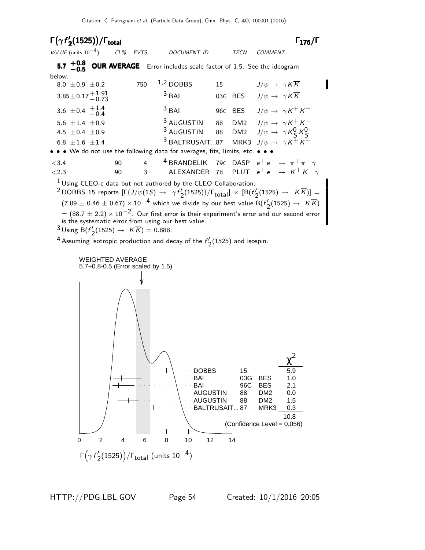|                |                               | $\Gamma(\gamma f_2'(1525))/\Gamma_{\text{total}}$ |          |                                                                           |                                                                        |                                                                                         |    |           |                                                    | $\Gamma_{176}/I$                                                                                                                                                              |
|----------------|-------------------------------|---------------------------------------------------|----------|---------------------------------------------------------------------------|------------------------------------------------------------------------|-----------------------------------------------------------------------------------------|----|-----------|----------------------------------------------------|-------------------------------------------------------------------------------------------------------------------------------------------------------------------------------|
|                |                               | VALUE (units $10^{-4}$ ) CL% EVTS                 |          |                                                                           |                                                                        | DOCUMENT ID                                                                             |    |           | TECN COMMENT                                       |                                                                                                                                                                               |
|                |                               |                                                   |          |                                                                           |                                                                        | 5.7 $+0.8$ OUR AVERAGE Error includes scale factor of 1.5. See the ideogram             |    |           |                                                    |                                                                                                                                                                               |
| below.         |                               |                                                   |          |                                                                           |                                                                        |                                                                                         |    |           |                                                    |                                                                                                                                                                               |
|                | 8.0 $\pm$ 0.9 $\pm$ 0.2       |                                                   |          | 750                                                                       | $1,2$ DOBBS                                                            |                                                                                         | 15 |           | $J/\psi \rightarrow \gamma K \overline{K}$         |                                                                                                                                                                               |
|                |                               | $3.85 \pm 0.17 + 1.91$                            |          |                                                                           | $3$ BAI                                                                |                                                                                         |    |           | 03G BES $J/\psi \rightarrow \gamma K \overline{K}$ |                                                                                                                                                                               |
|                | 3.6 $\pm$ 0.4 $+$ 1.4<br>-0.4 |                                                   |          |                                                                           | $3$ BAI                                                                |                                                                                         |    |           |                                                    | 96C BES $J/\psi \rightarrow \gamma K^+ K^-$                                                                                                                                   |
|                | 5.6 $\pm 1.4$ $\pm 0.9$       |                                                   |          |                                                                           |                                                                        |                                                                                         |    |           |                                                    | 3 AUGUSTIN 88 DM2 $J/\psi \rightarrow \gamma K^+ K^-$<br>3 AUGUSTIN 88 DM2 $J/\psi \rightarrow \gamma K^0_S K^0_S$<br>3 BALTRUSAIT87 MRK3 $J/\psi \rightarrow \gamma K^+ K^-$ |
|                | 4.5 $\pm$ 0.4 $\pm$ 0.9       |                                                   |          |                                                                           |                                                                        |                                                                                         |    |           |                                                    |                                                                                                                                                                               |
|                | 6.8 $\pm 1.6 \pm 1.4$         |                                                   |          |                                                                           |                                                                        |                                                                                         |    |           |                                                    |                                                                                                                                                                               |
|                |                               |                                                   |          |                                                                           |                                                                        | • • We do not use the following data for averages, fits, limits, etc. • • •             |    |           |                                                    | 4 4 BRANDELIK 79C DASP $e^+e^- \rightarrow \pi^+\pi^-\gamma$                                                                                                                  |
| < 3.4<br>< 2.3 |                               |                                                   | 90<br>90 | $3 \sim$                                                                  |                                                                        |                                                                                         |    |           |                                                    | ALEXANDER 78 PLUT $e^+e^- \rightarrow K^+K^- \gamma$                                                                                                                          |
|                |                               |                                                   |          |                                                                           |                                                                        | $1$ Using CLEO-c data but not authored by the CLEO Collaboration.                       |    |           |                                                    |                                                                                                                                                                               |
|                |                               |                                                   |          |                                                                           |                                                                        |                                                                                         |    |           |                                                    | <sup>2</sup> DOBBS 15 reports $[\Gamma(J/\psi(1S) \rightarrow \gamma f'_{2}(1525))/\Gamma_{\text{total}}] \times [B(f'_{2}(1525) \rightarrow K\overline{K})] =$               |
|                |                               |                                                   |          |                                                                           |                                                                        |                                                                                         |    |           |                                                    | $(7.09 \pm 0.46 \pm 0.67) \times 10^{-4}$ which we divide by our best value B $(f_2'(1525) \rightarrow K\overline{K})$                                                        |
|                |                               |                                                   |          |                                                                           |                                                                        |                                                                                         |    |           |                                                    | $=$ (88.7 $\pm$ 2.2) $\times$ 10 <sup>-2</sup> . Our first error is their experiment's error and our second error                                                             |
|                |                               |                                                   |          |                                                                           | is the systematic error from using our best value.                     |                                                                                         |    |           |                                                    |                                                                                                                                                                               |
|                |                               |                                                   |          | <sup>3</sup> Using B( $f'_{2}(1525) \rightarrow K\overline{K}$ ) = 0.888. |                                                                        |                                                                                         |    |           |                                                    |                                                                                                                                                                               |
|                |                               |                                                   |          |                                                                           |                                                                        | <sup>4</sup> Assuming isotropic production and decay of the $f'_{2}(1525)$ and isospin. |    |           |                                                    |                                                                                                                                                                               |
|                |                               | <b>WEIGHTED AVERAGE</b>                           |          |                                                                           |                                                                        |                                                                                         |    |           |                                                    |                                                                                                                                                                               |
|                |                               |                                                   |          | 5.7+0.8-0.5 (Error scaled by 1.5)                                         |                                                                        |                                                                                         |    |           |                                                    |                                                                                                                                                                               |
|                |                               |                                                   |          |                                                                           |                                                                        |                                                                                         |    |           |                                                    |                                                                                                                                                                               |
|                |                               |                                                   |          |                                                                           |                                                                        |                                                                                         |    |           |                                                    |                                                                                                                                                                               |
|                |                               |                                                   |          |                                                                           |                                                                        |                                                                                         |    |           |                                                    |                                                                                                                                                                               |
|                |                               |                                                   |          |                                                                           |                                                                        |                                                                                         |    |           |                                                    |                                                                                                                                                                               |
|                |                               |                                                   |          |                                                                           |                                                                        | <b>DOBBS</b>                                                                            |    | 15        |                                                    | 5.9                                                                                                                                                                           |
|                |                               |                                                   |          |                                                                           |                                                                        | <b>BAI</b>                                                                              |    | 03G       | <b>BES</b>                                         | 1.0                                                                                                                                                                           |
|                |                               |                                                   |          |                                                                           |                                                                        | <b>BAI</b><br><b>AUGUSTIN</b>                                                           |    | 96C<br>88 | <b>BES</b><br>DM <sub>2</sub>                      | 2.1<br>0.0                                                                                                                                                                    |
|                |                               |                                                   |          |                                                                           |                                                                        | <b>AUGUSTIN</b>                                                                         |    | 88        | DM <sub>2</sub>                                    | 1.5                                                                                                                                                                           |
|                |                               |                                                   |          |                                                                           |                                                                        | <b>BALTRUSAIT 87</b>                                                                    |    |           | MRK3                                               | 0.3                                                                                                                                                                           |
|                |                               |                                                   |          |                                                                           |                                                                        |                                                                                         |    |           | (Confidence Level = 0.056)                         | 10.8                                                                                                                                                                          |
|                |                               |                                                   |          |                                                                           |                                                                        |                                                                                         |    |           |                                                    |                                                                                                                                                                               |
|                | 0                             | $\overline{2}$                                    | 4        | 6                                                                         | 8                                                                      | 10<br>12                                                                                |    | 14        |                                                    |                                                                                                                                                                               |
|                |                               |                                                   |          |                                                                           | $\Gamma(\gamma f_2'(1525)) / \Gamma_{\text{total}}$ (units $10^{-4}$ ) |                                                                                         |    |           |                                                    |                                                                                                                                                                               |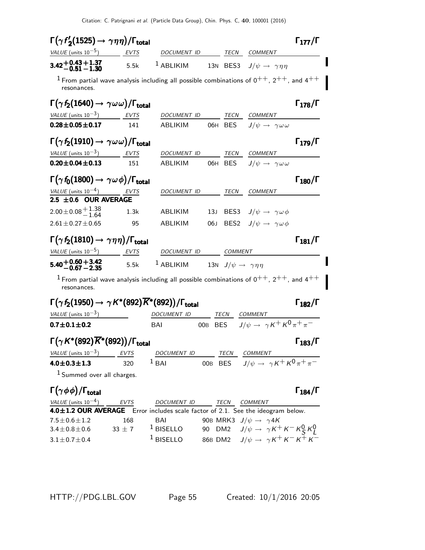| $\Gamma(\gamma f'_{2}(1525)\rightarrow\gamma\eta\eta)/\Gamma_{\rm total}$                           |                   |                                                                                                                                |                 |                                           |                                                                                                    | $\Gamma_{177}/\Gamma$ |
|-----------------------------------------------------------------------------------------------------|-------------------|--------------------------------------------------------------------------------------------------------------------------------|-----------------|-------------------------------------------|----------------------------------------------------------------------------------------------------|-----------------------|
| VALUE (units $10^{-5}$ )                                                                            | EVTS              | DOCUMENT ID                                                                                                                    |                 | TECN                                      | <i>COMMENT</i>                                                                                     |                       |
| 3.42+0.43+1.37<br>0.51 - 1.30                                                                       | 5.5k              | $1$ ABLIKIM                                                                                                                    |                 | 13N BES3                                  | $J/\psi \rightarrow \gamma \eta \eta$                                                              |                       |
| resonances.                                                                                         |                   | <sup>1</sup> From partial wave analysis including all possible combinations of $0^{++}$ , $2^{++}$ , and $4^{++}$              |                 |                                           |                                                                                                    |                       |
| $\Gamma(\gamma\,f_2(1640)\rightarrow\,\gamma\omega\,\omega)/\Gamma_{\rm total}$                     |                   |                                                                                                                                |                 |                                           |                                                                                                    | $\Gamma_{178}/\Gamma$ |
| VALUE (units $10^{-3}$ )                                                                            | <b>EVTS</b>       | DOCUMENT ID                                                                                                                    |                 | TECN                                      | <i>COMMENT</i>                                                                                     |                       |
| $0.28 \pm 0.05 \pm 0.17$                                                                            | 141               | <b>ABLIKIM</b>                                                                                                                 |                 | 06H BES                                   | $J/\psi \rightarrow \gamma \omega \omega$                                                          |                       |
| $\Gamma(\gamma\,f_2(1910)\rightarrow\,\gamma\omega\,\omega)/\Gamma_{\rm total}$                     |                   |                                                                                                                                |                 |                                           |                                                                                                    | $\Gamma_{179}/\Gamma$ |
| VALUE (units $10^{-3}$ )                                                                            | EVTS              | DOCUMENT ID                                                                                                                    |                 | TECN                                      | <b>COMMENT</b>                                                                                     |                       |
| $0.20 \pm 0.04 \pm 0.13$                                                                            | 151               | ABLIKIM                                                                                                                        |                 | 06H BES                                   | $J/\psi \rightarrow \gamma \omega \omega$                                                          |                       |
| $\Gamma(\gamma\,f_{0}(1800)\rightarrow\,\gamma\hskip.75pt\omega\hskip.75pt\phi)/\Gamma_{\rm total}$ |                   |                                                                                                                                |                 |                                           |                                                                                                    | $\Gamma_{180}/\Gamma$ |
| VALUE (units $10^{-4}$ )                                                                            | EVTS              | <b>DOCUMENT ID</b>                                                                                                             |                 | TECN                                      | <b>COMMENT</b>                                                                                     |                       |
| $2.5 \pm 0.6$ OUR AVERAGE<br>$2.00\!\pm\!0.08\frac{+1.38}{-1.64}$                                   | 1.3k              | ABLIKIM                                                                                                                        | 13 <sub>J</sub> |                                           | BES3 $J/\psi \rightarrow \gamma \omega \phi$                                                       |                       |
| $2.61\!\pm\!0.27\!\pm\!0.65$                                                                        | 95                | ABLIKIM                                                                                                                        | 06J             |                                           | BES2 $J/\psi \rightarrow \gamma \omega \phi$                                                       |                       |
| $\Gamma(\gamma\,f_2(1810)\rightarrow\,\gamma\eta\,\eta)/\Gamma_{\rm total}$                         |                   |                                                                                                                                |                 |                                           |                                                                                                    | $\Gamma_{181}/\Gamma$ |
| VALUE (units $10^{-5}$ )                                                                            | EVTS              | DOCUMENT ID                                                                                                                    |                 | <b>COMMENT</b>                            |                                                                                                    |                       |
| $5.40 + 0.60 + 3.42$<br>$-0.67 - 2.35$                                                              | 5.5k              | $1$ ABLIKIM                                                                                                                    |                 | 13N $J/\psi \rightarrow \gamma \eta \eta$ |                                                                                                    |                       |
| resonances.                                                                                         |                   | $^1$ From partial wave analysis including all possible combinations of 0 <sup>++</sup> , 2 <sup>++</sup> , and 4 <sup>++</sup> |                 |                                           |                                                                                                    |                       |
| $\Gamma(\gamma\,f_2(1950)\rightarrow\gamma\,K^*(892)\overline{K}^*(892))/\Gamma_{\rm total}$        |                   |                                                                                                                                |                 |                                           |                                                                                                    | $\Gamma_{182}/\Gamma$ |
| VALUE (units $10^{-3}$ )                                                                            |                   | <i>DOCUMENT ID</i>                                                                                                             |                 | TECN                                      | <i>COMMEN</i>                                                                                      |                       |
| $0.7 \pm 0.1 \pm 0.2$                                                                               |                   | BAI                                                                                                                            | 00B BES         |                                           | $J/\psi \rightarrow \gamma K^+ K^0 \pi^+ \pi^-$                                                    |                       |
| $\Gamma\big(\gamma K^*(892)\overline{K}^*(892)\big)/\Gamma_{\rm total}$                             |                   |                                                                                                                                |                 |                                           |                                                                                                    | $\Gamma_{183}/\Gamma$ |
| VALUE (units $10^{-3}$ ) EVTS<br>$4.0 \pm 0.3 \pm 1.3$                                              |                   | DOCUMENT ID TECN COMMENT<br>$1$ BAI                                                                                            |                 |                                           | $\frac{12 \text{C}}{\text{BES}} \frac{12 \text{C}}{J/\psi} \rightarrow \gamma K^+ K^0 \pi^+ \pi^-$ |                       |
| $1$ Summed over all charges.                                                                        | 320               |                                                                                                                                |                 |                                           |                                                                                                    |                       |
|                                                                                                     |                   |                                                                                                                                |                 |                                           |                                                                                                    |                       |
| $\mathsf{\Gamma}(\gamma \phi \phi)/\mathsf{\Gamma}_{\mathsf{total}}$                                |                   |                                                                                                                                |                 |                                           |                                                                                                    | $\Gamma_{184}/\Gamma$ |
| VALUE (units $10^{-4}$ )                                                                            | $-$ EVTS          | DOCUMENT ID                                                                                                                    |                 | TECN                                      | COMMENT                                                                                            |                       |
| 4.0±1.2 OUR AVERAGE Error includes scale factor of 2.1. See the ideogram below.                     |                   |                                                                                                                                |                 |                                           |                                                                                                    |                       |
| $7.5 \pm 0.6 \pm 1.2$<br>$3.4 \pm 0.8 \pm 0.6$                                                      | 168<br>$33 \pm 7$ | BAI<br><sup>1</sup> BISELLO                                                                                                    |                 |                                           | 90B MRK3 $J/\psi \rightarrow \gamma 4K$                                                            |                       |
| $3.1 \pm 0.7 \pm 0.4$                                                                               |                   | <sup>1</sup> BISELLO                                                                                                           |                 |                                           | 90 DM2 $J/\psi \to \gamma K^+ K^- K^0_S K^0_L$<br>86B DM2 $J/\psi \to \gamma K^+ K^- K^+ K^-$      |                       |
|                                                                                                     |                   |                                                                                                                                |                 |                                           |                                                                                                    |                       |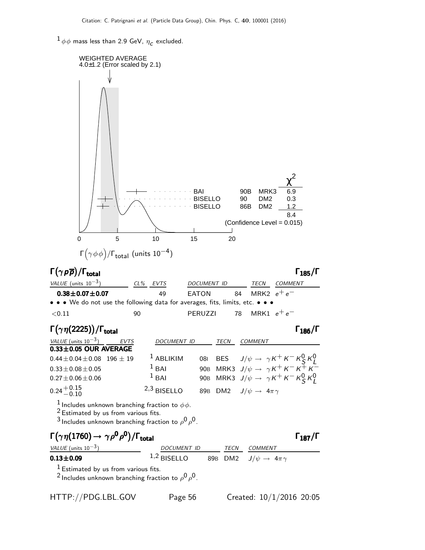$^{1}\phi\phi$  mass less than 2.9 GeV,  $\eta_{\text{\textsf{C}}}$  excluded.

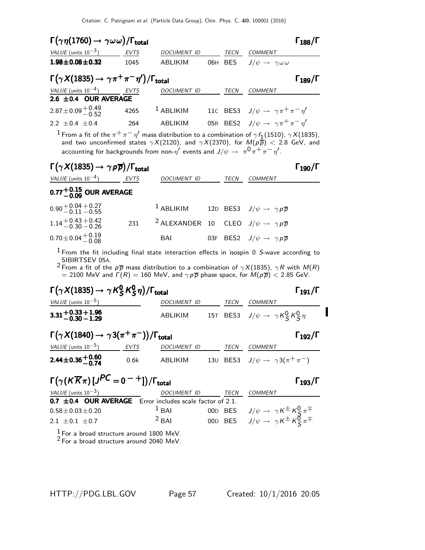| $\Gamma(\gamma\eta(1760) \to \gamma \omega \omega)/\Gamma_{\text{total}}$           |      |                    |  |             |                                                        |                       |  |
|-------------------------------------------------------------------------------------|------|--------------------|--|-------------|--------------------------------------------------------|-----------------------|--|
| VALUE (units $10^{-3}$ )                                                            | EVTS | <b>DOCUMENT ID</b> |  | <b>TECN</b> | <b>COMMENT</b>                                         |                       |  |
| $1.98 \pm 0.08 \pm 0.32$                                                            | 1045 | ABLIKIM            |  |             | 06H BES $J/\psi \rightarrow \gamma \omega \omega$      |                       |  |
| $\Gamma(\gamma X(1835) \rightarrow \gamma \pi^+ \pi^- \eta')/\Gamma_{\text{total}}$ |      |                    |  |             |                                                        | $\Gamma_{189}/\Gamma$ |  |
| VALUE (units $10^{-4}$ ) EVTS                                                       |      | <b>DOCUMENT ID</b> |  | TECN        | <b>COMMENT</b>                                         |                       |  |
| 2.6 $\pm$ 0.4 OUR AVERAGE                                                           |      |                    |  |             |                                                        |                       |  |
| $2.87 \pm 0.09 \begin{array}{l} +0.49 \\ -0.52 \end{array}$                         | 4265 | $1$ ABLIKIM        |  |             | 110 BES3 $J/\psi \rightarrow \gamma \pi^+ \pi^- \eta'$ |                       |  |
| 2.2 $\pm$ 0.4 $\pm$ 0.4                                                             | 264  | <b>ABLIKIM</b>     |  |             | 05R BES2 $J/\psi \rightarrow \gamma \pi^+ \pi^- \eta'$ |                       |  |
|                                                                                     |      |                    |  |             |                                                        |                       |  |

<sup>1</sup> From a fit of the  $\pi^+ \pi^- \eta'$  mass distribution to a combination of  $\gamma f_1(1510)$ ,  $\gamma X(1835)$ , and two unconfirmed states  $\gamma X(2120)$ , and  $\gamma X(2370)$ , for  $M(p \overline{p}) < 2.8$  GeV, and accounting for backgrounds from non- $\eta'$  events and  $J/\psi \rightarrow~\pi^{\mbox{O}}\pi^+\pi^-\eta'$ .

| $\Gamma(\gamma X(1835) \rightarrow \gamma p \overline{p})/\Gamma_{\text{total}}$ |     |                                                                           |      |                                                     | $\Gamma_{190}/\Gamma$ |
|----------------------------------------------------------------------------------|-----|---------------------------------------------------------------------------|------|-----------------------------------------------------|-----------------------|
| VALUE (units $10^{-4}$ ) EVTS                                                    |     | <b>DOCUMENT ID</b>                                                        | TECN | COMMENT                                             |                       |
| 0.77 $^{+0.15}_{-0.09}$ OUR AVERAGE                                              |     |                                                                           |      |                                                     |                       |
| $0.90 + 0.04 + 0.27$<br>$-0.11 - 0.55$                                           |     | $1$ ABLIKIM                                                               |      | 12D BES3 $J/\psi \rightarrow \gamma p \overline{p}$ |                       |
| $1.14 + 0.43 + 0.42$<br>$-0.30 - 0.26$                                           | 231 | <sup>2</sup> ALEXANDER 10 CLEO $J/\psi \rightarrow \gamma p \overline{p}$ |      |                                                     |                       |
| $0.70 \pm 0.04 + 0.19$<br>-0.08                                                  |     | BAI                                                                       |      | 03F BES2 $J/\psi \rightarrow \gamma p \overline{p}$ |                       |
|                                                                                  |     |                                                                           |      |                                                     |                       |

 $1$  From the fit including final state interaction effects in isospin 0 S-wave according to

SIBIRTSEV 05A.<br><sup>2</sup> From a fit of the p $\overline{p}$  mass distribution to a combination of  $\gamma X(1835)$ ,  $\gamma R$  with  $M(R)$  $=$  2100 MeV and  $\varGamma(R) =$  160 MeV, and  $\gamma \, p \, \overline{p}$  phase space, for  $M(p \, \overline{p}) <$  2.85 GeV.

$$
\Gamma(\gamma X(1835) \rightarrow \gamma K_S^0 K_S^0 \eta)/\Gamma_{\text{total}}
$$
\n
$$
\frac{\text{VALUE (units 10}^{-5})}{3.31 + 0.33 + 1.96}
$$
\n
$$
\frac{DOCUMENT ID}{ABLIKIM}
$$
\n
$$
\frac{TECN}{15T} \frac{COMMENT}{BES3}
$$
\n
$$
\frac{7ECN}{J/\psi} \rightarrow \gamma K_S^0 K_S^0 \eta
$$
\n
$$
\Gamma(\gamma X(1840) \rightarrow \gamma 3(\pi^+\pi^-))/\Gamma_{\text{total}}
$$
\n
$$
\Gamma_{192}/\Gamma
$$

$$
\Gamma(\gamma X(1840) \to \gamma 3(\pi^+\pi^-))/\Gamma_{\text{total}}
$$

| VALUE (units $10^{-5}$ )                                    | <b>EVTS</b> | <i>DOCUMENT ID</i> | TFCN | COMMENT                                            |
|-------------------------------------------------------------|-------------|--------------------|------|----------------------------------------------------|
| $2.44 \pm 0.36 \begin{array}{l} +0.60 \\ -0.74 \end{array}$ | 0.6k        | ABLIKIM            |      | 130 BES3 $J/\psi \rightarrow \gamma 3(\pi^+\pi^-)$ |

$$
\Gamma(\gamma(K\overline{K}\pi)[J^{PC}=0^{-+}])/\Gamma_{\text{total}}
$$

 $Γ<sub>193</sub>/Γ$ 

η

Ι

| VALUE (units $10^{-3}$ )                                      | DOCUMENT ID       | TECN | <b>COMMENT</b>                                                     |
|---------------------------------------------------------------|-------------------|------|--------------------------------------------------------------------|
| 0.7 $\pm$ 0.4 OUR AVERAGE Error includes scale factor of 2.1. |                   |      |                                                                    |
| $0.58 \pm 0.03 \pm 0.20$                                      | $\frac{1}{2}$ BAI |      | 00D BES $J/\psi \rightarrow \gamma K^{\pm} K^0_S \pi^{\mp}$        |
| 2.1 $\pm$ 0.1 $\pm$ 0.7                                       | $2$ BAI           |      | 00D BES $J/\psi \rightarrow \gamma K^{\pm} K^{\sigma} S \pi^{\mp}$ |

 $\frac{1}{6}$  For a broad structure around 1800 MeV.

 $2$  For a broad structure around 2040 MeV.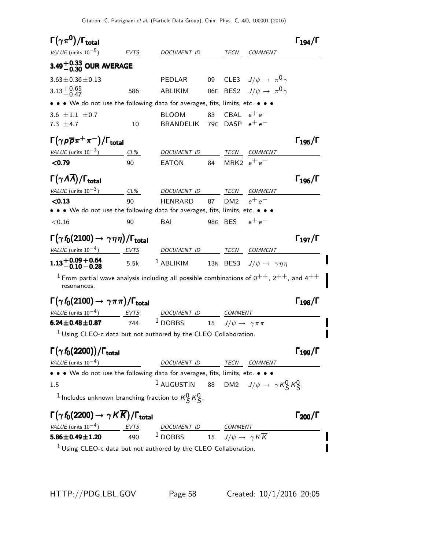Citation: C. Patrignani et al. (Particle Data Group), Chin. Phys. C, 40, 100001 (2016)

| $\Gamma(\gamma\pi^{\mathbf{0}})/\Gamma_{\text{total}}$                                                                           |        |                                                                                        |    |                                        |                                                | $\Gamma_{194}/\Gamma$ |
|----------------------------------------------------------------------------------------------------------------------------------|--------|----------------------------------------------------------------------------------------|----|----------------------------------------|------------------------------------------------|-----------------------|
| VALUE (units $10^{-5}$ ) EVTS                                                                                                    |        | DOCUMENT ID                                                                            |    | TECN                                   | <b>COMMENT</b>                                 |                       |
| 3.49 <sup>+</sup> $^{0.33}_{-0.30}$ OUR AVERAGE                                                                                  |        |                                                                                        |    |                                        |                                                |                       |
| $3.63 \pm 0.36 \pm 0.13$                                                                                                         |        | PEDLAR                                                                                 |    |                                        | 09 CLE3 $J/\psi \rightarrow \pi^0 \gamma$      |                       |
| $3.13^{+0.65}_{-0.47}$                                                                                                           | 586    | ABLIKIM                                                                                |    |                                        | 06E BES2 $J/\psi \rightarrow \pi^0 \gamma$     |                       |
| • • • We do not use the following data for averages, fits, limits, etc. • • •                                                    |        |                                                                                        |    |                                        |                                                |                       |
| 3.6 $\pm 1.1$ $\pm 0.7$                                                                                                          |        | <b>BLOOM</b>                                                                           | 83 |                                        | CBAL $e^+e^-$                                  |                       |
| 7.3 $\pm$ 4.7                                                                                                                    | 10     | BRANDELIK                                                                              |    | 79 $c$ DASP $e^+e^-$                   |                                                |                       |
| $\Gamma(\gamma \rho \overline{\rho} \pi^+ \pi^-)/\Gamma_{\rm total}$                                                             |        |                                                                                        |    |                                        |                                                | $\Gamma_{195}/\Gamma$ |
| VALUE (units $10^{-3}$ ) CL%                                                                                                     |        | DOCUMENT ID                                                                            |    | TECN                                   | <b>COMMENT</b>                                 |                       |
| < 0.79                                                                                                                           | 90     | <b>EATON</b>                                                                           | 84 |                                        | MRK2 $e^+e^-$                                  |                       |
| $\Gamma(\gamma\Lambda\overline{\Lambda})/\Gamma_{\rm total}$                                                                     |        |                                                                                        |    |                                        |                                                | $\Gamma_{196}/\Gamma$ |
| VALUE (units $10^{-3}$ )                                                                                                         | $CL\%$ | DOCUMENT ID TECN COMMENT                                                               |    |                                        |                                                |                       |
| < 0.13                                                                                                                           | 90     | <b>HENRARD</b>                                                                         | 87 | DM <sub>2</sub>                        | $e^+e^-$                                       |                       |
| • • • We do not use the following data for averages, fits, limits, etc. • • •                                                    |        |                                                                                        |    |                                        |                                                |                       |
| < 0.16                                                                                                                           | 90     | BAI                                                                                    |    | 98G BES                                | $e^+e^-$                                       |                       |
| $\Gamma(\gamma f_0(2100) \rightarrow \gamma \eta \eta)/\Gamma_{\rm total}$                                                       |        |                                                                                        |    |                                        |                                                | $\Gamma_{197}/\Gamma$ |
| VALUE (units $10^{-4}$ ) EVTS                                                                                                    |        | DOCUMENT ID TECN COMMENT                                                               |    |                                        |                                                |                       |
| 1.13 + 0.09 + 0.64<br>$-0.10 - 0.28$ 5.5k $^1$ ABLIKIM                                                                           |        |                                                                                        |    |                                        | 13N BES3 $J/\psi \rightarrow \gamma \eta \eta$ |                       |
| <sup>1</sup> From partial wave analysis including all possible combinations of $0^{++}$ , $2^{++}$ , and $4^{++}$<br>resonances. |        |                                                                                        |    |                                        |                                                |                       |
| $\Gamma(\gamma f_0(2100) \rightarrow \gamma \pi \pi)/\Gamma_{\rm total}$                                                         |        |                                                                                        |    |                                        |                                                | $\Gamma_{198}/\Gamma$ |
| VALUE (units $10^{-4}$ ) EVTS                                                                                                    |        | DOCUMENT ID COMMENT                                                                    |    |                                        |                                                |                       |
| $6.24 \pm 0.48 \pm 0.87$                                                                                                         | 744    | $1$ DOBBS                                                                              |    | 15 $J/\psi \rightarrow \gamma \pi \pi$ |                                                |                       |
| <sup>1</sup> Using CLEO-c data but not authored by the CLEO Collaboration.                                                       |        |                                                                                        |    |                                        |                                                |                       |
| $\Gamma(\gamma\,f_0(2200))/\Gamma_{\rm total}$                                                                                   |        |                                                                                        |    |                                        |                                                | $\Gamma_{199}/\Gamma$ |
| $VALUE$ (units $10^{-4}$ ) DOCUMENT ID TECN COMMENT                                                                              |        |                                                                                        |    |                                        |                                                |                       |
| • • • We do not use the following data for averages, fits, limits, etc. • • •                                                    |        |                                                                                        |    |                                        |                                                |                       |
| 1.5                                                                                                                              |        | 1 AUGUSTIN 88 DM2 $J/\psi \rightarrow \gamma K_S^0 K_S^0$                              |    |                                        |                                                |                       |
| <sup>1</sup> Includes unknown branching fraction to $K^0_S$ $K^0_S$ .                                                            |        |                                                                                        |    |                                        |                                                |                       |
| $\Gamma(\gamma\,f_0(2200)\rightarrow\gamma\,K\overline{K})/\Gamma_{\rm total}$                                                   |        |                                                                                        |    |                                        |                                                | $\Gamma_{200}/\Gamma$ |
| VALUE (units $10^{-4}$ ) EVTS                                                                                                    |        |                                                                                        |    |                                        |                                                |                       |
| $5.86 \pm 0.49 \pm 1.20$ 490                                                                                                     |        | $\frac{DOCUMENT ID}{DOBBS} = \frac{COMMENT}{J/\psi \rightarrow \gamma K \overline{K}}$ |    |                                        |                                                |                       |
| $1$ Using CLEO-c data but not authored by the CLEO Collaboration.                                                                |        |                                                                                        |    |                                        |                                                |                       |

 $\blacksquare$ 

 $\overline{\phantom{a}}$ 

 $\mathbf{I}$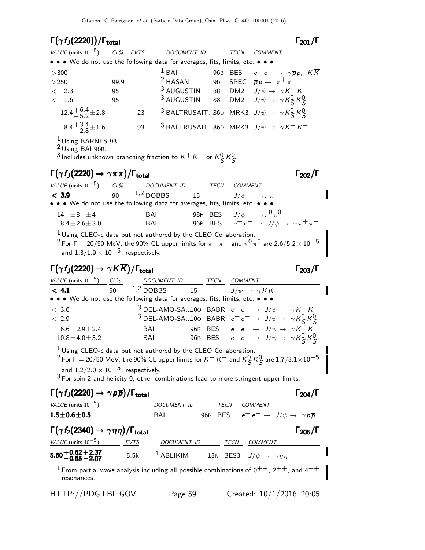| $\Gamma(\gamma f_J(2220)) / \Gamma_{\text{total}}$                            |          |    |                                                                                   |             | $\Gamma_{201}/\Gamma$                                                                                                                    |
|-------------------------------------------------------------------------------|----------|----|-----------------------------------------------------------------------------------|-------------|------------------------------------------------------------------------------------------------------------------------------------------|
| <i>VALUE</i> (units $10^{-5}$ )                                               | CL% EVTS |    | <b>DOCUMENT ID</b>                                                                | <b>TECN</b> | COMMENT                                                                                                                                  |
| • • • We do not use the following data for averages, fits, limits, etc. • • • |          |    |                                                                                   |             |                                                                                                                                          |
| >300                                                                          |          |    | $1$ BAI                                                                           |             | 96B BES $e^+e^- \rightarrow \gamma \overline{p}p$ , $K\overline{K}$                                                                      |
| >250                                                                          | 99.9     |    | $2$ HASAN                                                                         |             | 96 SPEC $\overline{p}p \rightarrow \pi^+\pi^-$                                                                                           |
| < 2.3                                                                         | 95       |    |                                                                                   |             |                                                                                                                                          |
| < 1.6                                                                         | 95       |    |                                                                                   |             | <sup>3</sup> AUGUSTIN 88 DM2 $J/\psi \rightarrow \gamma K^+ K^-$<br><sup>3</sup> AUGUSTIN 88 DM2 $J/\psi \rightarrow \gamma K^0_S K^0_S$ |
| $12.4 + 6.4 + 2.8$                                                            |          | 23 |                                                                                   |             | <sup>3</sup> BALTRUSAIT86D MRK3 $J/\psi \rightarrow \gamma K_S^0 K_S^0$                                                                  |
| $8.4\frac{+3.4}{2.8}\pm1.6$                                                   |          | 93 |                                                                                   |             | <sup>3</sup> BALTRUSAIT86D MRK3 $J/\psi \rightarrow \gamma K^+ K^-$                                                                      |
| <sup>1</sup> Using BARNES 93.<br><sup>2</sup> Using BAI 96B.                  |          |    | <sup>3</sup> Includes unknown branching fraction to $K^+K^-$ or $K^0_S$ $K^0_S$ . |             |                                                                                                                                          |
| $\Gamma(\gamma f_J(2220) \rightarrow \gamma \pi \pi)/\Gamma_{\text{total}}$   |          |    |                                                                                   |             |                                                                                                                                          |

| VALUE (units $10^{-5}$ )                                                      | CL% | DOCUMENT ID |    | TECN | COMMENT                                                                                                                         |
|-------------------------------------------------------------------------------|-----|-------------|----|------|---------------------------------------------------------------------------------------------------------------------------------|
| < 3.9                                                                         | 90  | $1,2$ DOBBS | 15 |      | $J/\psi \rightarrow \gamma \pi \pi$                                                                                             |
| • • • We do not use the following data for averages, fits, limits, etc. • • • |     |             |    |      |                                                                                                                                 |
| $14 + 8 + 4$                                                                  |     | BAI         |    |      | 98H BES $J/\psi \rightarrow \gamma \pi^0 \pi^0$                                                                                 |
| $8.4 \pm 2.6 \pm 3.0$                                                         |     | BAI         |    |      | 96B BES $e^+e^- \rightarrow J/\psi \rightarrow \gamma \pi^+ \pi^-$                                                              |
| $1$ Using CLEO-c data but not authored by the CLEO Collaboration.             |     |             |    |      |                                                                                                                                 |
|                                                                               |     |             |    |      | <sup>2</sup> For $\Gamma = 20/50$ MeV, the 90% CL upper limits for $\pi^+ \pi^-$ and $\pi^0 \pi^0$ are 2.6/5.2 $\times 10^{-5}$ |
| and $1.3/1.9 \times 10^{-5}$ , respectively.                                  |     |             |    |      |                                                                                                                                 |

## $\Gamma(\gamma f_J(2220) \to \gamma K \overline{K}) / \Gamma_{\text{total}}$  Γ<sub>203</sub>/Γ

VALUE (units  $10^{-5}$ ) CL% DOCUMENT ID TECN COMMENT **4.1** 90  $1,2$  DOBBS 15  $J/\psi \rightarrow \gamma K \overline{K}$ • • • We do not use the following data for averages, fits, limits, etc. • • •  $< 3.6$  $^3$  DEL-AMO-SA..100 BABR  $e^+e^-\rightarrow\,$  J $/\psi\rightarrow\,\,\gamma\,{\sf K}^+{\sf K}^ < 2.9$  $\begin{array}{ccccc} & & & 3 \text{ DEL-AMO-SA..100} & \text{BABR} & e^+e^- \rightarrow & J/\psi \rightarrow & \gamma\, \mathcal{K}^0_S\, \mathcal{K}^0_S \ & 6.6 \pm 2.9 \pm 2.4 & & & \text{BAI} & & & 96 \text{B} & \text{BES} & e^+e^- \rightarrow & J/\psi \rightarrow & \gamma\, \mathcal{K}^+ \, \mathcal{K}^- \end{array}$  $10.8 \pm 4.0 \pm 3.2$  BAI 96B BES  $e^+e^- \rightarrow J/\psi \rightarrow \gamma K_S^0 K_S^0$ 1 Using CLEO-c data but not authored by the CLEO Collaboration.  $^{2}$  For  $\Gamma=$  20/50 MeV, the 90% CL upper limits for  $K^{+}$   $K^{-}$  and  $K^{0}_{\cal S}$   $K^{0}_{\cal S}$  are 1.7/3.1 $\times10^{-5}$ and  $1.2/2.0 \times 10^{-5}$ , respectively.

 $3$  For spin 2 and helicity 0; other combinations lead to more stringent upper limits.



HTTP://PDG.LBL.GOV Page 59 Created: 10/1/2016 20:05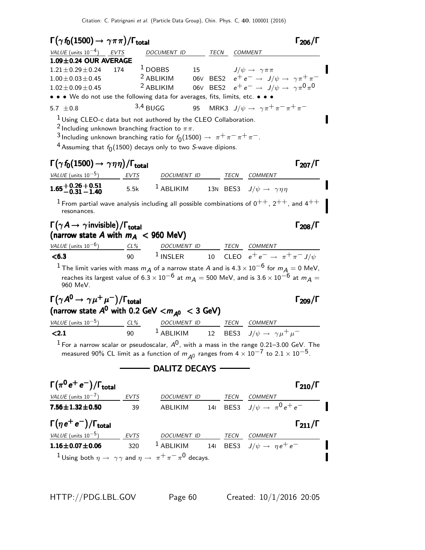

 $1$  From partial wave analysis including all possible combinations of  $0^{++}$ ,  $2^{++}$ , and  $4^{++}$ resonances.

#### $\Gamma(\gamma A \to \gamma \text{invisible}) / \Gamma_{\text{total}}$  Γ<sub>208</sub>/Γ /Γ $\Gamma$ total Γ $_{208}/\Gamma$ (narrow state A with  $m_A < 960$  MeV) total 208total 208

| <i>VALUE</i> (units $10^{-6}$ ) | $CL\%$ | <i>DOCUMENT ID</i> |  | <i>TECN COMMENT</i>                            |
|---------------------------------|--------|--------------------|--|------------------------------------------------|
| < 6.3                           | ۹N     | $1$ INSLER         |  | 10 CLEO $e^+e^- \rightarrow \pi^+\pi^- J/\psi$ |

<sup>1</sup> The limit varies with mass  $m_A$  of a narrow state A and is 4.3  $\times$  10<sup>−6</sup> for  $m_A^2=$  0 MeV, reaches its largest value of  $6.\overline{3} \times 10^{-6}$  at  $m_A = 500$  MeV, and is  $3.6 \times 10^{-6}$  at  $m_A =$ 960 MeV.

#### $\Gamma(\gamma A^0 \to \gamma \mu^+ \mu^-)/\Gamma_{\rm total}$  Γ<sub>209</sub>/Γ  $\Gamma(\gamma A^0 \rightarrow \gamma \mu^+ \mu^-)/\Gamma_{\rm total} \ \rm (narrow\ state\ A^0\ with\ 0.2\ GeV<\!\!m_{A^0}\ < 3\ GeV)$ total 209

| VALUE (units $10^{-5}$ ) | $CL\%$ | DOCUMENT ID |  | TECN COMMENT                                      |
|--------------------------|--------|-------------|--|---------------------------------------------------|
| < 2.1                    | 90     | $1$ ABLIKIM |  | 4 12 BES3 $J/\psi \rightarrow \gamma \mu^+ \mu^-$ |

<sup>1</sup> For a narrow scalar or pseudoscalar,  $A^0$ , with a mass in the range  $0.21-3.00$  GeV. The measured 90% CL limit as a function of  $m_{\cal A^0}$  ranges from 4  $\times\,10^{-7}$  to  $2.1\times10^{-5}$ .

#### DALITZ DECAYS

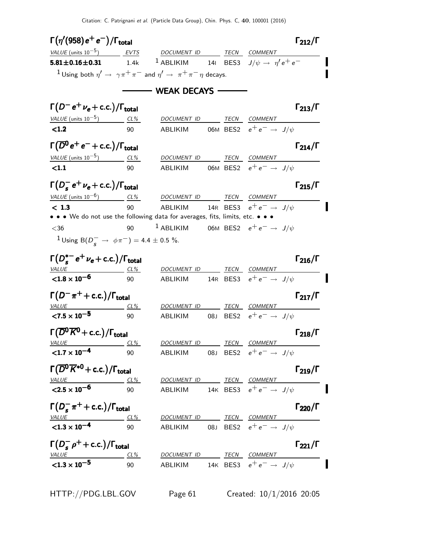|                                                                                                                                                                                                                                                                                                                                                                                                                                                                                                                                                                                                                                                      | $\Gamma(\eta'(958) e^+e^-)/\Gamma_{\rm total}$ |                                                                               |  |              | $\Gamma_{212}/\Gamma$ |
|------------------------------------------------------------------------------------------------------------------------------------------------------------------------------------------------------------------------------------------------------------------------------------------------------------------------------------------------------------------------------------------------------------------------------------------------------------------------------------------------------------------------------------------------------------------------------------------------------------------------------------------------------|------------------------------------------------|-------------------------------------------------------------------------------|--|--------------|-----------------------|
| $VALUE$ (units $10^{-5}$ ) EVTS                                                                                                                                                                                                                                                                                                                                                                                                                                                                                                                                                                                                                      |                                                | DOCUMENT ID TECN COMMENT                                                      |  |              |                       |
| $5.81 \pm 0.16 \pm 0.31$ 1.4k                                                                                                                                                                                                                                                                                                                                                                                                                                                                                                                                                                                                                        |                                                | $^{-1}$ ABLIKIM $^{-1}$ 141 BES3 $J/\psi \rightarrow \ \eta^{\prime} e^+ e^-$ |  |              |                       |
| <sup>1</sup> Using both $\eta' \to \gamma \pi^+ \pi^-$ and $\eta' \to \pi^+ \pi^- \eta$ decays.                                                                                                                                                                                                                                                                                                                                                                                                                                                                                                                                                      |                                                |                                                                               |  |              |                       |
|                                                                                                                                                                                                                                                                                                                                                                                                                                                                                                                                                                                                                                                      |                                                |                                                                               |  |              |                       |
|                                                                                                                                                                                                                                                                                                                                                                                                                                                                                                                                                                                                                                                      |                                                | ——— WEAK DECAYS ———                                                           |  |              |                       |
| $\Gamma(D^- e^+ \nu_e + \text{c.c.})/\Gamma_{\text{total}}$                                                                                                                                                                                                                                                                                                                                                                                                                                                                                                                                                                                          |                                                |                                                                               |  |              | $\Gamma_{213}/\Gamma$ |
| VALUE (units $10^{-5}$ ) CL%                                                                                                                                                                                                                                                                                                                                                                                                                                                                                                                                                                                                                         |                                                | DOCUMENT ID TECN COMMENT                                                      |  |              |                       |
| < 1.2                                                                                                                                                                                                                                                                                                                                                                                                                                                                                                                                                                                                                                                | 90                                             | ABLIKIM 06M BES2 $e^+e^- \rightarrow J/\psi$                                  |  |              |                       |
|                                                                                                                                                                                                                                                                                                                                                                                                                                                                                                                                                                                                                                                      |                                                |                                                                               |  |              |                       |
| $\Gamma(\overline{D}^0 e^+ e^- + \text{c.c.})/\Gamma_{\text{total}}$                                                                                                                                                                                                                                                                                                                                                                                                                                                                                                                                                                                 |                                                |                                                                               |  |              | $\Gamma_{214}/\Gamma$ |
| VALUE (units $10^{-5}$ ) CL%                                                                                                                                                                                                                                                                                                                                                                                                                                                                                                                                                                                                                         |                                                | DOCUMENT ID                                                                   |  | TECN COMMENT |                       |
| <1.1                                                                                                                                                                                                                                                                                                                                                                                                                                                                                                                                                                                                                                                 | 90                                             | ABLIKIM 06M BES2 $e^+e^- \rightarrow J/\psi$                                  |  |              |                       |
| $\Gamma(D_s^- e^+ \nu_e + \text{c.c.})/\Gamma_{\text{total}}$                                                                                                                                                                                                                                                                                                                                                                                                                                                                                                                                                                                        |                                                |                                                                               |  |              | $\Gamma_{215}/\Gamma$ |
| $VALUE$ (units $10^{-6}$ ) $CL\%$ DOCUMENT ID TECN COMMENT                                                                                                                                                                                                                                                                                                                                                                                                                                                                                                                                                                                           |                                                |                                                                               |  |              |                       |
| < 1.3                                                                                                                                                                                                                                                                                                                                                                                                                                                                                                                                                                                                                                                | 90                                             | ABLIKIM 14R BES3 $e^+e^- \rightarrow J/\psi$                                  |  |              |                       |
| • • • We do not use the following data for averages, fits, limits, etc. • • •                                                                                                                                                                                                                                                                                                                                                                                                                                                                                                                                                                        |                                                |                                                                               |  |              |                       |
| $<$ 36                                                                                                                                                                                                                                                                                                                                                                                                                                                                                                                                                                                                                                               | 90                                             | $^1$ ABLIKIM $\qquad$ 06M BES2 $\,$ e $^+$ e $^-\rightarrow\,$ J/ $\psi$      |  |              |                       |
|                                                                                                                                                                                                                                                                                                                                                                                                                                                                                                                                                                                                                                                      |                                                |                                                                               |  |              |                       |
|                                                                                                                                                                                                                                                                                                                                                                                                                                                                                                                                                                                                                                                      |                                                |                                                                               |  |              |                       |
| <sup>1</sup> Using B( $D_s^- \rightarrow \phi \pi^-$ ) = 4.4 ± 0.5 %.                                                                                                                                                                                                                                                                                                                                                                                                                                                                                                                                                                                |                                                |                                                                               |  |              |                       |
|                                                                                                                                                                                                                                                                                                                                                                                                                                                                                                                                                                                                                                                      |                                                |                                                                               |  |              | $\Gamma_{216}/\Gamma$ |
|                                                                                                                                                                                                                                                                                                                                                                                                                                                                                                                                                                                                                                                      |                                                | DOCUMENT ID TECN COMMENT                                                      |  |              |                       |
|                                                                                                                                                                                                                                                                                                                                                                                                                                                                                                                                                                                                                                                      | $CL\%$<br>90                                   | ABLIKIM 14R BES3 $e^+e^- \rightarrow J/\psi$                                  |  |              |                       |
|                                                                                                                                                                                                                                                                                                                                                                                                                                                                                                                                                                                                                                                      |                                                |                                                                               |  |              |                       |
|                                                                                                                                                                                                                                                                                                                                                                                                                                                                                                                                                                                                                                                      |                                                |                                                                               |  |              | $\Gamma_{217}/\Gamma$ |
|                                                                                                                                                                                                                                                                                                                                                                                                                                                                                                                                                                                                                                                      | $CL\%$                                         | DOCUMENT ID ______ TECN ___ COMMENT                                           |  |              |                       |
|                                                                                                                                                                                                                                                                                                                                                                                                                                                                                                                                                                                                                                                      | 90                                             | ABLIKIM 08J BES2 $e^+e^- \rightarrow J/\psi$                                  |  |              |                       |
|                                                                                                                                                                                                                                                                                                                                                                                                                                                                                                                                                                                                                                                      |                                                |                                                                               |  |              |                       |
|                                                                                                                                                                                                                                                                                                                                                                                                                                                                                                                                                                                                                                                      | CL%                                            | DOCUMENT ID                                                                   |  | TECN COMMENT | $\Gamma_{218}/\Gamma$ |
|                                                                                                                                                                                                                                                                                                                                                                                                                                                                                                                                                                                                                                                      | 90                                             | ABLIKIM 08J BES2 $e^+e^- \rightarrow J/\psi$                                  |  |              |                       |
|                                                                                                                                                                                                                                                                                                                                                                                                                                                                                                                                                                                                                                                      |                                                |                                                                               |  |              |                       |
|                                                                                                                                                                                                                                                                                                                                                                                                                                                                                                                                                                                                                                                      |                                                |                                                                               |  |              | $\Gamma_{219}/\Gamma$ |
|                                                                                                                                                                                                                                                                                                                                                                                                                                                                                                                                                                                                                                                      |                                                | DOCUMENT ID TECN COMMENT                                                      |  |              |                       |
|                                                                                                                                                                                                                                                                                                                                                                                                                                                                                                                                                                                                                                                      | 90                                             | ABLIKIM 14K BES3 $e^+e^- \rightarrow J/\psi$                                  |  |              |                       |
|                                                                                                                                                                                                                                                                                                                                                                                                                                                                                                                                                                                                                                                      |                                                |                                                                               |  |              |                       |
|                                                                                                                                                                                                                                                                                                                                                                                                                                                                                                                                                                                                                                                      |                                                |                                                                               |  |              | $\Gamma_{220}/\Gamma$ |
|                                                                                                                                                                                                                                                                                                                                                                                                                                                                                                                                                                                                                                                      | <u>__ CL% _</u><br>90                          | DOCUMENT ID TECN COMMENT                                                      |  |              |                       |
|                                                                                                                                                                                                                                                                                                                                                                                                                                                                                                                                                                                                                                                      |                                                | ABLIKIM 08J BES2 $e^+e^- \rightarrow J/\psi$                                  |  |              |                       |
|                                                                                                                                                                                                                                                                                                                                                                                                                                                                                                                                                                                                                                                      |                                                |                                                                               |  |              | $\Gamma_{221}/\Gamma$ |
| $\Gamma(D_s^{*-}e^+\nu_e + \text{c.c.})/\Gamma_{\text{total}}$<br>$\frac{VALUE}{<1.8\times10^{-6}}$<br>$\Gamma(D^-\pi^+ + c.c.)/\Gamma_{\text{total}}$<br><b>VALUE</b><br>$< 7.5 \times 10^{-5}$<br>$\Gamma(\overline{D}^0\overline{K}^0$ + c.c.)/ $\Gamma_{\rm total}$<br><i>VALUE</i><br>$< 1.7 \times 10^{-4}$<br>$\Gamma(\overline{D}^0\overline{K}^{*0}$ + c.c.)/ $\Gamma_{\rm total}$<br>$VALUE CL%$<br>$< 2.5 \times 10^{-6}$<br>$\Gamma(D_{\rm s}^-\pi^+ + \rm c.c.)/\Gamma_{\rm total}$<br><u>VALUE</u><br>$< 1.3 \times 10^{-4}$<br>$\Gamma(D_s^- \rho^+ + \text{c.c.})/\Gamma_{\text{total}}$<br>$VALUE$ $CL\%$<br>$< 1.3 \times 10^{-5}$ |                                                | DOCUMENT ID TECN COMMENT<br>ABLIKIM 14K BES3 $e^+e^- \rightarrow J/\psi$      |  |              |                       |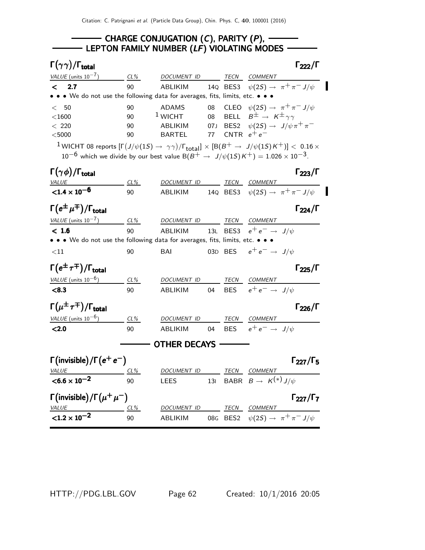#### $\longrightarrow$  CHARGE CONJUGATION (C), PARITY (P),  $\longrightarrow$ – LEPTON FAMILY NUMBER ( $L \dot{F}$ ) VIOLATING MODES –

| $\Gamma(\gamma\gamma)/\Gamma_{\rm total}$                                                                                                                                                                                                            |        |                          |     |               |                                                     | $\Gamma_{222}/\Gamma$                              |
|------------------------------------------------------------------------------------------------------------------------------------------------------------------------------------------------------------------------------------------------------|--------|--------------------------|-----|---------------|-----------------------------------------------------|----------------------------------------------------|
| VALUE (units $10^{-7}$ )                                                                                                                                                                                                                             | CL%    | DOCUMENT ID              |     |               | TECN COMMENT                                        |                                                    |
| < 2.7                                                                                                                                                                                                                                                | 90     | ABLIKIM                  |     |               | 14Q BES3 $\psi(2S) \rightarrow \pi^+ \pi^- J/\psi$  |                                                    |
| • • We do not use the following data for averages, fits, limits, etc. • • •                                                                                                                                                                          |        |                          |     |               |                                                     |                                                    |
| < 50                                                                                                                                                                                                                                                 | 90     | <b>ADAMS</b>             | 08  |               | CLEO $\psi(2S) \rightarrow \pi^+ \pi^- J/\psi$      |                                                    |
| $<$ 1600                                                                                                                                                                                                                                             | 90     | $1$ WICHT                |     |               | 08 BELL $B^{\pm} \rightarrow K^{\pm} \gamma \gamma$ |                                                    |
| < 220                                                                                                                                                                                                                                                | 90     | ABLIKIM                  |     |               | 07J BES2 $\psi(2S) \to J/\psi \pi^+ \pi^-$          |                                                    |
| $<$ 5000                                                                                                                                                                                                                                             | 90     | <b>BARTEL</b>            | 77  | CNTR $e^+e^-$ |                                                     |                                                    |
| $^1$ WICHT 08 reports $[\Gamma(J/\psi(1S) \to\ \gamma\gamma)/\Gamma_{\rm total}]\times[{\rm B}(B^+\to\ J/\psi(1S)K^+)]<\ 0.16\times$<br>$10^{-6}$ which we divide by our best value B $(B^{+} \rightarrow J/\psi(1S)K^{+}) = 1.026 \times 10^{-3}$ . |        |                          |     |               |                                                     |                                                    |
| $\Gamma(\gamma\phi)/\Gamma_{\rm total}$                                                                                                                                                                                                              |        |                          |     |               |                                                     | $\Gamma_{223}/\Gamma$                              |
| $\frac{VALUE}{<1.4 \times 10^{-6}}$                                                                                                                                                                                                                  | CL%    | DOCUMENT ID TECN COMMENT |     |               |                                                     |                                                    |
|                                                                                                                                                                                                                                                      | 90     | ABLIKIM                  |     |               |                                                     | 14Q BES3 $\psi(2S) \rightarrow \pi^+ \pi^- J/\psi$ |
| $\Gamma(e^{\pm}\mu^{\mp})/\Gamma_{\rm total}$                                                                                                                                                                                                        |        |                          |     |               |                                                     | $\Gamma_{224}/\Gamma$                              |
| VALUE (units $10^{-7}$ )                                                                                                                                                                                                                             | $CL\%$ | DOCUMENT ID              |     |               | TECN COMMENT                                        |                                                    |
| < 1.6                                                                                                                                                                                                                                                | 90     | ABLIKIM                  |     |               | 13L BES3 $e^+e^- \rightarrow J/\psi$                |                                                    |
| • • • We do not use the following data for averages, fits, limits, etc. • • •                                                                                                                                                                        |        |                          |     |               |                                                     |                                                    |
| $<11$                                                                                                                                                                                                                                                | 90     | <b>BAI</b>               |     |               | 03D BES $e^+e^- \rightarrow J/\psi$                 |                                                    |
| $\Gamma(e^{\pm}\tau^{\mp})/\Gamma_{\text{total}}$                                                                                                                                                                                                    |        |                          |     |               |                                                     | $\Gamma_{225}/\Gamma$                              |
| VALUE (units $10^{-6}$ )                                                                                                                                                                                                                             | $CL\%$ | DOCUMENT ID              |     |               | TECN COMMENT                                        |                                                    |
| < 8.3                                                                                                                                                                                                                                                | 90     | ABLIKIM                  | 04  |               | BES $e^+e^- \rightarrow J/\psi$                     |                                                    |
| $\Gamma(\mu^{\pm}\tau^{\mp})/\Gamma_{\rm total}$                                                                                                                                                                                                     |        |                          |     |               |                                                     | $\Gamma_{226}/\Gamma$                              |
| VALUE (units $10^{-6}$ )                                                                                                                                                                                                                             | $CL\%$ | DOCUMENT ID              |     |               | TECN COMMENT                                        |                                                    |
| < 2.0                                                                                                                                                                                                                                                | 90     | <b>ABLIKIM</b>           | 04  |               | BES $e^+e^- \rightarrow J/\psi$                     |                                                    |
|                                                                                                                                                                                                                                                      |        | <b>OTHER DECAYS</b>      |     |               |                                                     |                                                    |
| $\Gamma$ (invisible)/ $\Gamma$ ( $e^+e^-$ )                                                                                                                                                                                                          |        |                          |     |               |                                                     | $\Gamma_{227}/\Gamma_5$                            |
| <u>VALUE</u>                                                                                                                                                                                                                                         | CL%    | DOCUMENT ID              |     |               | TECN COMMENT                                        |                                                    |
| $< 6.6 \times 10^{-2}$                                                                                                                                                                                                                               | 90     | LEES                     | 131 |               | BABR $B \to K^{(*)} J/\psi$                         |                                                    |
| $\Gamma(\text{invisible})/\Gamma(\mu^+\mu^-)$<br>$\Gamma_{227}/\Gamma_{7}$                                                                                                                                                                           |        |                          |     |               |                                                     |                                                    |
| <b>VALUE</b>                                                                                                                                                                                                                                         | $CL\%$ | DOCUMENT ID TECN COMMENT |     |               |                                                     |                                                    |
| $\frac{1}{1.2 \times 10^{-2}}$                                                                                                                                                                                                                       | 90     | ABLIKIM                  |     |               | 08G BES2 $\psi(2S) \rightarrow \pi^+ \pi^- J/\psi$  |                                                    |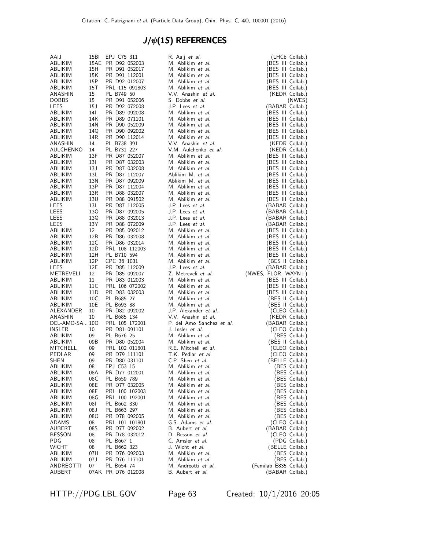# $J/\psi(1S)$  REFERENCES

| AAIJ                 | 15BI            | EPJ C75 311                      | R. Aaij <i>et al.</i>                        | (LHCb Collab.)                          |
|----------------------|-----------------|----------------------------------|----------------------------------------------|-----------------------------------------|
| ABLIKIM              |                 | 15AE PR D92 052003               | M. Ablikim et al.                            | (BES III Collab.)                       |
| ABLIKIM              | 15H             | PR D91 052017                    | M. Ablikim et al.                            | (BES III Collab.)                       |
| ABLIKIM              | 15K             | PR D91 112001                    | M. Ablikim et al.                            | (BES III Collab.)                       |
| ABLIKIM<br>ABLIKIM   | 15P<br>15T      | PR D92 012007<br>PRL 115 091803  | M. Ablikim et al.<br>M. Ablikim et al.       | (BES III Collab.)<br>(BES III Collab.)  |
| ANASHIN              | 15              | PL B749 50                       | V.V. Anashin et al.                          | (KEDR Collab.)                          |
| <b>DOBBS</b>         | 15              | PR D91 052006                    | S. Dobbs et al.                              | (NWES)                                  |
| LEES                 | 15J             | PR D92 072008                    | J.P. Lees et al.                             | (BABAR Collab.)                         |
| ABLIKIM              | 14I             | PR D89 092008                    | M. Ablikim et al.                            | (BES III Collab.)                       |
| ABLIKIM              | 14K             | PR D89 071101                    | M. Ablikim et al.                            | (BES III Collab.)                       |
| ABLIKIM              | 14N             | PR D90 052009                    | M. Ablikim et al.                            | (BES III Collab.)                       |
| ABLIKIM              | 14Q             | PR D90 092002                    | M. Ablikim et al.                            | (BES III Collab.)                       |
| ABLIKIM              | 14R             | PR D90 112014                    | M. Ablikim et al.                            | (BES III Collab.)                       |
| ANASHIN              | 14              | PL B738 391                      | V.V. Anashin et al.                          | (KEDR Collab.)                          |
| AULCHENKO            | 14              | PL B731 227                      | V.M. Aulchenko et al.                        | (KEDR Collab.)                          |
| ABLIKIM              | 13F<br>13I      | PR D87 052007<br>PR D87 032003   | M. Ablikim et al.<br>M. Ablikim et al.       | (BES III Collab.)<br>(BES III Collab.)  |
| ABLIKIM<br>ABLIKIM   | 13J             | PR D87 032008                    | M. Ablikim et al.                            | (BES III Collab.)                       |
| ABLIKIM              | 13L             | PR D87 112007                    | Ablikim M. et al.                            | (BES III Collab.)                       |
| ABLIKIM              | 13N             | PR D87 092009                    | Ablikim M. et al.                            | (BES III Collab.)                       |
| ABLIKIM              | 13P             | PR D87 112004                    | M. Ablikim et al.                            | (BES III Collab.)                       |
| ABLIKIM              | 13R             | PR D88 032007                    | M. Ablikim et al.                            | (BES III Collab.)                       |
| ABLIKIM              | 13U             | PR D88 091502                    | M. Ablikim et al.                            | (BES III Collab.)                       |
| LEES                 | 13I             | PR D87 112005                    | J.P. Lees et al.                             | (BABAR Collab.)                         |
| LEES                 | 130             | PR D87 092005                    | J.P. Lees et al.                             | (BABAR Collab.)                         |
| LEES                 | 13Q             | PR D88 032013                    | J.P. Lees et al.                             | (BABAR Collab.)                         |
| LEES                 | 13Y             | PR D88 072009                    | J.P. Lees et al.                             | (BABAR Collab.)                         |
| ABLIKIM              | 12              | PR D85 092012                    | M. Ablikim et al.                            | (BES III Collab.)                       |
| ABLIKIM              | 12B<br>12C      | PR D86 032008                    | M. Ablikim et al.<br>M. Ablikim et al.       | (BES III Collab.)                       |
| ABLIKIM<br>ABLIKIM   | 12D             | PR D86 032014<br>PRL 108 112003  | M. Ablikim et al.                            | (BES III Collab.)<br>(BES III Collab.)  |
| ABLIKIM              | 12H             | PL B710 594                      | M. Ablikim et al.                            | (BES III Collab.)                       |
| ABLIKIM              | 12P             | CPC 36 1031                      | M. Ablikim et al.                            | (BES II Collab.)                        |
| LEES                 | 12E             | PR D85 112009                    | J.P. Lees et al.                             | (BABAR Collab.)                         |
| METREVELI            | 12              | PR D85 092007                    | Z. Metreveli et al.                          | (NWES, FLOR, WAYN+)                     |
| ABLIKIM              | 11              | PR D83 012003                    | M. Ablikim et al.                            | (BES III Collab.)                       |
| ABLIKIM              | 11C             | PRL 106 072002                   | M. Ablikim et al.                            | (BES III Collab.)                       |
| ABLIKIM              | 11D             | PR D83 032003                    | M. Ablikim et al.                            | (BES III Collab.)                       |
| ABLIKIM              | 10 <sup>C</sup> | PL B685 27                       | M. Ablikim et al.                            | (BES II Collab.)                        |
| ABLIKIM              | 10E             | PL B693 88                       | M. Ablikim et al.                            | (BES II Collab.)                        |
| ALEXANDER<br>ANASHIN | 10<br>10        | PR D82 092002<br>PL B685 134     | J.P. Alexander et al.<br>V.V. Anashin et al. | (CLEO Collab.)                          |
| DEL-AMO-SA 10O       |                 | PRL 105 172001                   | P. del Amo Sanchez et al.                    | (KEDR Collab.)<br>(BABAR Collab.)       |
| <b>INSLER</b>        | 10              | PR D81 091101                    | J. Insler et al.                             | (CLEO Collab.)                          |
| ABLIKIM              | 09              | PL B676 25                       | M. Ablikim et al.                            | (BES Collab.)                           |
| ABLIKIM              | 09B             | PR D80 052004                    | M. Ablikim et al.                            | (BES II Collab.)                        |
| MITCHELL             | 09              | PRL 102 011801                   | R.E. Mitchell et al.                         | (CLEO Collab.)                          |
| PEDLAR               | 09              | PR D79 111101                    | T.K. Pedlar et al.                           | (CLEO Collab.)                          |
| SHEN                 | 09              | PR D80 031101                    | C.P. Shen et al.                             | (BELLE Collab.)                         |
| ABLIKIM              | 08              | EPJ C53 15                       | M. Ablikim et al.                            | (BES Collab.)                           |
| ABLIKIM              | 08A             | PR D77 012001                    | M. Ablikim et al.                            | (BES Collab.)                           |
| ABLIKIM              | 08C             | PL B659 789                      | M. Ablikim et al.                            | (BES Collab.)                           |
| ABLIKIM              | 08E<br>08F      | PR D77 032005                    | M. Ablikim et al.<br>M. Ablikim et al.       | (BES Collab.)<br>(BES Collab.)          |
| ABLIKIM<br>ABLIKIM   | 08G             | PRL 100 102003<br>PRL 100 192001 | M. Ablikim et al.                            | (BES Collab.)                           |
| ABLIKIM              | 180             | PL B662 330                      | M. Ablikim et al.                            | (BES Collab.)                           |
| ABLIKIM              | 08 J            | PL B663 297                      | M. Ablikim et al.                            | (BES Collab.)                           |
| ABLIKIM              | 08O             | PR D78 092005                    | M. Ablikim et al.                            | (BES Collab.)                           |
| ADAMS                | 08              | PRL 101 101801                   | G.S. Adams et al.                            | (CLEO Collab.)                          |
| AUBERT               | 08S             | PR D77 092002                    | B. Aubert et al.                             | (BABAR Collab.)                         |
| <b>BESSON</b>        | 08              | PR D78 032012                    | D. Besson et al.                             | (CLEO Collab.)                          |
| PDG.                 | 08              | PL B667 1                        | C. Amsler et al.                             | (PDG Collab.)                           |
| <b>WICHT</b>         | 08              | PL B662 323                      | J. Wicht et al.                              | (BELLE Collab.)                         |
| ABLIKIM              | 07H             | PR D76 092003                    | M. Ablikim et al.                            | (BES Collab.)                           |
| ABLIKIM<br>ANDREOTTI | 07 J<br>07      | PR D76 117101<br>PL B654 74      | M. Ablikim et al.<br>M. Andreotti et al.     | (BES Collab.)<br>(Femilab E835 Collab.) |
| AUBERT               |                 | 07AK PR D76 012008               | B. Aubert et al.                             | (BABAR Collab.)                         |
|                      |                 |                                  |                                              |                                         |

HTTP://PDG.LBL.GOV Page 63 Created: 10/1/2016 20:05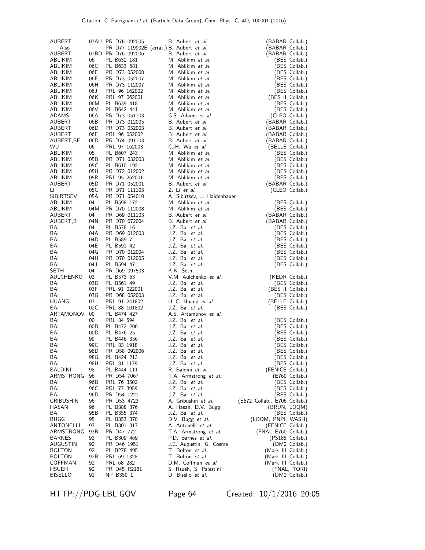| AUBERT             |                 | 07AU PR D76 092005           | B. Aubert <i>et al.</i>                       | (BABAR Collab.)                |
|--------------------|-----------------|------------------------------|-----------------------------------------------|--------------------------------|
| Also               |                 |                              | PR D77 119902E (errat.) B. Aubert et al.      | (BABAR Collab.)                |
| AUBERT             |                 | 07BD PR D76 092006           | B. Aubert et al.                              | (BABAR Collab.)                |
| ABLIKIM            | 06              | PL B632 181                  | M. Ablikim et al.                             | (BES Collab.)                  |
| ABLIKIM            | 06C             | PL B633 681                  | M. Ablikim et al.                             | (BES Collab.)                  |
| ABLIKIM            | 06E             | PR D73 052008                | M. Ablikim et al.                             | (BES Collab.)                  |
| ABLIKIM            | 06F             | PR D73 052007                | M. Ablikim et al.                             | (BES Collab.)                  |
| ABLIKIM            | 06H             | PR D73 112007                | M. Ablikim et al.                             | (BES Collab.)                  |
| ABLIKIM            | 06 J            | PRL 96 162002                | M. Ablikim et al.                             | (BES Collab.)                  |
| ABLIKIM            | 06K             | PRL 97 062001                | M. Ablikim et al.                             | (BES II Collab.)               |
| ABLIKIM            | 06M             | PL B639 418                  | M. Ablikim et al.                             | (BES Collab.)                  |
| ABLIKIM            | 06V             | PL B642 441                  | M. Ablikim et al.                             | (BES Collab.)                  |
| ADAMS              | 06A             | PR D73 051103                | G.S. Adams et al.                             | (CLEO Collab.)                 |
| AUBERT             | 06B             | PR D73 012005                | B. Aubert et al.                              | (BABAR Collab.)                |
| AUBERT             | 06D             | PR D73 052003                | B. Aubert et al.                              | (BABAR Collab.)                |
| AUBERT             | 06E             | PRL 96 052002                | B. Aubert et al.                              | (BABAR Collab.)                |
| AUBERT,BE          | 06D             | PR D74 091103                | B. Aubert et al.                              | (BABAR Collab.)                |
| WU.                | 06              | PRL 97 162003                | C.-H. Wu et al.                               | (BELLE Collab.)                |
| ABLIKIM            | 05              | PL B607 243                  | M. Ablikim et al.<br>M. Ablikim et al.        | (BES Collab.)                  |
| ABLIKIM<br>ABLIKIM | 05B<br>05C      | PR D71 032003<br>PL B610 192 | M. Ablikim et al.                             | (BES Collab.)<br>(BES Collab.) |
| ABLIKIM            | 05H             | PR D72 012002                | M. Ablikim et al.                             | (BES Collab.)                  |
| ABLIKIM            | 05R             | PRL 95 262001                | M. Ablikim et al.                             | (BES Collab.)                  |
| AUBERT             | 05 <sub>D</sub> | PR D71 052001                | B. Aubert et al.                              | (BABAR Collab.)                |
| LI.                | 05C             | PR D71 111103                | Z. Li et al.                                  | (CLEO Collab.)                 |
| <b>SIBIRTSEV</b>   | 05A             | PR D71 054010                | A. Sibirtsev, J. Haidenbauer                  |                                |
| ABLIKIM            | 04              | PL B598 172                  | M. Ablikim et al.                             | (BES Collab.)                  |
| ABLIKIM            | 04M             | PR D70 112008                | M. Ablikim et al.                             | (BES Collab.)                  |
| AUBERT             | 04              | PR D69 011103                | B. Aubert et al.                              | (BABAR Collab.)                |
| AUBERT, B          | 04N             | PR D70 072004                | B. Aubert et al.                              | (BABAR Collab.)                |
| BAI                | 04              | PL B578 16                   | J.Z. Bai et al.                               | (BES Collab.)                  |
| BAI                | 04A             | PR D69 012003                | J.Z. Bai et al.                               | (BES Collab.)                  |
| BAI                | 04D             | PL B589 7                    | J.Z. Bai et al.                               | (BES Collab.)                  |
| BAI                | 04E             | PL B591 42                   | J.Z. Bai et al.                               | (BES Collab.)                  |
| BAI                | 04G             | PR D70 012004                | J.Z. Bai et al.                               | (BES Collab.)                  |
| BAI                | 04H             | PR D70 012005                | J.Z. Bai et al.                               | (BES Collab.)                  |
| BAI                | 04J             | PL B594 47                   | J.Z. Bai et al.                               | (BES Collab.)                  |
| SETH<br>AULCHENKO  | 04<br>03        | PR D69 097503<br>PL B573 63  | K.K. Seth<br>V.M. Aulchenko et al.            | (KEDR Collab.)                 |
| BAI                | 03D             | PL B561 49                   | J.Z. Bai et al.                               | (BES Collab.)                  |
| BAI                | 03F             | PRL 91 022001                | J.Z. Bai et al.                               | (BES II Collab.)               |
| BAI                | 03G             | PR D68 052003                | J.Z. Bai et al.                               | (BES Collab.)                  |
| HUANG              | 03              | PRL 91 241802                | H.-C. Huang et al.                            | (BELLE Collab.)                |
| BAI                | 02C             | PRL 88 101802                | J.Z. Bai et al.                               | (BES Collab.)                  |
| ARTAMONOV          | $00\,$          | PL B474 427                  | A.S. Artamonov et al.                         |                                |
| BAI                | 00              | PRL 84 594                   | J.Z. Bai et al.                               | (BES Collab.)                  |
| BAI                | 00B             | PL B472 200                  | J.Z. Bai et al.                               | (BES Collab.)                  |
| BAI                | 00D             | PL B476 25                   | J.Z. Bai et al.                               | (BES Collab.)                  |
| BAI                | 99              | PL B446 356                  | J.Z. Bai et al.                               | (BES Collab.)                  |
| BAI                | 99C             | PRL 83 1918                  | J.Z. Bai et al.                               | (BES Collab.)                  |
| BAI                | 98D             | PR D58 092006                | J.Z. Bai <i>et al.</i>                        | (BES Collab.)                  |
| BAI                | 98G             | PL B424 213                  | J.Z. Bai <i>et al.</i>                        | (BES Collab.)                  |
| BAI                | 98H             | PRL 81 1179                  | J.Z. Bai et al.                               | (BES Collab.)                  |
| BALDINI            | 98              | PL B444 111                  | R. Baldini et al.                             | (FENICE Collab.)               |
| ARMSTRONG          | 96              | PR D54 7067                  | T.A. Armstrong et al.                         | (E760 Collab.)                 |
| BAI<br>BAI         | 96B<br>96C      | PRL 76 3502<br>PRL 77 3959   | J.Z. Bai et al.<br>J.Z. Bai et al.            | (BES Collab.)<br>(BES Collab.) |
| BAI                | 96D             | PR D54 1221                  | J.Z. Bai et al.                               | (BES Collab.)                  |
| GRIBUSHIN          | 96              | PR D53 4723                  | A. Gribushin et al.                           | (E672 Collab., E706 Collab.)   |
| HASAN              | 96              | PL B388 376                  | A. Hasan, D.V. Bugg                           | (BRUN, LOQM)                   |
| BAI                | 95B             | PL B355 374                  | J.Z. Bai et al.                               | (BES Collab.)                  |
| <b>BUGG</b>        | 95              | PL B353 378                  | D.V. Bugg et al.                              | (LOQM, PNPI, WASH)             |
| ANTONELLI          | 93              | PL B301 317                  | A. Antonelli et al.                           | (FENICE Collab.)               |
| ARMSTRONG          | 93B             | PR D47 772                   | T.A. Armstrong et al.                         | (FNAL E760 Collab.)            |
| <b>BARNES</b>      | 93              | PL B309 469                  | P.D. Barnes et al.                            | (PS185 Collab.)                |
| AUGUSTIN           | 92              | PR D46 1951                  | J.E. Augustin, G. Cosme                       | (DM2 Collab.)                  |
| <b>BOLTON</b>      | 92              | PL B278 495                  | T. Bolton et al.                              | (Mark III Collab.)             |
| <b>BOLTON</b>      | 92B             | PRL 69 1328                  | T. Bolton et al.                              | (Mark III Collab.)             |
| COFFMAN<br>HSUEH   | 92<br>92        | PRL 68 282                   | D.M. Coffman et al.<br>S. Hsueh, S. Palestini | (Mark III Collab.)             |
| <b>BISELLO</b>     | 91              | PR D45 R2181<br>NP B350 1    | D. Bisello et al.                             | (FNAL, TORI)<br>(DM2 Collab.)  |
|                    |                 |                              |                                               |                                |

HTTP://PDG.LBL.GOV Page 64 Created: 10/1/2016 20:05